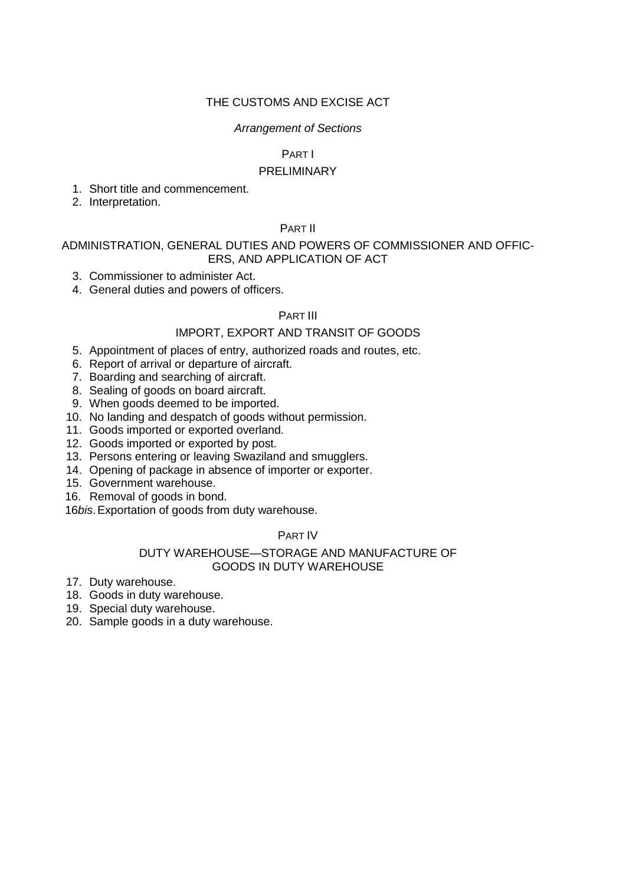## THE CUSTOMS AND EXCISE ACT

### *Arrangement of Sections*

## PART I

## PRELIMINARY

- 1. Short title and commencement.
- 2. Interpretation.

# PART II

## ADMINISTRATION, GENERAL DUTIES AND POWERS OF COMMISSIONER AND OFFIC-ERS, AND APPLICATION OF ACT

- 3. Commissioner to administer Act.
- 4. General duties and powers of officers.

# PART III

## IMPORT, EXPORT AND TRANSIT OF GOODS

- 5. Appointment of places of entry, authorized roads and routes, etc.
- 6. Report of arrival or departure of aircraft.
- 7. Boarding and searching of aircraft.
- 8. Sealing of goods on board aircraft.
- 9. When goods deemed to be imported.
- 10. No landing and despatch of goods without permission.
- 11. Goods imported or exported overland.
- 12. Goods imported or exported by post.
- 13. Persons entering or leaving Swaziland and smugglers.
- 14. Opening of package in absence of importer or exporter.
- 15. Government warehouse.
- 16. Removal of goods in bond.

16*bis*.Exportation of goods from duty warehouse.

### PART IV

### DUTY WAREHOUSE—STORAGE AND MANUFACTURE OF GOODS IN DUTY WAREHOUSE

- 17. Duty warehouse.
- 18. Goods in duty warehouse.
- 19. Special duty warehouse.
- 20. Sample goods in a duty warehouse.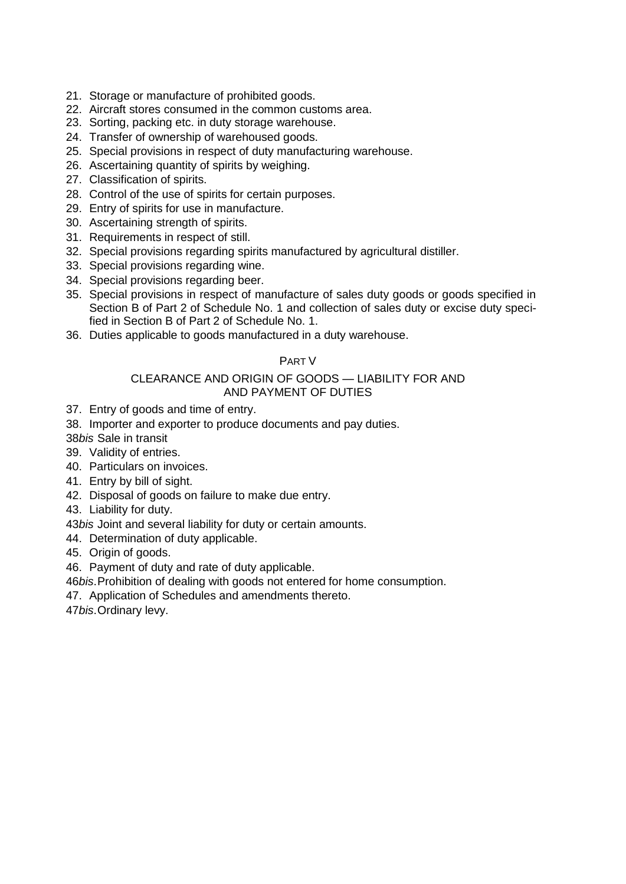- 21. Storage or manufacture of prohibited goods.
- 22. Aircraft stores consumed in the common customs area.
- 23. Sorting, packing etc. in duty storage warehouse.
- 24. Transfer of ownership of warehoused goods.
- 25. Special provisions in respect of duty manufacturing warehouse.
- 26. Ascertaining quantity of spirits by weighing.
- 27. Classification of spirits.
- 28. Control of the use of spirits for certain purposes.
- 29. Entry of spirits for use in manufacture.
- 30. Ascertaining strength of spirits.
- 31. Requirements in respect of still.
- 32. Special provisions regarding spirits manufactured by agricultural distiller.
- 33. Special provisions regarding wine.
- 34. Special provisions regarding beer.
- 35. Special provisions in respect of manufacture of sales duty goods or goods specified in Section B of Part 2 of Schedule No. 1 and collection of sales duty or excise duty specified in Section B of Part 2 of Schedule No. 1.
- 36. Duties applicable to goods manufactured in a duty warehouse.

## PART V

# CLEARANCE AND ORIGIN OF GOODS — LIABILITY FOR AND AND PAYMENT OF DUTIES

- 37. Entry of goods and time of entry.
- 38. Importer and exporter to produce documents and pay duties.
- 38*bis* Sale in transit
- 39. Validity of entries.
- 40. Particulars on invoices.
- 41. Entry by bill of sight.
- 42. Disposal of goods on failure to make due entry.
- 43. Liability for duty.
- 43*bis* Joint and several liability for duty or certain amounts.
- 44. Determination of duty applicable.
- 45. Origin of goods.

## 46. Payment of duty and rate of duty applicable.

- 46*bis*.Prohibition of dealing with goods not entered for home consumption.
- 47. Application of Schedules and amendments thereto.

47*bis*.Ordinary levy.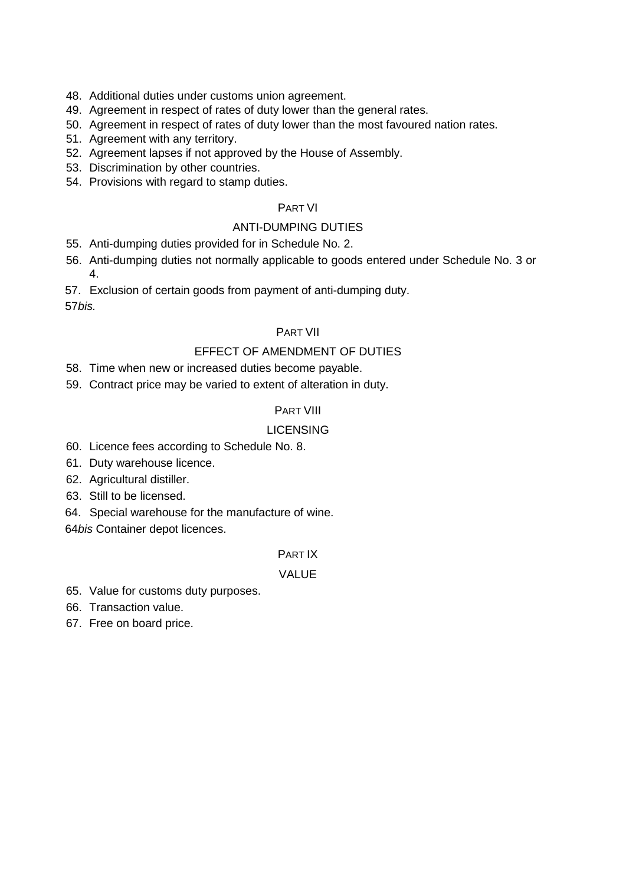- 48. Additional duties under customs union agreement.
- 49. Agreement in respect of rates of duty lower than the general rates.
- 50. Agreement in respect of rates of duty lower than the most favoured nation rates.
- 51. Agreement with any territory.
- 52. Agreement lapses if not approved by the House of Assembly.
- 53. Discrimination by other countries.
- 54. Provisions with regard to stamp duties.

# PART VI

# ANTI-DUMPING DUTIES

- 55. Anti-dumping duties provided for in Schedule No. 2.
- 56. Anti-dumping duties not normally applicable to goods entered under Schedule No. 3 or 4.

57. Exclusion of certain goods from payment of anti-dumping duty. 57*bis.*

# PART VII

# EFFECT OF AMENDMENT OF DUTIES

- 58. Time when new or increased duties become payable.
- 59. Contract price may be varied to extent of alteration in duty.

## PART VIII

# LICENSING

- 60. Licence fees according to Schedule No. 8.
- 61. Duty warehouse licence.
- 62. Agricultural distiller.
- 63. Still to be licensed.

64. Special warehouse for the manufacture of wine.

64*bis* Container depot licences.

## PART IX

# VALUE

- 65. Value for customs duty purposes.
- 66. Transaction value.
- 67. Free on board price.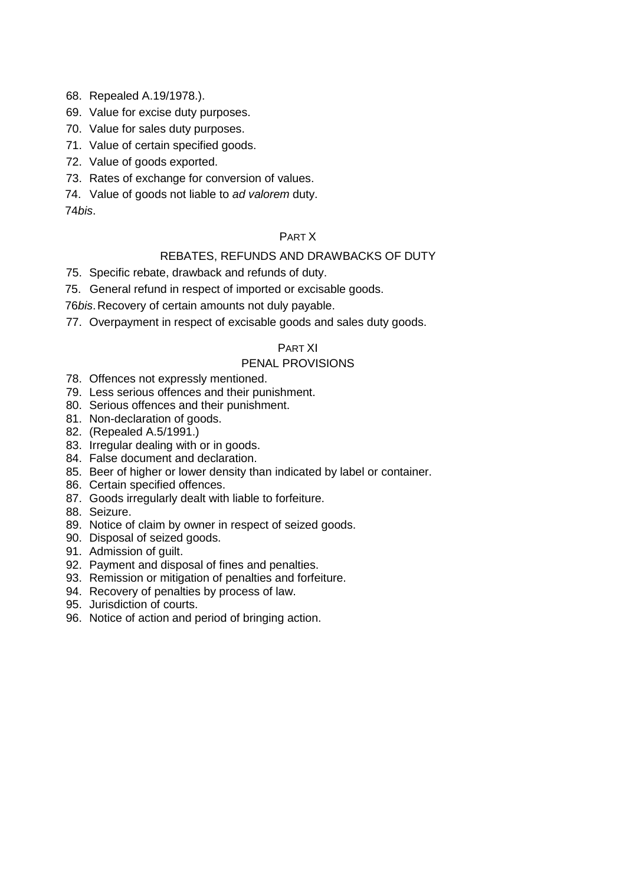68. Repealed A.19/1978.).

- 69. Value for excise duty purposes.
- 70. Value for sales duty purposes.
- 71. Value of certain specified goods.
- 72. Value of goods exported.
- 73. Rates of exchange for conversion of values.
- 74. Value of goods not liable to *ad valorem* duty.

74*bis*.

### PART X

## REBATES, REFUNDS AND DRAWBACKS OF DUTY

- 75. Specific rebate, drawback and refunds of duty.
- 75. General refund in respect of imported or excisable goods.

76*bis*.Recovery of certain amounts not duly payable.

77. Overpayment in respect of excisable goods and sales duty goods.

## PART XI

### PENAL PROVISIONS

- 78. Offences not expressly mentioned.
- 79. Less serious offences and their punishment.
- 80. Serious offences and their punishment.
- 81. Non-declaration of goods.
- 82. (Repealed A.5/1991.)
- 83. Irregular dealing with or in goods.
- 84. False document and declaration.
- 85. Beer of higher or lower density than indicated by label or container.
- 86. Certain specified offences.
- 87. Goods irregularly dealt with liable to forfeiture.
- 88. Seizure.
- 89. Notice of claim by owner in respect of seized goods.
- 90. Disposal of seized goods.
- 91. Admission of guilt.
- 92. Payment and disposal of fines and penalties.
- 93. Remission or mitigation of penalties and forfeiture.
- 94. Recovery of penalties by process of law.
- 95. Jurisdiction of courts.
- 96. Notice of action and period of bringing action.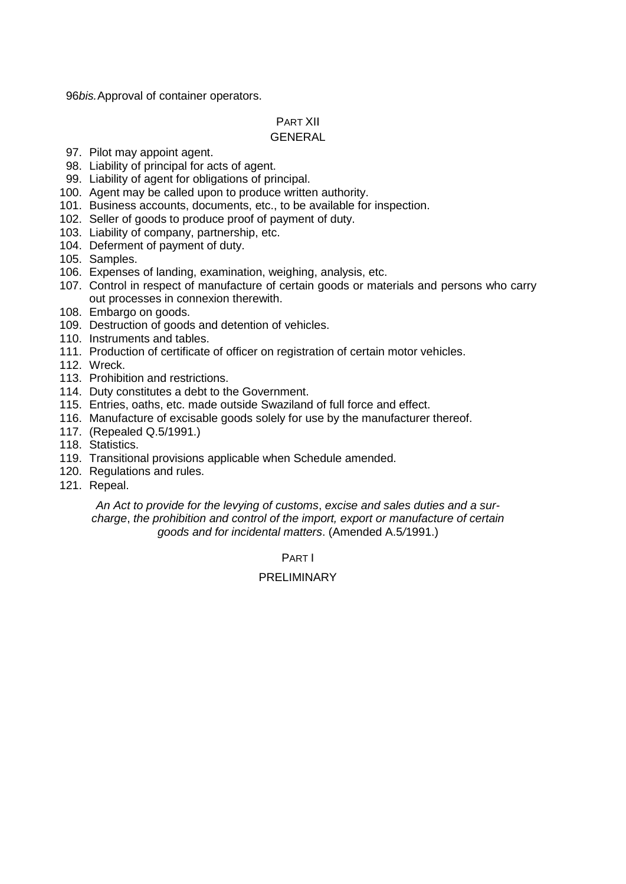96*bis.*Approval of container operators.

# PART XII

# GENERAL

- 97. Pilot may appoint agent.
- 98. Liability of principal for acts of agent.
- 99. Liability of agent for obligations of principal.
- 100. Agent may be called upon to produce written authority.
- 101. Business accounts, documents, etc., to be available for inspection.
- 102. Seller of goods to produce proof of payment of duty.
- 103. Liability of company, partnership, etc.
- 104. Deferment of payment of duty.
- 105. Samples.
- 106. Expenses of landing, examination, weighing, analysis, etc.
- 107. Control in respect of manufacture of certain goods or materials and persons who carry out processes in connexion therewith.
- 108. Embargo on goods.
- 109. Destruction of goods and detention of vehicles.
- 110. Instruments and tables.
- 111. Production of certificate of officer on registration of certain motor vehicles.
- 112. Wreck.
- 113. Prohibition and restrictions.
- 114. Duty constitutes a debt to the Government.
- 115. Entries, oaths, etc. made outside Swaziland of full force and effect.
- 116. Manufacture of excisable goods solely for use by the manufacturer thereof.
- 117. (Repealed Q.5/1991.)
- 118. Statistics.
- 119. Transitional provisions applicable when Schedule amended.
- 120. Regulations and rules.
- 121. Repeal.

*An Act to provide for the levying of customs*, *excise and sales duties and a surcharge*, *the prohibition and control of the import, export or manufacture of certain goods and for incidental matters*. (Amended A.5*/*1991.)

PART I

# PRELIMINARY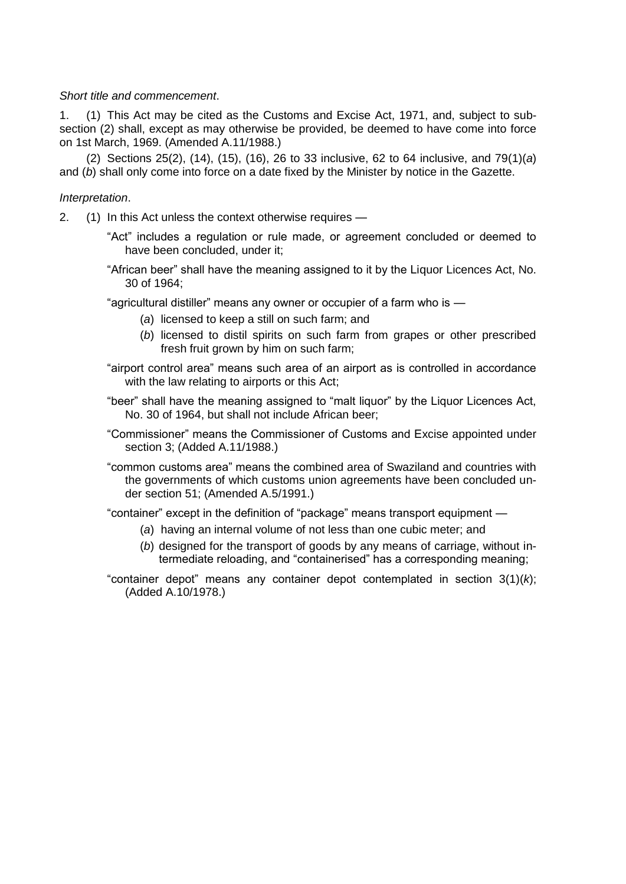### *Short title and commencement*.

1. (1) This Act may be cited as the Customs and Excise Act, 1971, and, subject to subsection (2) shall, except as may otherwise be provided, be deemed to have come into force on 1st March, 1969. (Amended A.11/1988.)

(2) Sections 25(2), (14), (15), (16), 26 to 33 inclusive, 62 to 64 inclusive, and 79(1)(*a*) and (*b*) shall only come into force on a date fixed by the Minister by notice in the Gazette.

### *Interpretation*.

2. (1) In this Act unless the context otherwise requires —

- "Act" includes a regulation or rule made, or agreement concluded or deemed to have been concluded, under it;
- "African beer" shall have the meaning assigned to it by the Liquor Licences Act, No. 30 of 1964;

"agricultural distiller" means any owner or occupier of a farm who is —

- (*a*) licensed to keep a still on such farm; and
- (*b*) licensed to distil spirits on such farm from grapes or other prescribed fresh fruit grown by him on such farm;
- "airport control area" means such area of an airport as is controlled in accordance with the law relating to airports or this Act;
- "beer" shall have the meaning assigned to "malt liquor" by the Liquor Licences Act, No. 30 of 1964, but shall not include African beer;
- "Commissioner" means the Commissioner of Customs and Excise appointed under section 3; (Added A.11/1988.)
- "common customs area" means the combined area of Swaziland and countries with the governments of which customs union agreements have been concluded under section 51; (Amended A.5/1991.)

"container" except in the definition of "package" means transport equipment —

- (*a*) having an internal volume of not less than one cubic meter; and
- (*b*) designed for the transport of goods by any means of carriage, without intermediate reloading, and "containerised" has a corresponding meaning;
- "container depot" means any container depot contemplated in section 3(1)(*k*); (Added A.10/1978.)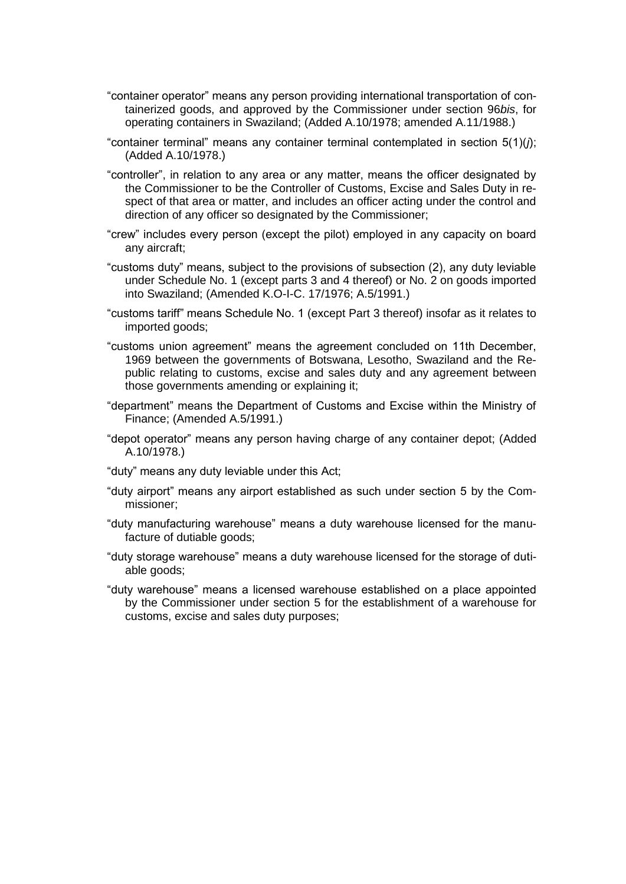- "container operator" means any person providing international transportation of containerized goods, and approved by the Commissioner under section 96*bis*, for operating containers in Swaziland; (Added A.10/1978; amended A.11/1988.)
- "container terminal" means any container terminal contemplated in section 5(1)(*j*); (Added A.10/1978.)
- "controller", in relation to any area or any matter, means the officer designated by the Commissioner to be the Controller of Customs, Excise and Sales Duty in respect of that area or matter, and includes an officer acting under the control and direction of any officer so designated by the Commissioner;
- "crew" includes every person (except the pilot) employed in any capacity on board any aircraft;
- "customs duty" means, subject to the provisions of subsection (2), any duty leviable under Schedule No. 1 (except parts 3 and 4 thereof) or No. 2 on goods imported into Swaziland; (Amended K.O-I-C. 17/1976; A.5/1991.)
- "customs tariff" means Schedule No. 1 (except Part 3 thereof) insofar as it relates to imported goods;
- "customs union agreement" means the agreement concluded on 11th December, 1969 between the governments of Botswana, Lesotho, Swaziland and the Republic relating to customs, excise and sales duty and any agreement between those governments amending or explaining it;
- "department" means the Department of Customs and Excise within the Ministry of Finance; (Amended A.5/1991.)
- "depot operator" means any person having charge of any container depot; (Added A.10/1978.)
- "duty" means any duty leviable under this Act;
- "duty airport" means any airport established as such under section 5 by the Commissioner;
- "duty manufacturing warehouse" means a duty warehouse licensed for the manufacture of dutiable goods;
- "duty storage warehouse" means a duty warehouse licensed for the storage of dutiable goods;
- "duty warehouse" means a licensed warehouse established on a place appointed by the Commissioner under section 5 for the establishment of a warehouse for customs, excise and sales duty purposes;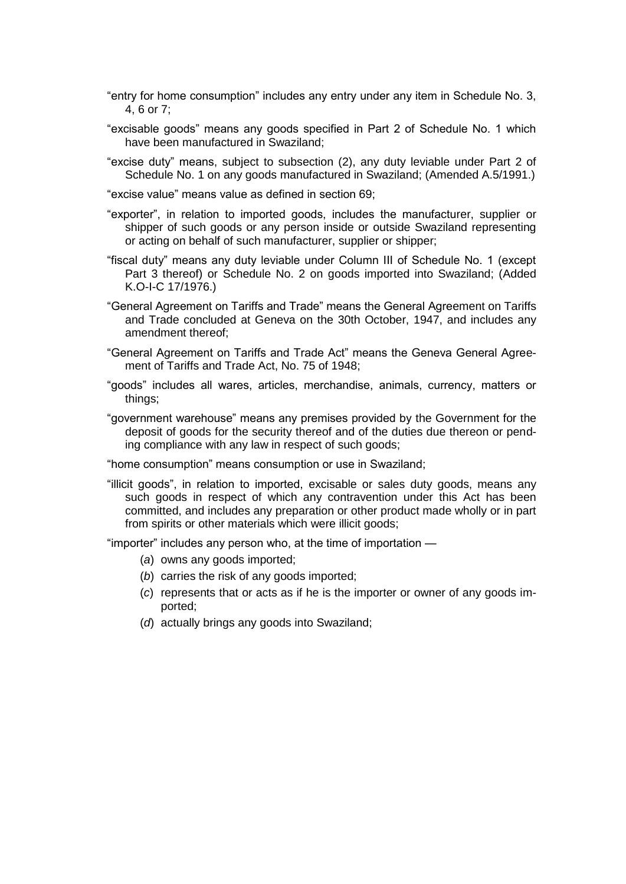- "entry for home consumption" includes any entry under any item in Schedule No. 3, 4, 6 or 7;
- "excisable goods" means any goods specified in Part 2 of Schedule No. 1 which have been manufactured in Swaziland;
- "excise duty" means, subject to subsection (2), any duty leviable under Part 2 of Schedule No. 1 on any goods manufactured in Swaziland; (Amended A.5/1991.)
- "excise value" means value as defined in section 69;
- "exporter", in relation to imported goods, includes the manufacturer, supplier or shipper of such goods or any person inside or outside Swaziland representing or acting on behalf of such manufacturer, supplier or shipper;
- "fiscal duty" means any duty leviable under Column III of Schedule No. 1 (except Part 3 thereof) or Schedule No. 2 on goods imported into Swaziland; (Added K.O-I-C 17/1976.)
- "General Agreement on Tariffs and Trade" means the General Agreement on Tariffs and Trade concluded at Geneva on the 30th October, 1947, and includes any amendment thereof;
- "General Agreement on Tariffs and Trade Act" means the Geneva General Agreement of Tariffs and Trade Act, No. 75 of 1948;
- "goods" includes all wares, articles, merchandise, animals, currency, matters or things;
- "government warehouse" means any premises provided by the Government for the deposit of goods for the security thereof and of the duties due thereon or pending compliance with any law in respect of such goods;

"home consumption" means consumption or use in Swaziland;

"illicit goods", in relation to imported, excisable or sales duty goods, means any such goods in respect of which any contravention under this Act has been committed, and includes any preparation or other product made wholly or in part from spirits or other materials which were illicit goods;

"importer" includes any person who, at the time of importation —

- (*a*) owns any goods imported;
- (*b*) carries the risk of any goods imported;
- (*c*) represents that or acts as if he is the importer or owner of any goods imported;
- (*d*) actually brings any goods into Swaziland;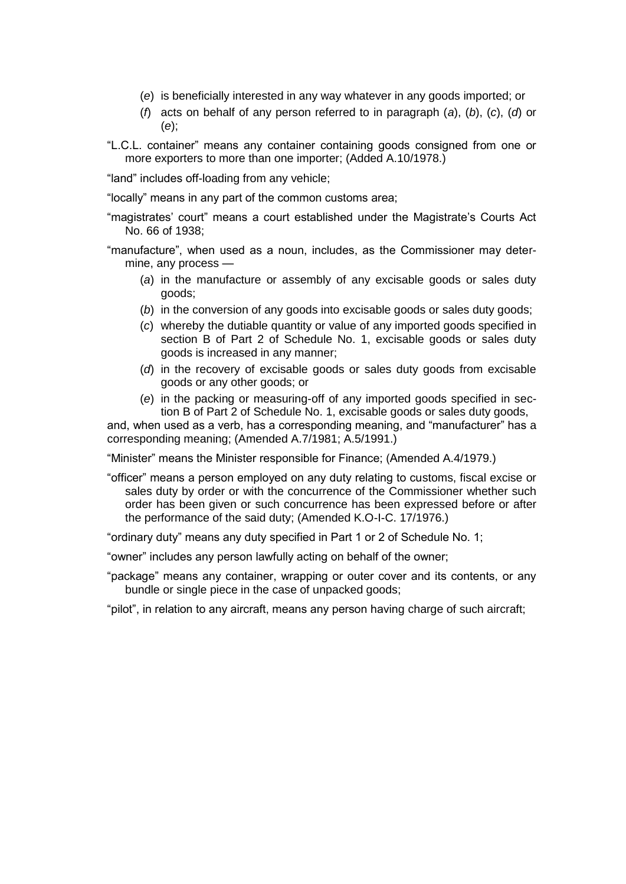- (*e*) is beneficially interested in any way whatever in any goods imported; or
- (*f*) acts on behalf of any person referred to in paragraph (*a*), (*b*), (*c*), (*d*) or (*e*);
- "L.C.L. container" means any container containing goods consigned from one or more exporters to more than one importer; (Added A.10/1978.)

"land" includes off-loading from any vehicle;

"locally" means in any part of the common customs area;

"magistrates" court" means a court established under the Magistrate"s Courts Act No. 66 of 1938;

"manufacture", when used as a noun, includes, as the Commissioner may determine, any process —

- (*a*) in the manufacture or assembly of any excisable goods or sales duty goods;
- (*b*) in the conversion of any goods into excisable goods or sales duty goods;
- (*c*) whereby the dutiable quantity or value of any imported goods specified in section B of Part 2 of Schedule No. 1, excisable goods or sales duty goods is increased in any manner;
- (*d*) in the recovery of excisable goods or sales duty goods from excisable goods or any other goods; or
- (*e*) in the packing or measuring-off of any imported goods specified in section B of Part 2 of Schedule No. 1, excisable goods or sales duty goods,

and, when used as a verb, has a corresponding meaning, and "manufacturer" has a corresponding meaning; (Amended A.7/1981; A.5/1991.)

"Minister" means the Minister responsible for Finance; (Amended A.4/1979.)

"officer" means a person employed on any duty relating to customs, fiscal excise or sales duty by order or with the concurrence of the Commissioner whether such order has been given or such concurrence has been expressed before or after the performance of the said duty; (Amended K.O-I-C. 17/1976.)

"ordinary duty" means any duty specified in Part 1 or 2 of Schedule No. 1;

"owner" includes any person lawfully acting on behalf of the owner;

"package" means any container, wrapping or outer cover and its contents, or any bundle or single piece in the case of unpacked goods;

"pilot", in relation to any aircraft, means any person having charge of such aircraft;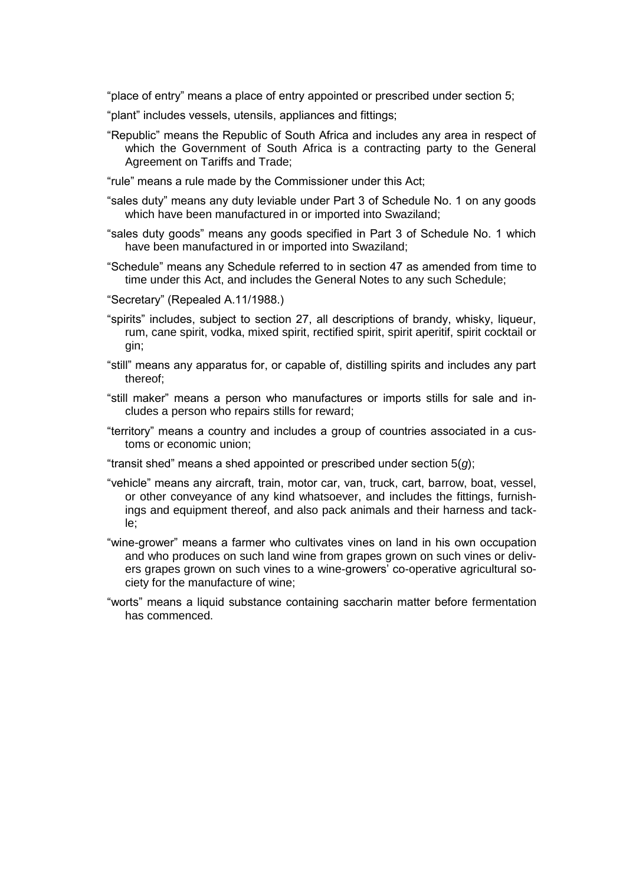"place of entry" means a place of entry appointed or prescribed under section 5;

- "plant" includes vessels, utensils, appliances and fittings;
- "Republic" means the Republic of South Africa and includes any area in respect of which the Government of South Africa is a contracting party to the General Agreement on Tariffs and Trade;

"rule" means a rule made by the Commissioner under this Act;

- "sales duty" means any duty leviable under Part 3 of Schedule No. 1 on any goods which have been manufactured in or imported into Swaziland;
- "sales duty goods" means any goods specified in Part 3 of Schedule No. 1 which have been manufactured in or imported into Swaziland;
- "Schedule" means any Schedule referred to in section 47 as amended from time to time under this Act, and includes the General Notes to any such Schedule;
- "Secretary" (Repealed A.11/1988.)
- "spirits" includes, subject to section 27, all descriptions of brandy, whisky, liqueur, rum, cane spirit, vodka, mixed spirit, rectified spirit, spirit aperitif, spirit cocktail or gin;
- "still" means any apparatus for, or capable of, distilling spirits and includes any part thereof;
- "still maker" means a person who manufactures or imports stills for sale and includes a person who repairs stills for reward;
- "territory" means a country and includes a group of countries associated in a customs or economic union;
- "transit shed" means a shed appointed or prescribed under section 5(*g*);
- "vehicle" means any aircraft, train, motor car, van, truck, cart, barrow, boat, vessel, or other conveyance of any kind whatsoever, and includes the fittings, furnishings and equipment thereof, and also pack animals and their harness and tackle;
- "wine-grower" means a farmer who cultivates vines on land in his own occupation and who produces on such land wine from grapes grown on such vines or delivers grapes grown on such vines to a wine-growers" co-operative agricultural society for the manufacture of wine;
- "worts" means a liquid substance containing saccharin matter before fermentation has commenced.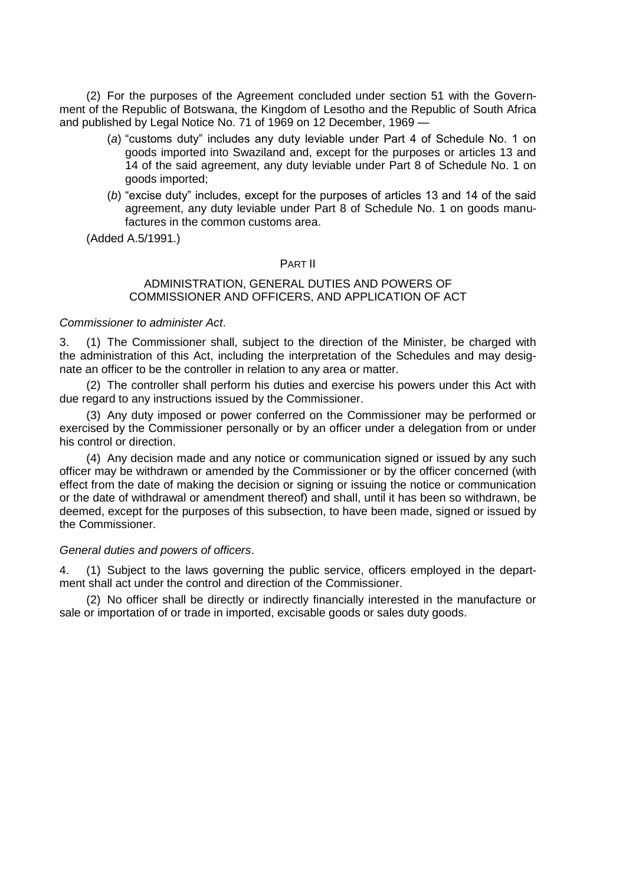(2) For the purposes of the Agreement concluded under section 51 with the Government of the Republic of Botswana, the Kingdom of Lesotho and the Republic of South Africa and published by Legal Notice No. 71 of 1969 on 12 December, 1969 —

- (*a*) "customs duty" includes any duty leviable under Part 4 of Schedule No. 1 on goods imported into Swaziland and, except for the purposes or articles 13 and 14 of the said agreement, any duty leviable under Part 8 of Schedule No. 1 on goods imported;
- (*b*) "excise duty" includes, except for the purposes of articles 13 and 14 of the said agreement, any duty leviable under Part 8 of Schedule No. 1 on goods manufactures in the common customs area.

(Added A.5/1991.)

### PART II

### ADMINISTRATION, GENERAL DUTIES AND POWERS OF COMMISSIONER AND OFFICERS, AND APPLICATION OF ACT

### *Commissioner to administer Act*.

3. (1) The Commissioner shall, subject to the direction of the Minister, be charged with the administration of this Act, including the interpretation of the Schedules and may designate an officer to be the controller in relation to any area or matter.

(2) The controller shall perform his duties and exercise his powers under this Act with due regard to any instructions issued by the Commissioner.

(3) Any duty imposed or power conferred on the Commissioner may be performed or exercised by the Commissioner personally or by an officer under a delegation from or under his control or direction.

(4) Any decision made and any notice or communication signed or issued by any such officer may be withdrawn or amended by the Commissioner or by the officer concerned (with effect from the date of making the decision or signing or issuing the notice or communication or the date of withdrawal or amendment thereof) and shall, until it has been so withdrawn, be deemed, except for the purposes of this subsection, to have been made, signed or issued by the Commissioner.

### *General duties and powers of officers*.

4. (1) Subject to the laws governing the public service, officers employed in the department shall act under the control and direction of the Commissioner.

(2) No officer shall be directly or indirectly financially interested in the manufacture or sale or importation of or trade in imported, excisable goods or sales duty goods.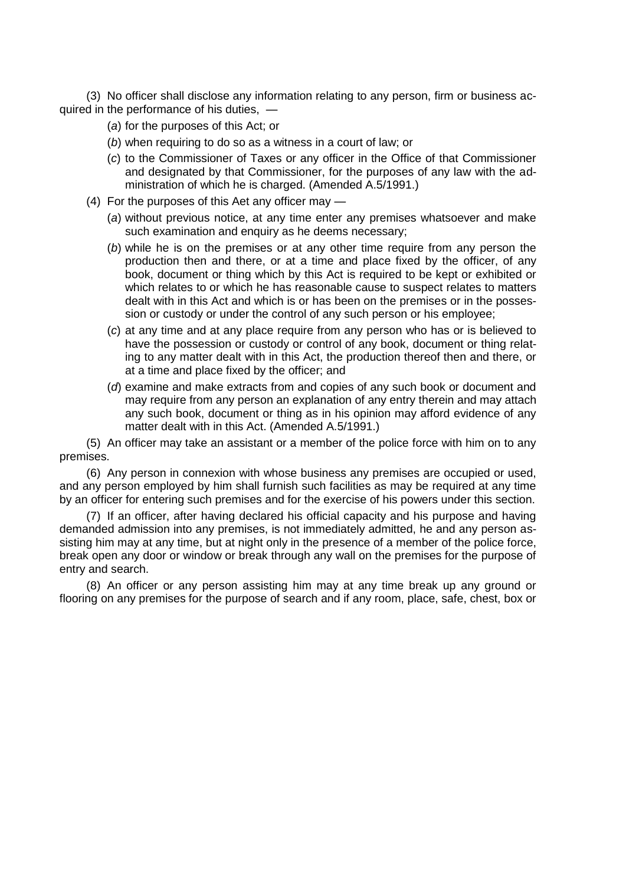(3) No officer shall disclose any information relating to any person, firm or business acquired in the performance of his duties, —

- (*a*) for the purposes of this Act; or
- (*b*) when requiring to do so as a witness in a court of law; or
- (*c*) to the Commissioner of Taxes or any officer in the Office of that Commissioner and designated by that Commissioner, for the purposes of any law with the administration of which he is charged. (Amended A.5/1991.)
- (4) For the purposes of this Aet any officer may
	- (*a*) without previous notice, at any time enter any premises whatsoever and make such examination and enquiry as he deems necessary;
	- (*b*) while he is on the premises or at any other time require from any person the production then and there, or at a time and place fixed by the officer, of any book, document or thing which by this Act is required to be kept or exhibited or which relates to or which he has reasonable cause to suspect relates to matters dealt with in this Act and which is or has been on the premises or in the possession or custody or under the control of any such person or his employee;
	- (*c*) at any time and at any place require from any person who has or is believed to have the possession or custody or control of any book, document or thing relating to any matter dealt with in this Act, the production thereof then and there, or at a time and place fixed by the officer; and
	- (*d*) examine and make extracts from and copies of any such book or document and may require from any person an explanation of any entry therein and may attach any such book, document or thing as in his opinion may afford evidence of any matter dealt with in this Act. (Amended A.5/1991.)

(5) An officer may take an assistant or a member of the police force with him on to any premises.

(6) Any person in connexion with whose business any premises are occupied or used, and any person employed by him shall furnish such facilities as may be required at any time by an officer for entering such premises and for the exercise of his powers under this section.

(7) If an officer, after having declared his official capacity and his purpose and having demanded admission into any premises, is not immediately admitted, he and any person assisting him may at any time, but at night only in the presence of a member of the police force, break open any door or window or break through any wall on the premises for the purpose of entry and search.

(8) An officer or any person assisting him may at any time break up any ground or flooring on any premises for the purpose of search and if any room, place, safe, chest, box or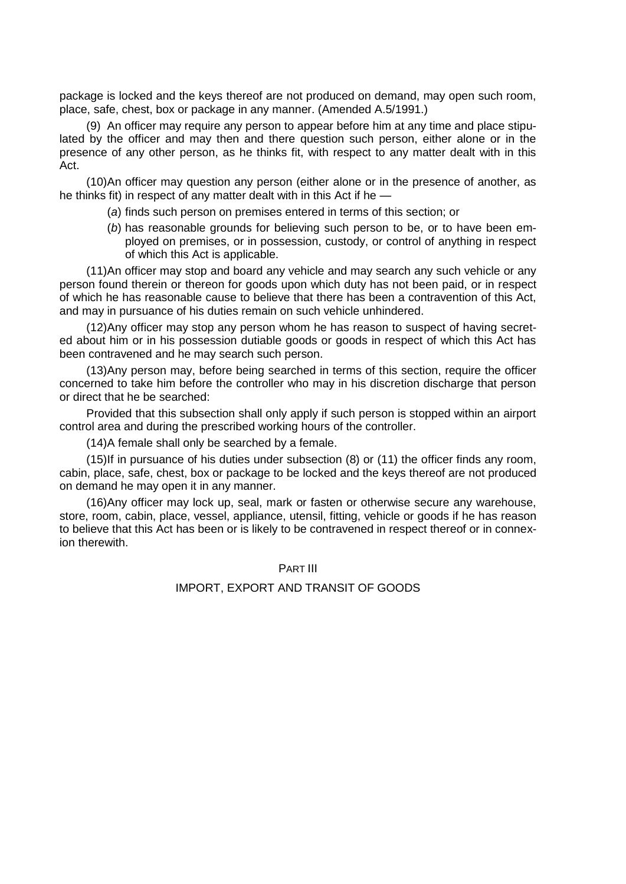package is locked and the keys thereof are not produced on demand, may open such room, place, safe, chest, box or package in any manner. (Amended A.5/1991.)

(9) An officer may require any person to appear before him at any time and place stipulated by the officer and may then and there question such person, either alone or in the presence of any other person, as he thinks fit, with respect to any matter dealt with in this Act.

(10)An officer may question any person (either alone or in the presence of another, as he thinks fit) in respect of any matter dealt with in this Act if he —

- (*a*) finds such person on premises entered in terms of this section; or
- (*b*) has reasonable grounds for believing such person to be, or to have been employed on premises, or in possession, custody, or control of anything in respect of which this Act is applicable.

(11)An officer may stop and board any vehicle and may search any such vehicle or any person found therein or thereon for goods upon which duty has not been paid, or in respect of which he has reasonable cause to believe that there has been a contravention of this Act, and may in pursuance of his duties remain on such vehicle unhindered.

(12)Any officer may stop any person whom he has reason to suspect of having secreted about him or in his possession dutiable goods or goods in respect of which this Act has been contravened and he may search such person.

(13)Any person may, before being searched in terms of this section, require the officer concerned to take him before the controller who may in his discretion discharge that person or direct that he be searched:

Provided that this subsection shall only apply if such person is stopped within an airport control area and during the prescribed working hours of the controller.

(14)A female shall only be searched by a female.

(15)If in pursuance of his duties under subsection (8) or (11) the officer finds any room, cabin, place, safe, chest, box or package to be locked and the keys thereof are not produced on demand he may open it in any manner.

(16)Any officer may lock up, seal, mark or fasten or otherwise secure any warehouse, store, room, cabin, place, vessel, appliance, utensil, fitting, vehicle or goods if he has reason to believe that this Act has been or is likely to be contravened in respect thereof or in connexion therewith.

PART III

### IMPORT, EXPORT AND TRANSIT OF GOODS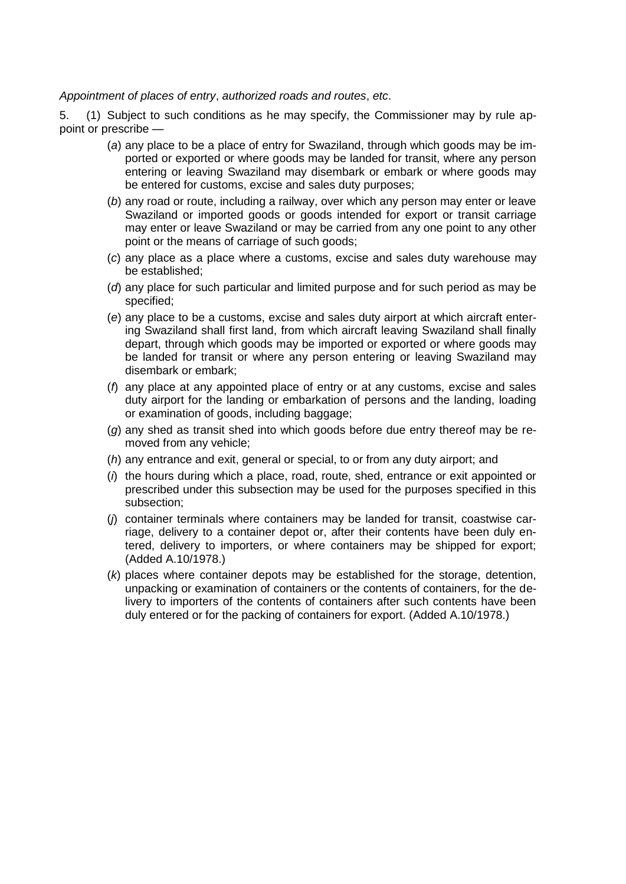*Appointment of places of entry*, *authorized roads and routes*, *etc*.

5. (1) Subject to such conditions as he may specify, the Commissioner may by rule appoint or prescribe —

- (*a*) any place to be a place of entry for Swaziland, through which goods may be imported or exported or where goods may be landed for transit, where any person entering or leaving Swaziland may disembark or embark or where goods may be entered for customs, excise and sales duty purposes;
- (*b*) any road or route, including a railway, over which any person may enter or leave Swaziland or imported goods or goods intended for export or transit carriage may enter or leave Swaziland or may be carried from any one point to any other point or the means of carriage of such goods;
- (*c*) any place as a place where a customs, excise and sales duty warehouse may be established;
- (*d*) any place for such particular and limited purpose and for such period as may be specified;
- (*e*) any place to be a customs, excise and sales duty airport at which aircraft entering Swaziland shall first land, from which aircraft leaving Swaziland shall finally depart, through which goods may be imported or exported or where goods may be landed for transit or where any person entering or leaving Swaziland may disembark or embark;
- (*f*) any place at any appointed place of entry or at any customs, excise and sales duty airport for the landing or embarkation of persons and the landing, loading or examination of goods, including baggage;
- (*g*) any shed as transit shed into which goods before due entry thereof may be removed from any vehicle;
- (*h*) any entrance and exit, general or special, to or from any duty airport; and
- (*i*) the hours during which a place, road, route, shed, entrance or exit appointed or prescribed under this subsection may be used for the purposes specified in this subsection;
- (*j*) container terminals where containers may be landed for transit, coastwise carriage, delivery to a container depot or, after their contents have been duly entered, delivery to importers, or where containers may be shipped for export; (Added A.10/1978.)
- (*k*) places where container depots may be established for the storage, detention, unpacking or examination of containers or the contents of containers, for the delivery to importers of the contents of containers after such contents have been duly entered or for the packing of containers for export. (Added A.10/1978.)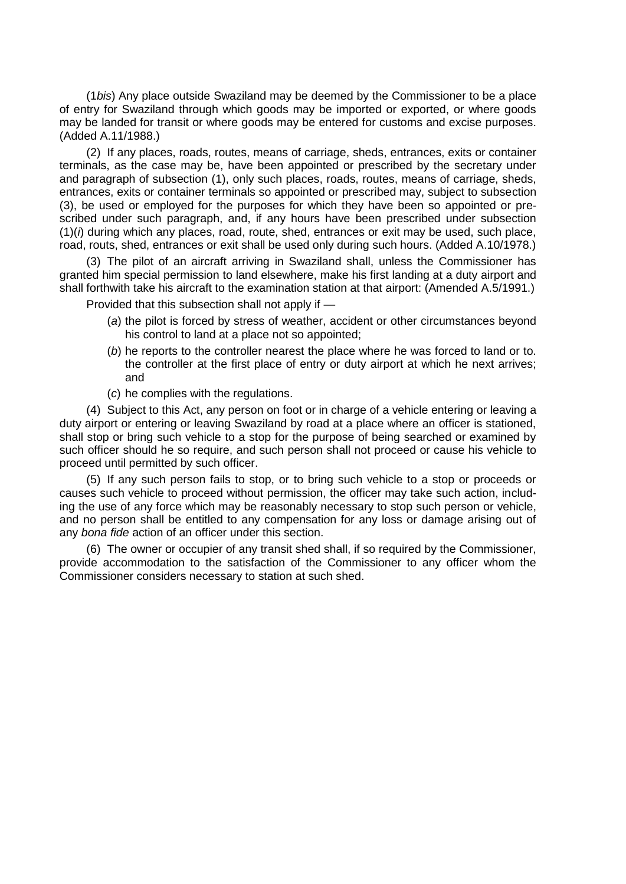(1*bis*) Any place outside Swaziland may be deemed by the Commissioner to be a place of entry for Swaziland through which goods may be imported or exported, or where goods may be landed for transit or where goods may be entered for customs and excise purposes. (Added A.11/1988.)

(2) If any places, roads, routes, means of carriage, sheds, entrances, exits or container terminals, as the case may be, have been appointed or prescribed by the secretary under and paragraph of subsection (1), only such places, roads, routes, means of carriage, sheds, entrances, exits or container terminals so appointed or prescribed may, subject to subsection (3), be used or employed for the purposes for which they have been so appointed or prescribed under such paragraph, and, if any hours have been prescribed under subsection (1)(*i*) during which any places, road, route, shed, entrances or exit may be used, such place, road, routs, shed, entrances or exit shall be used only during such hours. (Added A.10/1978.)

(3) The pilot of an aircraft arriving in Swaziland shall, unless the Commissioner has granted him special permission to land elsewhere, make his first landing at a duty airport and shall forthwith take his aircraft to the examination station at that airport: (Amended A.5/1991.)

Provided that this subsection shall not apply if —

- (*a*) the pilot is forced by stress of weather, accident or other circumstances beyond his control to land at a place not so appointed;
- (*b*) he reports to the controller nearest the place where he was forced to land or to. the controller at the first place of entry or duty airport at which he next arrives; and
- (*c*) he complies with the regulations.

(4) Subject to this Act, any person on foot or in charge of a vehicle entering or leaving a duty airport or entering or leaving Swaziland by road at a place where an officer is stationed, shall stop or bring such vehicle to a stop for the purpose of being searched or examined by such officer should he so require, and such person shall not proceed or cause his vehicle to proceed until permitted by such officer.

(5) If any such person fails to stop, or to bring such vehicle to a stop or proceeds or causes such vehicle to proceed without permission, the officer may take such action, including the use of any force which may be reasonably necessary to stop such person or vehicle, and no person shall be entitled to any compensation for any loss or damage arising out of any *bona fide* action of an officer under this section.

(6) The owner or occupier of any transit shed shall, if so required by the Commissioner, provide accommodation to the satisfaction of the Commissioner to any officer whom the Commissioner considers necessary to station at such shed.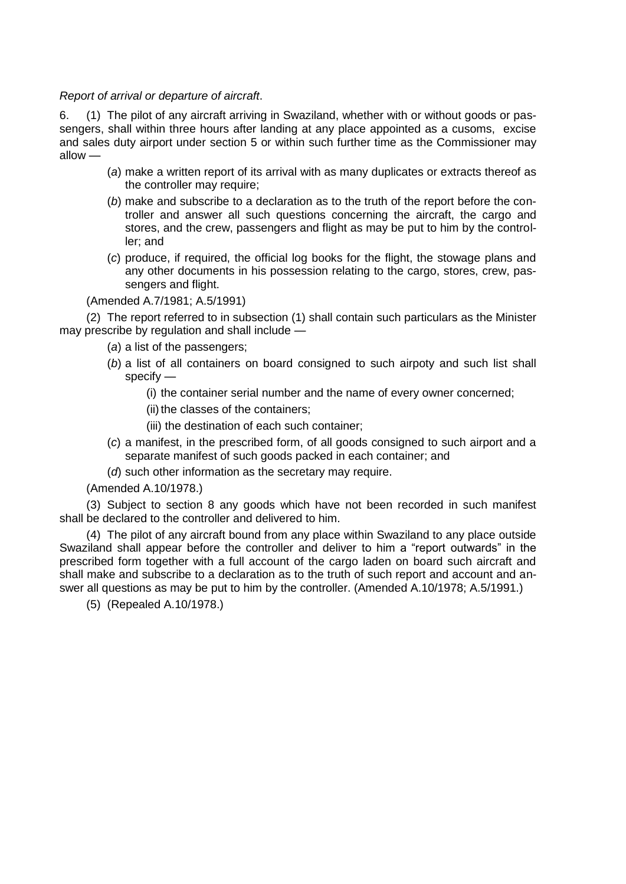*Report of arrival or departure of aircraft*.

6. (1) The pilot of any aircraft arriving in Swaziland, whether with or without goods or passengers, shall within three hours after landing at any place appointed as a cusoms, excise and sales duty airport under section 5 or within such further time as the Commissioner may allow —

- (*a*) make a written report of its arrival with as many duplicates or extracts thereof as the controller may require;
- (*b*) make and subscribe to a declaration as to the truth of the report before the controller and answer all such questions concerning the aircraft, the cargo and stores, and the crew, passengers and flight as may be put to him by the controller; and
- (*c*) produce, if required, the official log books for the flight, the stowage plans and any other documents in his possession relating to the cargo, stores, crew, passengers and flight.

(Amended A.7/1981; A.5/1991)

(2) The report referred to in subsection (1) shall contain such particulars as the Minister may prescribe by regulation and shall include —

- (*a*) a list of the passengers;
- (*b*) a list of all containers on board consigned to such airpoty and such list shall specify —
	- (i) the container serial number and the name of every owner concerned;
	- (ii) the classes of the containers;
	- (iii) the destination of each such container;
- (*c*) a manifest, in the prescribed form, of all goods consigned to such airport and a separate manifest of such goods packed in each container; and
- (*d*) such other information as the secretary may require.

(Amended A.10/1978.)

(3) Subject to section 8 any goods which have not been recorded in such manifest shall be declared to the controller and delivered to him.

(4) The pilot of any aircraft bound from any place within Swaziland to any place outside Swaziland shall appear before the controller and deliver to him a "report outwards" in the prescribed form together with a full account of the cargo laden on board such aircraft and shall make and subscribe to a declaration as to the truth of such report and account and answer all questions as may be put to him by the controller. (Amended A.10/1978; A.5/1991.)

(5) (Repealed A.10/1978.)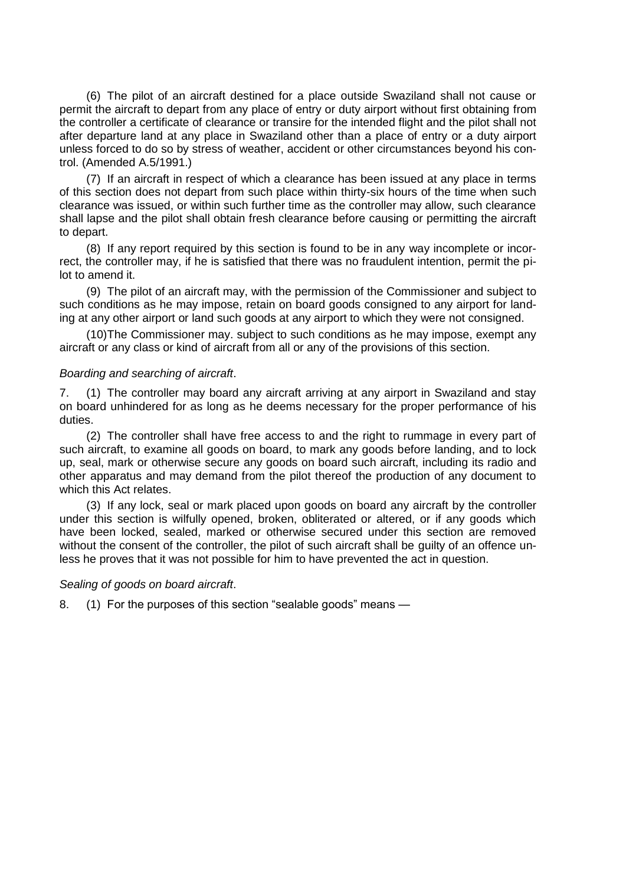(6) The pilot of an aircraft destined for a place outside Swaziland shall not cause or permit the aircraft to depart from any place of entry or duty airport without first obtaining from the controller a certificate of clearance or transire for the intended flight and the pilot shall not after departure land at any place in Swaziland other than a place of entry or a duty airport unless forced to do so by stress of weather, accident or other circumstances beyond his control. (Amended A.5/1991.)

(7) If an aircraft in respect of which a clearance has been issued at any place in terms of this section does not depart from such place within thirty-six hours of the time when such clearance was issued, or within such further time as the controller may allow, such clearance shall lapse and the pilot shall obtain fresh clearance before causing or permitting the aircraft to depart.

(8) If any report required by this section is found to be in any way incomplete or incorrect, the controller may, if he is satisfied that there was no fraudulent intention, permit the pilot to amend it.

(9) The pilot of an aircraft may, with the permission of the Commissioner and subject to such conditions as he may impose, retain on board goods consigned to any airport for landing at any other airport or land such goods at any airport to which they were not consigned.

(10)The Commissioner may. subject to such conditions as he may impose, exempt any aircraft or any class or kind of aircraft from all or any of the provisions of this section.

#### *Boarding and searching of aircraft*.

7. (1) The controller may board any aircraft arriving at any airport in Swaziland and stay on board unhindered for as long as he deems necessary for the proper performance of his duties.

(2) The controller shall have free access to and the right to rummage in every part of such aircraft, to examine all goods on board, to mark any goods before landing, and to lock up, seal, mark or otherwise secure any goods on board such aircraft, including its radio and other apparatus and may demand from the pilot thereof the production of any document to which this Act relates.

(3) If any lock, seal or mark placed upon goods on board any aircraft by the controller under this section is wilfully opened, broken, obliterated or altered, or if any goods which have been locked, sealed, marked or otherwise secured under this section are removed without the consent of the controller, the pilot of such aircraft shall be guilty of an offence unless he proves that it was not possible for him to have prevented the act in question.

#### *Sealing of goods on board aircraft*.

8. (1) For the purposes of this section "sealable goods" means —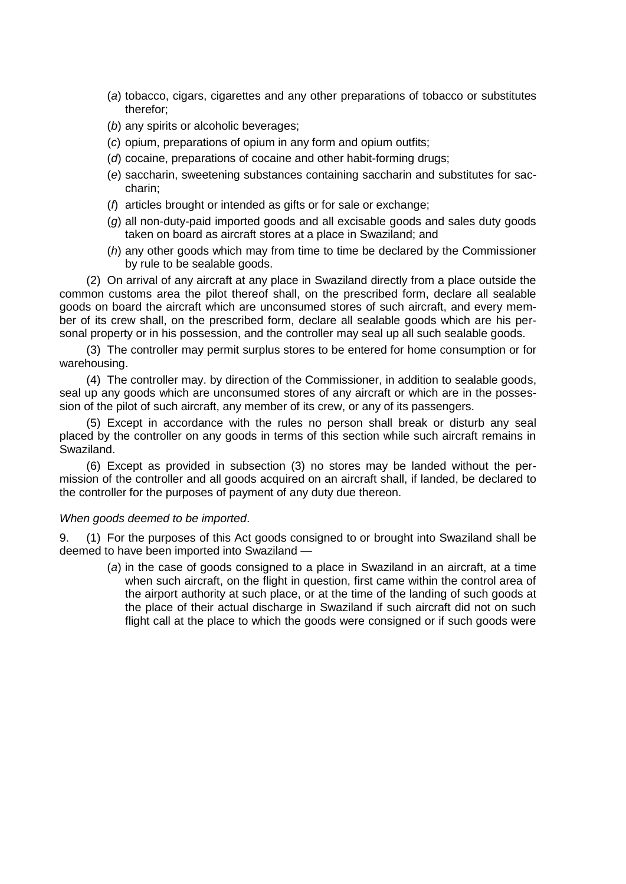- (*a*) tobacco, cigars, cigarettes and any other preparations of tobacco or substitutes therefor;
- (*b*) any spirits or alcoholic beverages;
- (*c*) opium, preparations of opium in any form and opium outfits;
- (*d*) cocaine, preparations of cocaine and other habit-forming drugs;
- (*e*) saccharin, sweetening substances containing saccharin and substitutes for saccharin;
- (*f*) articles brought or intended as gifts or for sale or exchange;
- (*g*) all non-duty-paid imported goods and all excisable goods and sales duty goods taken on board as aircraft stores at a place in Swaziland; and
- (*h*) any other goods which may from time to time be declared by the Commissioner by rule to be sealable goods.

(2) On arrival of any aircraft at any place in Swaziland directly from a place outside the common customs area the pilot thereof shall, on the prescribed form, declare all sealable goods on board the aircraft which are unconsumed stores of such aircraft, and every member of its crew shall, on the prescribed form, declare all sealable goods which are his personal property or in his possession, and the controller may seal up all such sealable goods.

(3) The controller may permit surplus stores to be entered for home consumption or for warehousing.

(4) The controller may. by direction of the Commissioner, in addition to sealable goods, seal up any goods which are unconsumed stores of any aircraft or which are in the possession of the pilot of such aircraft, any member of its crew, or any of its passengers.

(5) Except in accordance with the rules no person shall break or disturb any seal placed by the controller on any goods in terms of this section while such aircraft remains in Swaziland.

(6) Except as provided in subsection (3) no stores may be landed without the permission of the controller and all goods acquired on an aircraft shall, if landed, be declared to the controller for the purposes of payment of any duty due thereon.

### *When goods deemed to be imported*.

9. (1) For the purposes of this Act goods consigned to or brought into Swaziland shall be deemed to have been imported into Swaziland —

(*a*) in the case of goods consigned to a place in Swaziland in an aircraft, at a time when such aircraft, on the flight in question, first came within the control area of the airport authority at such place, or at the time of the landing of such goods at the place of their actual discharge in Swaziland if such aircraft did not on such flight call at the place to which the goods were consigned or if such goods were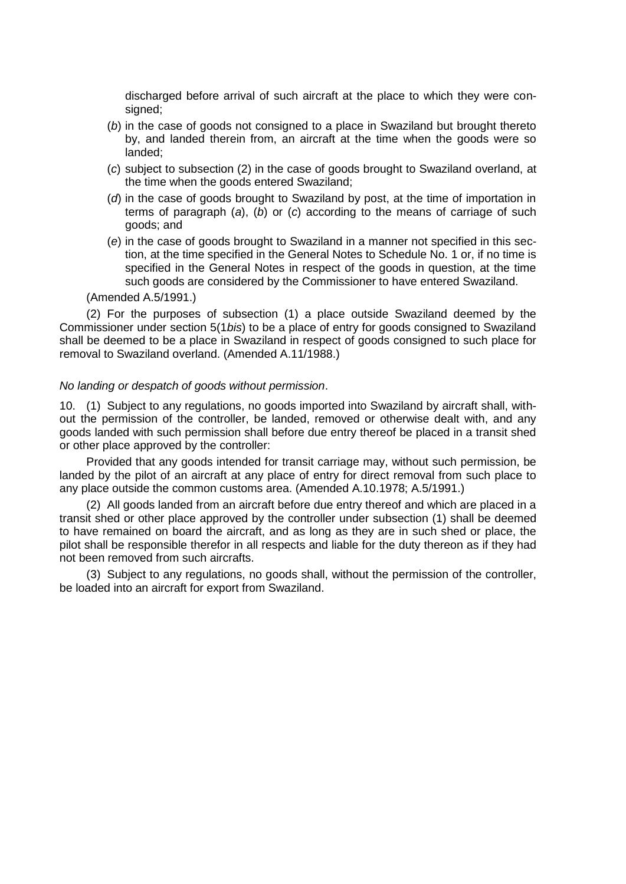discharged before arrival of such aircraft at the place to which they were consigned;

- (*b*) in the case of goods not consigned to a place in Swaziland but brought thereto by, and landed therein from, an aircraft at the time when the goods were so landed;
- (*c*) subject to subsection (2) in the case of goods brought to Swaziland overland, at the time when the goods entered Swaziland;
- (*d*) in the case of goods brought to Swaziland by post, at the time of importation in terms of paragraph (*a*), (*b*) or (*c*) according to the means of carriage of such goods; and
- (*e*) in the case of goods brought to Swaziland in a manner not specified in this section, at the time specified in the General Notes to Schedule No. 1 or, if no time is specified in the General Notes in respect of the goods in question, at the time such goods are considered by the Commissioner to have entered Swaziland.

(Amended A.5/1991.)

(2) For the purposes of subsection (1) a place outside Swaziland deemed by the Commissioner under section 5(1*bis*) to be a place of entry for goods consigned to Swaziland shall be deemed to be a place in Swaziland in respect of goods consigned to such place for removal to Swaziland overland. (Amended A.11/1988.)

#### *No landing or despatch of goods without permission*.

10. (1) Subject to any regulations, no goods imported into Swaziland by aircraft shall, without the permission of the controller, be landed, removed or otherwise dealt with, and any goods landed with such permission shall before due entry thereof be placed in a transit shed or other place approved by the controller:

Provided that any goods intended for transit carriage may, without such permission, be landed by the pilot of an aircraft at any place of entry for direct removal from such place to any place outside the common customs area. (Amended A.10.1978; A.5/1991.)

(2) All goods landed from an aircraft before due entry thereof and which are placed in a transit shed or other place approved by the controller under subsection (1) shall be deemed to have remained on board the aircraft, and as long as they are in such shed or place, the pilot shall be responsible therefor in all respects and liable for the duty thereon as if they had not been removed from such aircrafts.

(3) Subject to any regulations, no goods shall, without the permission of the controller, be loaded into an aircraft for export from Swaziland.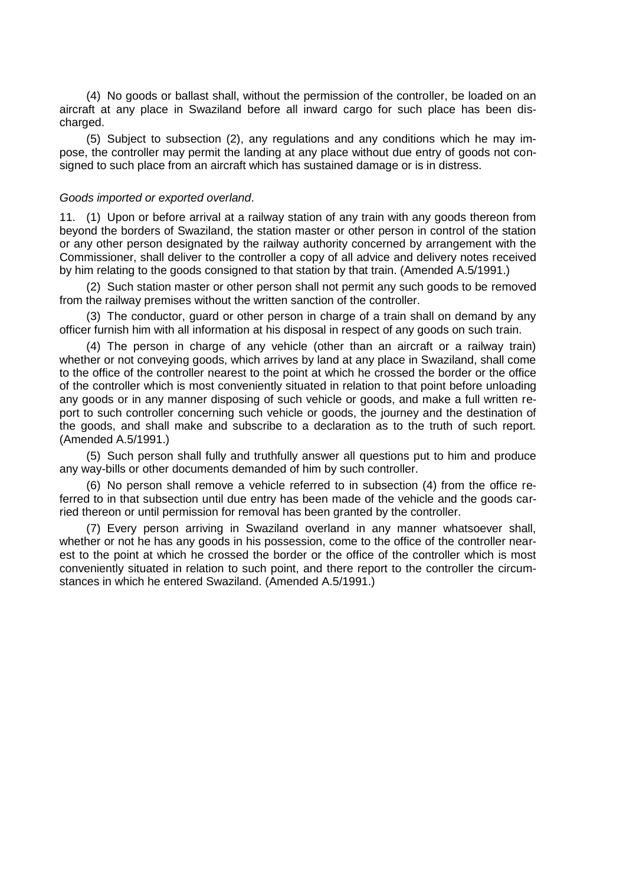(4) No goods or ballast shall, without the permission of the controller, be loaded on an aircraft at any place in Swaziland before all inward cargo for such place has been discharged.

(5) Subject to subsection (2), any regulations and any conditions which he may impose, the controller may permit the landing at any place without due entry of goods not consigned to such place from an aircraft which has sustained damage or is in distress.

#### *Goods imported or exported overland*.

11. (1) Upon or before arrival at a railway station of any train with any goods thereon from beyond the borders of Swaziland, the station master or other person in control of the station or any other person designated by the railway authority concerned by arrangement with the Commissioner, shall deliver to the controller a copy of all advice and delivery notes received by him relating to the goods consigned to that station by that train. (Amended A.5/1991.)

(2) Such station master or other person shall not permit any such goods to be removed from the railway premises without the written sanction of the controller.

(3) The conductor, guard or other person in charge of a train shall on demand by any officer furnish him with all information at his disposal in respect of any goods on such train.

(4) The person in charge of any vehicle (other than an aircraft or a railway train) whether or not conveying goods, which arrives by land at any place in Swaziland, shall come to the office of the controller nearest to the point at which he crossed the border or the office of the controller which is most conveniently situated in relation to that point before unloading any goods or in any manner disposing of such vehicle or goods, and make a full written report to such controller concerning such vehicle or goods, the journey and the destination of the goods, and shall make and subscribe to a declaration as to the truth of such report. (Amended A.5/1991.)

(5) Such person shall fully and truthfully answer all questions put to him and produce any way-bills or other documents demanded of him by such controller.

(6) No person shall remove a vehicle referred to in subsection (4) from the office referred to in that subsection until due entry has been made of the vehicle and the goods carried thereon or until permission for removal has been granted by the controller.

(7) Every person arriving in Swaziland overland in any manner whatsoever shall, whether or not he has any goods in his possession, come to the office of the controller nearest to the point at which he crossed the border or the office of the controller which is most conveniently situated in relation to such point, and there report to the controller the circumstances in which he entered Swaziland. (Amended A.5/1991.)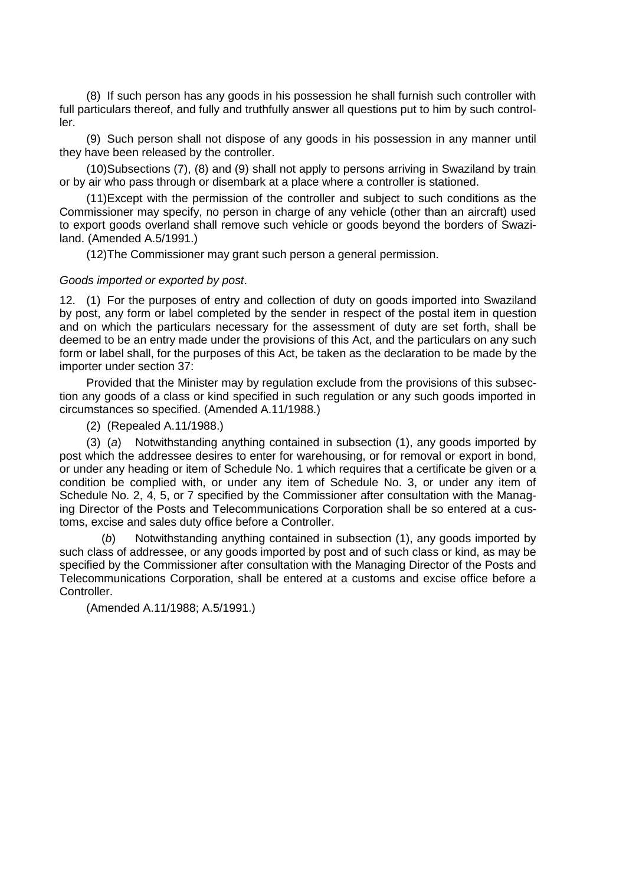(8) If such person has any goods in his possession he shall furnish such controller with full particulars thereof, and fully and truthfully answer all questions put to him by such controller.

(9) Such person shall not dispose of any goods in his possession in any manner until they have been released by the controller.

(10)Subsections (7), (8) and (9) shall not apply to persons arriving in Swaziland by train or by air who pass through or disembark at a place where a controller is stationed.

(11)Except with the permission of the controller and subject to such conditions as the Commissioner may specify, no person in charge of any vehicle (other than an aircraft) used to export goods overland shall remove such vehicle or goods beyond the borders of Swaziland. (Amended A.5/1991.)

(12)The Commissioner may grant such person a general permission.

### *Goods imported or exported by post*.

12. (1) For the purposes of entry and collection of duty on goods imported into Swaziland by post, any form or label completed by the sender in respect of the postal item in question and on which the particulars necessary for the assessment of duty are set forth, shall be deemed to be an entry made under the provisions of this Act, and the particulars on any such form or label shall, for the purposes of this Act, be taken as the declaration to be made by the importer under section 37:

Provided that the Minister may by regulation exclude from the provisions of this subsection any goods of a class or kind specified in such regulation or any such goods imported in circumstances so specified. (Amended A.11/1988.)

(2) (Repealed A.11/1988.)

(3) (*a*) Notwithstanding anything contained in subsection (1), any goods imported by post which the addressee desires to enter for warehousing, or for removal or export in bond, or under any heading or item of Schedule No. 1 which requires that a certificate be given or a condition be complied with, or under any item of Schedule No. 3, or under any item of Schedule No. 2, 4, 5, or 7 specified by the Commissioner after consultation with the Managing Director of the Posts and Telecommunications Corporation shall be so entered at a customs, excise and sales duty office before a Controller.

(*b*) Notwithstanding anything contained in subsection (1), any goods imported by such class of addressee, or any goods imported by post and of such class or kind, as may be specified by the Commissioner after consultation with the Managing Director of the Posts and Telecommunications Corporation, shall be entered at a customs and excise office before a Controller.

(Amended A.11/1988; A.5/1991.)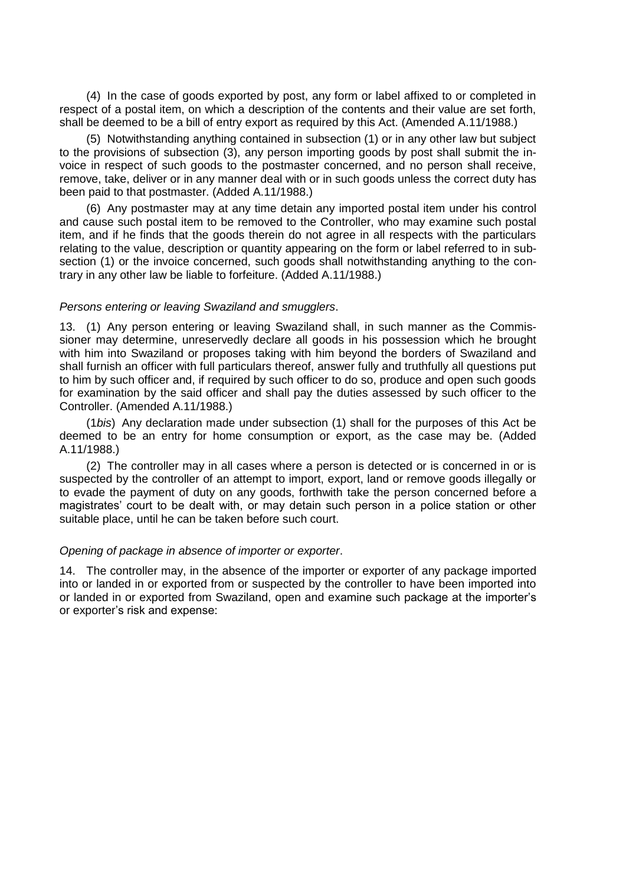(4) In the case of goods exported by post, any form or label affixed to or completed in respect of a postal item, on which a description of the contents and their value are set forth, shall be deemed to be a bill of entry export as required by this Act. (Amended A.11/1988.)

(5) Notwithstanding anything contained in subsection (1) or in any other law but subject to the provisions of subsection (3), any person importing goods by post shall submit the invoice in respect of such goods to the postmaster concerned, and no person shall receive, remove, take, deliver or in any manner deal with or in such goods unless the correct duty has been paid to that postmaster. (Added A.11/1988.)

(6) Any postmaster may at any time detain any imported postal item under his control and cause such postal item to be removed to the Controller, who may examine such postal item, and if he finds that the goods therein do not agree in all respects with the particulars relating to the value, description or quantity appearing on the form or label referred to in subsection (1) or the invoice concerned, such goods shall notwithstanding anything to the contrary in any other law be liable to forfeiture. (Added A.11/1988.)

### *Persons entering or leaving Swaziland and smugglers*.

13. (1) Any person entering or leaving Swaziland shall, in such manner as the Commissioner may determine, unreservedly declare all goods in his possession which he brought with him into Swaziland or proposes taking with him beyond the borders of Swaziland and shall furnish an officer with full particulars thereof, answer fully and truthfully all questions put to him by such officer and, if required by such officer to do so, produce and open such goods for examination by the said officer and shall pay the duties assessed by such officer to the Controller. (Amended A.11/1988.)

(1*bis*) Any declaration made under subsection (1) shall for the purposes of this Act be deemed to be an entry for home consumption or export, as the case may be. (Added A.11/1988.)

(2) The controller may in all cases where a person is detected or is concerned in or is suspected by the controller of an attempt to import, export, land or remove goods illegally or to evade the payment of duty on any goods, forthwith take the person concerned before a magistrates" court to be dealt with, or may detain such person in a police station or other suitable place, until he can be taken before such court.

#### *Opening of package in absence of importer or exporter*.

14. The controller may, in the absence of the importer or exporter of any package imported into or landed in or exported from or suspected by the controller to have been imported into or landed in or exported from Swaziland, open and examine such package at the importer"s or exporter"s risk and expense: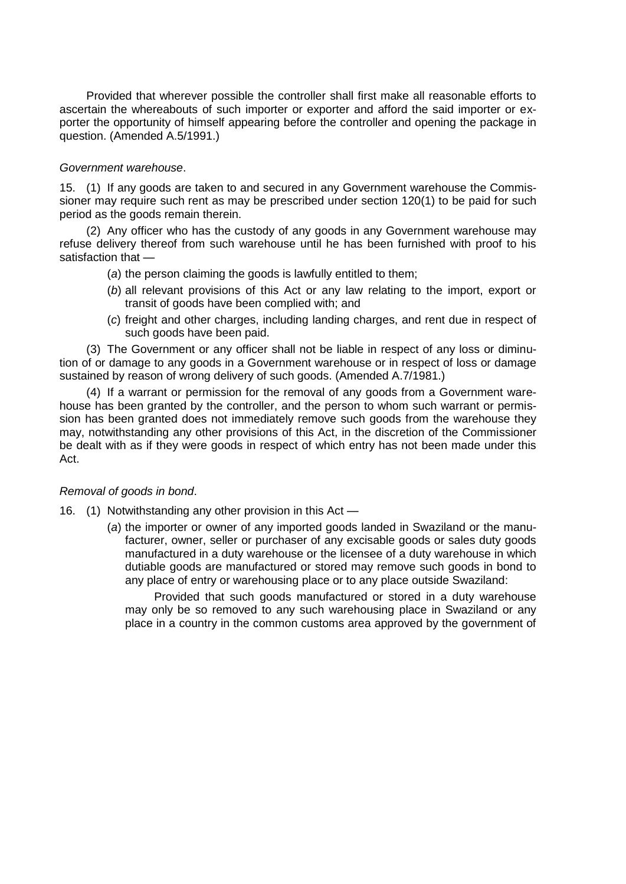Provided that wherever possible the controller shall first make all reasonable efforts to ascertain the whereabouts of such importer or exporter and afford the said importer or exporter the opportunity of himself appearing before the controller and opening the package in question. (Amended A.5/1991.)

### *Government warehouse*.

15. (1) If any goods are taken to and secured in any Government warehouse the Commissioner may require such rent as may be prescribed under section 120(1) to be paid for such period as the goods remain therein.

(2) Any officer who has the custody of any goods in any Government warehouse may refuse delivery thereof from such warehouse until he has been furnished with proof to his satisfaction that —

- (*a*) the person claiming the goods is lawfully entitled to them;
- (*b*) all relevant provisions of this Act or any law relating to the import, export or transit of goods have been complied with; and
- (*c*) freight and other charges, including landing charges, and rent due in respect of such goods have been paid.

(3) The Government or any officer shall not be liable in respect of any loss or diminution of or damage to any goods in a Government warehouse or in respect of loss or damage sustained by reason of wrong delivery of such goods. (Amended A.7/1981.)

(4) If a warrant or permission for the removal of any goods from a Government warehouse has been granted by the controller, and the person to whom such warrant or permission has been granted does not immediately remove such goods from the warehouse they may, notwithstanding any other provisions of this Act, in the discretion of the Commissioner be dealt with as if they were goods in respect of which entry has not been made under this Act.

## *Removal of goods in bond*.

- 16. (1) Notwithstanding any other provision in this Act
	- (*a*) the importer or owner of any imported goods landed in Swaziland or the manufacturer, owner, seller or purchaser of any excisable goods or sales duty goods manufactured in a duty warehouse or the licensee of a duty warehouse in which dutiable goods are manufactured or stored may remove such goods in bond to any place of entry or warehousing place or to any place outside Swaziland:

 Provided that such goods manufactured or stored in a duty warehouse may only be so removed to any such warehousing place in Swaziland or any place in a country in the common customs area approved by the government of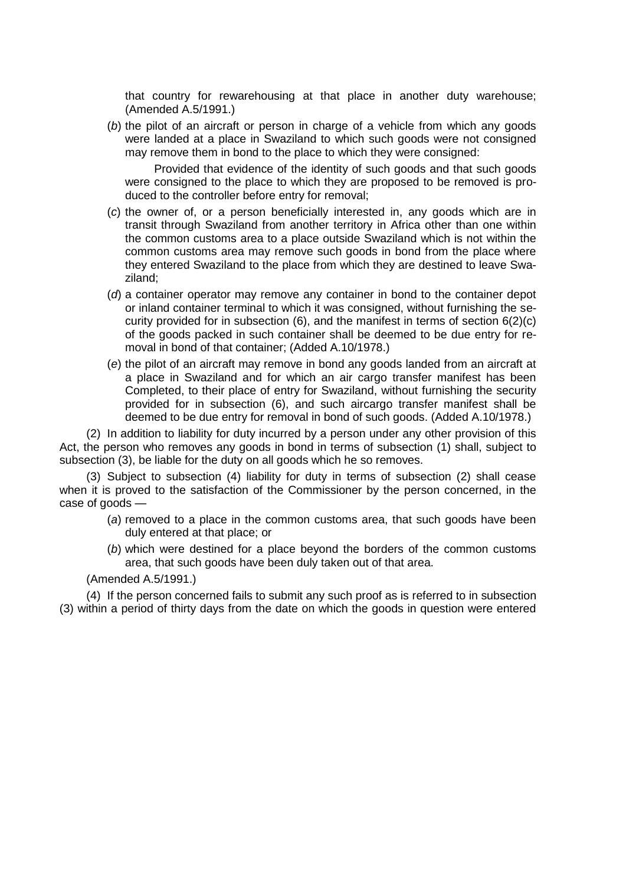that country for rewarehousing at that place in another duty warehouse; (Amended A.5/1991.)

(*b*) the pilot of an aircraft or person in charge of a vehicle from which any goods were landed at a place in Swaziland to which such goods were not consigned may remove them in bond to the place to which they were consigned:

 Provided that evidence of the identity of such goods and that such goods were consigned to the place to which they are proposed to be removed is produced to the controller before entry for removal;

- (*c*) the owner of, or a person beneficially interested in, any goods which are in transit through Swaziland from another territory in Africa other than one within the common customs area to a place outside Swaziland which is not within the common customs area may remove such goods in bond from the place where they entered Swaziland to the place from which they are destined to leave Swaziland;
- (*d*) a container operator may remove any container in bond to the container depot or inland container terminal to which it was consigned, without furnishing the security provided for in subsection  $(6)$ , and the manifest in terms of section  $6(2)(c)$ of the goods packed in such container shall be deemed to be due entry for removal in bond of that container; (Added A.10/1978.)
- (*e*) the pilot of an aircraft may remove in bond any goods landed from an aircraft at a place in Swaziland and for which an air cargo transfer manifest has been Completed, to their place of entry for Swaziland, without furnishing the security provided for in subsection (6), and such aircargo transfer manifest shall be deemed to be due entry for removal in bond of such goods. (Added A.10/1978.)

(2) In addition to liability for duty incurred by a person under any other provision of this Act, the person who removes any goods in bond in terms of subsection (1) shall, subject to subsection (3), be liable for the duty on all goods which he so removes.

(3) Subject to subsection (4) liability for duty in terms of subsection (2) shall cease when it is proved to the satisfaction of the Commissioner by the person concerned, in the case of goods —

- (*a*) removed to a place in the common customs area, that such goods have been duly entered at that place; or
- (*b*) which were destined for a place beyond the borders of the common customs area, that such goods have been duly taken out of that area.

(Amended A.5/1991.)

(4) If the person concerned fails to submit any such proof as is referred to in subsection (3) within a period of thirty days from the date on which the goods in question were entered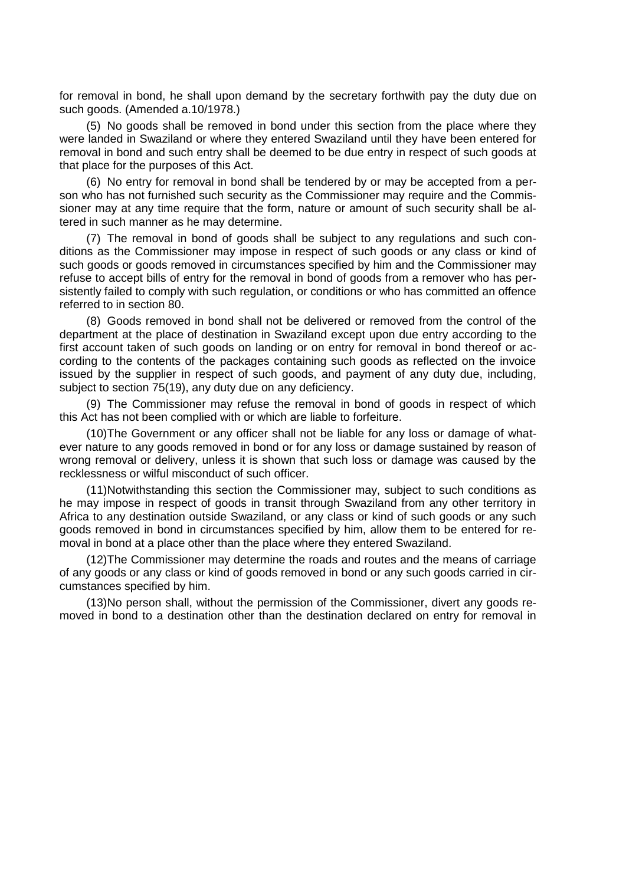for removal in bond, he shall upon demand by the secretary forthwith pay the duty due on such goods. (Amended a.10/1978.)

(5) No goods shall be removed in bond under this section from the place where they were landed in Swaziland or where they entered Swaziland until they have been entered for removal in bond and such entry shall be deemed to be due entry in respect of such goods at that place for the purposes of this Act.

(6) No entry for removal in bond shall be tendered by or may be accepted from a person who has not furnished such security as the Commissioner may require and the Commissioner may at any time require that the form, nature or amount of such security shall be altered in such manner as he may determine.

(7) The removal in bond of goods shall be subject to any regulations and such conditions as the Commissioner may impose in respect of such goods or any class or kind of such goods or goods removed in circumstances specified by him and the Commissioner may refuse to accept bills of entry for the removal in bond of goods from a remover who has persistently failed to comply with such regulation, or conditions or who has committed an offence referred to in section 80.

(8) Goods removed in bond shall not be delivered or removed from the control of the department at the place of destination in Swaziland except upon due entry according to the first account taken of such goods on landing or on entry for removal in bond thereof or according to the contents of the packages containing such goods as reflected on the invoice issued by the supplier in respect of such goods, and payment of any duty due, including, subject to section 75(19), any duty due on any deficiency.

(9) The Commissioner may refuse the removal in bond of goods in respect of which this Act has not been complied with or which are liable to forfeiture.

(10)The Government or any officer shall not be liable for any loss or damage of whatever nature to any goods removed in bond or for any loss or damage sustained by reason of wrong removal or delivery, unless it is shown that such loss or damage was caused by the recklessness or wilful misconduct of such officer.

(11)Notwithstanding this section the Commissioner may, subject to such conditions as he may impose in respect of goods in transit through Swaziland from any other territory in Africa to any destination outside Swaziland, or any class or kind of such goods or any such goods removed in bond in circumstances specified by him, allow them to be entered for removal in bond at a place other than the place where they entered Swaziland.

(12)The Commissioner may determine the roads and routes and the means of carriage of any goods or any class or kind of goods removed in bond or any such goods carried in circumstances specified by him.

(13)No person shall, without the permission of the Commissioner, divert any goods removed in bond to a destination other than the destination declared on entry for removal in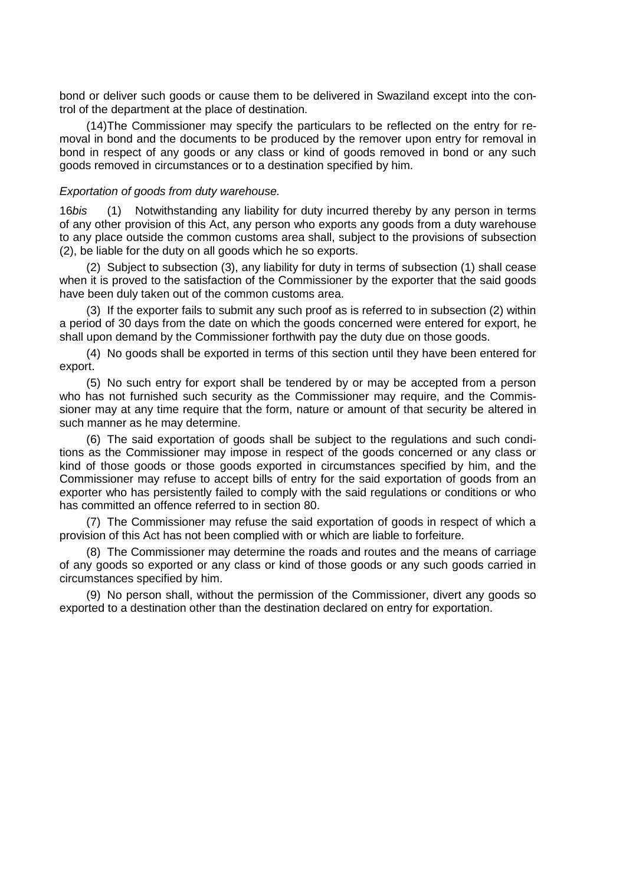bond or deliver such goods or cause them to be delivered in Swaziland except into the control of the department at the place of destination.

(14)The Commissioner may specify the particulars to be reflected on the entry for removal in bond and the documents to be produced by the remover upon entry for removal in bond in respect of any goods or any class or kind of goods removed in bond or any such goods removed in circumstances or to a destination specified by him.

### *Exportation of goods from duty warehouse.*

16*bis* (1) Notwithstanding any liability for duty incurred thereby by any person in terms of any other provision of this Act, any person who exports any goods from a duty warehouse to any place outside the common customs area shall, subject to the provisions of subsection (2), be liable for the duty on all goods which he so exports.

(2) Subject to subsection (3), any liability for duty in terms of subsection (1) shall cease when it is proved to the satisfaction of the Commissioner by the exporter that the said goods have been duly taken out of the common customs area.

(3) If the exporter fails to submit any such proof as is referred to in subsection (2) within a period of 30 days from the date on which the goods concerned were entered for export, he shall upon demand by the Commissioner forthwith pay the duty due on those goods.

(4) No goods shall be exported in terms of this section until they have been entered for export.

(5) No such entry for export shall be tendered by or may be accepted from a person who has not furnished such security as the Commissioner may require, and the Commissioner may at any time require that the form, nature or amount of that security be altered in such manner as he may determine.

(6) The said exportation of goods shall be subject to the regulations and such conditions as the Commissioner may impose in respect of the goods concerned or any class or kind of those goods or those goods exported in circumstances specified by him, and the Commissioner may refuse to accept bills of entry for the said exportation of goods from an exporter who has persistently failed to comply with the said regulations or conditions or who has committed an offence referred to in section 80.

(7) The Commissioner may refuse the said exportation of goods in respect of which a provision of this Act has not been complied with or which are liable to forfeiture.

(8) The Commissioner may determine the roads and routes and the means of carriage of any goods so exported or any class or kind of those goods or any such goods carried in circumstances specified by him.

(9) No person shall, without the permission of the Commissioner, divert any goods so exported to a destination other than the destination declared on entry for exportation.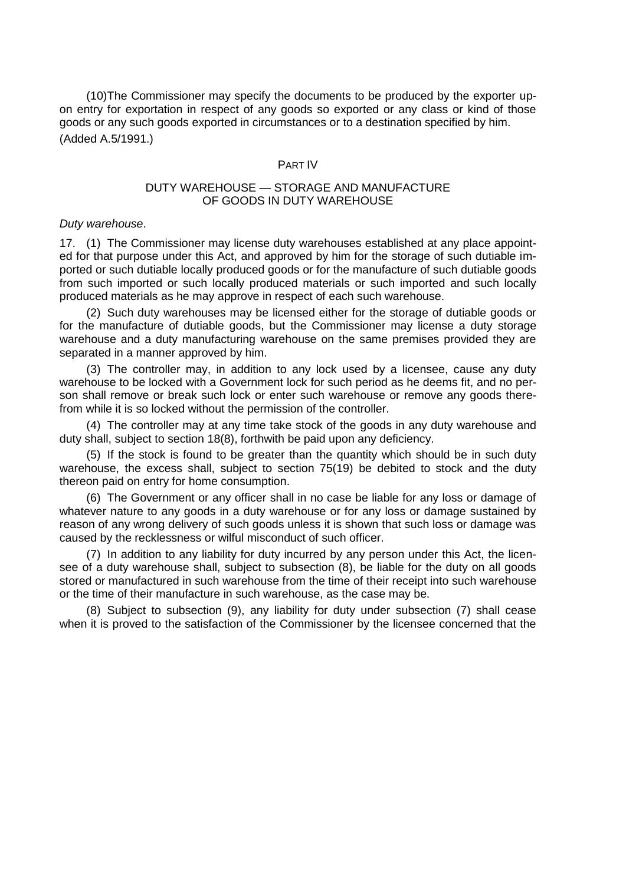(10)The Commissioner may specify the documents to be produced by the exporter upon entry for exportation in respect of any goods so exported or any class or kind of those goods or any such goods exported in circumstances or to a destination specified by him. (Added A.5/1991.)

#### PART IV

### DUTY WAREHOUSE — STORAGE AND MANUFACTURE OF GOODS IN DUTY WAREHOUSE

#### *Duty warehouse*.

17. (1) The Commissioner may license duty warehouses established at any place appointed for that purpose under this Act, and approved by him for the storage of such dutiable imported or such dutiable locally produced goods or for the manufacture of such dutiable goods from such imported or such locally produced materials or such imported and such locally produced materials as he may approve in respect of each such warehouse.

(2) Such duty warehouses may be licensed either for the storage of dutiable goods or for the manufacture of dutiable goods, but the Commissioner may license a duty storage warehouse and a duty manufacturing warehouse on the same premises provided they are separated in a manner approved by him.

(3) The controller may, in addition to any lock used by a licensee, cause any duty warehouse to be locked with a Government lock for such period as he deems fit, and no person shall remove or break such lock or enter such warehouse or remove any goods therefrom while it is so locked without the permission of the controller.

(4) The controller may at any time take stock of the goods in any duty warehouse and duty shall, subject to section 18(8), forthwith be paid upon any deficiency.

(5) If the stock is found to be greater than the quantity which should be in such duty warehouse, the excess shall, subject to section 75(19) be debited to stock and the duty thereon paid on entry for home consumption.

(6) The Government or any officer shall in no case be liable for any loss or damage of whatever nature to any goods in a duty warehouse or for any loss or damage sustained by reason of any wrong delivery of such goods unless it is shown that such loss or damage was caused by the recklessness or wilful misconduct of such officer.

(7) In addition to any liability for duty incurred by any person under this Act, the licensee of a duty warehouse shall, subject to subsection (8), be liable for the duty on all goods stored or manufactured in such warehouse from the time of their receipt into such warehouse or the time of their manufacture in such warehouse, as the case may be.

(8) Subject to subsection (9), any liability for duty under subsection (7) shall cease when it is proved to the satisfaction of the Commissioner by the licensee concerned that the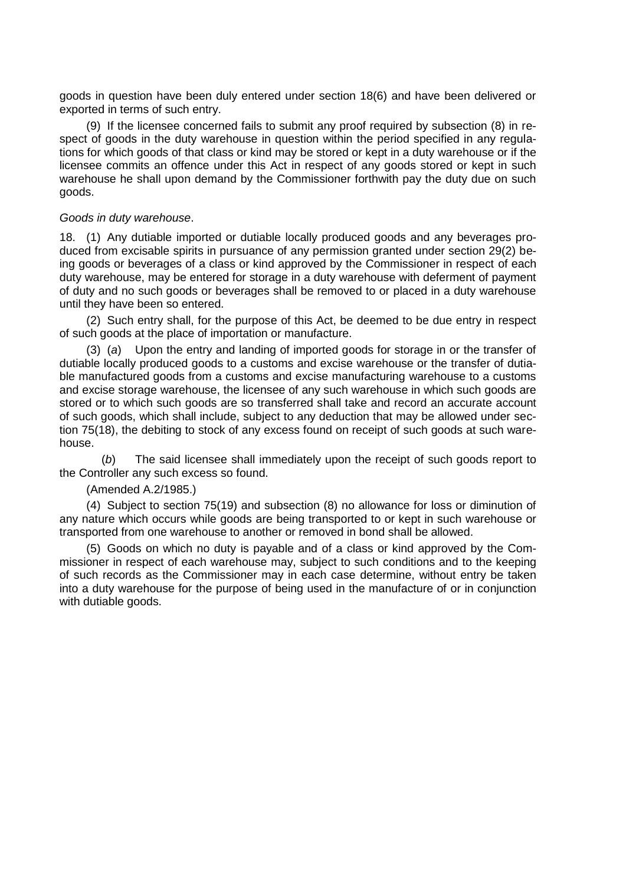goods in question have been duly entered under section 18(6) and have been delivered or exported in terms of such entry.

(9) If the licensee concerned fails to submit any proof required by subsection (8) in respect of goods in the duty warehouse in question within the period specified in any regulations for which goods of that class or kind may be stored or kept in a duty warehouse or if the licensee commits an offence under this Act in respect of any goods stored or kept in such warehouse he shall upon demand by the Commissioner forthwith pay the duty due on such goods.

### *Goods in duty warehouse*.

18. (1) Any dutiable imported or dutiable locally produced goods and any beverages produced from excisable spirits in pursuance of any permission granted under section 29(2) being goods or beverages of a class or kind approved by the Commissioner in respect of each duty warehouse, may be entered for storage in a duty warehouse with deferment of payment of duty and no such goods or beverages shall be removed to or placed in a duty warehouse until they have been so entered.

(2) Such entry shall, for the purpose of this Act, be deemed to be due entry in respect of such goods at the place of importation or manufacture.

Upon the entry and landing of imported goods for storage in or the transfer of dutiable locally produced goods to a customs and excise warehouse or the transfer of dutiable manufactured goods from a customs and excise manufacturing warehouse to a customs and excise storage warehouse, the licensee of any such warehouse in which such goods are stored or to which such goods are so transferred shall take and record an accurate account of such goods, which shall include, subject to any deduction that may be allowed under section 75(18), the debiting to stock of any excess found on receipt of such goods at such warehouse.

(*b*) The said licensee shall immediately upon the receipt of such goods report to the Controller any such excess so found.

## (Amended A.2/1985.)

(4) Subject to section 75(19) and subsection (8) no allowance for loss or diminution of any nature which occurs while goods are being transported to or kept in such warehouse or transported from one warehouse to another or removed in bond shall be allowed.

(5) Goods on which no duty is payable and of a class or kind approved by the Commissioner in respect of each warehouse may, subject to such conditions and to the keeping of such records as the Commissioner may in each case determine, without entry be taken into a duty warehouse for the purpose of being used in the manufacture of or in conjunction with dutiable goods.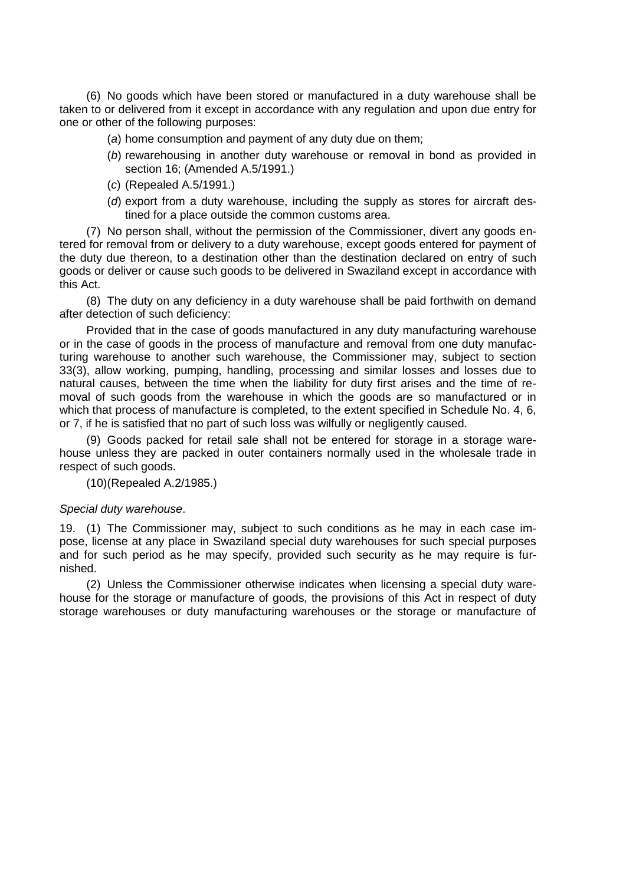(6) No goods which have been stored or manufactured in a duty warehouse shall be taken to or delivered from it except in accordance with any regulation and upon due entry for one or other of the following purposes:

- (*a*) home consumption and payment of any duty due on them;
- (*b*) rewarehousing in another duty warehouse or removal in bond as provided in section 16; (Amended A.5/1991.)
- (*c*) (Repealed A.5/1991.)
- (*d*) export from a duty warehouse, including the supply as stores for aircraft destined for a place outside the common customs area.

(7) No person shall, without the permission of the Commissioner, divert any goods entered for removal from or delivery to a duty warehouse, except goods entered for payment of the duty due thereon, to a destination other than the destination declared on entry of such goods or deliver or cause such goods to be delivered in Swaziland except in accordance with this Act.

(8) The duty on any deficiency in a duty warehouse shall be paid forthwith on demand after detection of such deficiency:

Provided that in the case of goods manufactured in any duty manufacturing warehouse or in the case of goods in the process of manufacture and removal from one duty manufacturing warehouse to another such warehouse, the Commissioner may, subject to section 33(3), allow working, pumping, handling, processing and similar losses and losses due to natural causes, between the time when the liability for duty first arises and the time of removal of such goods from the warehouse in which the goods are so manufactured or in which that process of manufacture is completed, to the extent specified in Schedule No. 4, 6, or 7, if he is satisfied that no part of such loss was wilfully or negligently caused.

(9) Goods packed for retail sale shall not be entered for storage in a storage warehouse unless they are packed in outer containers normally used in the wholesale trade in respect of such goods.

(10)(Repealed A.2/1985.)

### *Special duty warehouse*.

19. (1) The Commissioner may, subject to such conditions as he may in each case impose, license at any place in Swaziland special duty warehouses for such special purposes and for such period as he may specify, provided such security as he may require is furnished.

(2) Unless the Commissioner otherwise indicates when licensing a special duty warehouse for the storage or manufacture of goods, the provisions of this Act in respect of duty storage warehouses or duty manufacturing warehouses or the storage or manufacture of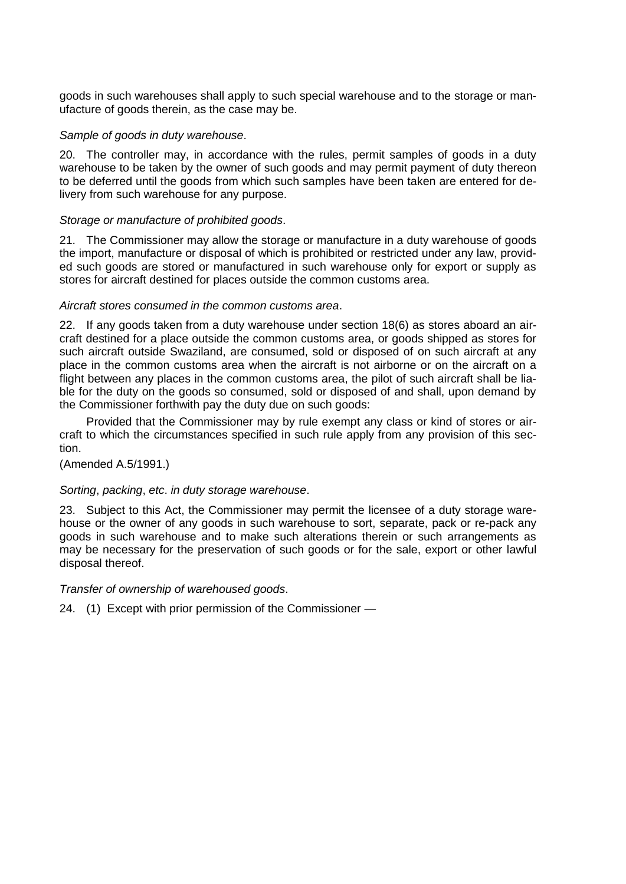goods in such warehouses shall apply to such special warehouse and to the storage or manufacture of goods therein, as the case may be.

### *Sample of goods in duty warehouse*.

20. The controller may, in accordance with the rules, permit samples of goods in a duty warehouse to be taken by the owner of such goods and may permit payment of duty thereon to be deferred until the goods from which such samples have been taken are entered for delivery from such warehouse for any purpose.

### *Storage or manufacture of prohibited goods*.

21. The Commissioner may allow the storage or manufacture in a duty warehouse of goods the import, manufacture or disposal of which is prohibited or restricted under any law, provided such goods are stored or manufactured in such warehouse only for export or supply as stores for aircraft destined for places outside the common customs area.

### *Aircraft stores consumed in the common customs area*.

22. If any goods taken from a duty warehouse under section 18(6) as stores aboard an aircraft destined for a place outside the common customs area, or goods shipped as stores for such aircraft outside Swaziland, are consumed, sold or disposed of on such aircraft at any place in the common customs area when the aircraft is not airborne or on the aircraft on a flight between any places in the common customs area, the pilot of such aircraft shall be liable for the duty on the goods so consumed, sold or disposed of and shall, upon demand by the Commissioner forthwith pay the duty due on such goods:

Provided that the Commissioner may by rule exempt any class or kind of stores or aircraft to which the circumstances specified in such rule apply from any provision of this section.

### (Amended A.5/1991.)

## *Sorting*, *packing*, *etc*. *in duty storage warehouse*.

23. Subject to this Act, the Commissioner may permit the licensee of a duty storage warehouse or the owner of any goods in such warehouse to sort, separate, pack or re-pack any goods in such warehouse and to make such alterations therein or such arrangements as may be necessary for the preservation of such goods or for the sale, export or other lawful disposal thereof.

### *Transfer of ownership of warehoused goods*.

24. (1) Except with prior permission of the Commissioner —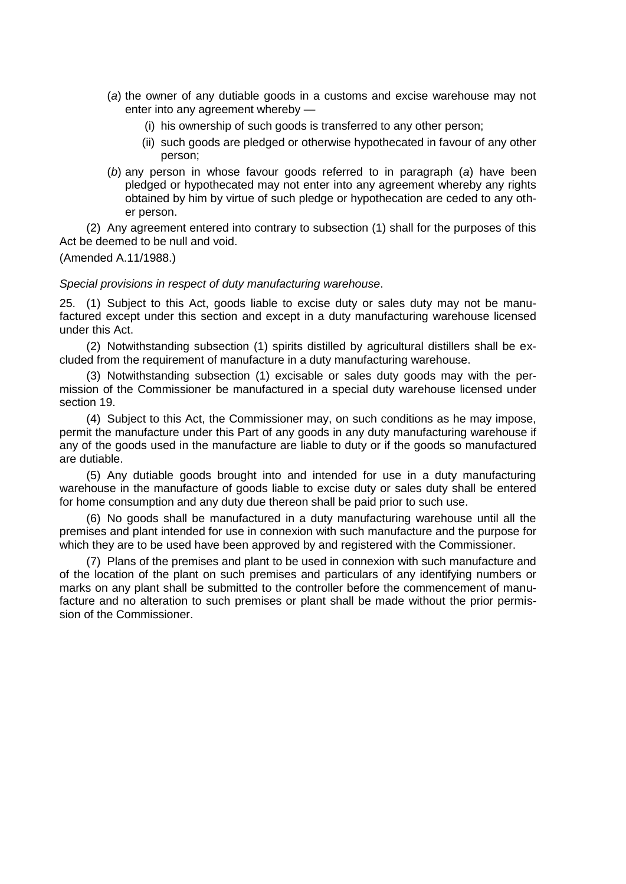- (*a*) the owner of any dutiable goods in a customs and excise warehouse may not enter into any agreement whereby —
	- (i) his ownership of such goods is transferred to any other person;
	- (ii) such goods are pledged or otherwise hypothecated in favour of any other person;
- (*b*) any person in whose favour goods referred to in paragraph (*a*) have been pledged or hypothecated may not enter into any agreement whereby any rights obtained by him by virtue of such pledge or hypothecation are ceded to any other person.

(2) Any agreement entered into contrary to subsection (1) shall for the purposes of this Act be deemed to be null and void.

(Amended A.11/1988.)

### *Special provisions in respect of duty manufacturing warehouse*.

25. (1) Subject to this Act, goods liable to excise duty or sales duty may not be manufactured except under this section and except in a duty manufacturing warehouse licensed under this Act.

(2) Notwithstanding subsection (1) spirits distilled by agricultural distillers shall be excluded from the requirement of manufacture in a duty manufacturing warehouse.

(3) Notwithstanding subsection (1) excisable or sales duty goods may with the permission of the Commissioner be manufactured in a special duty warehouse licensed under section 19.

(4) Subject to this Act, the Commissioner may, on such conditions as he may impose, permit the manufacture under this Part of any goods in any duty manufacturing warehouse if any of the goods used in the manufacture are liable to duty or if the goods so manufactured are dutiable.

(5) Any dutiable goods brought into and intended for use in a duty manufacturing warehouse in the manufacture of goods liable to excise duty or sales duty shall be entered for home consumption and any duty due thereon shall be paid prior to such use.

(6) No goods shall be manufactured in a duty manufacturing warehouse until all the premises and plant intended for use in connexion with such manufacture and the purpose for which they are to be used have been approved by and registered with the Commissioner.

(7) Plans of the premises and plant to be used in connexion with such manufacture and of the location of the plant on such premises and particulars of any identifying numbers or marks on any plant shall be submitted to the controller before the commencement of manufacture and no alteration to such premises or plant shall be made without the prior permission of the Commissioner.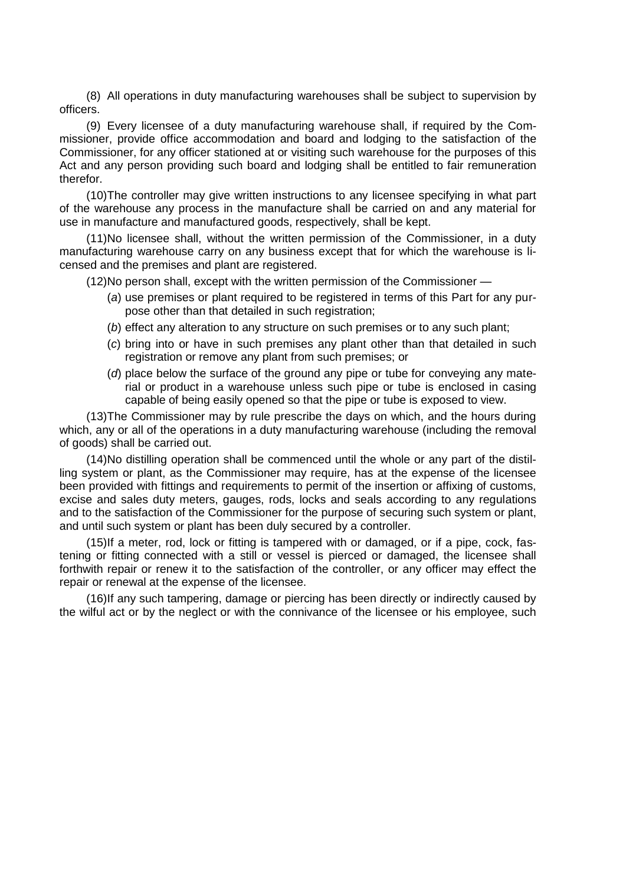(8) All operations in duty manufacturing warehouses shall be subject to supervision by officers.

(9) Every licensee of a duty manufacturing warehouse shall, if required by the Commissioner, provide office accommodation and board and lodging to the satisfaction of the Commissioner, for any officer stationed at or visiting such warehouse for the purposes of this Act and any person providing such board and lodging shall be entitled to fair remuneration therefor.

(10)The controller may give written instructions to any licensee specifying in what part of the warehouse any process in the manufacture shall be carried on and any material for use in manufacture and manufactured goods, respectively, shall be kept.

(11)No licensee shall, without the written permission of the Commissioner, in a duty manufacturing warehouse carry on any business except that for which the warehouse is licensed and the premises and plant are registered.

(12)No person shall, except with the written permission of the Commissioner —

- (*a*) use premises or plant required to be registered in terms of this Part for any purpose other than that detailed in such registration;
- (*b*) effect any alteration to any structure on such premises or to any such plant;
- (*c*) bring into or have in such premises any plant other than that detailed in such registration or remove any plant from such premises; or
- (*d*) place below the surface of the ground any pipe or tube for conveying any material or product in a warehouse unless such pipe or tube is enclosed in casing capable of being easily opened so that the pipe or tube is exposed to view.

(13)The Commissioner may by rule prescribe the days on which, and the hours during which, any or all of the operations in a duty manufacturing warehouse (including the removal of goods) shall be carried out.

(14)No distilling operation shall be commenced until the whole or any part of the distilling system or plant, as the Commissioner may require, has at the expense of the licensee been provided with fittings and requirements to permit of the insertion or affixing of customs, excise and sales duty meters, gauges, rods, locks and seals according to any regulations and to the satisfaction of the Commissioner for the purpose of securing such system or plant, and until such system or plant has been duly secured by a controller.

(15)If a meter, rod, lock or fitting is tampered with or damaged, or if a pipe, cock, fastening or fitting connected with a still or vessel is pierced or damaged, the licensee shall forthwith repair or renew it to the satisfaction of the controller, or any officer may effect the repair or renewal at the expense of the licensee.

(16)If any such tampering, damage or piercing has been directly or indirectly caused by the wilful act or by the neglect or with the connivance of the licensee or his employee, such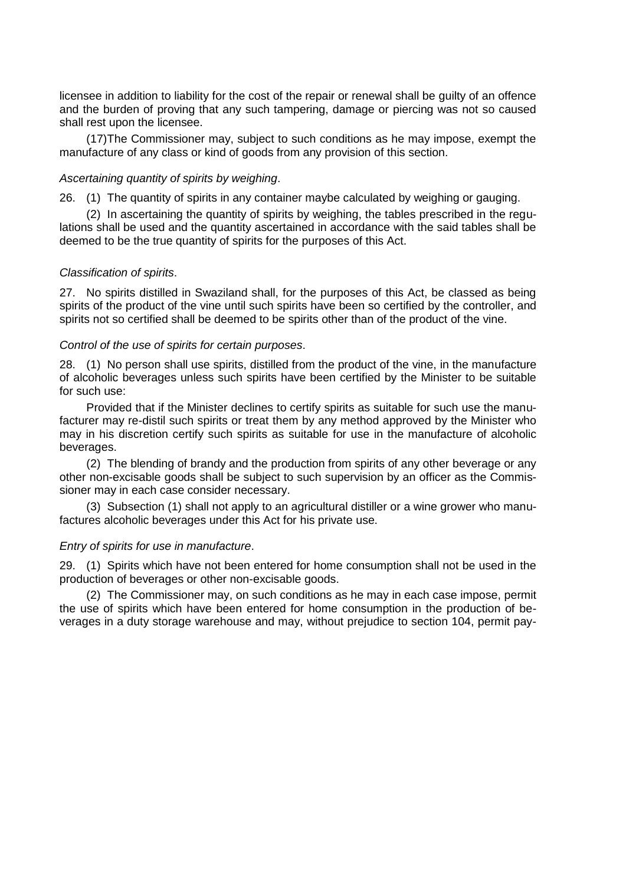licensee in addition to liability for the cost of the repair or renewal shall be guilty of an offence and the burden of proving that any such tampering, damage or piercing was not so caused shall rest upon the licensee.

(17)The Commissioner may, subject to such conditions as he may impose, exempt the manufacture of any class or kind of goods from any provision of this section.

### *Ascertaining quantity of spirits by weighing*.

26. (1) The quantity of spirits in any container maybe calculated by weighing or gauging.

(2) In ascertaining the quantity of spirits by weighing, the tables prescribed in the regulations shall be used and the quantity ascertained in accordance with the said tables shall be deemed to be the true quantity of spirits for the purposes of this Act.

### *Classification of spirits*.

27. No spirits distilled in Swaziland shall, for the purposes of this Act, be classed as being spirits of the product of the vine until such spirits have been so certified by the controller, and spirits not so certified shall be deemed to be spirits other than of the product of the vine.

### *Control of the use of spirits for certain purposes*.

28. (1) No person shall use spirits, distilled from the product of the vine, in the manufacture of alcoholic beverages unless such spirits have been certified by the Minister to be suitable for such use:

Provided that if the Minister declines to certify spirits as suitable for such use the manufacturer may re-distil such spirits or treat them by any method approved by the Minister who may in his discretion certify such spirits as suitable for use in the manufacture of alcoholic beverages.

(2) The blending of brandy and the production from spirits of any other beverage or any other non-excisable goods shall be subject to such supervision by an officer as the Commissioner may in each case consider necessary.

(3) Subsection (1) shall not apply to an agricultural distiller or a wine grower who manufactures alcoholic beverages under this Act for his private use.

### *Entry of spirits for use in manufacture*.

29. (1) Spirits which have not been entered for home consumption shall not be used in the production of beverages or other non-excisable goods.

(2) The Commissioner may, on such conditions as he may in each case impose, permit the use of spirits which have been entered for home consumption in the production of beverages in a duty storage warehouse and may, without prejudice to section 104, permit pay-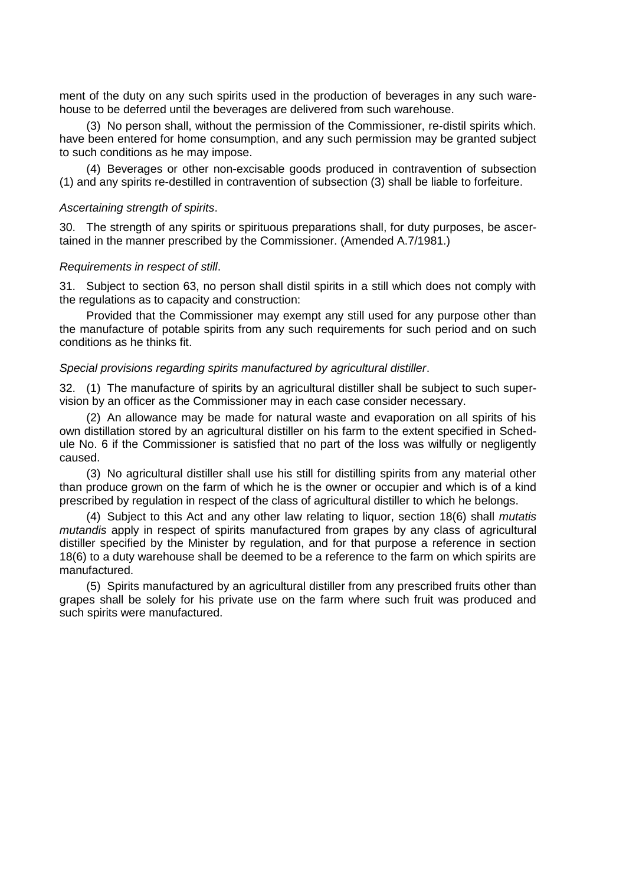ment of the duty on any such spirits used in the production of beverages in any such warehouse to be deferred until the beverages are delivered from such warehouse.

(3) No person shall, without the permission of the Commissioner, re-distil spirits which. have been entered for home consumption, and any such permission may be granted subject to such conditions as he may impose.

(4) Beverages or other non-excisable goods produced in contravention of subsection (1) and any spirits re-destilled in contravention of subsection (3) shall be liable to forfeiture.

#### *Ascertaining strength of spirits*.

30. The strength of any spirits or spirituous preparations shall, for duty purposes, be ascertained in the manner prescribed by the Commissioner. (Amended A.7/1981.)

#### *Requirements in respect of still*.

31. Subject to section 63, no person shall distil spirits in a still which does not comply with the regulations as to capacity and construction:

Provided that the Commissioner may exempt any still used for any purpose other than the manufacture of potable spirits from any such requirements for such period and on such conditions as he thinks fit.

#### *Special provisions regarding spirits manufactured by agricultural distiller*.

32. (1) The manufacture of spirits by an agricultural distiller shall be subject to such supervision by an officer as the Commissioner may in each case consider necessary.

(2) An allowance may be made for natural waste and evaporation on all spirits of his own distillation stored by an agricultural distiller on his farm to the extent specified in Schedule No. 6 if the Commissioner is satisfied that no part of the loss was wilfully or negligently caused.

(3) No agricultural distiller shall use his still for distilling spirits from any material other than produce grown on the farm of which he is the owner or occupier and which is of a kind prescribed by regulation in respect of the class of agricultural distiller to which he belongs.

(4) Subject to this Act and any other law relating to liquor, section 18(6) shall *mutatis mutandis* apply in respect of spirits manufactured from grapes by any class of agricultural distiller specified by the Minister by regulation, and for that purpose a reference in section 18(6) to a duty warehouse shall be deemed to be a reference to the farm on which spirits are manufactured.

(5) Spirits manufactured by an agricultural distiller from any prescribed fruits other than grapes shall be solely for his private use on the farm where such fruit was produced and such spirits were manufactured.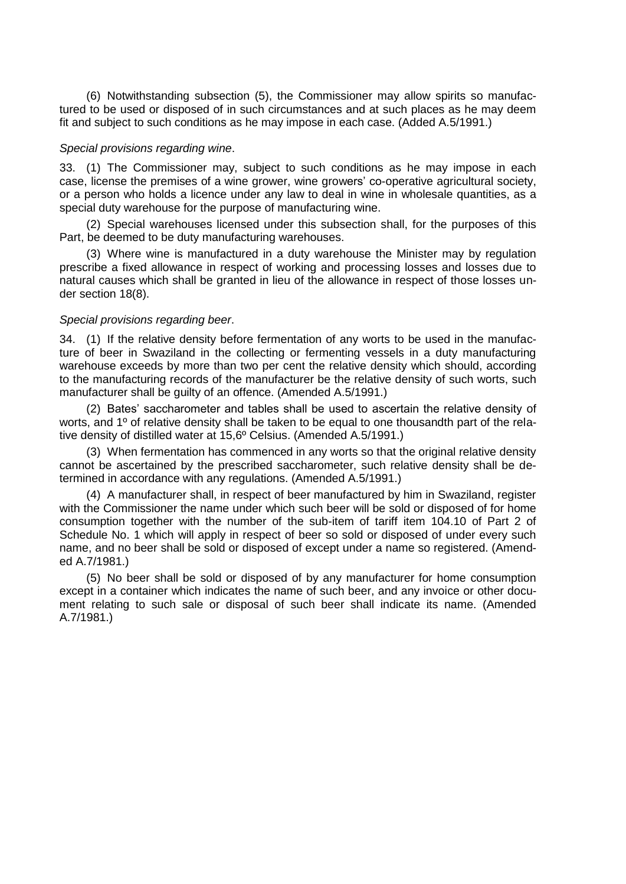(6) Notwithstanding subsection (5), the Commissioner may allow spirits so manufactured to be used or disposed of in such circumstances and at such places as he may deem fit and subject to such conditions as he may impose in each case. (Added A.5/1991.)

### *Special provisions regarding wine*.

33. (1) The Commissioner may, subject to such conditions as he may impose in each case, license the premises of a wine grower, wine growers" co-operative agricultural society, or a person who holds a licence under any law to deal in wine in wholesale quantities, as a special duty warehouse for the purpose of manufacturing wine.

(2) Special warehouses licensed under this subsection shall, for the purposes of this Part, be deemed to be duty manufacturing warehouses.

(3) Where wine is manufactured in a duty warehouse the Minister may by regulation prescribe a fixed allowance in respect of working and processing losses and losses due to natural causes which shall be granted in lieu of the allowance in respect of those losses under section 18(8).

### *Special provisions regarding beer*.

34. (1) If the relative density before fermentation of any worts to be used in the manufacture of beer in Swaziland in the collecting or fermenting vessels in a duty manufacturing warehouse exceeds by more than two per cent the relative density which should, according to the manufacturing records of the manufacturer be the relative density of such worts, such manufacturer shall be guilty of an offence. (Amended A.5/1991.)

(2) Bates" saccharometer and tables shall be used to ascertain the relative density of worts, and 1º of relative density shall be taken to be equal to one thousandth part of the relative density of distilled water at 15,6º Celsius. (Amended A.5/1991.)

(3) When fermentation has commenced in any worts so that the original relative density cannot be ascertained by the prescribed saccharometer, such relative density shall be determined in accordance with any regulations. (Amended A.5/1991.)

(4) A manufacturer shall, in respect of beer manufactured by him in Swaziland, register with the Commissioner the name under which such beer will be sold or disposed of for home consumption together with the number of the sub-item of tariff item 104.10 of Part 2 of Schedule No. 1 which will apply in respect of beer so sold or disposed of under every such name, and no beer shall be sold or disposed of except under a name so registered. (Amended A.7/1981.)

(5) No beer shall be sold or disposed of by any manufacturer for home consumption except in a container which indicates the name of such beer, and any invoice or other document relating to such sale or disposal of such beer shall indicate its name. (Amended A.7/1981.)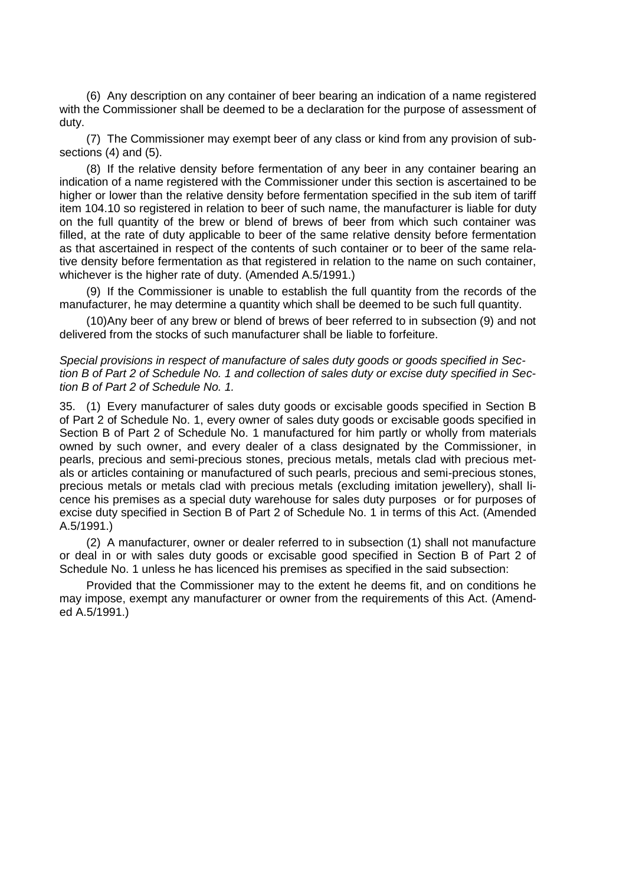(6) Any description on any container of beer bearing an indication of a name registered with the Commissioner shall be deemed to be a declaration for the purpose of assessment of duty.

(7) The Commissioner may exempt beer of any class or kind from any provision of subsections (4) and (5).

(8) If the relative density before fermentation of any beer in any container bearing an indication of a name registered with the Commissioner under this section is ascertained to be higher or lower than the relative density before fermentation specified in the sub item of tariff item 104.10 so registered in relation to beer of such name, the manufacturer is liable for duty on the full quantity of the brew or blend of brews of beer from which such container was filled, at the rate of duty applicable to beer of the same relative density before fermentation as that ascertained in respect of the contents of such container or to beer of the same relative density before fermentation as that registered in relation to the name on such container, whichever is the higher rate of duty. (Amended A.5/1991.)

(9) If the Commissioner is unable to establish the full quantity from the records of the manufacturer, he may determine a quantity which shall be deemed to be such full quantity.

(10)Any beer of any brew or blend of brews of beer referred to in subsection (9) and not delivered from the stocks of such manufacturer shall be liable to forfeiture.

*Special provisions in respect of manufacture of sales duty goods or goods specified in Section B of Part 2 of Schedule No. 1 and collection of sales duty or excise duty specified in Section B of Part 2 of Schedule No. 1.*

35. (1) Every manufacturer of sales duty goods or excisable goods specified in Section B of Part 2 of Schedule No. 1, every owner of sales duty goods or excisable goods specified in Section B of Part 2 of Schedule No. 1 manufactured for him partly or wholly from materials owned by such owner, and every dealer of a class designated by the Commissioner, in pearls, precious and semi-precious stones, precious metals, metals clad with precious metals or articles containing or manufactured of such pearls, precious and semi-precious stones, precious metals or metals clad with precious metals (excluding imitation jewellery), shall licence his premises as a special duty warehouse for sales duty purposes or for purposes of excise duty specified in Section B of Part 2 of Schedule No. 1 in terms of this Act. (Amended A.5/1991.)

(2) A manufacturer, owner or dealer referred to in subsection (1) shall not manufacture or deal in or with sales duty goods or excisable good specified in Section B of Part 2 of Schedule No. 1 unless he has licenced his premises as specified in the said subsection:

Provided that the Commissioner may to the extent he deems fit, and on conditions he may impose, exempt any manufacturer or owner from the requirements of this Act. (Amended A.5/1991.)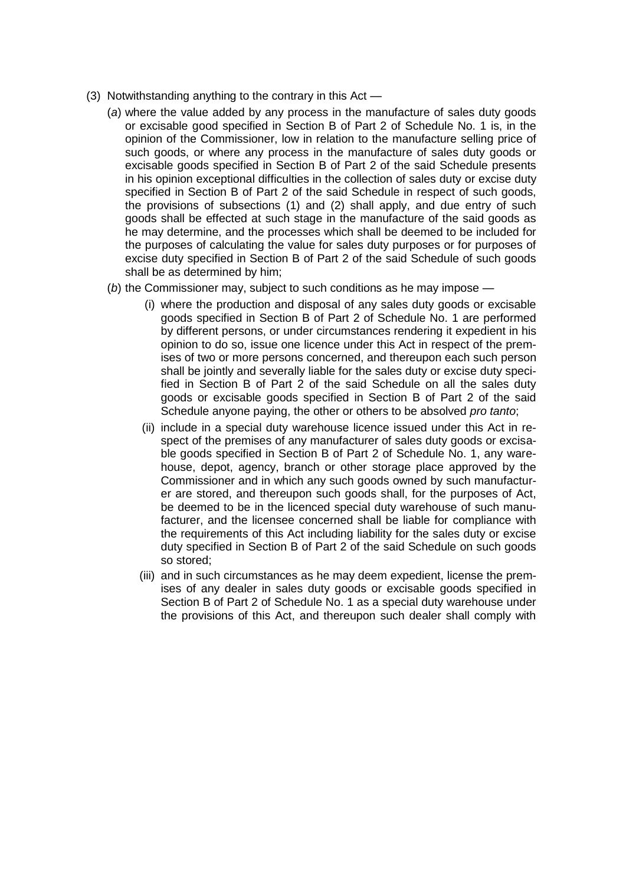- (3) Notwithstanding anything to the contrary in this Act
	- (*a*) where the value added by any process in the manufacture of sales duty goods or excisable good specified in Section B of Part 2 of Schedule No. 1 is, in the opinion of the Commissioner, low in relation to the manufacture selling price of such goods, or where any process in the manufacture of sales duty goods or excisable goods specified in Section B of Part 2 of the said Schedule presents in his opinion exceptional difficulties in the collection of sales duty or excise duty specified in Section B of Part 2 of the said Schedule in respect of such goods, the provisions of subsections (1) and (2) shall apply, and due entry of such goods shall be effected at such stage in the manufacture of the said goods as he may determine, and the processes which shall be deemed to be included for the purposes of calculating the value for sales duty purposes or for purposes of excise duty specified in Section B of Part 2 of the said Schedule of such goods shall be as determined by him;
	- (*b*) the Commissioner may, subject to such conditions as he may impose
		- (i) where the production and disposal of any sales duty goods or excisable goods specified in Section B of Part 2 of Schedule No. 1 are performed by different persons, or under circumstances rendering it expedient in his opinion to do so, issue one licence under this Act in respect of the premises of two or more persons concerned, and thereupon each such person shall be jointly and severally liable for the sales duty or excise duty specified in Section B of Part 2 of the said Schedule on all the sales duty goods or excisable goods specified in Section B of Part 2 of the said Schedule anyone paying, the other or others to be absolved *pro tanto*;
		- (ii) include in a special duty warehouse licence issued under this Act in respect of the premises of any manufacturer of sales duty goods or excisable goods specified in Section B of Part 2 of Schedule No. 1, any warehouse, depot, agency, branch or other storage place approved by the Commissioner and in which any such goods owned by such manufacturer are stored, and thereupon such goods shall, for the purposes of Act, be deemed to be in the licenced special duty warehouse of such manufacturer, and the licensee concerned shall be liable for compliance with the requirements of this Act including liability for the sales duty or excise duty specified in Section B of Part 2 of the said Schedule on such goods so stored;
		- (iii) and in such circumstances as he may deem expedient, license the premises of any dealer in sales duty goods or excisable goods specified in Section B of Part 2 of Schedule No. 1 as a special duty warehouse under the provisions of this Act, and thereupon such dealer shall comply with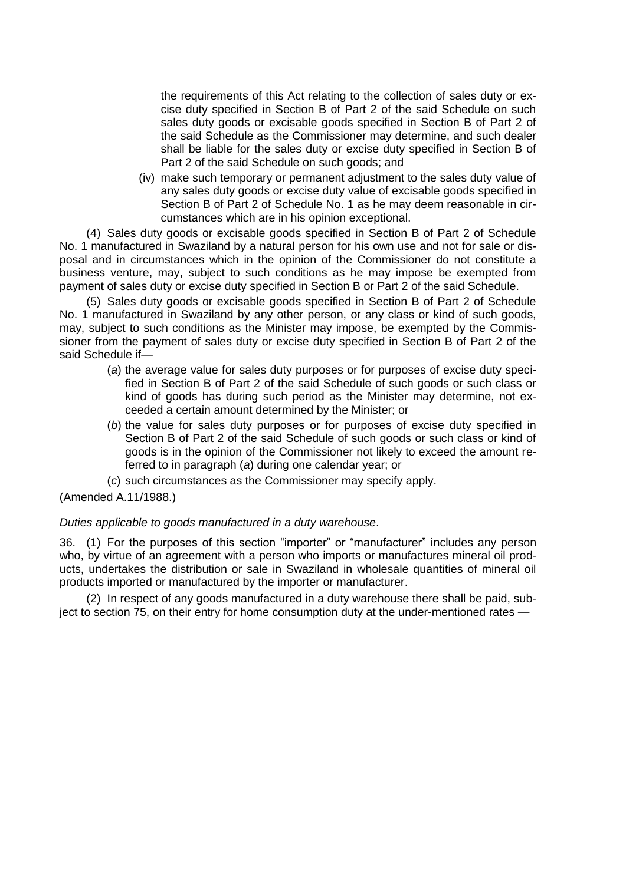the requirements of this Act relating to the collection of sales duty or excise duty specified in Section B of Part 2 of the said Schedule on such sales duty goods or excisable goods specified in Section B of Part 2 of the said Schedule as the Commissioner may determine, and such dealer shall be liable for the sales duty or excise duty specified in Section B of Part 2 of the said Schedule on such goods; and

(iv) make such temporary or permanent adjustment to the sales duty value of any sales duty goods or excise duty value of excisable goods specified in Section B of Part 2 of Schedule No. 1 as he may deem reasonable in circumstances which are in his opinion exceptional.

(4) Sales duty goods or excisable goods specified in Section B of Part 2 of Schedule No. 1 manufactured in Swaziland by a natural person for his own use and not for sale or disposal and in circumstances which in the opinion of the Commissioner do not constitute a business venture, may, subject to such conditions as he may impose be exempted from payment of sales duty or excise duty specified in Section B or Part 2 of the said Schedule.

(5) Sales duty goods or excisable goods specified in Section B of Part 2 of Schedule No. 1 manufactured in Swaziland by any other person, or any class or kind of such goods, may, subject to such conditions as the Minister may impose, be exempted by the Commissioner from the payment of sales duty or excise duty specified in Section B of Part 2 of the said Schedule if—

- (*a*) the average value for sales duty purposes or for purposes of excise duty specified in Section B of Part 2 of the said Schedule of such goods or such class or kind of goods has during such period as the Minister may determine, not exceeded a certain amount determined by the Minister; or
- (*b*) the value for sales duty purposes or for purposes of excise duty specified in Section B of Part 2 of the said Schedule of such goods or such class or kind of goods is in the opinion of the Commissioner not likely to exceed the amount referred to in paragraph (*a*) during one calendar year; or
- (*c*) such circumstances as the Commissioner may specify apply.

(Amended A.11/1988.)

# *Duties applicable to goods manufactured in a duty warehouse*.

36. (1) For the purposes of this section "importer" or "manufacturer" includes any person who, by virtue of an agreement with a person who imports or manufactures mineral oil products, undertakes the distribution or sale in Swaziland in wholesale quantities of mineral oil products imported or manufactured by the importer or manufacturer.

(2) In respect of any goods manufactured in a duty warehouse there shall be paid, subject to section 75, on their entry for home consumption duty at the under-mentioned rates —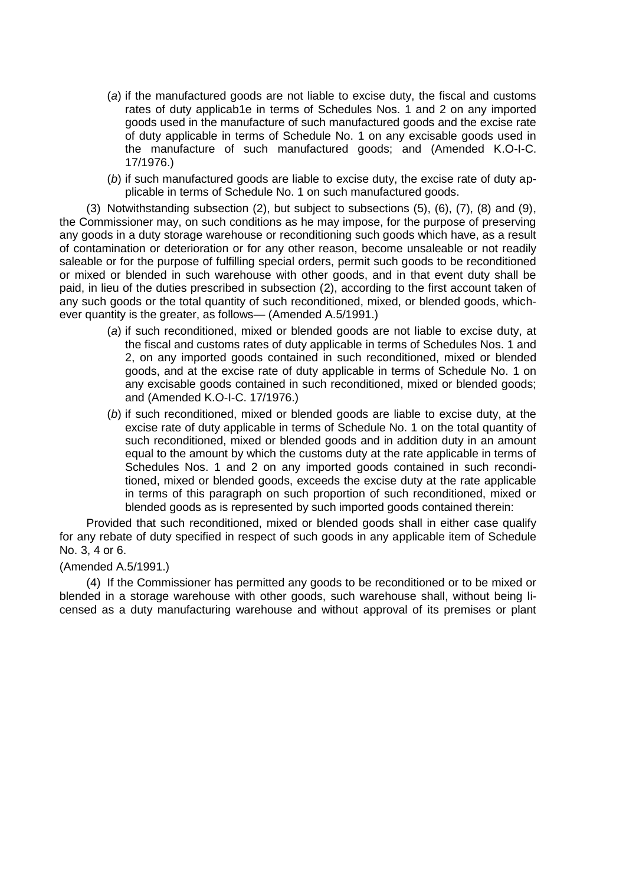- (*a*) if the manufactured goods are not liable to excise duty, the fiscal and customs rates of duty applicab1e in terms of Schedules Nos. 1 and 2 on any imported goods used in the manufacture of such manufactured goods and the excise rate of duty applicable in terms of Schedule No. 1 on any excisable goods used in the manufacture of such manufactured goods; and (Amended K.O-I-C. 17/1976.)
- (*b*) if such manufactured goods are liable to excise duty, the excise rate of duty applicable in terms of Schedule No. 1 on such manufactured goods.

(3) Notwithstanding subsection (2), but subject to subsections (5), (6), (7), (8) and (9), the Commissioner may, on such conditions as he may impose, for the purpose of preserving any goods in a duty storage warehouse or reconditioning such goods which have, as a result of contamination or deterioration or for any other reason, become unsaleable or not readily saleable or for the purpose of fulfilling special orders, permit such goods to be reconditioned or mixed or blended in such warehouse with other goods, and in that event duty shall be paid, in lieu of the duties prescribed in subsection (2), according to the first account taken of any such goods or the total quantity of such reconditioned, mixed, or blended goods, whichever quantity is the greater, as follows— (Amended A.5/1991.)

- (*a*) if such reconditioned, mixed or blended goods are not liable to excise duty, at the fiscal and customs rates of duty applicable in terms of Schedules Nos. 1 and 2, on any imported goods contained in such reconditioned, mixed or blended goods, and at the excise rate of duty applicable in terms of Schedule No. 1 on any excisable goods contained in such reconditioned, mixed or blended goods; and (Amended K.O-I-C. 17/1976.)
- (*b*) if such reconditioned, mixed or blended goods are liable to excise duty, at the excise rate of duty applicable in terms of Schedule No. 1 on the total quantity of such reconditioned, mixed or blended goods and in addition duty in an amount equal to the amount by which the customs duty at the rate applicable in terms of Schedules Nos. 1 and 2 on any imported goods contained in such reconditioned, mixed or blended goods, exceeds the excise duty at the rate applicable in terms of this paragraph on such proportion of such reconditioned, mixed or blended goods as is represented by such imported goods contained therein:

Provided that such reconditioned, mixed or blended goods shall in either case qualify for any rebate of duty specified in respect of such goods in any applicable item of Schedule No. 3, 4 or 6.

### (Amended A.5/1991.)

(4) If the Commissioner has permitted any goods to be reconditioned or to be mixed or blended in a storage warehouse with other goods, such warehouse shall, without being licensed as a duty manufacturing warehouse and without approval of its premises or plant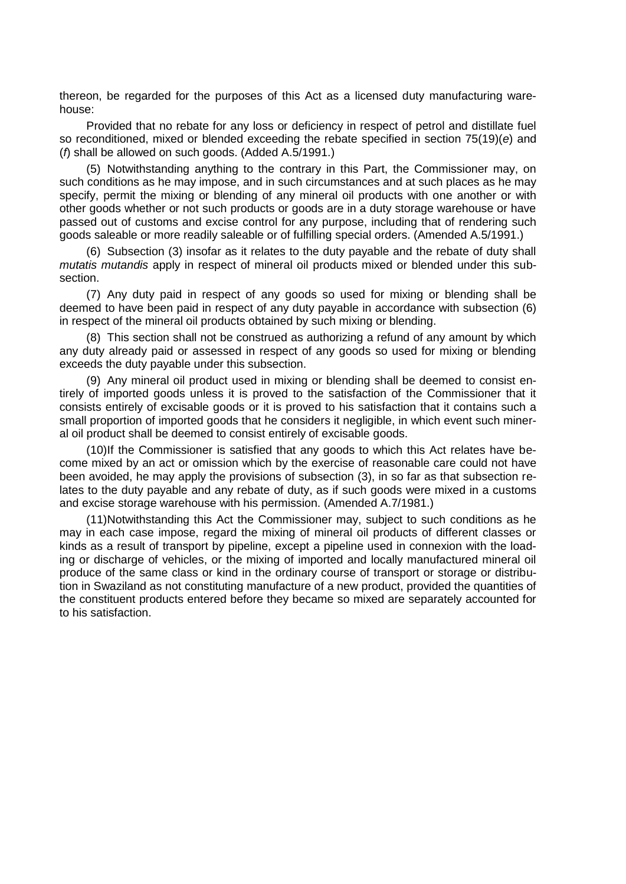thereon, be regarded for the purposes of this Act as a licensed duty manufacturing warehouse:

Provided that no rebate for any loss or deficiency in respect of petrol and distillate fuel so reconditioned, mixed or blended exceeding the rebate specified in section 75(19)(*e*) and (*f*) shall be allowed on such goods. (Added A.5/1991.)

(5) Notwithstanding anything to the contrary in this Part, the Commissioner may, on such conditions as he may impose, and in such circumstances and at such places as he may specify, permit the mixing or blending of any mineral oil products with one another or with other goods whether or not such products or goods are in a duty storage warehouse or have passed out of customs and excise control for any purpose, including that of rendering such goods saleable or more readily saleable or of fulfilling special orders. (Amended A.5/1991.)

(6) Subsection (3) insofar as it relates to the duty payable and the rebate of duty shall *mutatis mutandis* apply in respect of mineral oil products mixed or blended under this subsection.

(7) Any duty paid in respect of any goods so used for mixing or blending shall be deemed to have been paid in respect of any duty payable in accordance with subsection (6) in respect of the mineral oil products obtained by such mixing or blending.

(8) This section shall not be construed as authorizing a refund of any amount by which any duty already paid or assessed in respect of any goods so used for mixing or blending exceeds the duty payable under this subsection.

(9) Any mineral oil product used in mixing or blending shall be deemed to consist entirely of imported goods unless it is proved to the satisfaction of the Commissioner that it consists entirely of excisable goods or it is proved to his satisfaction that it contains such a small proportion of imported goods that he considers it negligible, in which event such mineral oil product shall be deemed to consist entirely of excisable goods.

(10)If the Commissioner is satisfied that any goods to which this Act relates have become mixed by an act or omission which by the exercise of reasonable care could not have been avoided, he may apply the provisions of subsection (3), in so far as that subsection relates to the duty payable and any rebate of duty, as if such goods were mixed in a customs and excise storage warehouse with his permission. (Amended A.7/1981.)

(11)Notwithstanding this Act the Commissioner may, subject to such conditions as he may in each case impose, regard the mixing of mineral oil products of different classes or kinds as a result of transport by pipeline, except a pipeline used in connexion with the loading or discharge of vehicles, or the mixing of imported and locally manufactured mineral oil produce of the same class or kind in the ordinary course of transport or storage or distribution in Swaziland as not constituting manufacture of a new product, provided the quantities of the constituent products entered before they became so mixed are separately accounted for to his satisfaction.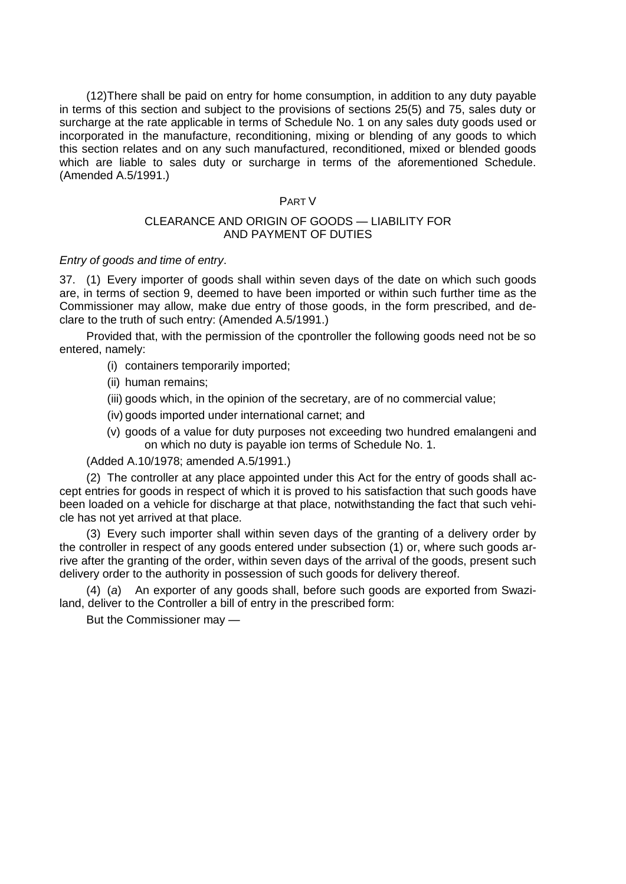(12)There shall be paid on entry for home consumption, in addition to any duty payable in terms of this section and subject to the provisions of sections 25(5) and 75, sales duty or surcharge at the rate applicable in terms of Schedule No. 1 on any sales duty goods used or incorporated in the manufacture, reconditioning, mixing or blending of any goods to which this section relates and on any such manufactured, reconditioned, mixed or blended goods which are liable to sales duty or surcharge in terms of the aforementioned Schedule. (Amended A.5/1991.)

## PART V

# CLEARANCE AND ORIGIN OF GOODS — LIABILITY FOR AND PAYMENT OF DUTIES

# *Entry of goods and time of entry*.

37. (1) Every importer of goods shall within seven days of the date on which such goods are, in terms of section 9, deemed to have been imported or within such further time as the Commissioner may allow, make due entry of those goods, in the form prescribed, and declare to the truth of such entry: (Amended A.5/1991.)

Provided that, with the permission of the cpontroller the following goods need not be so entered, namely:

- (i) containers temporarily imported;
- (ii) human remains;
- (iii) goods which, in the opinion of the secretary, are of no commercial value;
- (iv) goods imported under international carnet; and
- (v) goods of a value for duty purposes not exceeding two hundred emalangeni and on which no duty is payable ion terms of Schedule No. 1.

(Added A.10/1978; amended A.5/1991.)

(2) The controller at any place appointed under this Act for the entry of goods shall accept entries for goods in respect of which it is proved to his satisfaction that such goods have been loaded on a vehicle for discharge at that place, notwithstanding the fact that such vehicle has not yet arrived at that place.

(3) Every such importer shall within seven days of the granting of a delivery order by the controller in respect of any goods entered under subsection (1) or, where such goods arrive after the granting of the order, within seven days of the arrival of the goods, present such delivery order to the authority in possession of such goods for delivery thereof.

(4) (*a*) An exporter of any goods shall, before such goods are exported from Swaziland, deliver to the Controller a bill of entry in the prescribed form:

But the Commissioner may —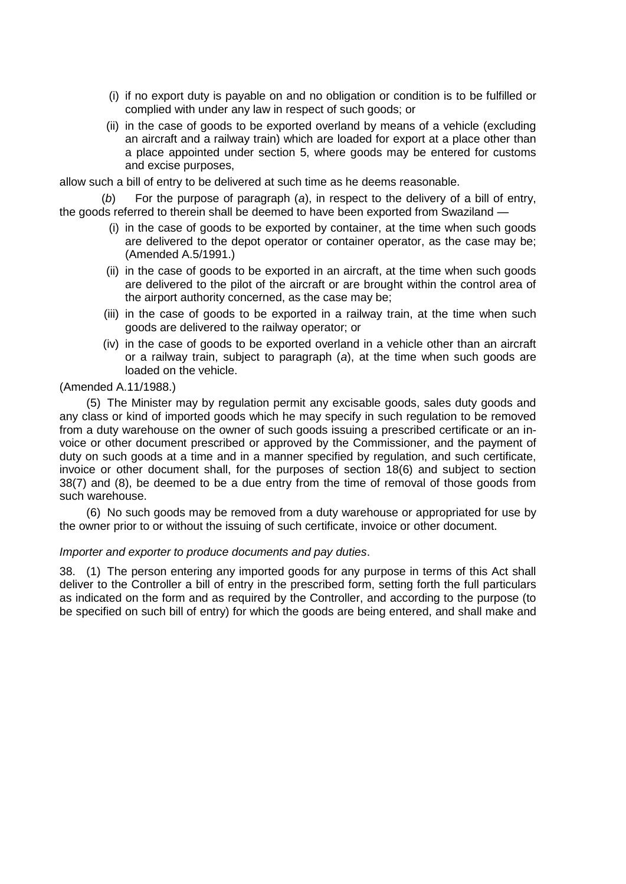- (i) if no export duty is payable on and no obligation or condition is to be fulfilled or complied with under any law in respect of such goods; or
- (ii) in the case of goods to be exported overland by means of a vehicle (excluding an aircraft and a railway train) which are loaded for export at a place other than a place appointed under section 5, where goods may be entered for customs and excise purposes,

allow such a bill of entry to be delivered at such time as he deems reasonable.

(*b*) For the purpose of paragraph (*a*), in respect to the delivery of a bill of entry, the goods referred to therein shall be deemed to have been exported from Swaziland —

- (i) in the case of goods to be exported by container, at the time when such goods are delivered to the depot operator or container operator, as the case may be; (Amended A.5/1991.)
- (ii) in the case of goods to be exported in an aircraft, at the time when such goods are delivered to the pilot of the aircraft or are brought within the control area of the airport authority concerned, as the case may be;
- (iii) in the case of goods to be exported in a railway train, at the time when such goods are delivered to the railway operator; or
- (iv) in the case of goods to be exported overland in a vehicle other than an aircraft or a railway train, subject to paragraph (*a*), at the time when such goods are loaded on the vehicle.

# (Amended A.11/1988.)

(5) The Minister may by regulation permit any excisable goods, sales duty goods and any class or kind of imported goods which he may specify in such regulation to be removed from a duty warehouse on the owner of such goods issuing a prescribed certificate or an invoice or other document prescribed or approved by the Commissioner, and the payment of duty on such goods at a time and in a manner specified by regulation, and such certificate, invoice or other document shall, for the purposes of section 18(6) and subject to section 38(7) and (8), be deemed to be a due entry from the time of removal of those goods from such warehouse.

(6) No such goods may be removed from a duty warehouse or appropriated for use by the owner prior to or without the issuing of such certificate, invoice or other document.

### *Importer and exporter to produce documents and pay duties*.

38. (1) The person entering any imported goods for any purpose in terms of this Act shall deliver to the Controller a bill of entry in the prescribed form, setting forth the full particulars as indicated on the form and as required by the Controller, and according to the purpose (to be specified on such bill of entry) for which the goods are being entered, and shall make and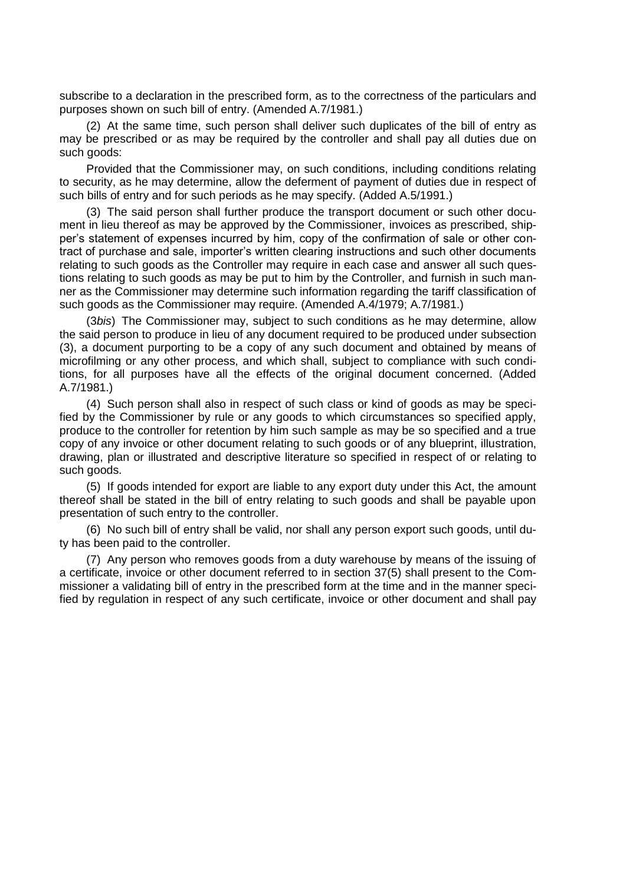subscribe to a declaration in the prescribed form, as to the correctness of the particulars and purposes shown on such bill of entry. (Amended A.7/1981.)

(2) At the same time, such person shall deliver such duplicates of the bill of entry as may be prescribed or as may be required by the controller and shall pay all duties due on such goods:

Provided that the Commissioner may, on such conditions, including conditions relating to security, as he may determine, allow the deferment of payment of duties due in respect of such bills of entry and for such periods as he may specify. (Added A.5/1991.)

(3) The said person shall further produce the transport document or such other document in lieu thereof as may be approved by the Commissioner, invoices as prescribed, shipper"s statement of expenses incurred by him, copy of the confirmation of sale or other contract of purchase and sale, importer"s written clearing instructions and such other documents relating to such goods as the Controller may require in each case and answer all such questions relating to such goods as may be put to him by the Controller, and furnish in such manner as the Commissioner may determine such information regarding the tariff classification of such goods as the Commissioner may require. (Amended A.4/1979; A.7/1981.)

(3*bis*) The Commissioner may, subject to such conditions as he may determine, allow the said person to produce in lieu of any document required to be produced under subsection (3), a document purporting to be a copy of any such document and obtained by means of microfilming or any other process, and which shall, subject to compliance with such conditions, for all purposes have all the effects of the original document concerned. (Added A.7/1981.)

(4) Such person shall also in respect of such class or kind of goods as may be specified by the Commissioner by rule or any goods to which circumstances so specified apply, produce to the controller for retention by him such sample as may be so specified and a true copy of any invoice or other document relating to such goods or of any blueprint, illustration, drawing, plan or illustrated and descriptive literature so specified in respect of or relating to such goods.

(5) If goods intended for export are liable to any export duty under this Act, the amount thereof shall be stated in the bill of entry relating to such goods and shall be payable upon presentation of such entry to the controller.

(6) No such bill of entry shall be valid, nor shall any person export such goods, until duty has been paid to the controller.

(7) Any person who removes goods from a duty warehouse by means of the issuing of a certificate, invoice or other document referred to in section 37(5) shall present to the Commissioner a validating bill of entry in the prescribed form at the time and in the manner specified by regulation in respect of any such certificate, invoice or other document and shall pay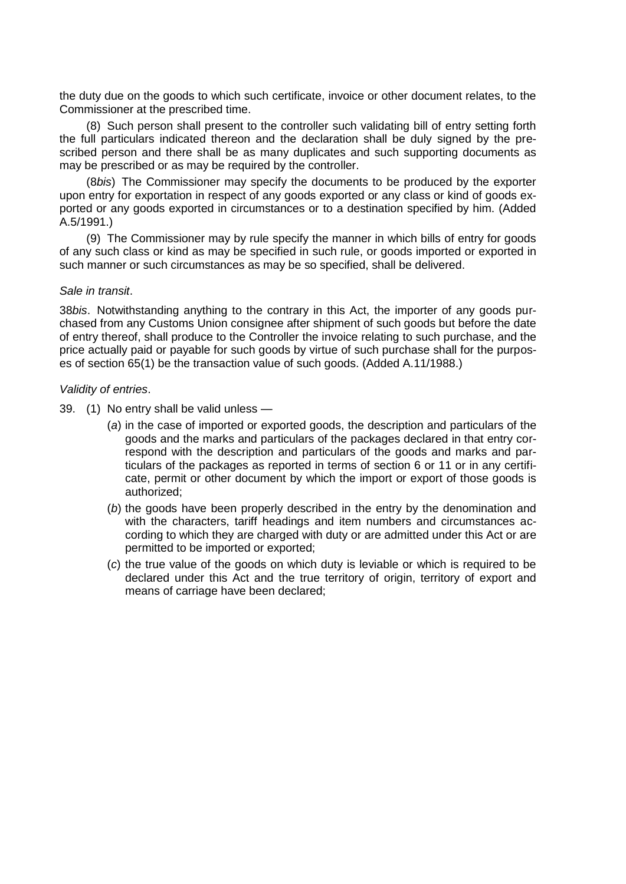the duty due on the goods to which such certificate, invoice or other document relates, to the Commissioner at the prescribed time.

(8) Such person shall present to the controller such validating bill of entry setting forth the full particulars indicated thereon and the declaration shall be duly signed by the prescribed person and there shall be as many duplicates and such supporting documents as may be prescribed or as may be required by the controller.

(8*bis*) The Commissioner may specify the documents to be produced by the exporter upon entry for exportation in respect of any goods exported or any class or kind of goods exported or any goods exported in circumstances or to a destination specified by him. (Added A.5/1991.)

(9) The Commissioner may by rule specify the manner in which bills of entry for goods of any such class or kind as may be specified in such rule, or goods imported or exported in such manner or such circumstances as may be so specified, shall be delivered.

#### *Sale in transit*.

38*bis*. Notwithstanding anything to the contrary in this Act, the importer of any goods purchased from any Customs Union consignee after shipment of such goods but before the date of entry thereof, shall produce to the Controller the invoice relating to such purchase, and the price actually paid or payable for such goods by virtue of such purchase shall for the purposes of section 65(1) be the transaction value of such goods. (Added A.11/1988.)

#### *Validity of entries*.

- 39. (1) No entry shall be valid unless
	- (*a*) in the case of imported or exported goods, the description and particulars of the goods and the marks and particulars of the packages declared in that entry correspond with the description and particulars of the goods and marks and particulars of the packages as reported in terms of section 6 or 11 or in any certificate, permit or other document by which the import or export of those goods is authorized;
	- (*b*) the goods have been properly described in the entry by the denomination and with the characters, tariff headings and item numbers and circumstances according to which they are charged with duty or are admitted under this Act or are permitted to be imported or exported;
	- (*c*) the true value of the goods on which duty is leviable or which is required to be declared under this Act and the true territory of origin, territory of export and means of carriage have been declared;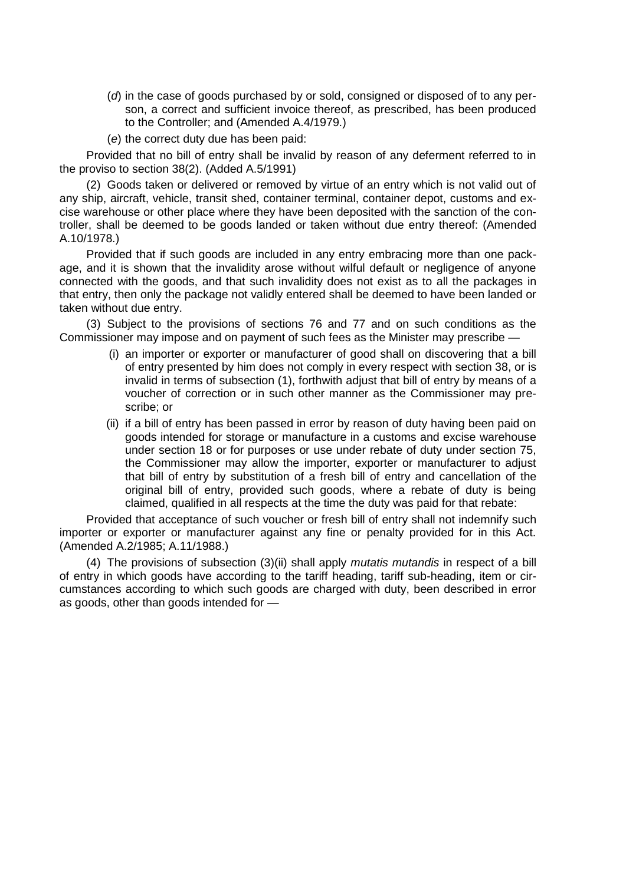- (*d*) in the case of goods purchased by or sold, consigned or disposed of to any person, a correct and sufficient invoice thereof, as prescribed, has been produced to the Controller; and (Amended A.4/1979.)
- (*e*) the correct duty due has been paid:

Provided that no bill of entry shall be invalid by reason of any deferment referred to in the proviso to section 38(2). (Added A.5/1991)

(2) Goods taken or delivered or removed by virtue of an entry which is not valid out of any ship, aircraft, vehicle, transit shed, container terminal, container depot, customs and excise warehouse or other place where they have been deposited with the sanction of the controller, shall be deemed to be goods landed or taken without due entry thereof: (Amended A.10/1978.)

Provided that if such goods are included in any entry embracing more than one package, and it is shown that the invalidity arose without wilful default or negligence of anyone connected with the goods, and that such invalidity does not exist as to all the packages in that entry, then only the package not validly entered shall be deemed to have been landed or taken without due entry.

(3) Subject to the provisions of sections 76 and 77 and on such conditions as the Commissioner may impose and on payment of such fees as the Minister may prescribe —

- (i) an importer or exporter or manufacturer of good shall on discovering that a bill of entry presented by him does not comply in every respect with section 38, or is invalid in terms of subsection (1), forthwith adjust that bill of entry by means of a voucher of correction or in such other manner as the Commissioner may prescribe; or
- (ii) if a bill of entry has been passed in error by reason of duty having been paid on goods intended for storage or manufacture in a customs and excise warehouse under section 18 or for purposes or use under rebate of duty under section 75, the Commissioner may allow the importer, exporter or manufacturer to adjust that bill of entry by substitution of a fresh bill of entry and cancellation of the original bill of entry, provided such goods, where a rebate of duty is being claimed, qualified in all respects at the time the duty was paid for that rebate:

Provided that acceptance of such voucher or fresh bill of entry shall not indemnify such importer or exporter or manufacturer against any fine or penalty provided for in this Act. (Amended A.2/1985; A.11/1988.)

(4) The provisions of subsection (3)(ii) shall apply *mutatis mutandis* in respect of a bill of entry in which goods have according to the tariff heading, tariff sub-heading, item or circumstances according to which such goods are charged with duty, been described in error as goods, other than goods intended for —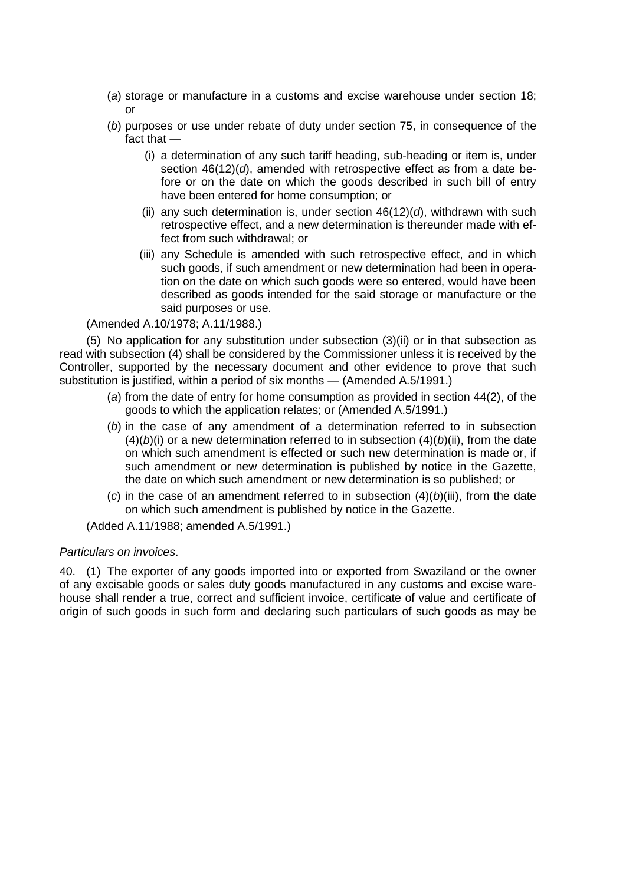- (*a*) storage or manufacture in a customs and excise warehouse under section 18; or
- (*b*) purposes or use under rebate of duty under section 75, in consequence of the fact that —
	- (i) a determination of any such tariff heading, sub-heading or item is, under section 46(12)(*d*), amended with retrospective effect as from a date before or on the date on which the goods described in such bill of entry have been entered for home consumption; or
	- (ii) any such determination is, under section  $46(12)(d)$ , withdrawn with such retrospective effect, and a new determination is thereunder made with effect from such withdrawal; or
	- (iii) any Schedule is amended with such retrospective effect, and in which such goods, if such amendment or new determination had been in operation on the date on which such goods were so entered, would have been described as goods intended for the said storage or manufacture or the said purposes or use.

(Amended A.10/1978; A.11/1988.)

(5) No application for any substitution under subsection (3)(ii) or in that subsection as read with subsection (4) shall be considered by the Commissioner unless it is received by the Controller, supported by the necessary document and other evidence to prove that such substitution is justified, within a period of six months — (Amended A.5/1991.)

- (*a*) from the date of entry for home consumption as provided in section 44(2), of the goods to which the application relates; or (Amended A.5/1991.)
- (*b*) in the case of any amendment of a determination referred to in subsection  $(4)(b)(i)$  or a new determination referred to in subsection  $(4)(b)(ii)$ , from the date on which such amendment is effected or such new determination is made or, if such amendment or new determination is published by notice in the Gazette, the date on which such amendment or new determination is so published; or
- (c) in the case of an amendment referred to in subsection  $(4)(b)(iii)$ , from the date on which such amendment is published by notice in the Gazette.

(Added A.11/1988; amended A.5/1991.)

# *Particulars on invoices*.

40. (1) The exporter of any goods imported into or exported from Swaziland or the owner of any excisable goods or sales duty goods manufactured in any customs and excise warehouse shall render a true, correct and sufficient invoice, certificate of value and certificate of origin of such goods in such form and declaring such particulars of such goods as may be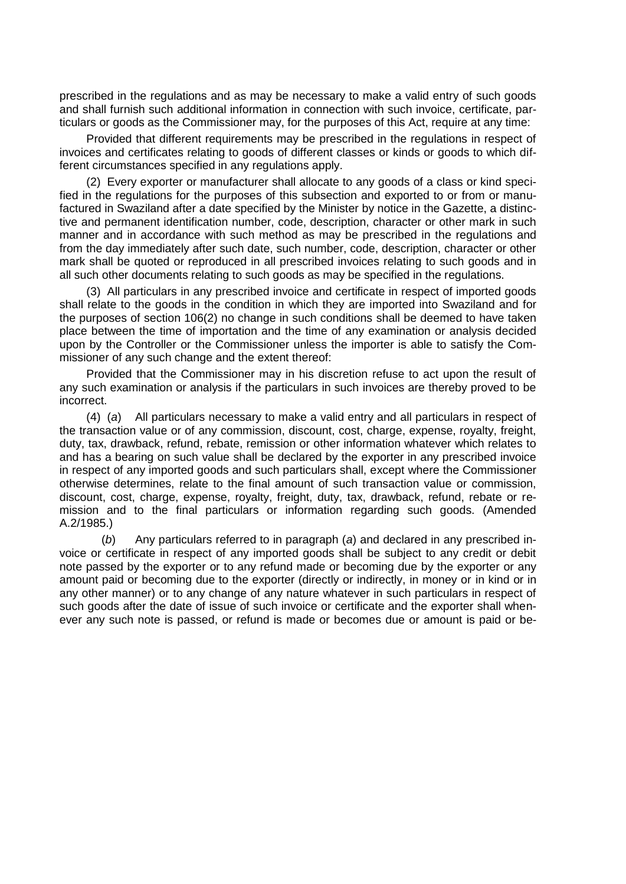prescribed in the regulations and as may be necessary to make a valid entry of such goods and shall furnish such additional information in connection with such invoice, certificate, particulars or goods as the Commissioner may, for the purposes of this Act, require at any time:

Provided that different requirements may be prescribed in the regulations in respect of invoices and certificates relating to goods of different classes or kinds or goods to which different circumstances specified in any regulations apply.

(2) Every exporter or manufacturer shall allocate to any goods of a class or kind specified in the regulations for the purposes of this subsection and exported to or from or manufactured in Swaziland after a date specified by the Minister by notice in the Gazette, a distinctive and permanent identification number, code, description, character or other mark in such manner and in accordance with such method as may be prescribed in the regulations and from the day immediately after such date, such number, code, description, character or other mark shall be quoted or reproduced in all prescribed invoices relating to such goods and in all such other documents relating to such goods as may be specified in the regulations.

(3) All particulars in any prescribed invoice and certificate in respect of imported goods shall relate to the goods in the condition in which they are imported into Swaziland and for the purposes of section 106(2) no change in such conditions shall be deemed to have taken place between the time of importation and the time of any examination or analysis decided upon by the Controller or the Commissioner unless the importer is able to satisfy the Commissioner of any such change and the extent thereof:

Provided that the Commissioner may in his discretion refuse to act upon the result of any such examination or analysis if the particulars in such invoices are thereby proved to be incorrect.

(4) (*a*) All particulars necessary to make a valid entry and all particulars in respect of the transaction value or of any commission, discount, cost, charge, expense, royalty, freight, duty, tax, drawback, refund, rebate, remission or other information whatever which relates to and has a bearing on such value shall be declared by the exporter in any prescribed invoice in respect of any imported goods and such particulars shall, except where the Commissioner otherwise determines, relate to the final amount of such transaction value or commission, discount, cost, charge, expense, royalty, freight, duty, tax, drawback, refund, rebate or remission and to the final particulars or information regarding such goods. (Amended A.2/1985.)

(*b*) Any particulars referred to in paragraph (*a*) and declared in any prescribed invoice or certificate in respect of any imported goods shall be subject to any credit or debit note passed by the exporter or to any refund made or becoming due by the exporter or any amount paid or becoming due to the exporter (directly or indirectly, in money or in kind or in any other manner) or to any change of any nature whatever in such particulars in respect of such goods after the date of issue of such invoice or certificate and the exporter shall whenever any such note is passed, or refund is made or becomes due or amount is paid or be-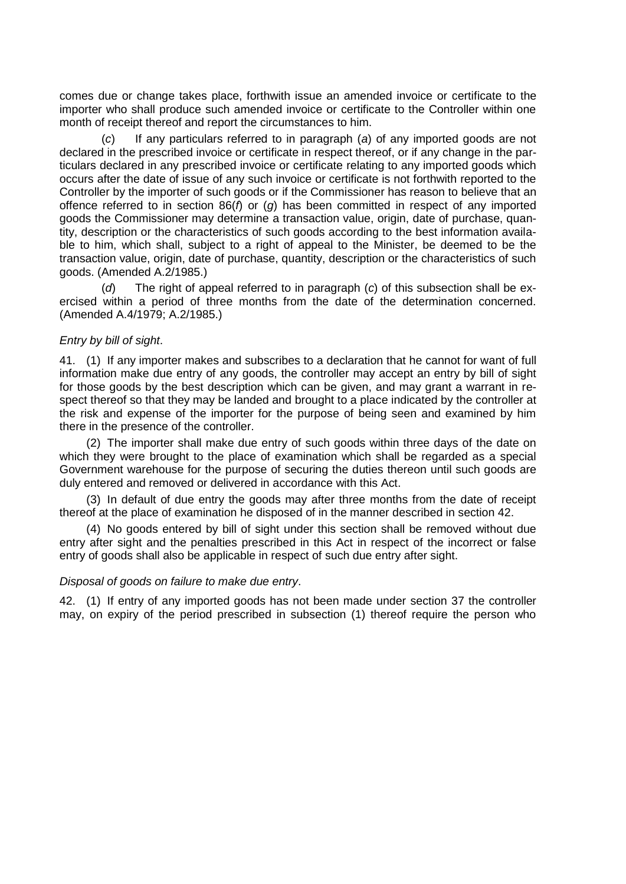comes due or change takes place, forthwith issue an amended invoice or certificate to the importer who shall produce such amended invoice or certificate to the Controller within one month of receipt thereof and report the circumstances to him.

(*c*) If any particulars referred to in paragraph (*a*) of any imported goods are not declared in the prescribed invoice or certificate in respect thereof, or if any change in the particulars declared in any prescribed invoice or certificate relating to any imported goods which occurs after the date of issue of any such invoice or certificate is not forthwith reported to the Controller by the importer of such goods or if the Commissioner has reason to believe that an offence referred to in section 86(*f*) or (*g*) has been committed in respect of any imported goods the Commissioner may determine a transaction value, origin, date of purchase, quantity, description or the characteristics of such goods according to the best information available to him, which shall, subject to a right of appeal to the Minister, be deemed to be the transaction value, origin, date of purchase, quantity, description or the characteristics of such goods. (Amended A.2/1985.)

(*d*) The right of appeal referred to in paragraph (*c*) of this subsection shall be exercised within a period of three months from the date of the determination concerned. (Amended A.4/1979; A.2/1985.)

### *Entry by bill of sight*.

41. (1) If any importer makes and subscribes to a declaration that he cannot for want of full information make due entry of any goods, the controller may accept an entry by bill of sight for those goods by the best description which can be given, and may grant a warrant in respect thereof so that they may be landed and brought to a place indicated by the controller at the risk and expense of the importer for the purpose of being seen and examined by him there in the presence of the controller.

(2) The importer shall make due entry of such goods within three days of the date on which they were brought to the place of examination which shall be regarded as a special Government warehouse for the purpose of securing the duties thereon until such goods are duly entered and removed or delivered in accordance with this Act.

(3) In default of due entry the goods may after three months from the date of receipt thereof at the place of examination he disposed of in the manner described in section 42.

(4) No goods entered by bill of sight under this section shall be removed without due entry after sight and the penalties prescribed in this Act in respect of the incorrect or false entry of goods shall also be applicable in respect of such due entry after sight.

### *Disposal of goods on failure to make due entry*.

42. (1) If entry of any imported goods has not been made under section 37 the controller may, on expiry of the period prescribed in subsection (1) thereof require the person who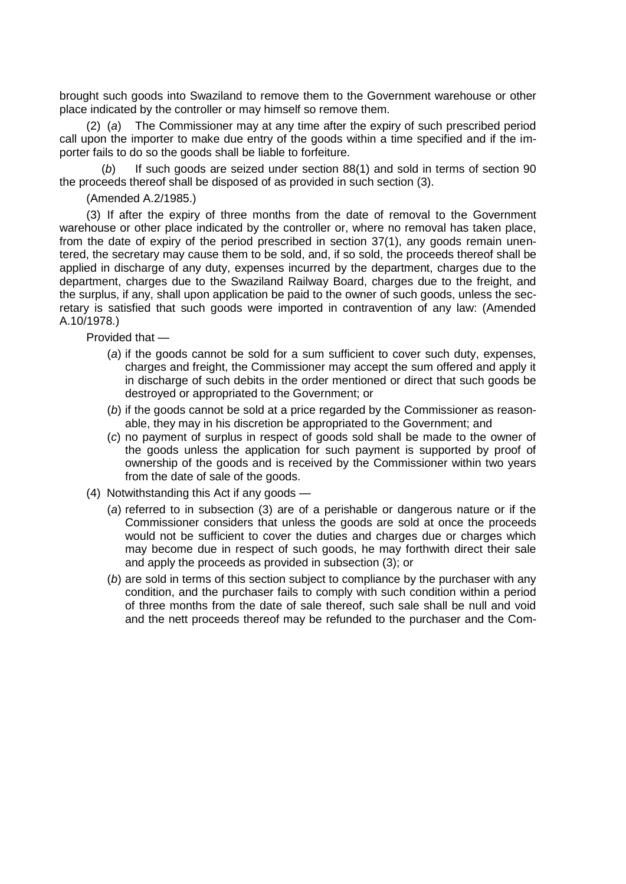brought such goods into Swaziland to remove them to the Government warehouse or other place indicated by the controller or may himself so remove them.

(2) (*a*) The Commissioner may at any time after the expiry of such prescribed period call upon the importer to make due entry of the goods within a time specified and if the importer fails to do so the goods shall be liable to forfeiture.

(*b*) If such goods are seized under section 88(1) and sold in terms of section 90 the proceeds thereof shall be disposed of as provided in such section (3).

(Amended A.2/1985.)

(3) If after the expiry of three months from the date of removal to the Government warehouse or other place indicated by the controller or, where no removal has taken place, from the date of expiry of the period prescribed in section 37(1), any goods remain unentered, the secretary may cause them to be sold, and, if so sold, the proceeds thereof shall be applied in discharge of any duty, expenses incurred by the department, charges due to the department, charges due to the Swaziland Railway Board, charges due to the freight, and the surplus, if any, shall upon application be paid to the owner of such goods, unless the secretary is satisfied that such goods were imported in contravention of any law: (Amended A.10/1978.)

Provided that —

- (*a*) if the goods cannot be sold for a sum sufficient to cover such duty, expenses, charges and freight, the Commissioner may accept the sum offered and apply it in discharge of such debits in the order mentioned or direct that such goods be destroyed or appropriated to the Government; or
- (*b*) if the goods cannot be sold at a price regarded by the Commissioner as reasonable, they may in his discretion be appropriated to the Government; and
- (*c*) no payment of surplus in respect of goods sold shall be made to the owner of the goods unless the application for such payment is supported by proof of ownership of the goods and is received by the Commissioner within two years from the date of sale of the goods.
- (4) Notwithstanding this Act if any goods
	- (*a*) referred to in subsection (3) are of a perishable or dangerous nature or if the Commissioner considers that unless the goods are sold at once the proceeds would not be sufficient to cover the duties and charges due or charges which may become due in respect of such goods, he may forthwith direct their sale and apply the proceeds as provided in subsection (3); or
	- (*b*) are sold in terms of this section subject to compliance by the purchaser with any condition, and the purchaser fails to comply with such condition within a period of three months from the date of sale thereof, such sale shall be null and void and the nett proceeds thereof may be refunded to the purchaser and the Com-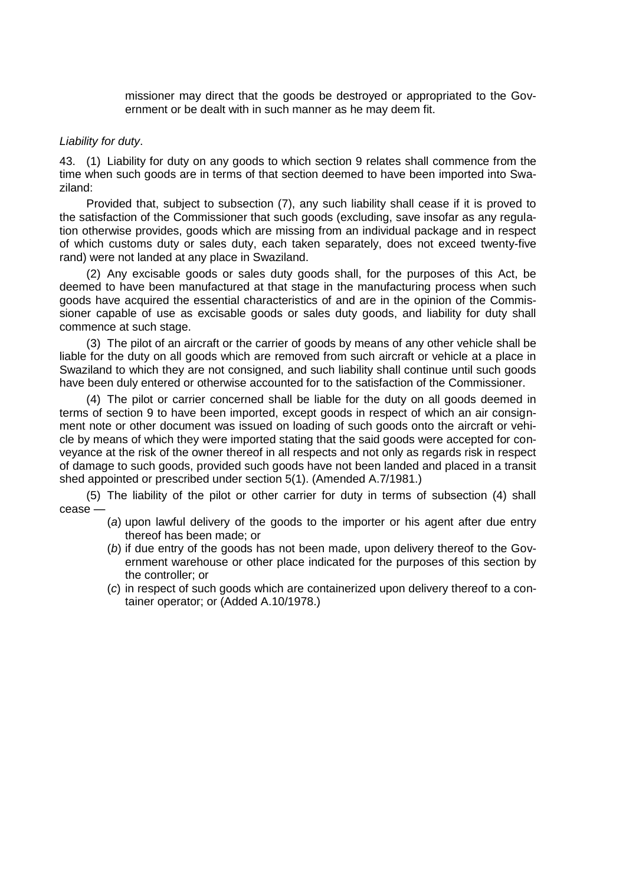missioner may direct that the goods be destroyed or appropriated to the Government or be dealt with in such manner as he may deem fit.

### *Liability for duty*.

43. (1) Liability for duty on any goods to which section 9 relates shall commence from the time when such goods are in terms of that section deemed to have been imported into Swaziland:

Provided that, subject to subsection (7), any such liability shall cease if it is proved to the satisfaction of the Commissioner that such goods (excluding, save insofar as any regulation otherwise provides, goods which are missing from an individual package and in respect of which customs duty or sales duty, each taken separately, does not exceed twenty-five rand) were not landed at any place in Swaziland.

(2) Any excisable goods or sales duty goods shall, for the purposes of this Act, be deemed to have been manufactured at that stage in the manufacturing process when such goods have acquired the essential characteristics of and are in the opinion of the Commissioner capable of use as excisable goods or sales duty goods, and liability for duty shall commence at such stage.

(3) The pilot of an aircraft or the carrier of goods by means of any other vehicle shall be liable for the duty on all goods which are removed from such aircraft or vehicle at a place in Swaziland to which they are not consigned, and such liability shall continue until such goods have been duly entered or otherwise accounted for to the satisfaction of the Commissioner.

(4) The pilot or carrier concerned shall be liable for the duty on all goods deemed in terms of section 9 to have been imported, except goods in respect of which an air consignment note or other document was issued on loading of such goods onto the aircraft or vehicle by means of which they were imported stating that the said goods were accepted for conveyance at the risk of the owner thereof in all respects and not only as regards risk in respect of damage to such goods, provided such goods have not been landed and placed in a transit shed appointed or prescribed under section 5(1). (Amended A.7/1981.)

(5) The liability of the pilot or other carrier for duty in terms of subsection (4) shall cease —

- (*a*) upon lawful delivery of the goods to the importer or his agent after due entry thereof has been made; or
- (*b*) if due entry of the goods has not been made, upon delivery thereof to the Government warehouse or other place indicated for the purposes of this section by the controller; or
- (*c*) in respect of such goods which are containerized upon delivery thereof to a container operator; or (Added A.10/1978.)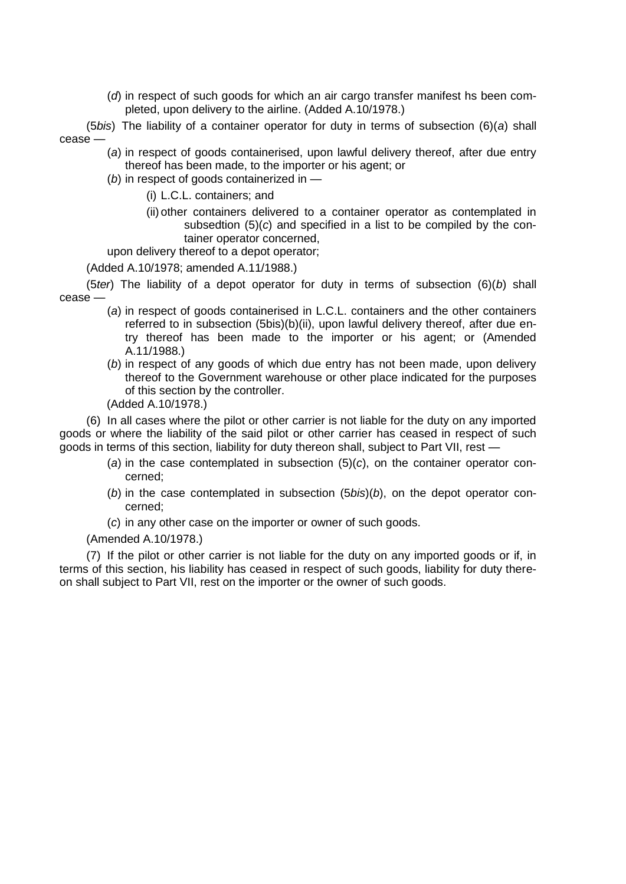(*d*) in respect of such goods for which an air cargo transfer manifest hs been completed, upon delivery to the airline. (Added A.10/1978.)

(5*bis*) The liability of a container operator for duty in terms of subsection (6)(*a*) shall cease —

- (*a*) in respect of goods containerised, upon lawful delivery thereof, after due entry thereof has been made, to the importer or his agent; or
- (*b*) in respect of goods containerized in
	- (i) L.C.L. containers; and
	- (ii) other containers delivered to a container operator as contemplated in subsedtion (5)(*c*) and specified in a list to be compiled by the container operator concerned,

upon delivery thereof to a depot operator;

(Added A.10/1978; amended A.11/1988.)

(5*ter*) The liability of a depot operator for duty in terms of subsection (6)(*b*) shall cease —

- (*a*) in respect of goods containerised in L.C.L. containers and the other containers referred to in subsection (5bis)(b)(ii), upon lawful delivery thereof, after due entry thereof has been made to the importer or his agent; or (Amended A.11/1988.)
- (*b*) in respect of any goods of which due entry has not been made, upon delivery thereof to the Government warehouse or other place indicated for the purposes of this section by the controller.
- (Added A.10/1978.)

(6) In all cases where the pilot or other carrier is not liable for the duty on any imported goods or where the liability of the said pilot or other carrier has ceased in respect of such goods in terms of this section, liability for duty thereon shall, subject to Part VII, rest —

- (*a*) in the case contemplated in subsection (5)(*c*), on the container operator concerned;
- (*b*) in the case contemplated in subsection (5*bis*)(*b*), on the depot operator concerned;
- (*c*) in any other case on the importer or owner of such goods.

(Amended A.10/1978.)

(7) If the pilot or other carrier is not liable for the duty on any imported goods or if, in terms of this section, his liability has ceased in respect of such goods, liability for duty thereon shall subject to Part VII, rest on the importer or the owner of such goods.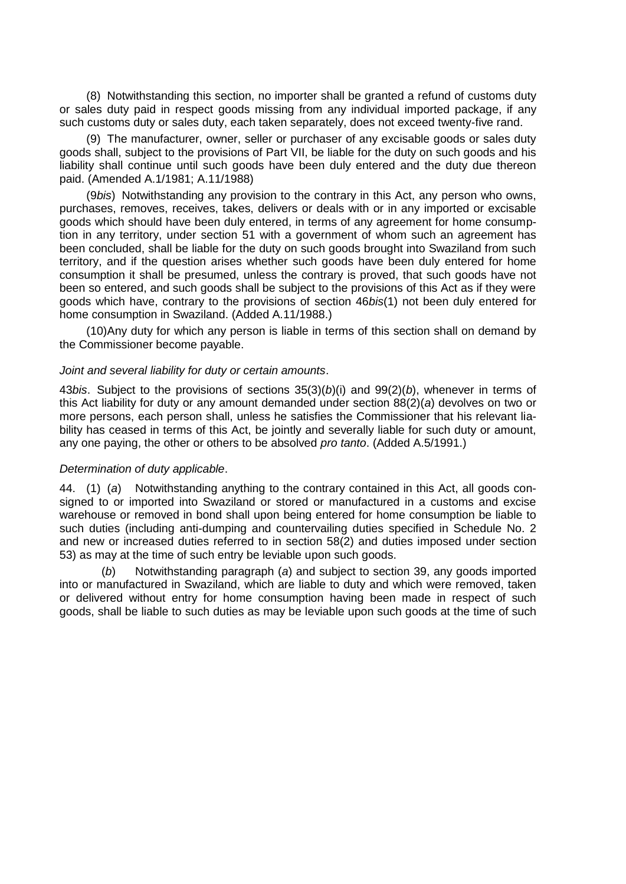(8) Notwithstanding this section, no importer shall be granted a refund of customs duty or sales duty paid in respect goods missing from any individual imported package, if any such customs duty or sales duty, each taken separately, does not exceed twenty-five rand.

(9) The manufacturer, owner, seller or purchaser of any excisable goods or sales duty goods shall, subject to the provisions of Part VII, be liable for the duty on such goods and his liability shall continue until such goods have been duly entered and the duty due thereon paid. (Amended A.1/1981; A.11/1988)

(9*bis*) Notwithstanding any provision to the contrary in this Act, any person who owns, purchases, removes, receives, takes, delivers or deals with or in any imported or excisable goods which should have been duly entered, in terms of any agreement for home consumption in any territory, under section 51 with a government of whom such an agreement has been concluded, shall be liable for the duty on such goods brought into Swaziland from such territory, and if the question arises whether such goods have been duly entered for home consumption it shall be presumed, unless the contrary is proved, that such goods have not been so entered, and such goods shall be subject to the provisions of this Act as if they were goods which have, contrary to the provisions of section 46*bis*(1) not been duly entered for home consumption in Swaziland. (Added A.11/1988.)

(10)Any duty for which any person is liable in terms of this section shall on demand by the Commissioner become payable.

#### *Joint and several liability for duty or certain amounts*.

43*bis*. Subject to the provisions of sections 35(3)(*b*)(i) and 99(2)(*b*), whenever in terms of this Act liability for duty or any amount demanded under section 88(2)(*a*) devolves on two or more persons, each person shall, unless he satisfies the Commissioner that his relevant liability has ceased in terms of this Act, be jointly and severally liable for such duty or amount, any one paying, the other or others to be absolved *pro tanto*. (Added A.5/1991.)

#### *Determination of duty applicable*.

44. (1) (*a*) Notwithstanding anything to the contrary contained in this Act, all goods consigned to or imported into Swaziland or stored or manufactured in a customs and excise warehouse or removed in bond shall upon being entered for home consumption be liable to such duties (including anti-dumping and countervailing duties specified in Schedule No. 2 and new or increased duties referred to in section 58(2) and duties imposed under section 53) as may at the time of such entry be leviable upon such goods.

(*b*) Notwithstanding paragraph (*a*) and subject to section 39, any goods imported into or manufactured in Swaziland, which are liable to duty and which were removed, taken or delivered without entry for home consumption having been made in respect of such goods, shall be liable to such duties as may be leviable upon such goods at the time of such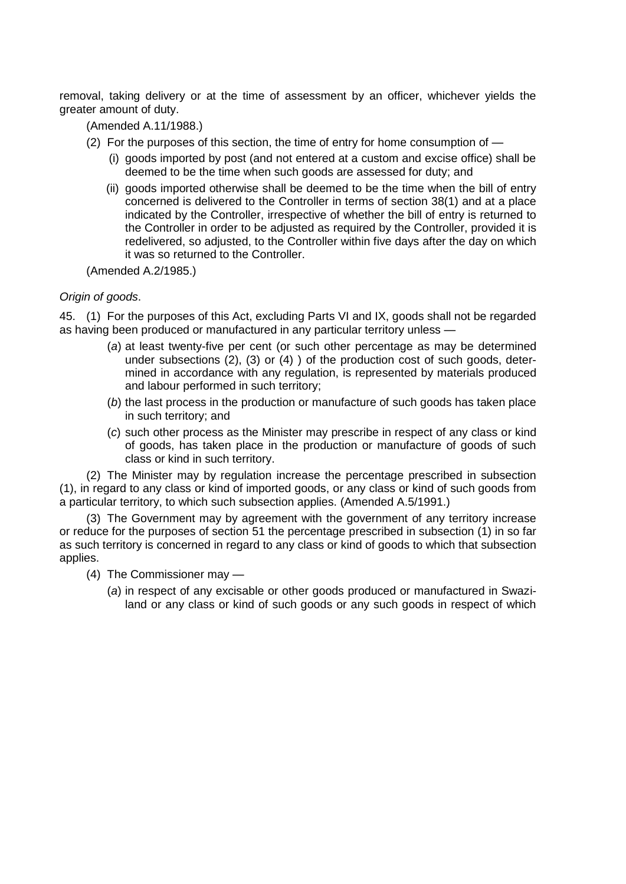removal, taking delivery or at the time of assessment by an officer, whichever yields the greater amount of duty.

(Amended A.11/1988.)

- (2) For the purposes of this section, the time of entry for home consumption of
	- (i) goods imported by post (and not entered at a custom and excise office) shall be deemed to be the time when such goods are assessed for duty; and
	- (ii) goods imported otherwise shall be deemed to be the time when the bill of entry concerned is delivered to the Controller in terms of section 38(1) and at a place indicated by the Controller, irrespective of whether the bill of entry is returned to the Controller in order to be adjusted as required by the Controller, provided it is redelivered, so adjusted, to the Controller within five days after the day on which it was so returned to the Controller.

(Amended A.2/1985.)

# *Origin of goods*.

45. (1) For the purposes of this Act, excluding Parts VI and IX, goods shall not be regarded as having been produced or manufactured in any particular territory unless —

- (*a*) at least twenty-five per cent (or such other percentage as may be determined under subsections (2), (3) or (4) ) of the production cost of such goods, determined in accordance with any regulation, is represented by materials produced and labour performed in such territory;
- (*b*) the last process in the production or manufacture of such goods has taken place in such territory; and
- (*c*) such other process as the Minister may prescribe in respect of any class or kind of goods, has taken place in the production or manufacture of goods of such class or kind in such territory.

(2) The Minister may by regulation increase the percentage prescribed in subsection (1), in regard to any class or kind of imported goods, or any class or kind of such goods from a particular territory, to which such subsection applies. (Amended A.5/1991.)

(3) The Government may by agreement with the government of any territory increase or reduce for the purposes of section 51 the percentage prescribed in subsection (1) in so far as such territory is concerned in regard to any class or kind of goods to which that subsection applies.

- (4) The Commissioner may
	- (*a*) in respect of any excisable or other goods produced or manufactured in Swaziland or any class or kind of such goods or any such goods in respect of which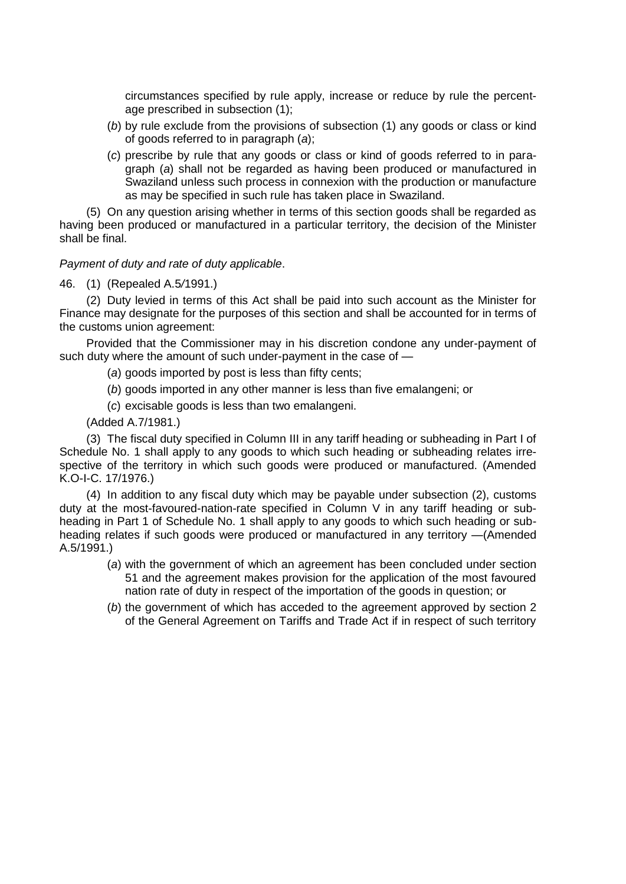circumstances specified by rule apply, increase or reduce by rule the percentage prescribed in subsection (1);

- (*b*) by rule exclude from the provisions of subsection (1) any goods or class or kind of goods referred to in paragraph (*a*);
- (*c*) prescribe by rule that any goods or class or kind of goods referred to in paragraph (*a*) shall not be regarded as having been produced or manufactured in Swaziland unless such process in connexion with the production or manufacture as may be specified in such rule has taken place in Swaziland.

(5) On any question arising whether in terms of this section goods shall be regarded as having been produced or manufactured in a particular territory, the decision of the Minister shall be final.

### *Payment of duty and rate of duty applicable*.

46. (1) (Repealed A.5*/*1991.)

(2) Duty levied in terms of this Act shall be paid into such account as the Minister for Finance may designate for the purposes of this section and shall be accounted for in terms of the customs union agreement:

Provided that the Commissioner may in his discretion condone any under-payment of such duty where the amount of such under-payment in the case of —

(*a*) goods imported by post is less than fifty cents;

(*b*) goods imported in any other manner is less than five emalangeni; or

(*c*) excisable goods is less than two emalangeni.

(Added A.7/1981.)

(3) The fiscal duty specified in Column III in any tariff heading or subheading in Part I of Schedule No. 1 shall apply to any goods to which such heading or subheading relates irrespective of the territory in which such goods were produced or manufactured. (Amended K.O-I-C. 17/1976.)

(4) In addition to any fiscal duty which may be payable under subsection (2), customs duty at the most-favoured-nation-rate specified in Column V in any tariff heading or subheading in Part 1 of Schedule No. 1 shall apply to any goods to which such heading or subheading relates if such goods were produced or manufactured in any territory —(Amended A.5/1991.)

- (*a*) with the government of which an agreement has been concluded under section 51 and the agreement makes provision for the application of the most favoured nation rate of duty in respect of the importation of the goods in question; or
- (*b*) the government of which has acceded to the agreement approved by section 2 of the General Agreement on Tariffs and Trade Act if in respect of such territory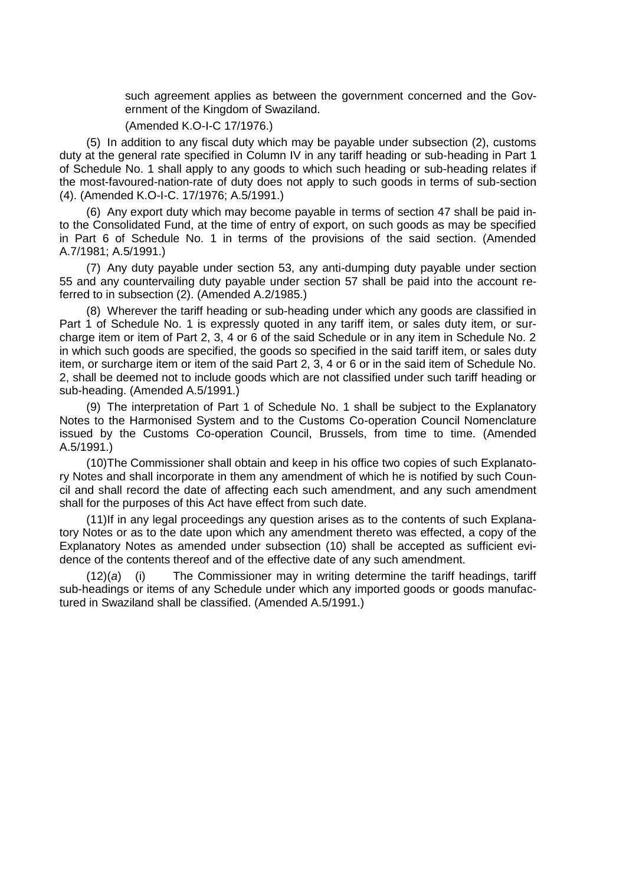such agreement applies as between the government concerned and the Government of the Kingdom of Swaziland.

### (Amended K.O-I-C 17/1976.)

(5) In addition to any fiscal duty which may be payable under subsection (2), customs duty at the general rate specified in Column IV in any tariff heading or sub-heading in Part 1 of Schedule No. 1 shall apply to any goods to which such heading or sub-heading relates if the most-favoured-nation-rate of duty does not apply to such goods in terms of sub-section (4). (Amended K.O-I-C. 17/1976; A.5/1991.)

(6) Any export duty which may become payable in terms of section 47 shall be paid into the Consolidated Fund, at the time of entry of export, on such goods as may be specified in Part 6 of Schedule No. 1 in terms of the provisions of the said section. (Amended A.7/1981; A.5/1991.)

(7) Any duty payable under section 53, any anti-dumping duty payable under section 55 and any countervailing duty payable under section 57 shall be paid into the account referred to in subsection (2). (Amended A.2/1985.)

(8) Wherever the tariff heading or sub-heading under which any goods are classified in Part 1 of Schedule No. 1 is expressly quoted in any tariff item, or sales duty item, or surcharge item or item of Part 2, 3, 4 or 6 of the said Schedule or in any item in Schedule No. 2 in which such goods are specified, the goods so specified in the said tariff item, or sales duty item, or surcharge item or item of the said Part 2, 3, 4 or 6 or in the said item of Schedule No. 2, shall be deemed not to include goods which are not classified under such tariff heading or sub-heading. (Amended A.5/1991.)

(9) The interpretation of Part 1 of Schedule No. 1 shall be subject to the Explanatory Notes to the Harmonised System and to the Customs Co-operation Council Nomenclature issued by the Customs Co-operation Council, Brussels, from time to time. (Amended A.5/1991.)

(10)The Commissioner shall obtain and keep in his office two copies of such Explanatory Notes and shall incorporate in them any amendment of which he is notified by such Council and shall record the date of affecting each such amendment, and any such amendment shall for the purposes of this Act have effect from such date.

(11)If in any legal proceedings any question arises as to the contents of such Explanatory Notes or as to the date upon which any amendment thereto was effected, a copy of the Explanatory Notes as amended under subsection (10) shall be accepted as sufficient evidence of the contents thereof and of the effective date of any such amendment.

(12)(*a*) (i) The Commissioner may in writing determine the tariff headings, tariff sub-headings or items of any Schedule under which any imported goods or goods manufactured in Swaziland shall be classified. (Amended A.5/1991.)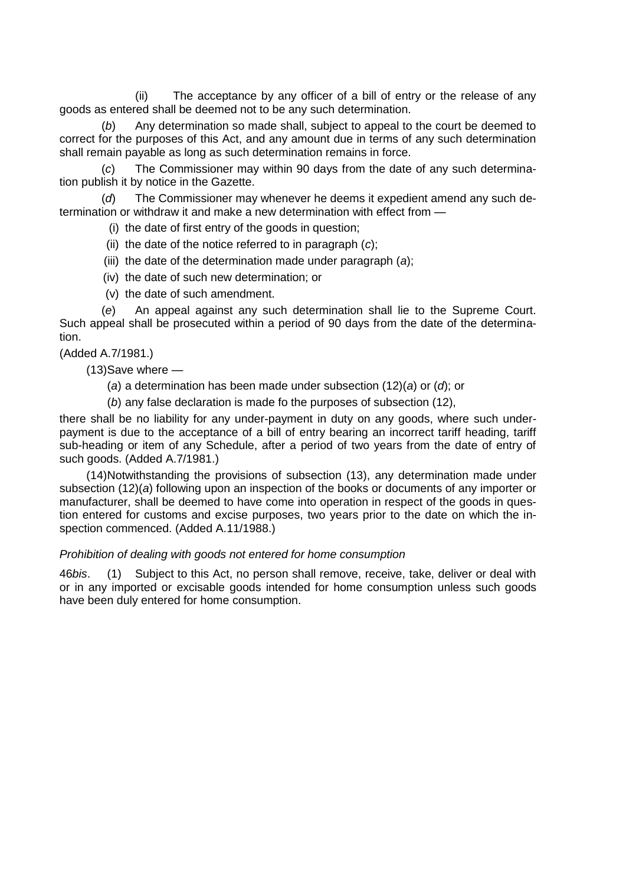(ii) The acceptance by any officer of a bill of entry or the release of any goods as entered shall be deemed not to be any such determination.

(*b*) Any determination so made shall, subject to appeal to the court be deemed to correct for the purposes of this Act, and any amount due in terms of any such determination shall remain payable as long as such determination remains in force.

(*c*) The Commissioner may within 90 days from the date of any such determination publish it by notice in the Gazette.

(*d*) The Commissioner may whenever he deems it expedient amend any such determination or withdraw it and make a new determination with effect from —

(i) the date of first entry of the goods in question;

- (ii) the date of the notice referred to in paragraph (*c*);
- (iii) the date of the determination made under paragraph (*a*);
- (iv) the date of such new determination; or
- (v) the date of such amendment.

(*e*) An appeal against any such determination shall lie to the Supreme Court. Such appeal shall be prosecuted within a period of 90 days from the date of the determination.

(Added A.7/1981.)

(13)Save where —

- (*a*) a determination has been made under subsection (12)(*a*) or (*d*); or
- (*b*) any false declaration is made fo the purposes of subsection (12),

there shall be no liability for any under-payment in duty on any goods, where such underpayment is due to the acceptance of a bill of entry bearing an incorrect tariff heading, tariff sub-heading or item of any Schedule, after a period of two years from the date of entry of such goods. (Added A.7/1981.)

(14)Notwithstanding the provisions of subsection (13), any determination made under subsection (12)(*a*) following upon an inspection of the books or documents of any importer or manufacturer, shall be deemed to have come into operation in respect of the goods in question entered for customs and excise purposes, two years prior to the date on which the inspection commenced. (Added A.11/1988.)

#### *Prohibition of dealing with goods not entered for home consumption*

46*bis*. (1) Subject to this Act, no person shall remove, receive, take, deliver or deal with or in any imported or excisable goods intended for home consumption unless such goods have been duly entered for home consumption.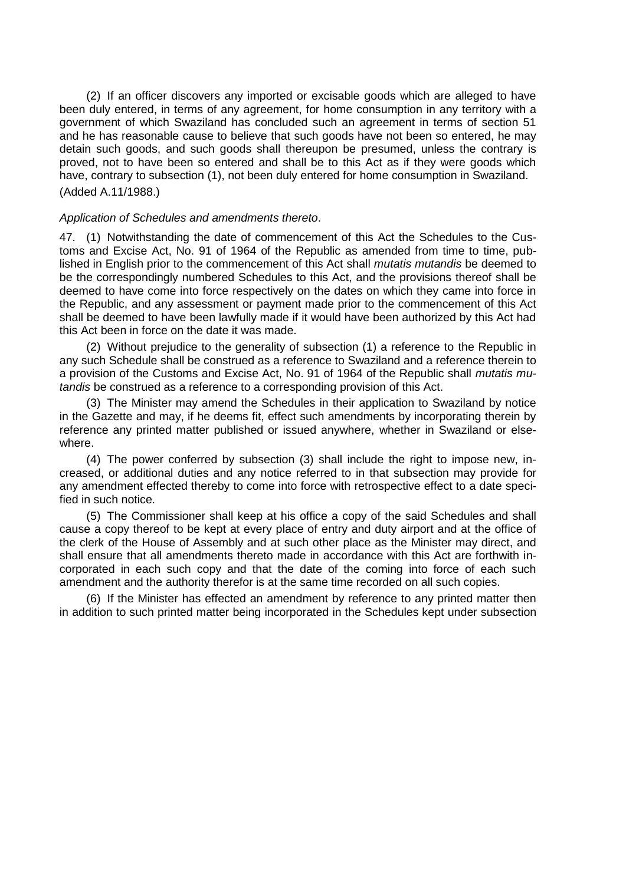(2) If an officer discovers any imported or excisable goods which are alleged to have been duly entered, in terms of any agreement, for home consumption in any territory with a government of which Swaziland has concluded such an agreement in terms of section 51 and he has reasonable cause to believe that such goods have not been so entered, he may detain such goods, and such goods shall thereupon be presumed, unless the contrary is proved, not to have been so entered and shall be to this Act as if they were goods which have, contrary to subsection (1), not been duly entered for home consumption in Swaziland. (Added A.11/1988.)

### *Application of Schedules and amendments thereto*.

47. (1) Notwithstanding the date of commencement of this Act the Schedules to the Customs and Excise Act, No. 91 of 1964 of the Republic as amended from time to time, published in English prior to the commencement of this Act shall *mutatis mutandis* be deemed to be the correspondingly numbered Schedules to this Act, and the provisions thereof shall be deemed to have come into force respectively on the dates on which they came into force in the Republic, and any assessment or payment made prior to the commencement of this Act shall be deemed to have been lawfully made if it would have been authorized by this Act had this Act been in force on the date it was made.

(2) Without prejudice to the generality of subsection (1) a reference to the Republic in any such Schedule shall be construed as a reference to Swaziland and a reference therein to a provision of the Customs and Excise Act, No. 91 of 1964 of the Republic shall *mutatis mutandis* be construed as a reference to a corresponding provision of this Act.

(3) The Minister may amend the Schedules in their application to Swaziland by notice in the Gazette and may, if he deems fit, effect such amendments by incorporating therein by reference any printed matter published or issued anywhere, whether in Swaziland or elsewhere.

(4) The power conferred by subsection (3) shall include the right to impose new, increased, or additional duties and any notice referred to in that subsection may provide for any amendment effected thereby to come into force with retrospective effect to a date specified in such notice.

(5) The Commissioner shall keep at his office a copy of the said Schedules and shall cause a copy thereof to be kept at every place of entry and duty airport and at the office of the clerk of the House of Assembly and at such other place as the Minister may direct, and shall ensure that all amendments thereto made in accordance with this Act are forthwith incorporated in each such copy and that the date of the coming into force of each such amendment and the authority therefor is at the same time recorded on all such copies.

(6) If the Minister has effected an amendment by reference to any printed matter then in addition to such printed matter being incorporated in the Schedules kept under subsection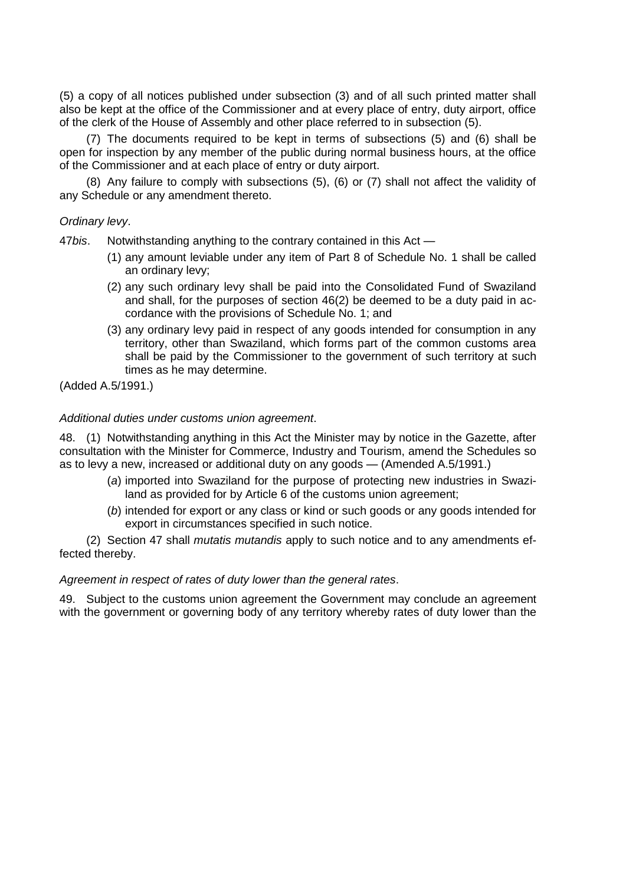(5) a copy of all notices published under subsection (3) and of all such printed matter shall also be kept at the office of the Commissioner and at every place of entry, duty airport, office of the clerk of the House of Assembly and other place referred to in subsection (5).

(7) The documents required to be kept in terms of subsections (5) and (6) shall be open for inspection by any member of the public during normal business hours, at the office of the Commissioner and at each place of entry or duty airport.

(8) Any failure to comply with subsections (5), (6) or (7) shall not affect the validity of any Schedule or any amendment thereto.

## *Ordinary levy*.

47*bis*. Notwithstanding anything to the contrary contained in this Act —

- (1) any amount leviable under any item of Part 8 of Schedule No. 1 shall be called an ordinary levy;
- (2) any such ordinary levy shall be paid into the Consolidated Fund of Swaziland and shall, for the purposes of section 46(2) be deemed to be a duty paid in accordance with the provisions of Schedule No. 1; and
- (3) any ordinary levy paid in respect of any goods intended for consumption in any territory, other than Swaziland, which forms part of the common customs area shall be paid by the Commissioner to the government of such territory at such times as he may determine.

(Added A.5/1991.)

# *Additional duties under customs union agreement*.

48. (1) Notwithstanding anything in this Act the Minister may by notice in the Gazette, after consultation with the Minister for Commerce, Industry and Tourism, amend the Schedules so as to levy a new, increased or additional duty on any goods — (Amended A.5/1991.)

- (*a*) imported into Swaziland for the purpose of protecting new industries in Swaziland as provided for by Article 6 of the customs union agreement;
- (*b*) intended for export or any class or kind or such goods or any goods intended for export in circumstances specified in such notice.

(2) Section 47 shall *mutatis mutandis* apply to such notice and to any amendments effected thereby.

### *Agreement in respect of rates of duty lower than the general rates*.

49. Subject to the customs union agreement the Government may conclude an agreement with the government or governing body of any territory whereby rates of duty lower than the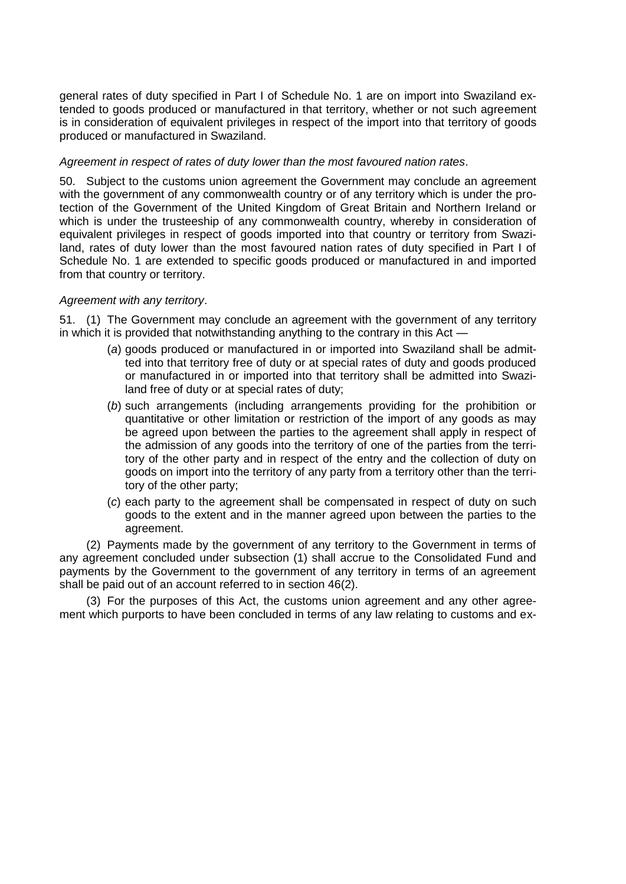general rates of duty specified in Part I of Schedule No. 1 are on import into Swaziland extended to goods produced or manufactured in that territory, whether or not such agreement is in consideration of equivalent privileges in respect of the import into that territory of goods produced or manufactured in Swaziland.

# *Agreement in respect of rates of duty lower than the most favoured nation rates*.

50. Subject to the customs union agreement the Government may conclude an agreement with the government of any commonwealth country or of any territory which is under the protection of the Government of the United Kingdom of Great Britain and Northern Ireland or which is under the trusteeship of any commonwealth country, whereby in consideration of equivalent privileges in respect of goods imported into that country or territory from Swaziland, rates of duty lower than the most favoured nation rates of duty specified in Part I of Schedule No. 1 are extended to specific goods produced or manufactured in and imported from that country or territory.

# *Agreement with any territory*.

51. (1) The Government may conclude an agreement with the government of any territory in which it is provided that notwithstanding anything to the contrary in this Act —

- (*a*) goods produced or manufactured in or imported into Swaziland shall be admitted into that territory free of duty or at special rates of duty and goods produced or manufactured in or imported into that territory shall be admitted into Swaziland free of duty or at special rates of duty;
- (*b*) such arrangements (including arrangements providing for the prohibition or quantitative or other limitation or restriction of the import of any goods as may be agreed upon between the parties to the agreement shall apply in respect of the admission of any goods into the territory of one of the parties from the territory of the other party and in respect of the entry and the collection of duty on goods on import into the territory of any party from a territory other than the territory of the other party;
- (*c*) each party to the agreement shall be compensated in respect of duty on such goods to the extent and in the manner agreed upon between the parties to the agreement.

(2) Payments made by the government of any territory to the Government in terms of any agreement concluded under subsection (1) shall accrue to the Consolidated Fund and payments by the Government to the government of any territory in terms of an agreement shall be paid out of an account referred to in section 46(2).

(3) For the purposes of this Act, the customs union agreement and any other agreement which purports to have been concluded in terms of any law relating to customs and ex-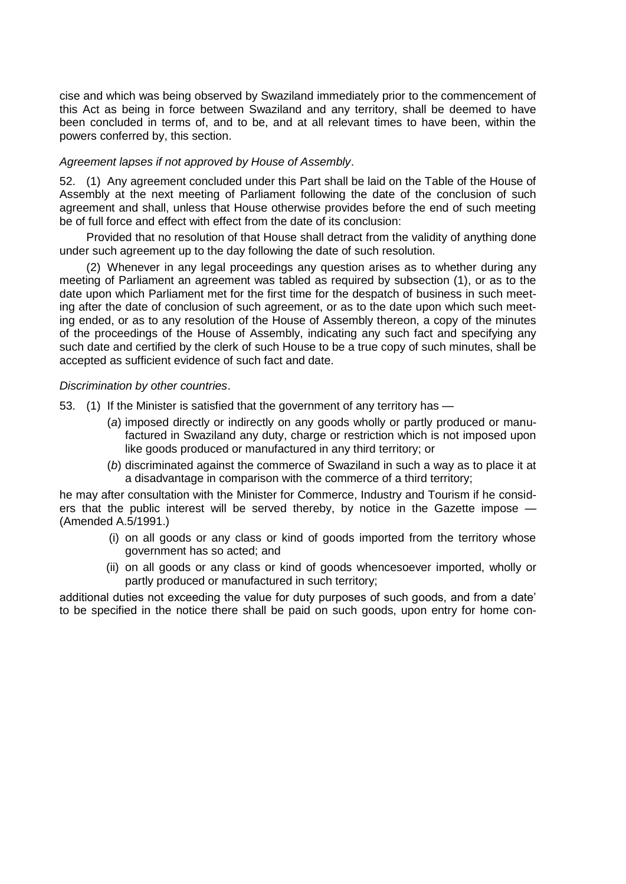cise and which was being observed by Swaziland immediately prior to the commencement of this Act as being in force between Swaziland and any territory, shall be deemed to have been concluded in terms of, and to be, and at all relevant times to have been, within the powers conferred by, this section.

# *Agreement lapses if not approved by House of Assembly*.

52. (1) Any agreement concluded under this Part shall be laid on the Table of the House of Assembly at the next meeting of Parliament following the date of the conclusion of such agreement and shall, unless that House otherwise provides before the end of such meeting be of full force and effect with effect from the date of its conclusion:

Provided that no resolution of that House shall detract from the validity of anything done under such agreement up to the day following the date of such resolution.

(2) Whenever in any legal proceedings any question arises as to whether during any meeting of Parliament an agreement was tabled as required by subsection (1), or as to the date upon which Parliament met for the first time for the despatch of business in such meeting after the date of conclusion of such agreement, or as to the date upon which such meeting ended, or as to any resolution of the House of Assembly thereon, a copy of the minutes of the proceedings of the House of Assembly, indicating any such fact and specifying any such date and certified by the clerk of such House to be a true copy of such minutes, shall be accepted as sufficient evidence of such fact and date.

# *Discrimination by other countries*.

- 53. (1) If the Minister is satisfied that the government of any territory has
	- (*a*) imposed directly or indirectly on any goods wholly or partly produced or manufactured in Swaziland any duty, charge or restriction which is not imposed upon like goods produced or manufactured in any third territory; or
	- (*b*) discriminated against the commerce of Swaziland in such a way as to place it at a disadvantage in comparison with the commerce of a third territory;

he may after consultation with the Minister for Commerce, Industry and Tourism if he considers that the public interest will be served thereby, by notice in the Gazette impose — (Amended A.5/1991.)

- (i) on all goods or any class or kind of goods imported from the territory whose government has so acted; and
- (ii) on all goods or any class or kind of goods whencesoever imported, wholly or partly produced or manufactured in such territory;

additional duties not exceeding the value for duty purposes of such goods, and from a date" to be specified in the notice there shall be paid on such goods, upon entry for home con-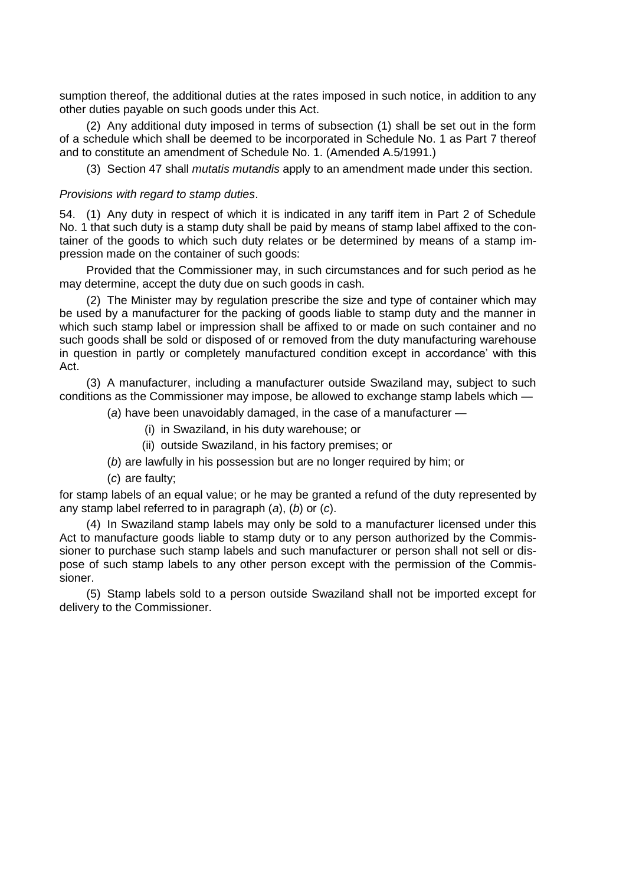sumption thereof, the additional duties at the rates imposed in such notice, in addition to any other duties payable on such goods under this Act.

(2) Any additional duty imposed in terms of subsection (1) shall be set out in the form of a schedule which shall be deemed to be incorporated in Schedule No. 1 as Part 7 thereof and to constitute an amendment of Schedule No. 1. (Amended A.5/1991.)

(3) Section 47 shall *mutatis mutandis* apply to an amendment made under this section.

# *Provisions with regard to stamp duties*.

54. (1) Any duty in respect of which it is indicated in any tariff item in Part 2 of Schedule No. 1 that such duty is a stamp duty shall be paid by means of stamp label affixed to the container of the goods to which such duty relates or be determined by means of a stamp impression made on the container of such goods:

Provided that the Commissioner may, in such circumstances and for such period as he may determine, accept the duty due on such goods in cash.

(2) The Minister may by regulation prescribe the size and type of container which may be used by a manufacturer for the packing of goods liable to stamp duty and the manner in which such stamp label or impression shall be affixed to or made on such container and no such goods shall be sold or disposed of or removed from the duty manufacturing warehouse in question in partly or completely manufactured condition except in accordance" with this Act.

(3) A manufacturer, including a manufacturer outside Swaziland may, subject to such conditions as the Commissioner may impose, be allowed to exchange stamp labels which —

(*a*) have been unavoidably damaged, in the case of a manufacturer —

- (i) in Swaziland, in his duty warehouse; or
- (ii) outside Swaziland, in his factory premises; or
- (*b*) are lawfully in his possession but are no longer required by him; or
- (*c*) are faulty;

for stamp labels of an equal value; or he may be granted a refund of the duty represented by any stamp label referred to in paragraph (*a*), (*b*) or (*c*).

(4) In Swaziland stamp labels may only be sold to a manufacturer licensed under this Act to manufacture goods liable to stamp duty or to any person authorized by the Commissioner to purchase such stamp labels and such manufacturer or person shall not sell or dispose of such stamp labels to any other person except with the permission of the Commissioner.

(5) Stamp labels sold to a person outside Swaziland shall not be imported except for delivery to the Commissioner.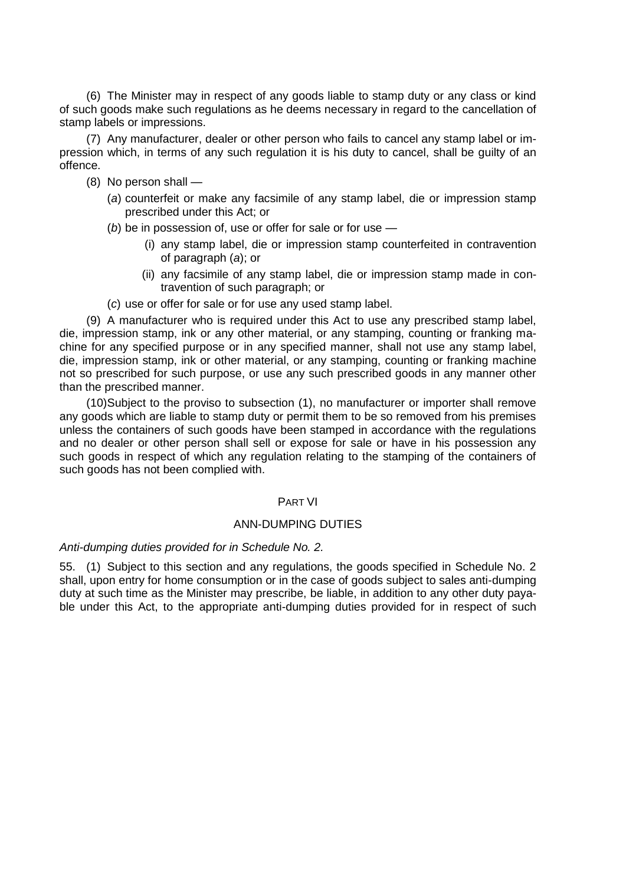(6) The Minister may in respect of any goods liable to stamp duty or any class or kind of such goods make such regulations as he deems necessary in regard to the cancellation of stamp labels or impressions.

(7) Any manufacturer, dealer or other person who fails to cancel any stamp label or impression which, in terms of any such regulation it is his duty to cancel, shall be guilty of an offence.

- (8) No person shall
	- (*a*) counterfeit or make any facsimile of any stamp label, die or impression stamp prescribed under this Act; or

(*b*) be in possession of, use or offer for sale or for use —

- (i) any stamp label, die or impression stamp counterfeited in contravention of paragraph (*a*); or
- (ii) any facsimile of any stamp label, die or impression stamp made in contravention of such paragraph; or
- (*c*) use or offer for sale or for use any used stamp label.

(9) A manufacturer who is required under this Act to use any prescribed stamp label, die, impression stamp, ink or any other material, or any stamping, counting or franking machine for any specified purpose or in any specified manner, shall not use any stamp label, die, impression stamp, ink or other material, or any stamping, counting or franking machine not so prescribed for such purpose, or use any such prescribed goods in any manner other than the prescribed manner.

(10)Subject to the proviso to subsection (1), no manufacturer or importer shall remove any goods which are liable to stamp duty or permit them to be so removed from his premises unless the containers of such goods have been stamped in accordance with the regulations and no dealer or other person shall sell or expose for sale or have in his possession any such goods in respect of which any regulation relating to the stamping of the containers of such goods has not been complied with.

# PART VI

# ANN-DUMPING DUTIES

### *Anti-dumping duties provided for in Schedule No. 2.*

55. (1) Subject to this section and any regulations, the goods specified in Schedule No. 2 shall, upon entry for home consumption or in the case of goods subject to sales anti-dumping duty at such time as the Minister may prescribe, be liable, in addition to any other duty payable under this Act, to the appropriate anti-dumping duties provided for in respect of such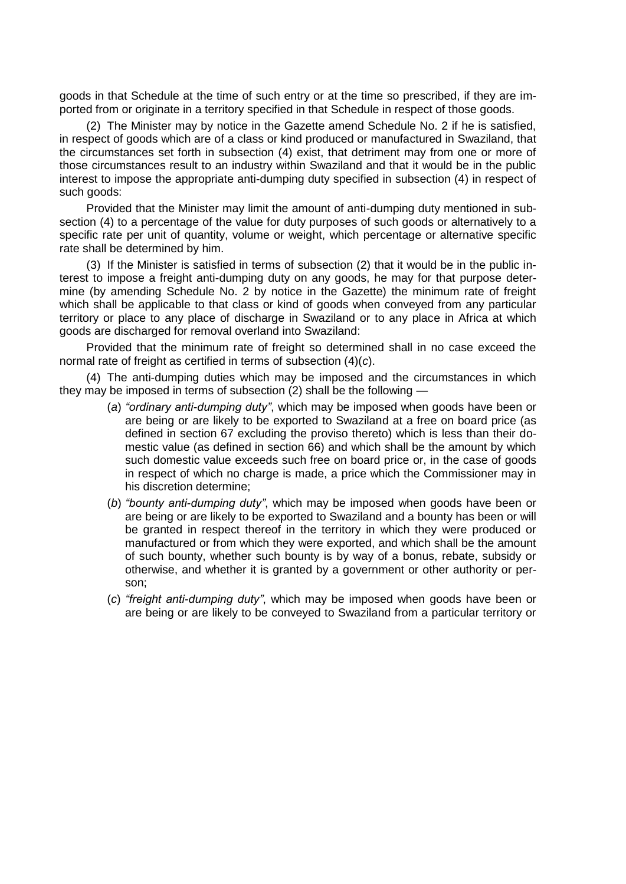goods in that Schedule at the time of such entry or at the time so prescribed, if they are imported from or originate in a territory specified in that Schedule in respect of those goods.

(2) The Minister may by notice in the Gazette amend Schedule No. 2 if he is satisfied, in respect of goods which are of a class or kind produced or manufactured in Swaziland, that the circumstances set forth in subsection (4) exist, that detriment may from one or more of those circumstances result to an industry within Swaziland and that it would be in the public interest to impose the appropriate anti-dumping duty specified in subsection (4) in respect of such goods:

Provided that the Minister may limit the amount of anti-dumping duty mentioned in subsection (4) to a percentage of the value for duty purposes of such goods or alternatively to a specific rate per unit of quantity, volume or weight, which percentage or alternative specific rate shall be determined by him.

(3) If the Minister is satisfied in terms of subsection (2) that it would be in the public interest to impose a freight anti-dumping duty on any goods, he may for that purpose determine (by amending Schedule No. 2 by notice in the Gazette) the minimum rate of freight which shall be applicable to that class or kind of goods when conveyed from any particular territory or place to any place of discharge in Swaziland or to any place in Africa at which goods are discharged for removal overland into Swaziland:

Provided that the minimum rate of freight so determined shall in no case exceed the normal rate of freight as certified in terms of subsection (4)(*c*).

(4) The anti-dumping duties which may be imposed and the circumstances in which they may be imposed in terms of subsection (2) shall be the following —

- (*a*) *"ordinary anti-dumping duty"*, which may be imposed when goods have been or are being or are likely to be exported to Swaziland at a free on board price (as defined in section 67 excluding the proviso thereto) which is less than their domestic value (as defined in section 66) and which shall be the amount by which such domestic value exceeds such free on board price or, in the case of goods in respect of which no charge is made, a price which the Commissioner may in his discretion determine;
- (*b*) *"bounty anti-dumping duty"*, which may be imposed when goods have been or are being or are likely to be exported to Swaziland and a bounty has been or will be granted in respect thereof in the territory in which they were produced or manufactured or from which they were exported, and which shall be the amount of such bounty, whether such bounty is by way of a bonus, rebate, subsidy or otherwise, and whether it is granted by a government or other authority or person;
- (*c*) *"freight anti-dumping duty"*, which may be imposed when goods have been or are being or are likely to be conveyed to Swaziland from a particular territory or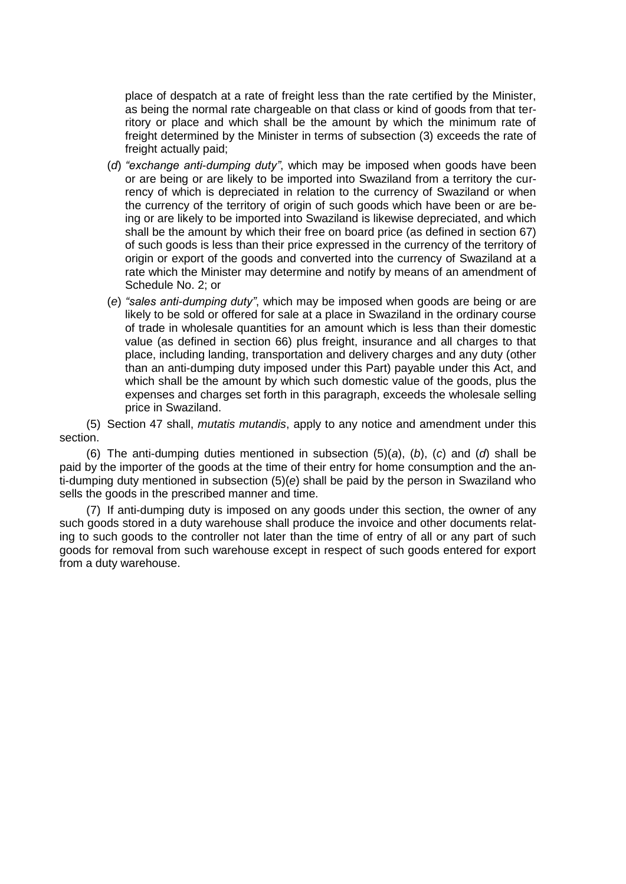place of despatch at a rate of freight less than the rate certified by the Minister, as being the normal rate chargeable on that class or kind of goods from that territory or place and which shall be the amount by which the minimum rate of freight determined by the Minister in terms of subsection (3) exceeds the rate of freight actually paid;

- (*d*) *"exchange anti-dumping duty"*, which may be imposed when goods have been or are being or are likely to be imported into Swaziland from a territory the currency of which is depreciated in relation to the currency of Swaziland or when the currency of the territory of origin of such goods which have been or are being or are likely to be imported into Swaziland is likewise depreciated, and which shall be the amount by which their free on board price (as defined in section 67) of such goods is less than their price expressed in the currency of the territory of origin or export of the goods and converted into the currency of Swaziland at a rate which the Minister may determine and notify by means of an amendment of Schedule No. 2; or
- (*e*) *"sales anti-dumping duty"*, which may be imposed when goods are being or are likely to be sold or offered for sale at a place in Swaziland in the ordinary course of trade in wholesale quantities for an amount which is less than their domestic value (as defined in section 66) plus freight, insurance and all charges to that place, including landing, transportation and delivery charges and any duty (other than an anti-dumping duty imposed under this Part) payable under this Act, and which shall be the amount by which such domestic value of the goods, plus the expenses and charges set forth in this paragraph, exceeds the wholesale selling price in Swaziland.

(5) Section 47 shall, *mutatis mutandis*, apply to any notice and amendment under this section.

(6) The anti-dumping duties mentioned in subsection (5)(*a*), (*b*), (*c*) and (*d*) shall be paid by the importer of the goods at the time of their entry for home consumption and the anti-dumping duty mentioned in subsection (5)(*e*) shall be paid by the person in Swaziland who sells the goods in the prescribed manner and time.

(7) If anti-dumping duty is imposed on any goods under this section, the owner of any such goods stored in a duty warehouse shall produce the invoice and other documents relating to such goods to the controller not later than the time of entry of all or any part of such goods for removal from such warehouse except in respect of such goods entered for export from a duty warehouse.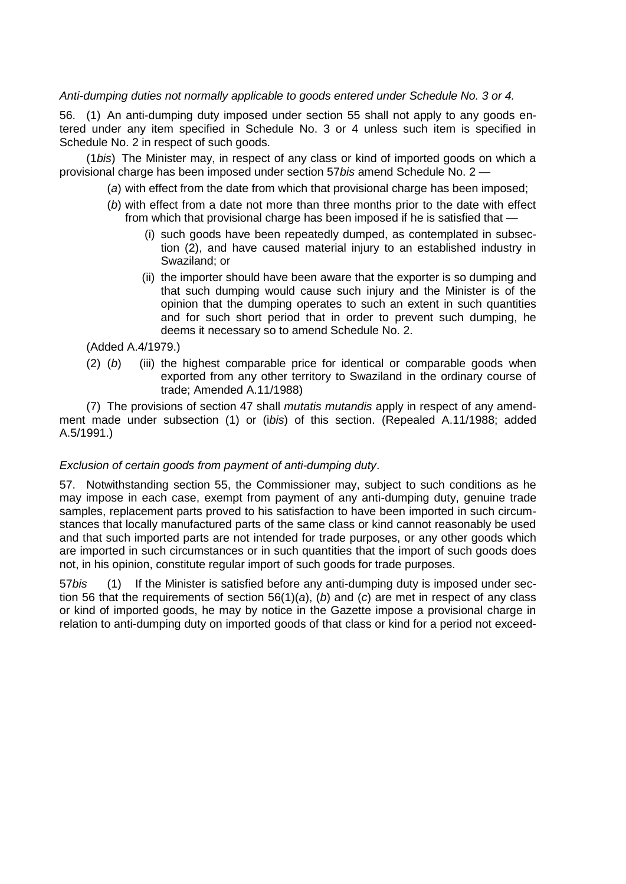# *Anti-dumping duties not normally applicable to goods entered under Schedule No. 3 or 4.*

56. (1) An anti-dumping duty imposed under section 55 shall not apply to any goods entered under any item specified in Schedule No. 3 or 4 unless such item is specified in Schedule No. 2 in respect of such goods.

(1*bis*) The Minister may, in respect of any class or kind of imported goods on which a provisional charge has been imposed under section 57*bis* amend Schedule No. 2 —

(*a*) with effect from the date from which that provisional charge has been imposed;

- (*b*) with effect from a date not more than three months prior to the date with effect from which that provisional charge has been imposed if he is satisfied that —
	- (i) such goods have been repeatedly dumped, as contemplated in subsection (2), and have caused material injury to an established industry in Swaziland; or
	- (ii) the importer should have been aware that the exporter is so dumping and that such dumping would cause such injury and the Minister is of the opinion that the dumping operates to such an extent in such quantities and for such short period that in order to prevent such dumping, he deems it necessary so to amend Schedule No. 2.

(Added A.4/1979.)

(2) (*b*) (iii) the highest comparable price for identical or comparable goods when exported from any other territory to Swaziland in the ordinary course of trade; Amended A.11/1988)

(7) The provisions of section 47 shall *mutatis mutandis* apply in respect of any amendment made under subsection (1) or (i*bis*) of this section. (Repealed A.11/1988; added A.5/1991.)

# *Exclusion of certain goods from payment of anti-dumping duty*.

57. Notwithstanding section 55, the Commissioner may, subject to such conditions as he may impose in each case, exempt from payment of any anti-dumping duty, genuine trade samples, replacement parts proved to his satisfaction to have been imported in such circumstances that locally manufactured parts of the same class or kind cannot reasonably be used and that such imported parts are not intended for trade purposes, or any other goods which are imported in such circumstances or in such quantities that the import of such goods does not, in his opinion, constitute regular import of such goods for trade purposes.

57*bis* (1) If the Minister is satisfied before any anti-dumping duty is imposed under section 56 that the requirements of section 56(1)(*a*), (*b*) and (*c*) are met in respect of any class or kind of imported goods, he may by notice in the Gazette impose a provisional charge in relation to anti-dumping duty on imported goods of that class or kind for a period not exceed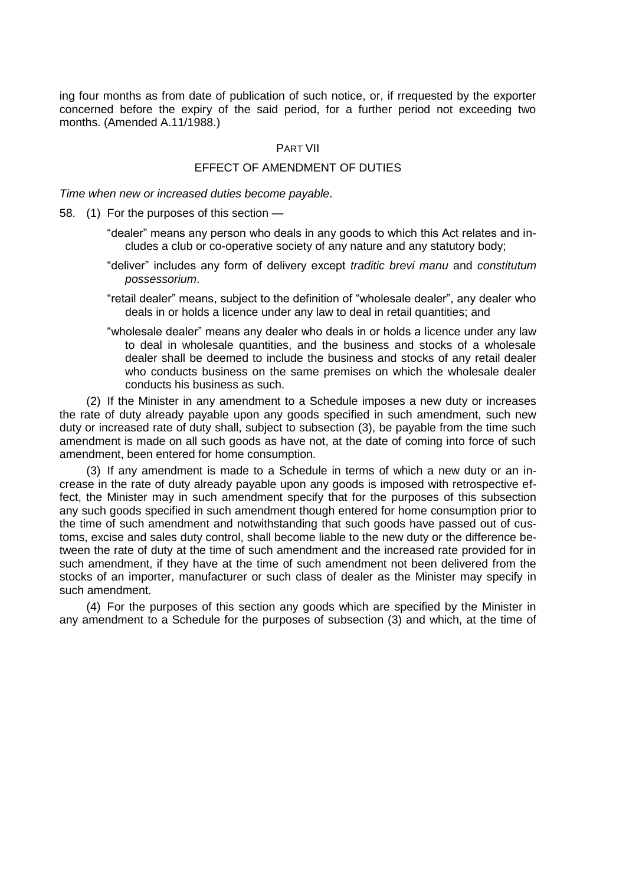ing four months as from date of publication of such notice, or, if rrequested by the exporter concerned before the expiry of the said period, for a further period not exceeding two months. (Amended A.11/1988.)

## PART VII

# EFFECT OF AMENDMENT OF DUTIES

*Time when new or increased duties become payable*.

- 58. (1) For the purposes of this section
	- "dealer" means any person who deals in any goods to which this Act relates and includes a club or co-operative society of any nature and any statutory body;
	- "deliver" includes any form of delivery except *traditic brevi manu* and *constitutum possessorium*.
	- "retail dealer" means, subject to the definition of "wholesale dealer", any dealer who deals in or holds a licence under any law to deal in retail quantities; and
	- "wholesale dealer" means any dealer who deals in or holds a licence under any law to deal in wholesale quantities, and the business and stocks of a wholesale dealer shall be deemed to include the business and stocks of any retail dealer who conducts business on the same premises on which the wholesale dealer conducts his business as such.

(2) If the Minister in any amendment to a Schedule imposes a new duty or increases the rate of duty already payable upon any goods specified in such amendment, such new duty or increased rate of duty shall, subject to subsection (3), be payable from the time such amendment is made on all such goods as have not, at the date of coming into force of such amendment, been entered for home consumption.

(3) If any amendment is made to a Schedule in terms of which a new duty or an increase in the rate of duty already payable upon any goods is imposed with retrospective effect, the Minister may in such amendment specify that for the purposes of this subsection any such goods specified in such amendment though entered for home consumption prior to the time of such amendment and notwithstanding that such goods have passed out of customs, excise and sales duty control, shall become liable to the new duty or the difference between the rate of duty at the time of such amendment and the increased rate provided for in such amendment, if they have at the time of such amendment not been delivered from the stocks of an importer, manufacturer or such class of dealer as the Minister may specify in such amendment.

(4) For the purposes of this section any goods which are specified by the Minister in any amendment to a Schedule for the purposes of subsection (3) and which, at the time of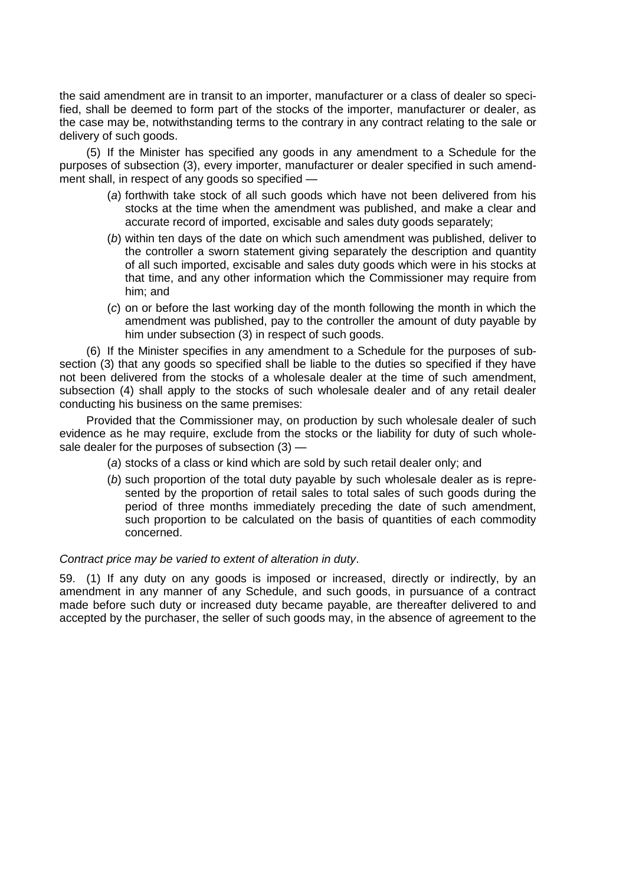the said amendment are in transit to an importer, manufacturer or a class of dealer so specified, shall be deemed to form part of the stocks of the importer, manufacturer or dealer, as the case may be, notwithstanding terms to the contrary in any contract relating to the sale or delivery of such goods.

(5) If the Minister has specified any goods in any amendment to a Schedule for the purposes of subsection (3), every importer, manufacturer or dealer specified in such amendment shall, in respect of any goods so specified —

- (*a*) forthwith take stock of all such goods which have not been delivered from his stocks at the time when the amendment was published, and make a clear and accurate record of imported, excisable and sales duty goods separately;
- (*b*) within ten days of the date on which such amendment was published, deliver to the controller a sworn statement giving separately the description and quantity of all such imported, excisable and sales duty goods which were in his stocks at that time, and any other information which the Commissioner may require from him; and
- (*c*) on or before the last working day of the month following the month in which the amendment was published, pay to the controller the amount of duty payable by him under subsection (3) in respect of such goods.

(6) If the Minister specifies in any amendment to a Schedule for the purposes of subsection (3) that any goods so specified shall be liable to the duties so specified if they have not been delivered from the stocks of a wholesale dealer at the time of such amendment, subsection (4) shall apply to the stocks of such wholesale dealer and of any retail dealer conducting his business on the same premises:

Provided that the Commissioner may, on production by such wholesale dealer of such evidence as he may require, exclude from the stocks or the liability for duty of such wholesale dealer for the purposes of subsection (3) —

- (*a*) stocks of a class or kind which are sold by such retail dealer only; and
- (*b*) such proportion of the total duty payable by such wholesale dealer as is represented by the proportion of retail sales to total sales of such goods during the period of three months immediately preceding the date of such amendment, such proportion to be calculated on the basis of quantities of each commodity concerned.

### *Contract price may be varied to extent of alteration in duty*.

59. (1) If any duty on any goods is imposed or increased, directly or indirectly, by an amendment in any manner of any Schedule, and such goods, in pursuance of a contract made before such duty or increased duty became payable, are thereafter delivered to and accepted by the purchaser, the seller of such goods may, in the absence of agreement to the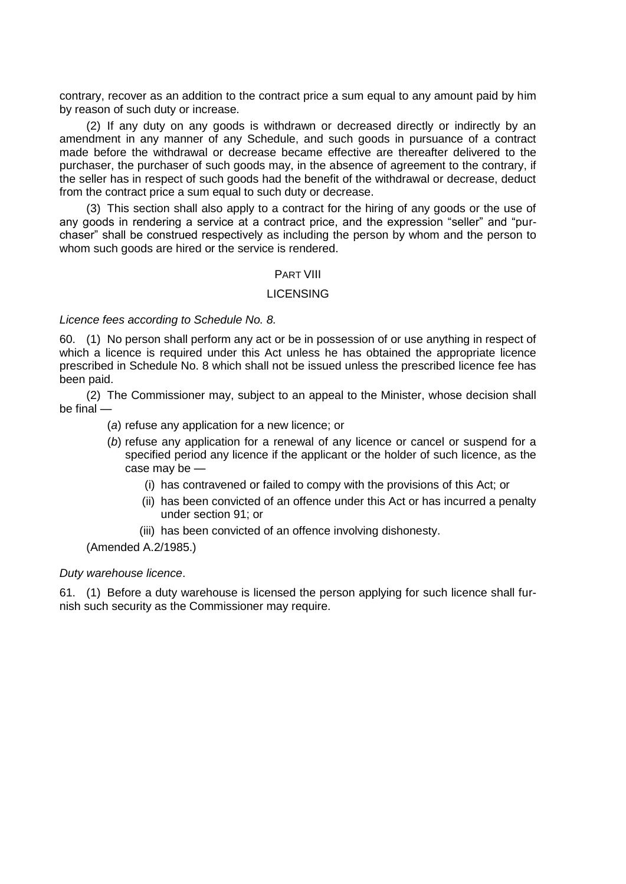contrary, recover as an addition to the contract price a sum equal to any amount paid by him by reason of such duty or increase.

(2) If any duty on any goods is withdrawn or decreased directly or indirectly by an amendment in any manner of any Schedule, and such goods in pursuance of a contract made before the withdrawal or decrease became effective are thereafter delivered to the purchaser, the purchaser of such goods may, in the absence of agreement to the contrary, if the seller has in respect of such goods had the benefit of the withdrawal or decrease, deduct from the contract price a sum equal to such duty or decrease.

(3) This section shall also apply to a contract for the hiring of any goods or the use of any goods in rendering a service at a contract price, and the expression "seller" and "purchaser" shall be construed respectively as including the person by whom and the person to whom such goods are hired or the service is rendered.

### PART VIII

### LICENSING

### *Licence fees according to Schedule No. 8.*

60. (1) No person shall perform any act or be in possession of or use anything in respect of which a licence is required under this Act unless he has obtained the appropriate licence prescribed in Schedule No. 8 which shall not be issued unless the prescribed licence fee has been paid.

(2) The Commissioner may, subject to an appeal to the Minister, whose decision shall be final —

(*a*) refuse any application for a new licence; or

- (*b*) refuse any application for a renewal of any licence or cancel or suspend for a specified period any licence if the applicant or the holder of such licence, as the case may be —
	- (i) has contravened or failed to compy with the provisions of this Act; or
	- (ii) has been convicted of an offence under this Act or has incurred a penalty under section 91; or
	- (iii) has been convicted of an offence involving dishonesty.

(Amended A.2/1985.)

### *Duty warehouse licence*.

61. (1) Before a duty warehouse is licensed the person applying for such licence shall furnish such security as the Commissioner may require.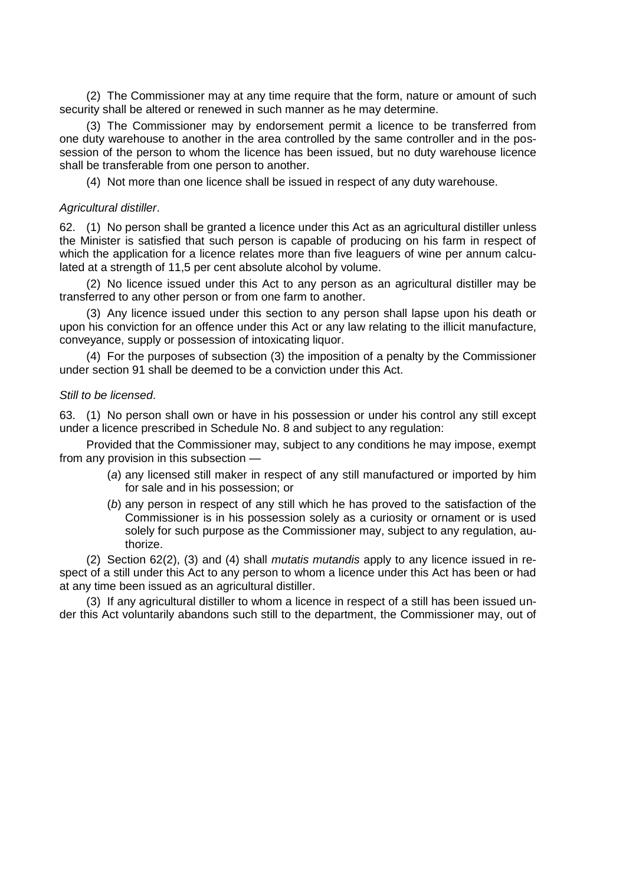(2) The Commissioner may at any time require that the form, nature or amount of such security shall be altered or renewed in such manner as he may determine.

(3) The Commissioner may by endorsement permit a licence to be transferred from one duty warehouse to another in the area controlled by the same controller and in the possession of the person to whom the licence has been issued, but no duty warehouse licence shall be transferable from one person to another.

(4) Not more than one licence shall be issued in respect of any duty warehouse.

#### *Agricultural distiller*.

62. (1) No person shall be granted a licence under this Act as an agricultural distiller unless the Minister is satisfied that such person is capable of producing on his farm in respect of which the application for a licence relates more than five leaguers of wine per annum calculated at a strength of 11,5 per cent absolute alcohol by volume.

(2) No licence issued under this Act to any person as an agricultural distiller may be transferred to any other person or from one farm to another.

(3) Any licence issued under this section to any person shall lapse upon his death or upon his conviction for an offence under this Act or any law relating to the illicit manufacture, conveyance, supply or possession of intoxicating liquor.

(4) For the purposes of subsection (3) the imposition of a penalty by the Commissioner under section 91 shall be deemed to be a conviction under this Act.

## *Still to be licensed*.

63. (1) No person shall own or have in his possession or under his control any still except under a licence prescribed in Schedule No. 8 and subject to any regulation:

Provided that the Commissioner may, subject to any conditions he may impose, exempt from any provision in this subsection —

- (*a*) any licensed still maker in respect of any still manufactured or imported by him for sale and in his possession; or
- (*b*) any person in respect of any still which he has proved to the satisfaction of the Commissioner is in his possession solely as a curiosity or ornament or is used solely for such purpose as the Commissioner may, subject to any regulation, authorize.

(2) Section 62(2), (3) and (4) shall *mutatis mutandis* apply to any licence issued in respect of a still under this Act to any person to whom a licence under this Act has been or had at any time been issued as an agricultural distiller.

(3) If any agricultural distiller to whom a licence in respect of a still has been issued under this Act voluntarily abandons such still to the department, the Commissioner may, out of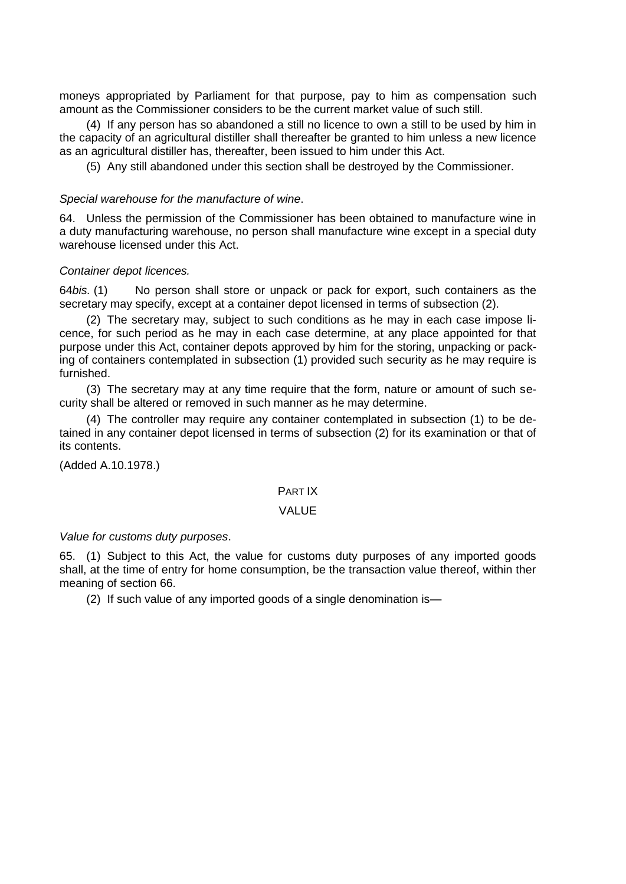moneys appropriated by Parliament for that purpose, pay to him as compensation such amount as the Commissioner considers to be the current market value of such still.

(4) If any person has so abandoned a still no licence to own a still to be used by him in the capacity of an agricultural distiller shall thereafter be granted to him unless a new licence as an agricultural distiller has, thereafter, been issued to him under this Act.

(5) Any still abandoned under this section shall be destroyed by the Commissioner.

# *Special warehouse for the manufacture of wine*.

64. Unless the permission of the Commissioner has been obtained to manufacture wine in a duty manufacturing warehouse, no person shall manufacture wine except in a special duty warehouse licensed under this Act.

# *Container depot licences.*

64*bis.* (1) No person shall store or unpack or pack for export, such containers as the secretary may specify, except at a container depot licensed in terms of subsection (2).

(2) The secretary may, subject to such conditions as he may in each case impose licence, for such period as he may in each case determine, at any place appointed for that purpose under this Act, container depots approved by him for the storing, unpacking or packing of containers contemplated in subsection (1) provided such security as he may require is furnished.

(3) The secretary may at any time require that the form, nature or amount of such security shall be altered or removed in such manner as he may determine.

(4) The controller may require any container contemplated in subsection (1) to be detained in any container depot licensed in terms of subsection (2) for its examination or that of its contents.

(Added A.10.1978.)

# PART IX

### VALUE

### *Value for customs duty purposes*.

65. (1) Subject to this Act, the value for customs duty purposes of any imported goods shall, at the time of entry for home consumption, be the transaction value thereof, within ther meaning of section 66.

(2) If such value of any imported goods of a single denomination is—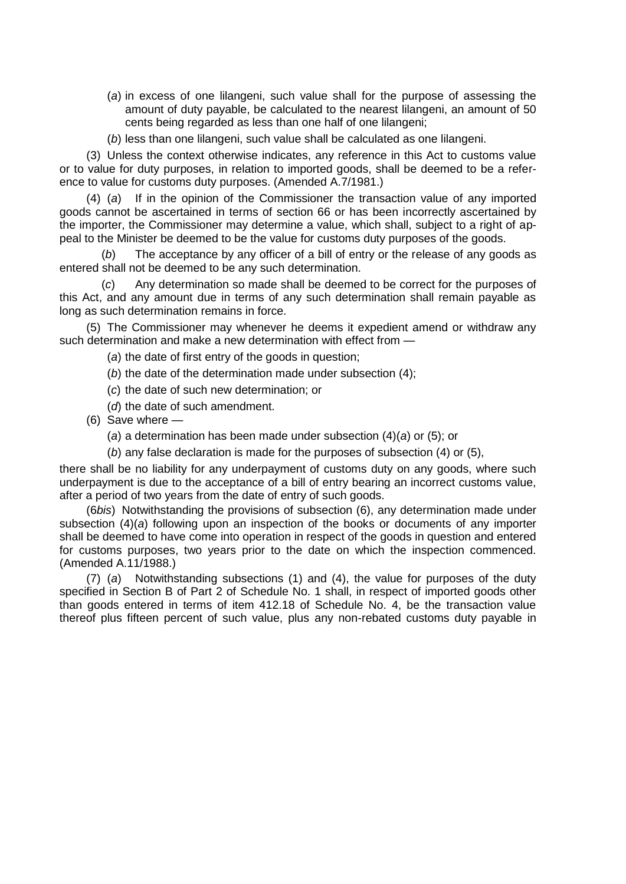- (*a*) in excess of one lilangeni, such value shall for the purpose of assessing the amount of duty payable, be calculated to the nearest lilangeni, an amount of 50 cents being regarded as less than one half of one lilangeni;
- (*b*) less than one lilangeni, such value shall be calculated as one lilangeni.

(3) Unless the context otherwise indicates, any reference in this Act to customs value or to value for duty purposes, in relation to imported goods, shall be deemed to be a reference to value for customs duty purposes. (Amended A.7/1981.)

(4) (*a*) If in the opinion of the Commissioner the transaction value of any imported goods cannot be ascertained in terms of section 66 or has been incorrectly ascertained by the importer, the Commissioner may determine a value, which shall, subject to a right of appeal to the Minister be deemed to be the value for customs duty purposes of the goods.

(*b*) The acceptance by any officer of a bill of entry or the release of any goods as entered shall not be deemed to be any such determination.

(*c*) Any determination so made shall be deemed to be correct for the purposes of this Act, and any amount due in terms of any such determination shall remain payable as long as such determination remains in force.

(5) The Commissioner may whenever he deems it expedient amend or withdraw any such determination and make a new determination with effect from —

- (*a*) the date of first entry of the goods in question;
- (*b*) the date of the determination made under subsection (4);
- (*c*) the date of such new determination; or
- (*d*) the date of such amendment.
- (6) Save where
	- (*a*) a determination has been made under subsection (4)(*a*) or (5); or
	- (*b*) any false declaration is made for the purposes of subsection (4) or (5),

there shall be no liability for any underpayment of customs duty on any goods, where such underpayment is due to the acceptance of a bill of entry bearing an incorrect customs value, after a period of two years from the date of entry of such goods.

(6*bis*) Notwithstanding the provisions of subsection (6), any determination made under subsection (4)(*a*) following upon an inspection of the books or documents of any importer shall be deemed to have come into operation in respect of the goods in question and entered for customs purposes, two years prior to the date on which the inspection commenced. (Amended A.11/1988.)

(7) (*a*) Notwithstanding subsections (1) and (4), the value for purposes of the duty specified in Section B of Part 2 of Schedule No. 1 shall, in respect of imported goods other than goods entered in terms of item 412.18 of Schedule No. 4, be the transaction value thereof plus fifteen percent of such value, plus any non-rebated customs duty payable in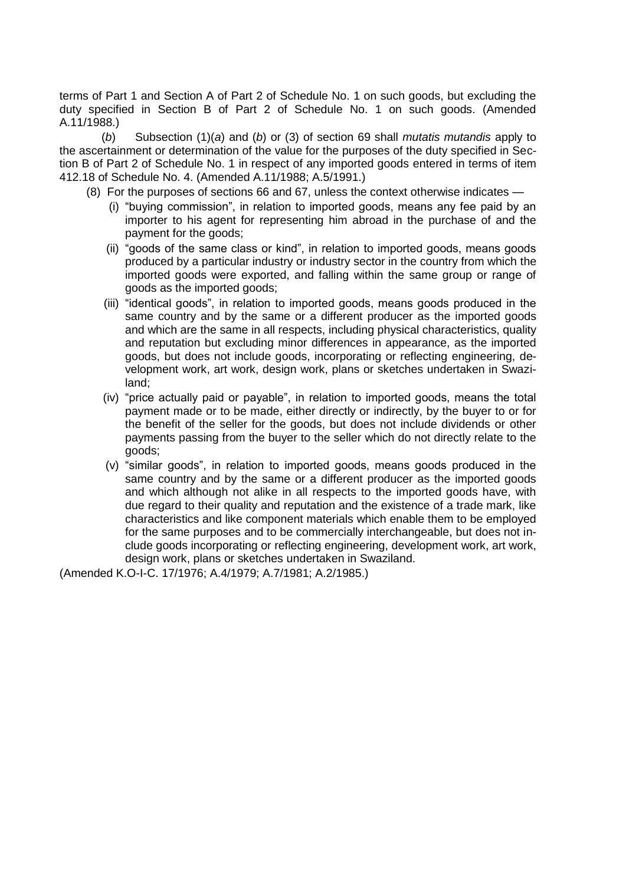terms of Part 1 and Section A of Part 2 of Schedule No. 1 on such goods, but excluding the duty specified in Section B of Part 2 of Schedule No. 1 on such goods. (Amended A.11/1988.)

(*b*) Subsection (1)(*a*) and (*b*) or (3) of section 69 shall *mutatis mutandis* apply to the ascertainment or determination of the value for the purposes of the duty specified in Section B of Part 2 of Schedule No. 1 in respect of any imported goods entered in terms of item 412.18 of Schedule No. 4. (Amended A.11/1988; A.5/1991.)

- (8) For the purposes of sections 66 and 67, unless the context otherwise indicates
	- (i) "buying commission", in relation to imported goods, means any fee paid by an importer to his agent for representing him abroad in the purchase of and the payment for the goods;
	- (ii) "goods of the same class or kind", in relation to imported goods, means goods produced by a particular industry or industry sector in the country from which the imported goods were exported, and falling within the same group or range of goods as the imported goods;
	- (iii) "identical goods", in relation to imported goods, means goods produced in the same country and by the same or a different producer as the imported goods and which are the same in all respects, including physical characteristics, quality and reputation but excluding minor differences in appearance, as the imported goods, but does not include goods, incorporating or reflecting engineering, development work, art work, design work, plans or sketches undertaken in Swaziland;
	- (iv) "price actually paid or payable", in relation to imported goods, means the total payment made or to be made, either directly or indirectly, by the buyer to or for the benefit of the seller for the goods, but does not include dividends or other payments passing from the buyer to the seller which do not directly relate to the goods;
	- (v) "similar goods", in relation to imported goods, means goods produced in the same country and by the same or a different producer as the imported goods and which although not alike in all respects to the imported goods have, with due regard to their quality and reputation and the existence of a trade mark, like characteristics and like component materials which enable them to be employed for the same purposes and to be commercially interchangeable, but does not include goods incorporating or reflecting engineering, development work, art work, design work, plans or sketches undertaken in Swaziland.

(Amended K.O-I-C. 17/1976; A.4/1979; A.7/1981; A.2/1985.)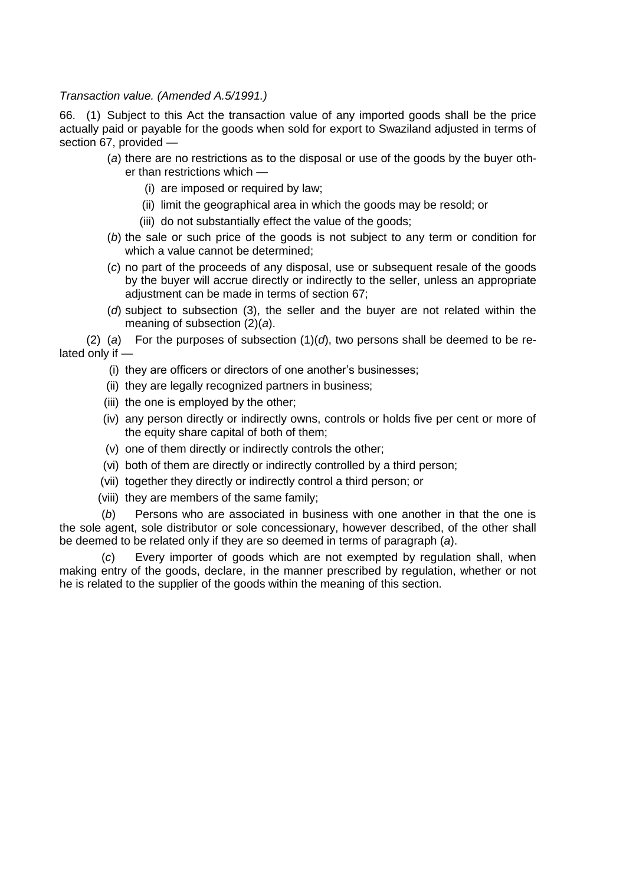# *Transaction value. (Amended A.5/1991.)*

66. (1) Subject to this Act the transaction value of any imported goods shall be the price actually paid or payable for the goods when sold for export to Swaziland adjusted in terms of section 67, provided —

- (*a*) there are no restrictions as to the disposal or use of the goods by the buyer other than restrictions which —
	- (i) are imposed or required by law;
	- (ii) limit the geographical area in which the goods may be resold; or
	- (iii) do not substantially effect the value of the goods;
- (*b*) the sale or such price of the goods is not subject to any term or condition for which a value cannot be determined;
- (*c*) no part of the proceeds of any disposal, use or subsequent resale of the goods by the buyer will accrue directly or indirectly to the seller, unless an appropriate adjustment can be made in terms of section 67;
- (*d*) subject to subsection (3), the seller and the buyer are not related within the meaning of subsection (2)(*a*).

(2) (*a*) For the purposes of subsection (1)(*d*), two persons shall be deemed to be related only if —

- (i) they are officers or directors of one another"s businesses;
- (ii) they are legally recognized partners in business;
- (iii) the one is employed by the other;
- (iv) any person directly or indirectly owns, controls or holds five per cent or more of the equity share capital of both of them;
- (v) one of them directly or indirectly controls the other;
- (vi) both of them are directly or indirectly controlled by a third person;
- (vii) together they directly or indirectly control a third person; or
- (viii) they are members of the same family;

(*b*) Persons who are associated in business with one another in that the one is the sole agent, sole distributor or sole concessionary, however described, of the other shall be deemed to be related only if they are so deemed in terms of paragraph (*a*).

Every importer of goods which are not exempted by regulation shall, when making entry of the goods, declare, in the manner prescribed by regulation, whether or not he is related to the supplier of the goods within the meaning of this section.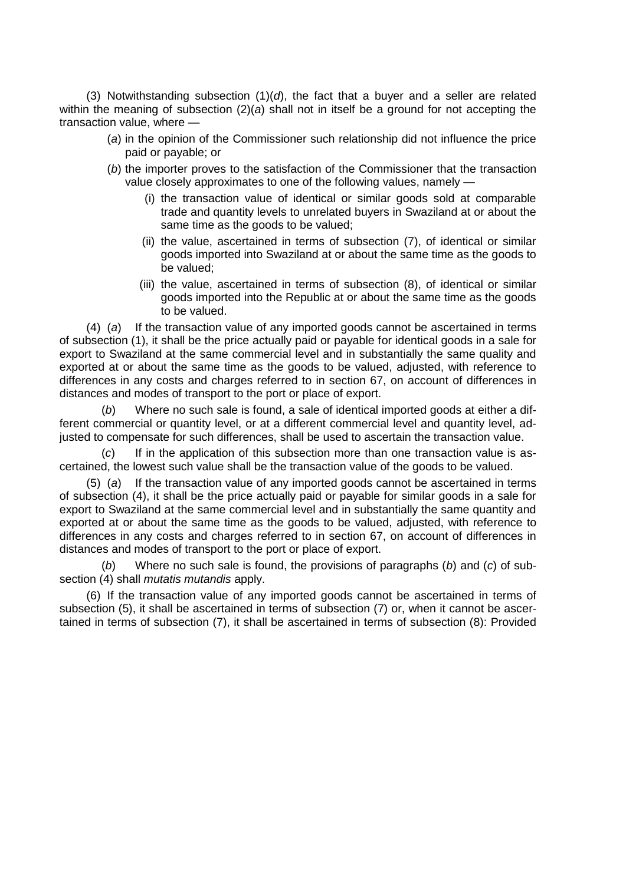(3) Notwithstanding subsection (1)(*d*), the fact that a buyer and a seller are related within the meaning of subsection (2)(*a*) shall not in itself be a ground for not accepting the transaction value, where —

- (*a*) in the opinion of the Commissioner such relationship did not influence the price paid or payable; or
- (*b*) the importer proves to the satisfaction of the Commissioner that the transaction value closely approximates to one of the following values, namely —
	- (i) the transaction value of identical or similar goods sold at comparable trade and quantity levels to unrelated buyers in Swaziland at or about the same time as the goods to be valued:
	- (ii) the value, ascertained in terms of subsection (7), of identical or similar goods imported into Swaziland at or about the same time as the goods to be valued;
	- (iii) the value, ascertained in terms of subsection (8), of identical or similar goods imported into the Republic at or about the same time as the goods to be valued.

(4) (*a*) If the transaction value of any imported goods cannot be ascertained in terms of subsection (1), it shall be the price actually paid or payable for identical goods in a sale for export to Swaziland at the same commercial level and in substantially the same quality and exported at or about the same time as the goods to be valued, adjusted, with reference to differences in any costs and charges referred to in section 67, on account of differences in distances and modes of transport to the port or place of export.

(*b*) Where no such sale is found, a sale of identical imported goods at either a different commercial or quantity level, or at a different commercial level and quantity level, adjusted to compensate for such differences, shall be used to ascertain the transaction value.

(*c*) If in the application of this subsection more than one transaction value is ascertained, the lowest such value shall be the transaction value of the goods to be valued.

(5) (*a*) If the transaction value of any imported goods cannot be ascertained in terms of subsection (4), it shall be the price actually paid or payable for similar goods in a sale for export to Swaziland at the same commercial level and in substantially the same quantity and exported at or about the same time as the goods to be valued, adjusted, with reference to differences in any costs and charges referred to in section 67, on account of differences in distances and modes of transport to the port or place of export.

(*b*) Where no such sale is found, the provisions of paragraphs (*b*) and (*c*) of subsection (4) shall *mutatis mutandis* apply.

(6) If the transaction value of any imported goods cannot be ascertained in terms of subsection (5), it shall be ascertained in terms of subsection (7) or, when it cannot be ascertained in terms of subsection (7), it shall be ascertained in terms of subsection (8): Provided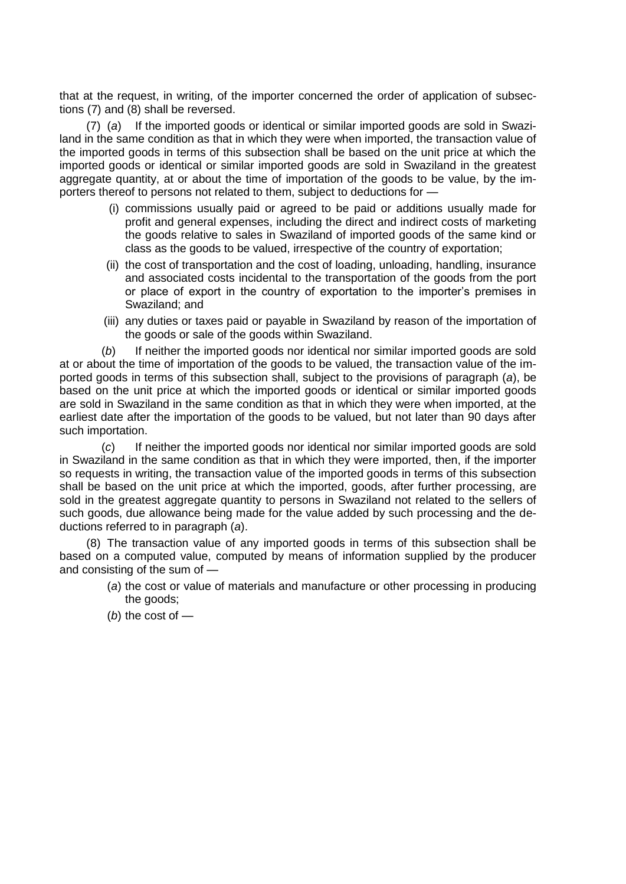that at the request, in writing, of the importer concerned the order of application of subsections (7) and (8) shall be reversed.

(7) (*a*) If the imported goods or identical or similar imported goods are sold in Swaziland in the same condition as that in which they were when imported, the transaction value of the imported goods in terms of this subsection shall be based on the unit price at which the imported goods or identical or similar imported goods are sold in Swaziland in the greatest aggregate quantity, at or about the time of importation of the goods to be value, by the importers thereof to persons not related to them, subject to deductions for —

- (i) commissions usually paid or agreed to be paid or additions usually made for profit and general expenses, including the direct and indirect costs of marketing the goods relative to sales in Swaziland of imported goods of the same kind or class as the goods to be valued, irrespective of the country of exportation;
- (ii) the cost of transportation and the cost of loading, unloading, handling, insurance and associated costs incidental to the transportation of the goods from the port or place of export in the country of exportation to the importer"s premises in Swaziland; and
- (iii) any duties or taxes paid or payable in Swaziland by reason of the importation of the goods or sale of the goods within Swaziland.

(*b*) If neither the imported goods nor identical nor similar imported goods are sold at or about the time of importation of the goods to be valued, the transaction value of the imported goods in terms of this subsection shall, subject to the provisions of paragraph (*a*), be based on the unit price at which the imported goods or identical or similar imported goods are sold in Swaziland in the same condition as that in which they were when imported, at the earliest date after the importation of the goods to be valued, but not later than 90 days after such importation.

(*c*) If neither the imported goods nor identical nor similar imported goods are sold in Swaziland in the same condition as that in which they were imported, then, if the importer so requests in writing, the transaction value of the imported goods in terms of this subsection shall be based on the unit price at which the imported, goods, after further processing, are sold in the greatest aggregate quantity to persons in Swaziland not related to the sellers of such goods, due allowance being made for the value added by such processing and the deductions referred to in paragraph (*a*).

(8) The transaction value of any imported goods in terms of this subsection shall be based on a computed value, computed by means of information supplied by the producer and consisting of the sum of —

- (*a*) the cost or value of materials and manufacture or other processing in producing the goods;
- (*b*) the cost of —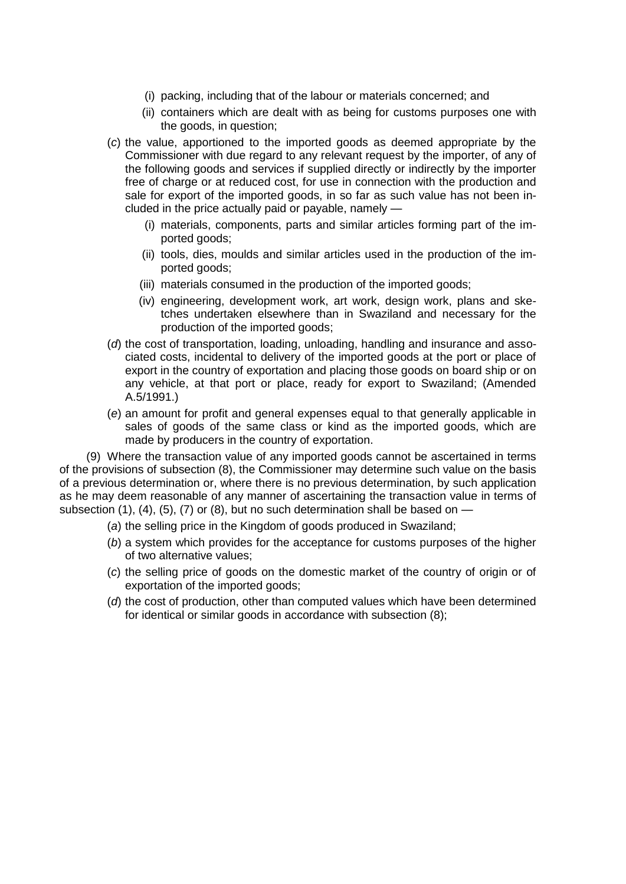- (i) packing, including that of the labour or materials concerned; and
- (ii) containers which are dealt with as being for customs purposes one with the goods, in question;
- (*c*) the value, apportioned to the imported goods as deemed appropriate by the Commissioner with due regard to any relevant request by the importer, of any of the following goods and services if supplied directly or indirectly by the importer free of charge or at reduced cost, for use in connection with the production and sale for export of the imported goods, in so far as such value has not been included in the price actually paid or payable, namely —
	- (i) materials, components, parts and similar articles forming part of the imported goods;
	- (ii) tools, dies, moulds and similar articles used in the production of the imported goods;
	- (iii) materials consumed in the production of the imported goods;
	- (iv) engineering, development work, art work, design work, plans and sketches undertaken elsewhere than in Swaziland and necessary for the production of the imported goods;
- (*d*) the cost of transportation, loading, unloading, handling and insurance and associated costs, incidental to delivery of the imported goods at the port or place of export in the country of exportation and placing those goods on board ship or on any vehicle, at that port or place, ready for export to Swaziland; (Amended A.5/1991.)
- (*e*) an amount for profit and general expenses equal to that generally applicable in sales of goods of the same class or kind as the imported goods, which are made by producers in the country of exportation.

(9) Where the transaction value of any imported goods cannot be ascertained in terms of the provisions of subsection (8), the Commissioner may determine such value on the basis of a previous determination or, where there is no previous determination, by such application as he may deem reasonable of any manner of ascertaining the transaction value in terms of subsection  $(1)$ ,  $(4)$ ,  $(5)$ ,  $(7)$  or  $(8)$ , but no such determination shall be based on —

- (*a*) the selling price in the Kingdom of goods produced in Swaziland;
- (*b*) a system which provides for the acceptance for customs purposes of the higher of two alternative values;
- (*c*) the selling price of goods on the domestic market of the country of origin or of exportation of the imported goods;
- (*d*) the cost of production, other than computed values which have been determined for identical or similar goods in accordance with subsection (8);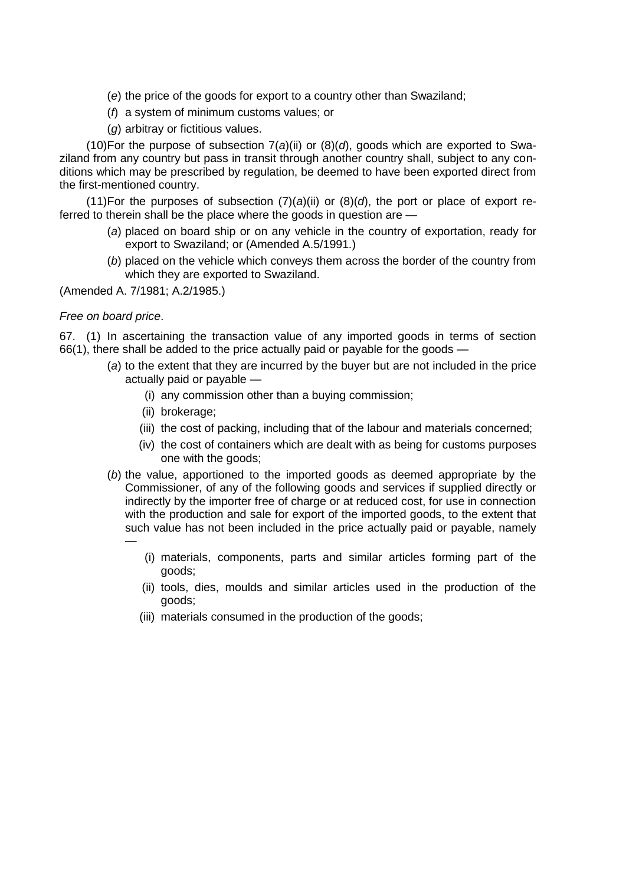- (*e*) the price of the goods for export to a country other than Swaziland;
- (*f*) a system of minimum customs values; or
- (*g*) arbitray or fictitious values.

(10)For the purpose of subsection 7(*a*)(ii) or (8)(*d*), goods which are exported to Swaziland from any country but pass in transit through another country shall, subject to any conditions which may be prescribed by regulation, be deemed to have been exported direct from the first-mentioned country.

(11)For the purposes of subsection  $(7)(a)(ii)$  or  $(8)(d)$ , the port or place of export referred to therein shall be the place where the goods in question are —

- (*a*) placed on board ship or on any vehicle in the country of exportation, ready for export to Swaziland; or (Amended A.5/1991.)
- (*b*) placed on the vehicle which conveys them across the border of the country from which they are exported to Swaziland.

(Amended A. 7/1981; A.2/1985.)

# *Free on board price*.

67. (1) In ascertaining the transaction value of any imported goods in terms of section 66(1), there shall be added to the price actually paid or payable for the goods —

- (*a*) to the extent that they are incurred by the buyer but are not included in the price actually paid or payable —
	- (i) any commission other than a buying commission;
	- (ii) brokerage;
	- (iii) the cost of packing, including that of the labour and materials concerned;
	- (iv) the cost of containers which are dealt with as being for customs purposes one with the goods;
- (*b*) the value, apportioned to the imported goods as deemed appropriate by the Commissioner, of any of the following goods and services if supplied directly or indirectly by the importer free of charge or at reduced cost, for use in connection with the production and sale for export of the imported goods, to the extent that such value has not been included in the price actually paid or payable, namely —
	- (i) materials, components, parts and similar articles forming part of the goods;
	- (ii) tools, dies, moulds and similar articles used in the production of the goods;
	- (iii) materials consumed in the production of the goods;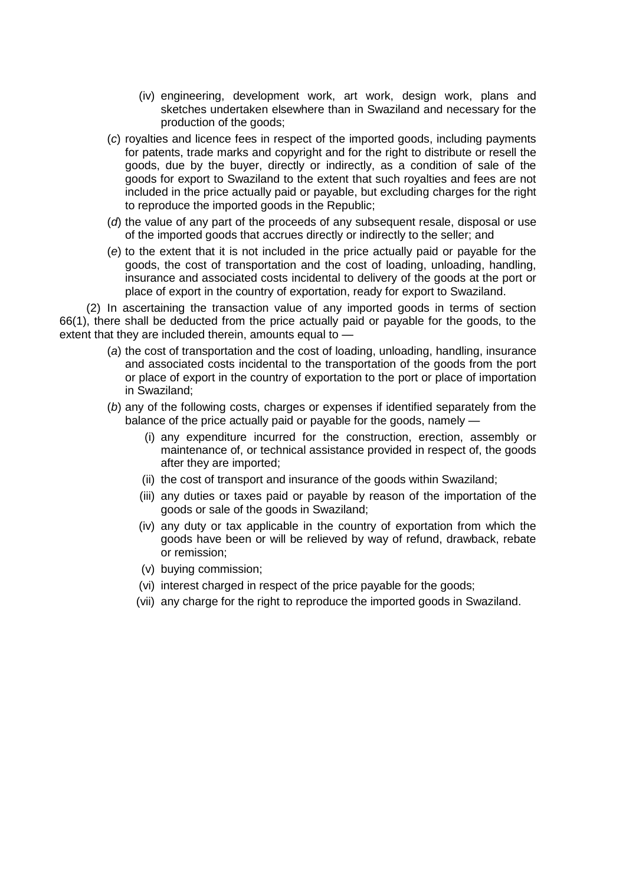- (iv) engineering, development work, art work, design work, plans and sketches undertaken elsewhere than in Swaziland and necessary for the production of the goods;
- (*c*) royalties and licence fees in respect of the imported goods, including payments for patents, trade marks and copyright and for the right to distribute or resell the goods, due by the buyer, directly or indirectly, as a condition of sale of the goods for export to Swaziland to the extent that such royalties and fees are not included in the price actually paid or payable, but excluding charges for the right to reproduce the imported goods in the Republic;
- (*d*) the value of any part of the proceeds of any subsequent resale, disposal or use of the imported goods that accrues directly or indirectly to the seller; and
- (*e*) to the extent that it is not included in the price actually paid or payable for the goods, the cost of transportation and the cost of loading, unloading, handling, insurance and associated costs incidental to delivery of the goods at the port or place of export in the country of exportation, ready for export to Swaziland.

(2) In ascertaining the transaction value of any imported goods in terms of section 66(1), there shall be deducted from the price actually paid or payable for the goods, to the extent that they are included therein, amounts equal to —

- (*a*) the cost of transportation and the cost of loading, unloading, handling, insurance and associated costs incidental to the transportation of the goods from the port or place of export in the country of exportation to the port or place of importation in Swaziland;
- (*b*) any of the following costs, charges or expenses if identified separately from the balance of the price actually paid or payable for the goods, namely —
	- (i) any expenditure incurred for the construction, erection, assembly or maintenance of, or technical assistance provided in respect of, the goods after they are imported;
	- (ii) the cost of transport and insurance of the goods within Swaziland;
	- (iii) any duties or taxes paid or payable by reason of the importation of the goods or sale of the goods in Swaziland;
	- (iv) any duty or tax applicable in the country of exportation from which the goods have been or will be relieved by way of refund, drawback, rebate or remission;
	- (v) buying commission;
	- (vi) interest charged in respect of the price payable for the goods;
	- (vii) any charge for the right to reproduce the imported goods in Swaziland.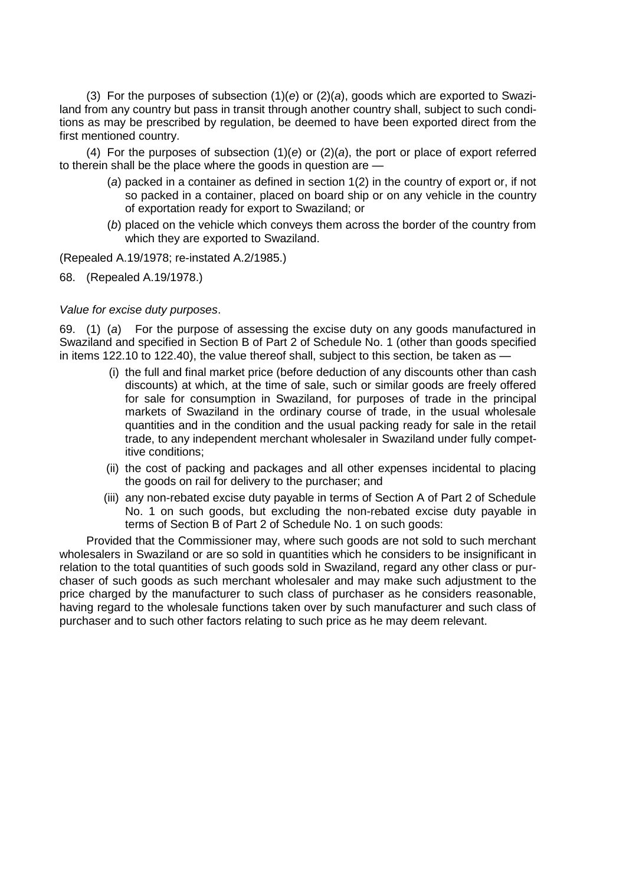(3) For the purposes of subsection (1)(*e*) or (2)(*a*), goods which are exported to Swaziland from any country but pass in transit through another country shall, subject to such conditions as may be prescribed by regulation, be deemed to have been exported direct from the first mentioned country.

(4) For the purposes of subsection (1)(*e*) or (2)(*a*), the port or place of export referred to therein shall be the place where the goods in question are —

- (*a*) packed in a container as defined in section 1(2) in the country of export or, if not so packed in a container, placed on board ship or on any vehicle in the country of exportation ready for export to Swaziland; or
- (*b*) placed on the vehicle which conveys them across the border of the country from which they are exported to Swaziland.

(Repealed A.19/1978; re-instated A.2/1985.)

68. (Repealed A.19/1978.)

#### *Value for excise duty purposes*.

69. (1) (*a*) For the purpose of assessing the excise duty on any goods manufactured in Swaziland and specified in Section B of Part 2 of Schedule No. 1 (other than goods specified in items 122.10 to 122.40), the value thereof shall, subject to this section, be taken as —

- (i) the full and final market price (before deduction of any discounts other than cash discounts) at which, at the time of sale, such or similar goods are freely offered for sale for consumption in Swaziland, for purposes of trade in the principal markets of Swaziland in the ordinary course of trade, in the usual wholesale quantities and in the condition and the usual packing ready for sale in the retail trade, to any independent merchant wholesaler in Swaziland under fully competitive conditions;
- (ii) the cost of packing and packages and all other expenses incidental to placing the goods on rail for delivery to the purchaser; and
- (iii) any non-rebated excise duty payable in terms of Section A of Part 2 of Schedule No. 1 on such goods, but excluding the non-rebated excise duty payable in terms of Section B of Part 2 of Schedule No. 1 on such goods:

Provided that the Commissioner may, where such goods are not sold to such merchant wholesalers in Swaziland or are so sold in quantities which he considers to be insignificant in relation to the total quantities of such goods sold in Swaziland, regard any other class or purchaser of such goods as such merchant wholesaler and may make such adjustment to the price charged by the manufacturer to such class of purchaser as he considers reasonable, having regard to the wholesale functions taken over by such manufacturer and such class of purchaser and to such other factors relating to such price as he may deem relevant.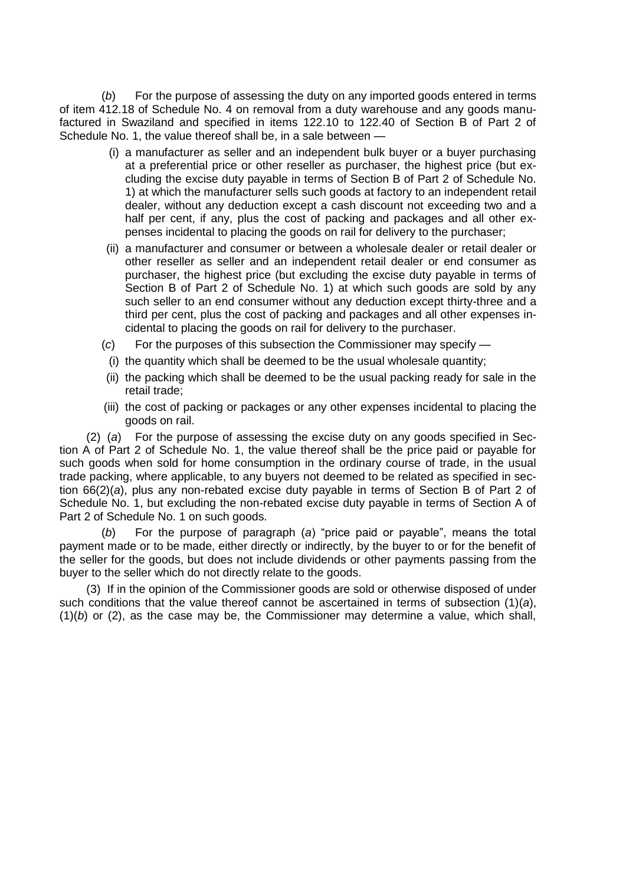(*b*) For the purpose of assessing the duty on any imported goods entered in terms of item 412.18 of Schedule No. 4 on removal from a duty warehouse and any goods manufactured in Swaziland and specified in items 122.10 to 122.40 of Section B of Part 2 of Schedule No. 1, the value thereof shall be, in a sale between —

- (i) a manufacturer as seller and an independent bulk buyer or a buyer purchasing at a preferential price or other reseller as purchaser, the highest price (but excluding the excise duty payable in terms of Section B of Part 2 of Schedule No. 1) at which the manufacturer sells such goods at factory to an independent retail dealer, without any deduction except a cash discount not exceeding two and a half per cent, if any, plus the cost of packing and packages and all other expenses incidental to placing the goods on rail for delivery to the purchaser;
- (ii) a manufacturer and consumer or between a wholesale dealer or retail dealer or other reseller as seller and an independent retail dealer or end consumer as purchaser, the highest price (but excluding the excise duty payable in terms of Section B of Part 2 of Schedule No. 1) at which such goods are sold by any such seller to an end consumer without any deduction except thirty-three and a third per cent, plus the cost of packing and packages and all other expenses incidental to placing the goods on rail for delivery to the purchaser.
- (*c*) For the purposes of this subsection the Commissioner may specify —
- (i) the quantity which shall be deemed to be the usual wholesale quantity;
- (ii) the packing which shall be deemed to be the usual packing ready for sale in the retail trade;
- (iii) the cost of packing or packages or any other expenses incidental to placing the goods on rail.

(2) (*a*) For the purpose of assessing the excise duty on any goods specified in Section A of Part 2 of Schedule No. 1, the value thereof shall be the price paid or payable for such goods when sold for home consumption in the ordinary course of trade, in the usual trade packing, where applicable, to any buyers not deemed to be related as specified in section 66(2)(*a*), plus any non-rebated excise duty payable in terms of Section B of Part 2 of Schedule No. 1, but excluding the non-rebated excise duty payable in terms of Section A of Part 2 of Schedule No. 1 on such goods.

(*b*) For the purpose of paragraph (*a*) "price paid or payable", means the total payment made or to be made, either directly or indirectly, by the buyer to or for the benefit of the seller for the goods, but does not include dividends or other payments passing from the buyer to the seller which do not directly relate to the goods.

(3) If in the opinion of the Commissioner goods are sold or otherwise disposed of under such conditions that the value thereof cannot be ascertained in terms of subsection (1)(*a*), (1)(*b*) or (2), as the case may be, the Commissioner may determine a value, which shall,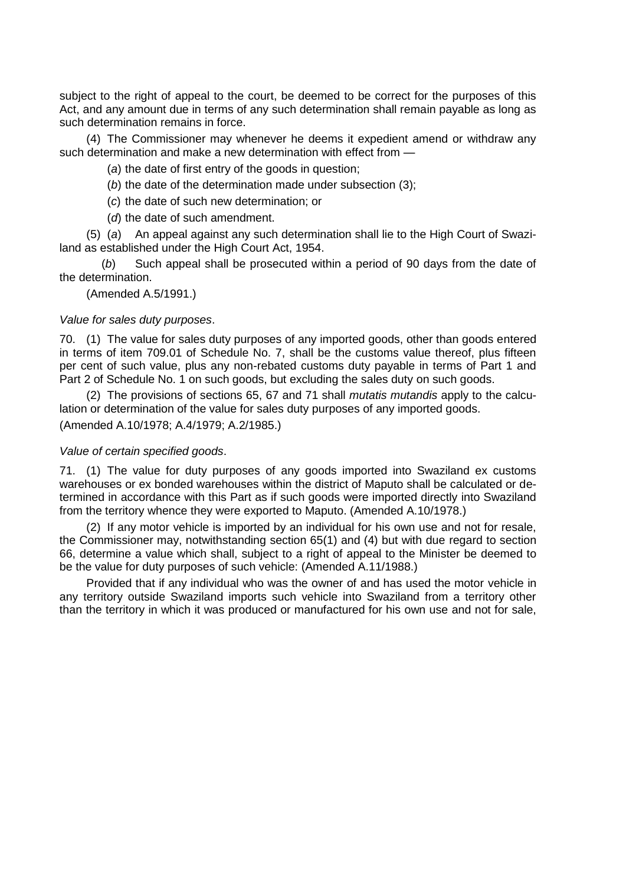subject to the right of appeal to the court, be deemed to be correct for the purposes of this Act, and any amount due in terms of any such determination shall remain payable as long as such determination remains in force.

(4) The Commissioner may whenever he deems it expedient amend or withdraw any such determination and make a new determination with effect from —

(*a*) the date of first entry of the goods in question;

- (*b*) the date of the determination made under subsection (3);
- (*c*) the date of such new determination; or
- (*d*) the date of such amendment.

(5) (*a*) An appeal against any such determination shall lie to the High Court of Swaziland as established under the High Court Act, 1954.

(*b*) Such appeal shall be prosecuted within a period of 90 days from the date of the determination.

(Amended A.5/1991.)

#### *Value for sales duty purposes*.

70. (1) The value for sales duty purposes of any imported goods, other than goods entered in terms of item 709.01 of Schedule No. 7, shall be the customs value thereof, plus fifteen per cent of such value, plus any non-rebated customs duty payable in terms of Part 1 and Part 2 of Schedule No. 1 on such goods, but excluding the sales duty on such goods.

(2) The provisions of sections 65, 67 and 71 shall *mutatis mutandis* apply to the calculation or determination of the value for sales duty purposes of any imported goods. (Amended A.10/1978; A.4/1979; A.2/1985.)

### *Value of certain specified goods*.

71. (1) The value for duty purposes of any goods imported into Swaziland ex customs warehouses or ex bonded warehouses within the district of Maputo shall be calculated or determined in accordance with this Part as if such goods were imported directly into Swaziland from the territory whence they were exported to Maputo. (Amended A.10/1978.)

(2) If any motor vehicle is imported by an individual for his own use and not for resale, the Commissioner may, notwithstanding section 65(1) and (4) but with due regard to section 66, determine a value which shall, subject to a right of appeal to the Minister be deemed to be the value for duty purposes of such vehicle: (Amended A.11/1988.)

Provided that if any individual who was the owner of and has used the motor vehicle in any territory outside Swaziland imports such vehicle into Swaziland from a territory other than the territory in which it was produced or manufactured for his own use and not for sale,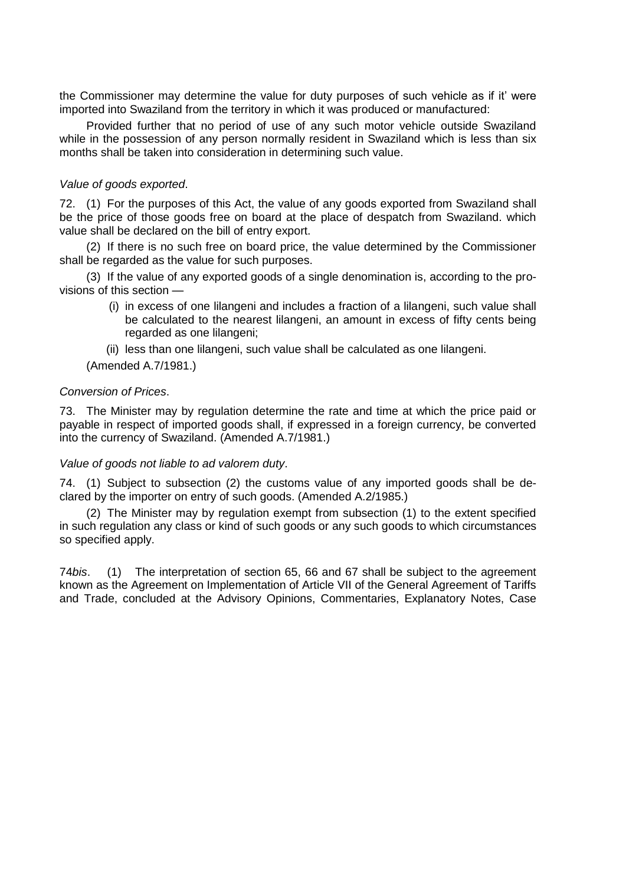the Commissioner may determine the value for duty purposes of such vehicle as if it" were imported into Swaziland from the territory in which it was produced or manufactured:

Provided further that no period of use of any such motor vehicle outside Swaziland while in the possession of any person normally resident in Swaziland which is less than six months shall be taken into consideration in determining such value.

# *Value of goods exported*.

72. (1) For the purposes of this Act, the value of any goods exported from Swaziland shall be the price of those goods free on board at the place of despatch from Swaziland. which value shall be declared on the bill of entry export.

(2) If there is no such free on board price, the value determined by the Commissioner shall be regarded as the value for such purposes.

(3) If the value of any exported goods of a single denomination is, according to the provisions of this section —

> (i) in excess of one lilangeni and includes a fraction of a lilangeni, such value shall be calculated to the nearest lilangeni, an amount in excess of fifty cents being regarded as one lilangeni;

(ii) less than one lilangeni, such value shall be calculated as one lilangeni.

(Amended A.7/1981.)

# *Conversion of Prices*.

73. The Minister may by regulation determine the rate and time at which the price paid or payable in respect of imported goods shall, if expressed in a foreign currency, be converted into the currency of Swaziland. (Amended A.7/1981.)

### *Value of goods not liable to ad valorem duty*.

74. (1) Subject to subsection (2) the customs value of any imported goods shall be declared by the importer on entry of such goods. (Amended A.2/1985.)

(2) The Minister may by regulation exempt from subsection (1) to the extent specified in such regulation any class or kind of such goods or any such goods to which circumstances so specified apply.

74*bis*. (1) The interpretation of section 65, 66 and 67 shall be subject to the agreement known as the Agreement on Implementation of Article VII of the General Agreement of Tariffs and Trade, concluded at the Advisory Opinions, Commentaries, Explanatory Notes, Case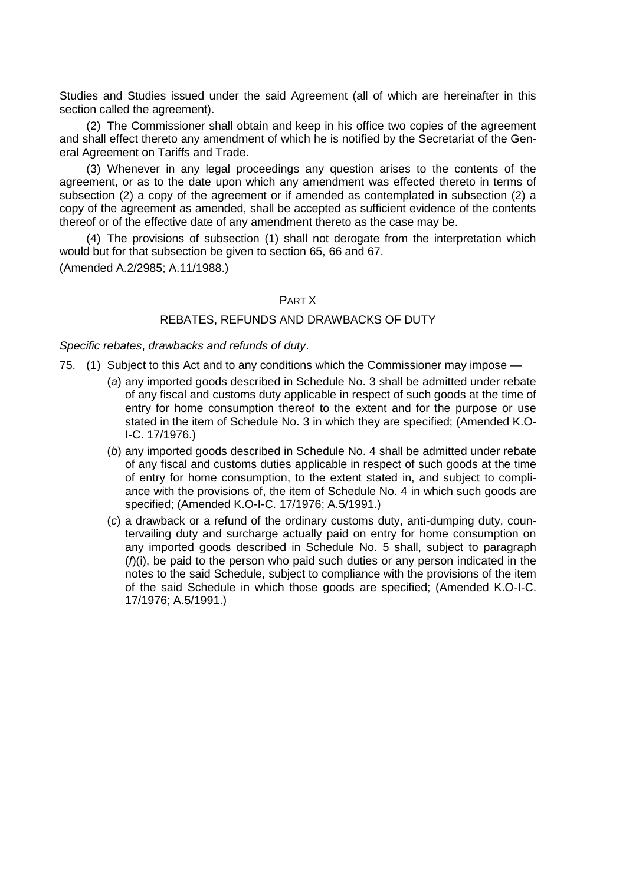Studies and Studies issued under the said Agreement (all of which are hereinafter in this section called the agreement).

(2) The Commissioner shall obtain and keep in his office two copies of the agreement and shall effect thereto any amendment of which he is notified by the Secretariat of the General Agreement on Tariffs and Trade.

(3) Whenever in any legal proceedings any question arises to the contents of the agreement, or as to the date upon which any amendment was effected thereto in terms of subsection (2) a copy of the agreement or if amended as contemplated in subsection (2) a copy of the agreement as amended, shall be accepted as sufficient evidence of the contents thereof or of the effective date of any amendment thereto as the case may be.

(4) The provisions of subsection (1) shall not derogate from the interpretation which would but for that subsection be given to section 65, 66 and 67.

(Amended A.2/2985; A.11/1988.)

### PART X

# REBATES, REFUNDS AND DRAWBACKS OF DUTY

*Specific rebates*, *drawbacks and refunds of duty*.

- 75. (1) Subject to this Act and to any conditions which the Commissioner may impose
	- (*a*) any imported goods described in Schedule No. 3 shall be admitted under rebate of any fiscal and customs duty applicable in respect of such goods at the time of entry for home consumption thereof to the extent and for the purpose or use stated in the item of Schedule No. 3 in which they are specified; (Amended K.O-I-C. 17/1976.)
	- (*b*) any imported goods described in Schedule No. 4 shall be admitted under rebate of any fiscal and customs duties applicable in respect of such goods at the time of entry for home consumption, to the extent stated in, and subject to compliance with the provisions of, the item of Schedule No. 4 in which such goods are specified; (Amended K.O-I-C. 17/1976; A.5/1991.)
	- (*c*) a drawback or a refund of the ordinary customs duty, anti-dumping duty, countervailing duty and surcharge actually paid on entry for home consumption on any imported goods described in Schedule No. 5 shall, subject to paragraph (*f*)(i), be paid to the person who paid such duties or any person indicated in the notes to the said Schedule, subject to compliance with the provisions of the item of the said Schedule in which those goods are specified; (Amended K.O-I-C. 17/1976; A.5/1991.)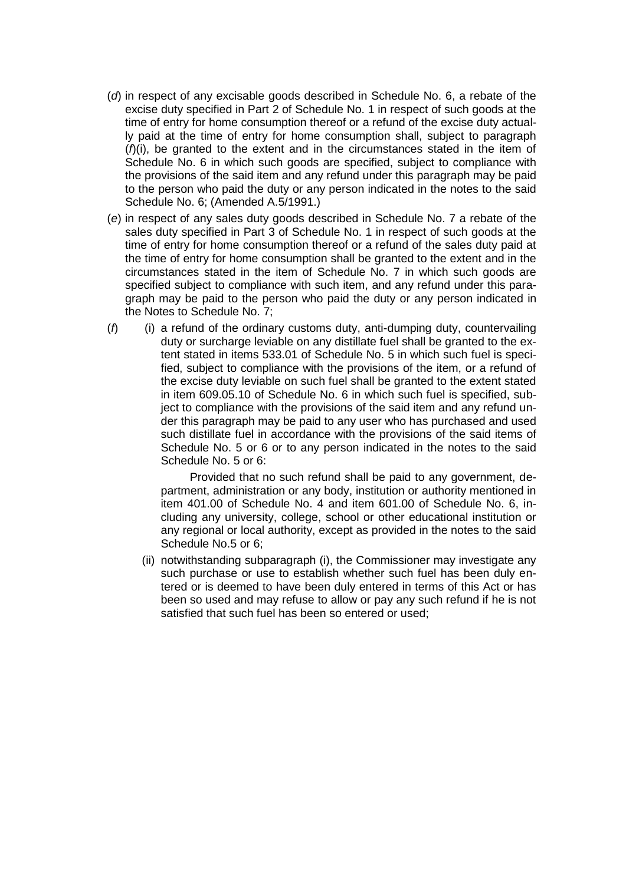- (*d*) in respect of any excisable goods described in Schedule No. 6, a rebate of the excise duty specified in Part 2 of Schedule No. 1 in respect of such goods at the time of entry for home consumption thereof or a refund of the excise duty actually paid at the time of entry for home consumption shall, subject to paragraph (*f*)(i), be granted to the extent and in the circumstances stated in the item of Schedule No. 6 in which such goods are specified, subject to compliance with the provisions of the said item and any refund under this paragraph may be paid to the person who paid the duty or any person indicated in the notes to the said Schedule No. 6; (Amended A.5/1991.)
- (*e*) in respect of any sales duty goods described in Schedule No. 7 a rebate of the sales duty specified in Part 3 of Schedule No. 1 in respect of such goods at the time of entry for home consumption thereof or a refund of the sales duty paid at the time of entry for home consumption shall be granted to the extent and in the circumstances stated in the item of Schedule No. 7 in which such goods are specified subject to compliance with such item, and any refund under this paragraph may be paid to the person who paid the duty or any person indicated in the Notes to Schedule No. 7;
- (*f*) (i) a refund of the ordinary customs duty, anti-dumping duty, countervailing duty or surcharge leviable on any distillate fuel shall be granted to the extent stated in items 533.01 of Schedule No. 5 in which such fuel is specified, subject to compliance with the provisions of the item, or a refund of the excise duty leviable on such fuel shall be granted to the extent stated in item 609.05.10 of Schedule No. 6 in which such fuel is specified, subject to compliance with the provisions of the said item and any refund under this paragraph may be paid to any user who has purchased and used such distillate fuel in accordance with the provisions of the said items of Schedule No. 5 or 6 or to any person indicated in the notes to the said Schedule No. 5 or 6:

 Provided that no such refund shall be paid to any government, department, administration or any body, institution or authority mentioned in item 401.00 of Schedule No. 4 and item 601.00 of Schedule No. 6, including any university, college, school or other educational institution or any regional or local authority, except as provided in the notes to the said Schedule No.5 or 6;

(ii) notwithstanding subparagraph (i), the Commissioner may investigate any such purchase or use to establish whether such fuel has been duly entered or is deemed to have been duly entered in terms of this Act or has been so used and may refuse to allow or pay any such refund if he is not satisfied that such fuel has been so entered or used;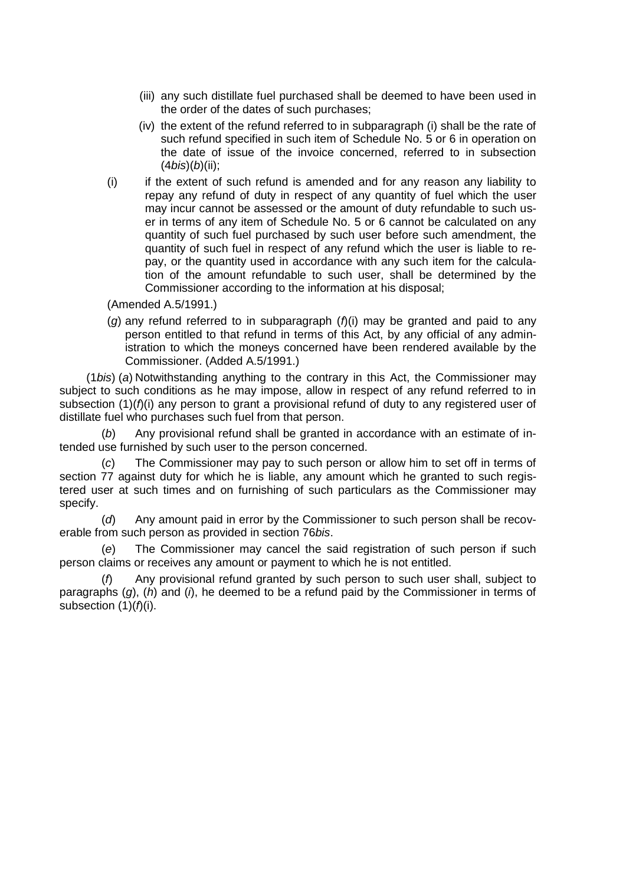- (iii) any such distillate fuel purchased shall be deemed to have been used in the order of the dates of such purchases;
- (iv) the extent of the refund referred to in subparagraph (i) shall be the rate of such refund specified in such item of Schedule No. 5 or 6 in operation on the date of issue of the invoice concerned, referred to in subsection (4*bis*)(*b*)(ii);
- (i) if the extent of such refund is amended and for any reason any liability to repay any refund of duty in respect of any quantity of fuel which the user may incur cannot be assessed or the amount of duty refundable to such user in terms of any item of Schedule No. 5 or 6 cannot be calculated on any quantity of such fuel purchased by such user before such amendment, the quantity of such fuel in respect of any refund which the user is liable to repay, or the quantity used in accordance with any such item for the calculation of the amount refundable to such user, shall be determined by the Commissioner according to the information at his disposal;

(Amended A.5/1991.)

(*g*) any refund referred to in subparagraph (*f*)(i) may be granted and paid to any person entitled to that refund in terms of this Act, by any official of any administration to which the moneys concerned have been rendered available by the Commissioner. (Added A.5/1991.)

(1*bis*) (*a*) Notwithstanding anything to the contrary in this Act, the Commissioner may subject to such conditions as he may impose, allow in respect of any refund referred to in subsection (1)( $f$ )(i) any person to grant a provisional refund of duty to any registered user of distillate fuel who purchases such fuel from that person.

(*b*) Any provisional refund shall be granted in accordance with an estimate of intended use furnished by such user to the person concerned.

(*c*) The Commissioner may pay to such person or allow him to set off in terms of section 77 against duty for which he is liable, any amount which he granted to such registered user at such times and on furnishing of such particulars as the Commissioner may specify.

(*d*) Any amount paid in error by the Commissioner to such person shall be recoverable from such person as provided in section 76*bis*.

(*e*) The Commissioner may cancel the said registration of such person if such person claims or receives any amount or payment to which he is not entitled.

Any provisional refund granted by such person to such user shall, subject to paragraphs (*g*), (*h*) and (*i*), he deemed to be a refund paid by the Commissioner in terms of subsection  $(1)(f)(i)$ .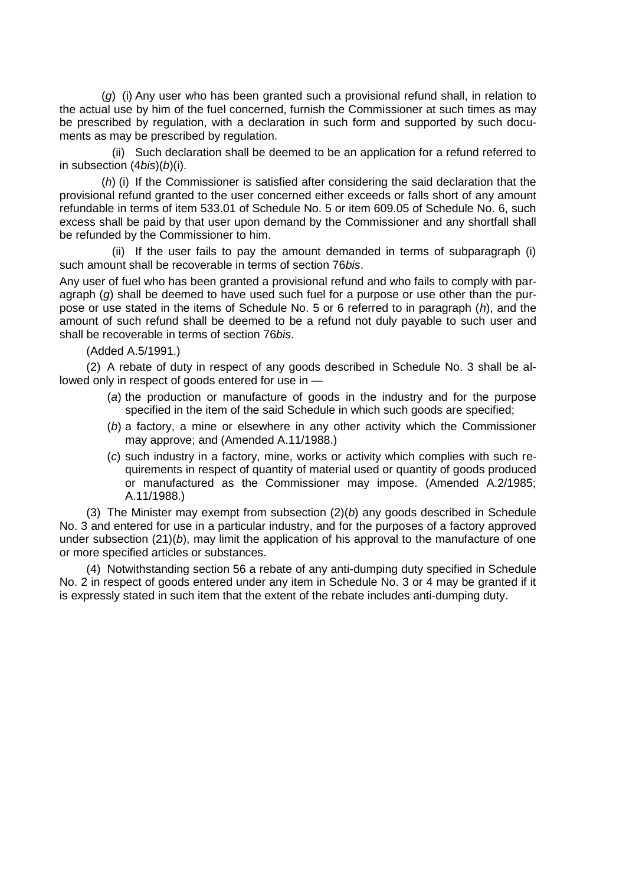(*g*) (i) Any user who has been granted such a provisional refund shall, in relation to the actual use by him of the fuel concerned, furnish the Commissioner at such times as may be prescribed by regulation, with a declaration in such form and supported by such documents as may be prescribed by regulation.

(ii) Such declaration shall be deemed to be an application for a refund referred to in subsection (4*bis*)(*b*)(i).

(*h*) (i) If the Commissioner is satisfied after considering the said declaration that the provisional refund granted to the user concerned either exceeds or falls short of any amount refundable in terms of item 533.01 of Schedule No. 5 or item 609.05 of Schedule No. 6, such excess shall be paid by that user upon demand by the Commissioner and any shortfall shall be refunded by the Commissioner to him.

(ii) If the user fails to pay the amount demanded in terms of subparagraph (i) such amount shall be recoverable in terms of section 76*bis*.

Any user of fuel who has been granted a provisional refund and who fails to comply with paragraph (*g*) shall be deemed to have used such fuel for a purpose or use other than the purpose or use stated in the items of Schedule No. 5 or 6 referred to in paragraph (*h*), and the amount of such refund shall be deemed to be a refund not duly payable to such user and shall be recoverable in terms of section 76*bis*.

(Added A.5/1991.)

(2) A rebate of duty in respect of any goods described in Schedule No. 3 shall be allowed only in respect of goods entered for use in —

- (*a*) the production or manufacture of goods in the industry and for the purpose specified in the item of the said Schedule in which such goods are specified;
- (*b*) a factory, a mine or elsewhere in any other activity which the Commissioner may approve; and (Amended A.11/1988.)
- (*c*) such industry in a factory, mine, works or activity which complies with such requirements in respect of quantity of material used or quantity of goods produced or manufactured as the Commissioner may impose. (Amended A.2/1985; A.11/1988.)

(3) The Minister may exempt from subsection (2)(*b*) any goods described in Schedule No. 3 and entered for use in a particular industry, and for the purposes of a factory approved under subsection (21)(*b*), may limit the application of his approval to the manufacture of one or more specified articles or substances.

(4) Notwithstanding section 56 a rebate of any anti-dumping duty specified in Schedule No. 2 in respect of goods entered under any item in Schedule No. 3 or 4 may be granted if it is expressly stated in such item that the extent of the rebate includes anti-dumping duty.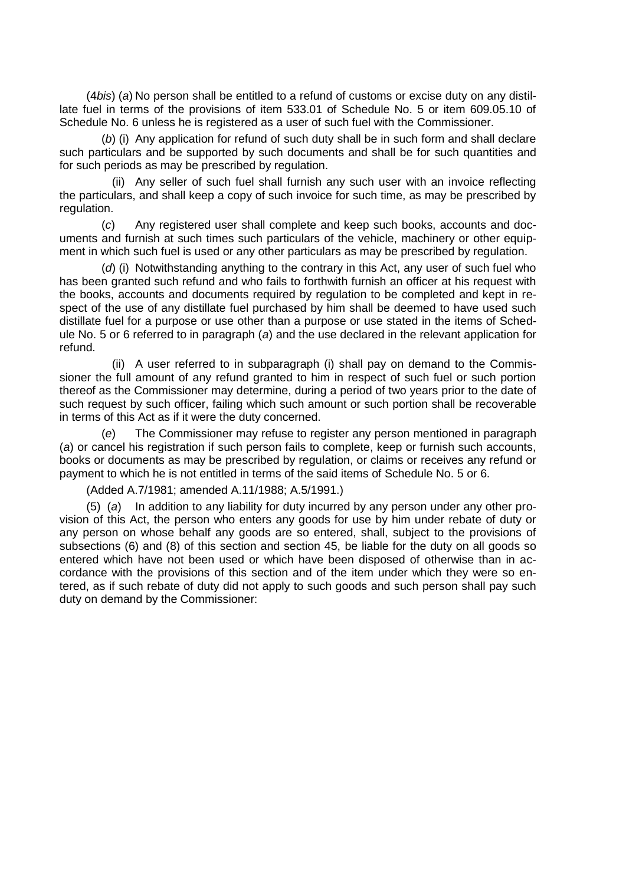(4*bis*) (*a*) No person shall be entitled to a refund of customs or excise duty on any distillate fuel in terms of the provisions of item 533.01 of Schedule No. 5 or item 609.05.10 of Schedule No. 6 unless he is registered as a user of such fuel with the Commissioner.

(*b*) (i) Any application for refund of such duty shall be in such form and shall declare such particulars and be supported by such documents and shall be for such quantities and for such periods as may be prescribed by regulation.

(ii) Any seller of such fuel shall furnish any such user with an invoice reflecting the particulars, and shall keep a copy of such invoice for such time, as may be prescribed by regulation.

(*c*) Any registered user shall complete and keep such books, accounts and documents and furnish at such times such particulars of the vehicle, machinery or other equipment in which such fuel is used or any other particulars as may be prescribed by regulation.

(*d*) (i) Notwithstanding anything to the contrary in this Act, any user of such fuel who has been granted such refund and who fails to forthwith furnish an officer at his request with the books, accounts and documents required by regulation to be completed and kept in respect of the use of any distillate fuel purchased by him shall be deemed to have used such distillate fuel for a purpose or use other than a purpose or use stated in the items of Schedule No. 5 or 6 referred to in paragraph (*a*) and the use declared in the relevant application for refund.

(ii) A user referred to in subparagraph (i) shall pay on demand to the Commissioner the full amount of any refund granted to him in respect of such fuel or such portion thereof as the Commissioner may determine, during a period of two years prior to the date of such request by such officer, failing which such amount or such portion shall be recoverable in terms of this Act as if it were the duty concerned.

(*e*) The Commissioner may refuse to register any person mentioned in paragraph (*a*) or cancel his registration if such person fails to complete, keep or furnish such accounts, books or documents as may be prescribed by regulation, or claims or receives any refund or payment to which he is not entitled in terms of the said items of Schedule No. 5 or 6.

(Added A.7/1981; amended A.11/1988; A.5/1991.)

(5) (*a*) In addition to any liability for duty incurred by any person under any other provision of this Act, the person who enters any goods for use by him under rebate of duty or any person on whose behalf any goods are so entered, shall, subject to the provisions of subsections (6) and (8) of this section and section 45, be liable for the duty on all goods so entered which have not been used or which have been disposed of otherwise than in accordance with the provisions of this section and of the item under which they were so entered, as if such rebate of duty did not apply to such goods and such person shall pay such duty on demand by the Commissioner: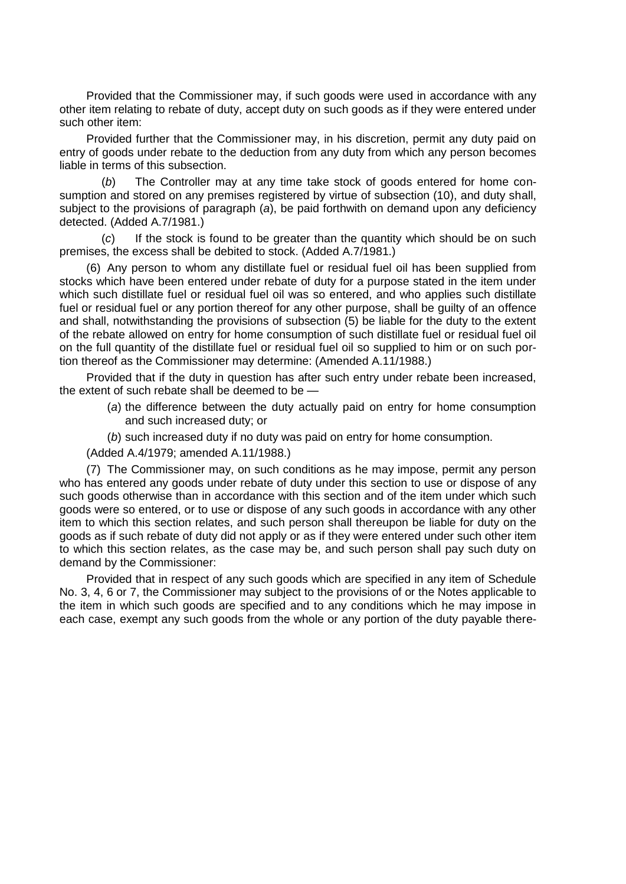Provided that the Commissioner may, if such goods were used in accordance with any other item relating to rebate of duty, accept duty on such goods as if they were entered under such other item:

Provided further that the Commissioner may, in his discretion, permit any duty paid on entry of goods under rebate to the deduction from any duty from which any person becomes liable in terms of this subsection.

(*b*) The Controller may at any time take stock of goods entered for home consumption and stored on any premises registered by virtue of subsection (10), and duty shall, subject to the provisions of paragraph (*a*), be paid forthwith on demand upon any deficiency detected. (Added A.7/1981.)

(*c*) If the stock is found to be greater than the quantity which should be on such premises, the excess shall be debited to stock. (Added A.7/1981.)

(6) Any person to whom any distillate fuel or residual fuel oil has been supplied from stocks which have been entered under rebate of duty for a purpose stated in the item under which such distillate fuel or residual fuel oil was so entered, and who applies such distillate fuel or residual fuel or any portion thereof for any other purpose, shall be guilty of an offence and shall, notwithstanding the provisions of subsection (5) be liable for the duty to the extent of the rebate allowed on entry for home consumption of such distillate fuel or residual fuel oil on the full quantity of the distillate fuel or residual fuel oil so supplied to him or on such portion thereof as the Commissioner may determine: (Amended A.11/1988.)

Provided that if the duty in question has after such entry under rebate been increased, the extent of such rebate shall be deemed to be —

- (*a*) the difference between the duty actually paid on entry for home consumption and such increased duty; or
- (*b*) such increased duty if no duty was paid on entry for home consumption.

(Added A.4/1979; amended A.11/1988.)

(7) The Commissioner may, on such conditions as he may impose, permit any person who has entered any goods under rebate of duty under this section to use or dispose of any such goods otherwise than in accordance with this section and of the item under which such goods were so entered, or to use or dispose of any such goods in accordance with any other item to which this section relates, and such person shall thereupon be liable for duty on the goods as if such rebate of duty did not apply or as if they were entered under such other item to which this section relates, as the case may be, and such person shall pay such duty on demand by the Commissioner:

Provided that in respect of any such goods which are specified in any item of Schedule No. 3, 4, 6 or 7, the Commissioner may subject to the provisions of or the Notes applicable to the item in which such goods are specified and to any conditions which he may impose in each case, exempt any such goods from the whole or any portion of the duty payable there-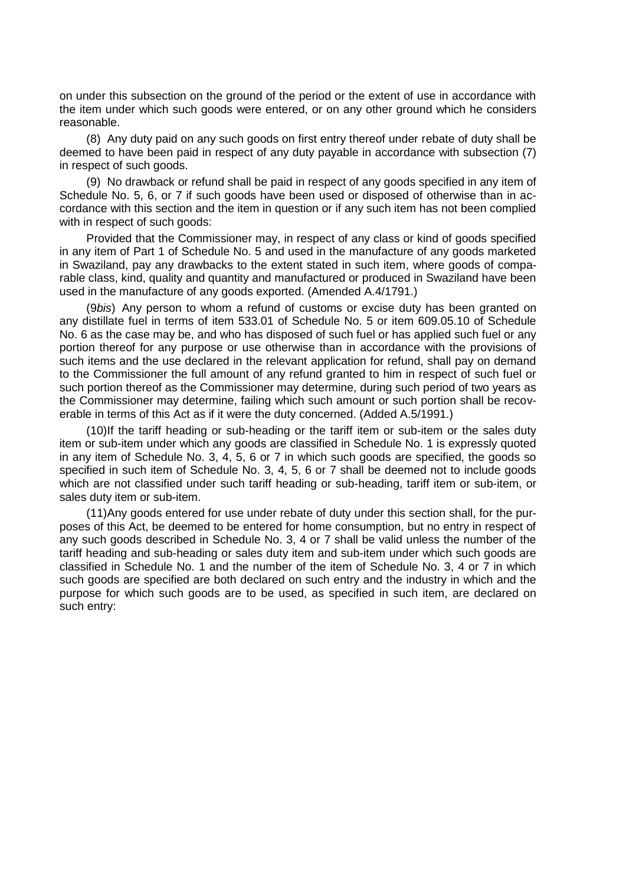on under this subsection on the ground of the period or the extent of use in accordance with the item under which such goods were entered, or on any other ground which he considers reasonable.

(8) Any duty paid on any such goods on first entry thereof under rebate of duty shall be deemed to have been paid in respect of any duty payable in accordance with subsection (7) in respect of such goods.

(9) No drawback or refund shall be paid in respect of any goods specified in any item of Schedule No. 5, 6, or 7 if such goods have been used or disposed of otherwise than in accordance with this section and the item in question or if any such item has not been complied with in respect of such goods:

Provided that the Commissioner may, in respect of any class or kind of goods specified in any item of Part 1 of Schedule No. 5 and used in the manufacture of any goods marketed in Swaziland, pay any drawbacks to the extent stated in such item, where goods of comparable class, kind, quality and quantity and manufactured or produced in Swaziland have been used in the manufacture of any goods exported. (Amended A.4/1791.)

(9*bis*) Any person to whom a refund of customs or excise duty has been granted on any distillate fuel in terms of item 533.01 of Schedule No. 5 or item 609.05.10 of Schedule No. 6 as the case may be, and who has disposed of such fuel or has applied such fuel or any portion thereof for any purpose or use otherwise than in accordance with the provisions of such items and the use declared in the relevant application for refund, shall pay on demand to the Commissioner the full amount of any refund granted to him in respect of such fuel or such portion thereof as the Commissioner may determine, during such period of two years as the Commissioner may determine, failing which such amount or such portion shall be recoverable in terms of this Act as if it were the duty concerned. (Added A.5/1991.)

(10)If the tariff heading or sub-heading or the tariff item or sub-item or the sales duty item or sub-item under which any goods are classified in Schedule No. 1 is expressly quoted in any item of Schedule No. 3, 4, 5, 6 or 7 in which such goods are specified, the goods so specified in such item of Schedule No. 3, 4, 5, 6 or 7 shall be deemed not to include goods which are not classified under such tariff heading or sub-heading, tariff item or sub-item, or sales duty item or sub-item.

(11)Any goods entered for use under rebate of duty under this section shall, for the purposes of this Act, be deemed to be entered for home consumption, but no entry in respect of any such goods described in Schedule No. 3, 4 or 7 shall be valid unless the number of the tariff heading and sub-heading or sales duty item and sub-item under which such goods are classified in Schedule No. 1 and the number of the item of Schedule No. 3, 4 or 7 in which such goods are specified are both declared on such entry and the industry in which and the purpose for which such goods are to be used, as specified in such item, are declared on such entry: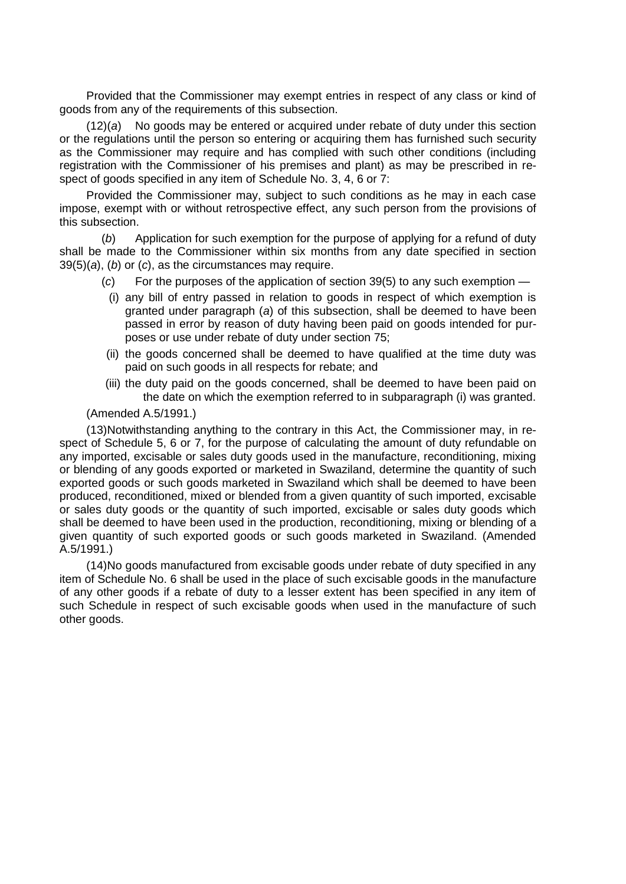Provided that the Commissioner may exempt entries in respect of any class or kind of goods from any of the requirements of this subsection.

(12)(*a*) No goods may be entered or acquired under rebate of duty under this section or the regulations until the person so entering or acquiring them has furnished such security as the Commissioner may require and has complied with such other conditions (including registration with the Commissioner of his premises and plant) as may be prescribed in respect of goods specified in any item of Schedule No. 3, 4, 6 or 7:

Provided the Commissioner may, subject to such conditions as he may in each case impose, exempt with or without retrospective effect, any such person from the provisions of this subsection.

(*b*) Application for such exemption for the purpose of applying for a refund of duty shall be made to the Commissioner within six months from any date specified in section 39(5)(*a*), (*b*) or (*c*), as the circumstances may require.

- (*c*) For the purposes of the application of section 39(5) to any such exemption
	- (i) any bill of entry passed in relation to goods in respect of which exemption is granted under paragraph (*a*) of this subsection, shall be deemed to have been passed in error by reason of duty having been paid on goods intended for purposes or use under rebate of duty under section 75;
- (ii) the goods concerned shall be deemed to have qualified at the time duty was paid on such goods in all respects for rebate; and
- (iii) the duty paid on the goods concerned, shall be deemed to have been paid on the date on which the exemption referred to in subparagraph (i) was granted.

# (Amended A.5/1991.)

(13)Notwithstanding anything to the contrary in this Act, the Commissioner may, in respect of Schedule 5, 6 or 7, for the purpose of calculating the amount of duty refundable on any imported, excisable or sales duty goods used in the manufacture, reconditioning, mixing or blending of any goods exported or marketed in Swaziland, determine the quantity of such exported goods or such goods marketed in Swaziland which shall be deemed to have been produced, reconditioned, mixed or blended from a given quantity of such imported, excisable or sales duty goods or the quantity of such imported, excisable or sales duty goods which shall be deemed to have been used in the production, reconditioning, mixing or blending of a given quantity of such exported goods or such goods marketed in Swaziland. (Amended A.5/1991.)

(14)No goods manufactured from excisable goods under rebate of duty specified in any item of Schedule No. 6 shall be used in the place of such excisable goods in the manufacture of any other goods if a rebate of duty to a lesser extent has been specified in any item of such Schedule in respect of such excisable goods when used in the manufacture of such other goods.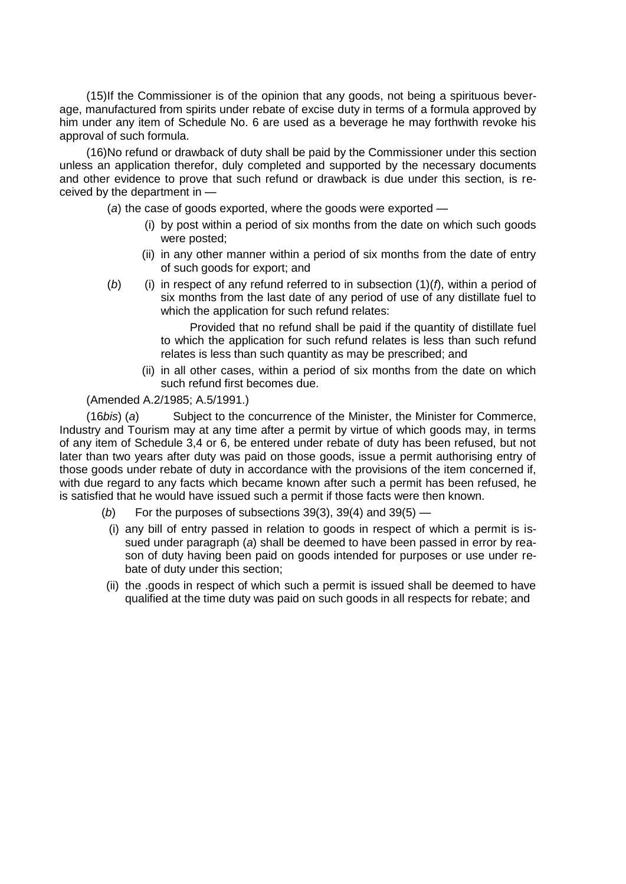(15)If the Commissioner is of the opinion that any goods, not being a spirituous beverage, manufactured from spirits under rebate of excise duty in terms of a formula approved by him under any item of Schedule No. 6 are used as a beverage he may forthwith revoke his approval of such formula.

(16)No refund or drawback of duty shall be paid by the Commissioner under this section unless an application therefor, duly completed and supported by the necessary documents and other evidence to prove that such refund or drawback is due under this section, is received by the department in —

- (*a*) the case of goods exported, where the goods were exported
	- (i) by post within a period of six months from the date on which such goods were posted;
	- (ii) in any other manner within a period of six months from the date of entry of such goods for export; and
- $(b)$  (i) in respect of any refund referred to in subsection  $(1)(f)$ , within a period of six months from the last date of any period of use of any distillate fuel to which the application for such refund relates:

 Provided that no refund shall be paid if the quantity of distillate fuel to which the application for such refund relates is less than such refund relates is less than such quantity as may be prescribed; and

(ii) in all other cases, within a period of six months from the date on which such refund first becomes due.

# (Amended A.2/1985; A.5/1991.)

(16*bis*) (*a*) Subject to the concurrence of the Minister, the Minister for Commerce, Industry and Tourism may at any time after a permit by virtue of which goods may, in terms of any item of Schedule 3,4 or 6, be entered under rebate of duty has been refused, but not later than two years after duty was paid on those goods, issue a permit authorising entry of those goods under rebate of duty in accordance with the provisions of the item concerned if, with due regard to any facts which became known after such a permit has been refused, he is satisfied that he would have issued such a permit if those facts were then known.

- (*b*) For the purposes of subsections 39(3), 39(4) and 39(5) —
- (i) any bill of entry passed in relation to goods in respect of which a permit is issued under paragraph (*a*) shall be deemed to have been passed in error by reason of duty having been paid on goods intended for purposes or use under rebate of duty under this section;
- (ii) the .goods in respect of which such a permit is issued shall be deemed to have qualified at the time duty was paid on such goods in all respects for rebate; and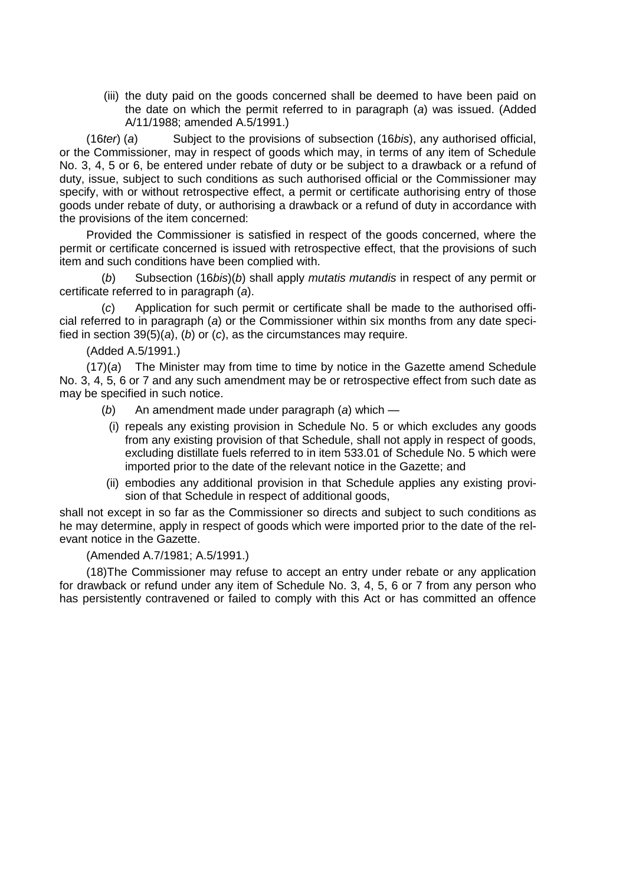(iii) the duty paid on the goods concerned shall be deemed to have been paid on the date on which the permit referred to in paragraph (*a*) was issued. (Added A/11/1988; amended A.5/1991.)

(16*ter*) (*a*) Subject to the provisions of subsection (16*bis*), any authorised official, or the Commissioner, may in respect of goods which may, in terms of any item of Schedule No. 3, 4, 5 or 6, be entered under rebate of duty or be subject to a drawback or a refund of duty, issue, subject to such conditions as such authorised official or the Commissioner may specify, with or without retrospective effect, a permit or certificate authorising entry of those goods under rebate of duty, or authorising a drawback or a refund of duty in accordance with the provisions of the item concerned:

Provided the Commissioner is satisfied in respect of the goods concerned, where the permit or certificate concerned is issued with retrospective effect, that the provisions of such item and such conditions have been complied with.

(*b*) Subsection (16*bis*)(*b*) shall apply *mutatis mutandis* in respect of any permit or certificate referred to in paragraph (*a*).

(*c*) Application for such permit or certificate shall be made to the authorised official referred to in paragraph (*a*) or the Commissioner within six months from any date specified in section 39(5)(*a*), (*b*) or (*c*), as the circumstances may require.

(Added A.5/1991.)

(17)(*a*) The Minister may from time to time by notice in the Gazette amend Schedule No. 3, 4, 5, 6 or 7 and any such amendment may be or retrospective effect from such date as may be specified in such notice.

(*b*) An amendment made under paragraph (*a*) which —

- (i) repeals any existing provision in Schedule No. 5 or which excludes any goods from any existing provision of that Schedule, shall not apply in respect of goods, excluding distillate fuels referred to in item 533.01 of Schedule No. 5 which were imported prior to the date of the relevant notice in the Gazette; and
- (ii) embodies any additional provision in that Schedule applies any existing provision of that Schedule in respect of additional goods,

shall not except in so far as the Commissioner so directs and subject to such conditions as he may determine, apply in respect of goods which were imported prior to the date of the relevant notice in the Gazette.

### (Amended A.7/1981; A.5/1991.)

(18)The Commissioner may refuse to accept an entry under rebate or any application for drawback or refund under any item of Schedule No. 3, 4, 5, 6 or 7 from any person who has persistently contravened or failed to comply with this Act or has committed an offence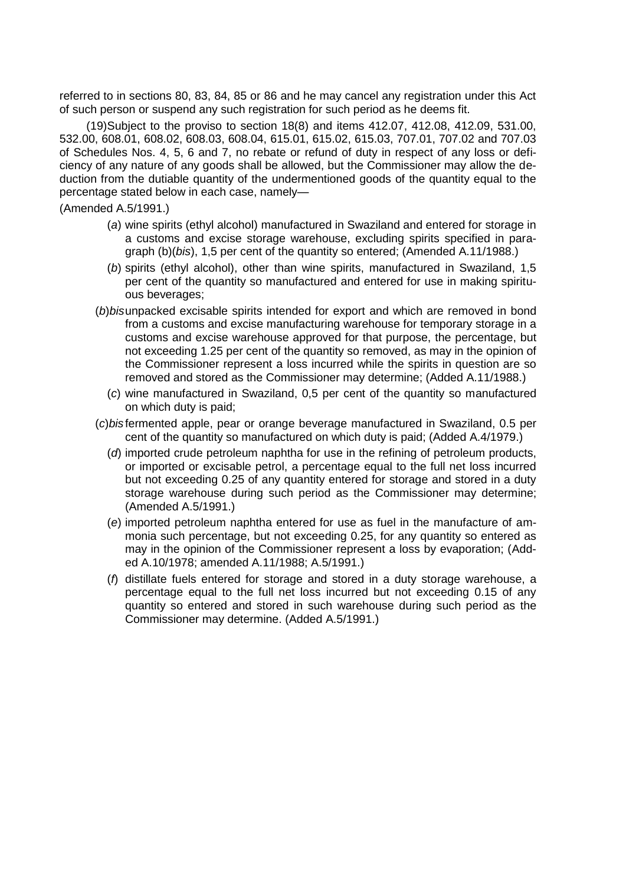referred to in sections 80, 83, 84, 85 or 86 and he may cancel any registration under this Act of such person or suspend any such registration for such period as he deems fit.

(19)Subject to the proviso to section 18(8) and items 412.07, 412.08, 412.09, 531.00, 532.00, 608.01, 608.02, 608.03, 608.04, 615.01, 615.02, 615.03, 707.01, 707.02 and 707.03 of Schedules Nos. 4, 5, 6 and 7, no rebate or refund of duty in respect of any loss or deficiency of any nature of any goods shall be allowed, but the Commissioner may allow the deduction from the dutiable quantity of the undermentioned goods of the quantity equal to the percentage stated below in each case, namely—

(Amended A.5/1991.)

- (*a*) wine spirits (ethyl alcohol) manufactured in Swaziland and entered for storage in a customs and excise storage warehouse, excluding spirits specified in paragraph (b)(*bis*), 1,5 per cent of the quantity so entered; (Amended A.11/1988.)
- (*b*) spirits (ethyl alcohol), other than wine spirits, manufactured in Swaziland, 1,5 per cent of the quantity so manufactured and entered for use in making spirituous beverages;
- (*b*)*bis*unpacked excisable spirits intended for export and which are removed in bond from a customs and excise manufacturing warehouse for temporary storage in a customs and excise warehouse approved for that purpose, the percentage, but not exceeding 1.25 per cent of the quantity so removed, as may in the opinion of the Commissioner represent a loss incurred while the spirits in question are so removed and stored as the Commissioner may determine; (Added A.11/1988.)
	- (*c*) wine manufactured in Swaziland, 0,5 per cent of the quantity so manufactured on which duty is paid;
- (*c*)*bis* fermented apple, pear or orange beverage manufactured in Swaziland, 0.5 per cent of the quantity so manufactured on which duty is paid; (Added A.4/1979.)
	- (*d*) imported crude petroleum naphtha for use in the refining of petroleum products, or imported or excisable petrol, a percentage equal to the full net loss incurred but not exceeding 0.25 of any quantity entered for storage and stored in a duty storage warehouse during such period as the Commissioner may determine; (Amended A.5/1991.)
	- (*e*) imported petroleum naphtha entered for use as fuel in the manufacture of ammonia such percentage, but not exceeding 0.25, for any quantity so entered as may in the opinion of the Commissioner represent a loss by evaporation; (Added A.10/1978; amended A.11/1988; A.5/1991.)
	- (*f*) distillate fuels entered for storage and stored in a duty storage warehouse, a percentage equal to the full net loss incurred but not exceeding 0.15 of any quantity so entered and stored in such warehouse during such period as the Commissioner may determine. (Added A.5/1991.)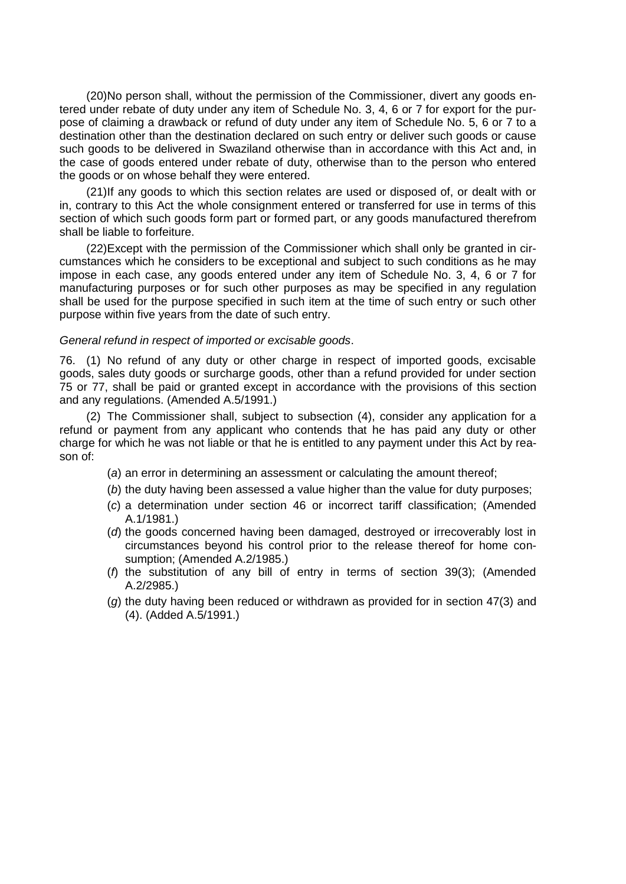(20)No person shall, without the permission of the Commissioner, divert any goods entered under rebate of duty under any item of Schedule No. 3, 4, 6 or 7 for export for the purpose of claiming a drawback or refund of duty under any item of Schedule No. 5, 6 or 7 to a destination other than the destination declared on such entry or deliver such goods or cause such goods to be delivered in Swaziland otherwise than in accordance with this Act and, in the case of goods entered under rebate of duty, otherwise than to the person who entered the goods or on whose behalf they were entered.

(21)If any goods to which this section relates are used or disposed of, or dealt with or in, contrary to this Act the whole consignment entered or transferred for use in terms of this section of which such goods form part or formed part, or any goods manufactured therefrom shall be liable to forfeiture.

(22)Except with the permission of the Commissioner which shall only be granted in circumstances which he considers to be exceptional and subject to such conditions as he may impose in each case, any goods entered under any item of Schedule No. 3, 4, 6 or 7 for manufacturing purposes or for such other purposes as may be specified in any regulation shall be used for the purpose specified in such item at the time of such entry or such other purpose within five years from the date of such entry.

#### *General refund in respect of imported or excisable goods*.

76. (1) No refund of any duty or other charge in respect of imported goods, excisable goods, sales duty goods or surcharge goods, other than a refund provided for under section 75 or 77, shall be paid or granted except in accordance with the provisions of this section and any regulations. (Amended A.5/1991.)

(2) The Commissioner shall, subject to subsection (4), consider any application for a refund or payment from any applicant who contends that he has paid any duty or other charge for which he was not liable or that he is entitled to any payment under this Act by reason of:

- (*a*) an error in determining an assessment or calculating the amount thereof;
- (*b*) the duty having been assessed a value higher than the value for duty purposes;
- (*c*) a determination under section 46 or incorrect tariff classification; (Amended A.1/1981.)
- (*d*) the goods concerned having been damaged, destroyed or irrecoverably lost in circumstances beyond his control prior to the release thereof for home consumption; (Amended A.2/1985.)
- (*f*) the substitution of any bill of entry in terms of section 39(3); (Amended A.2/2985.)
- (*g*) the duty having been reduced or withdrawn as provided for in section 47(3) and (4). (Added A.5/1991.)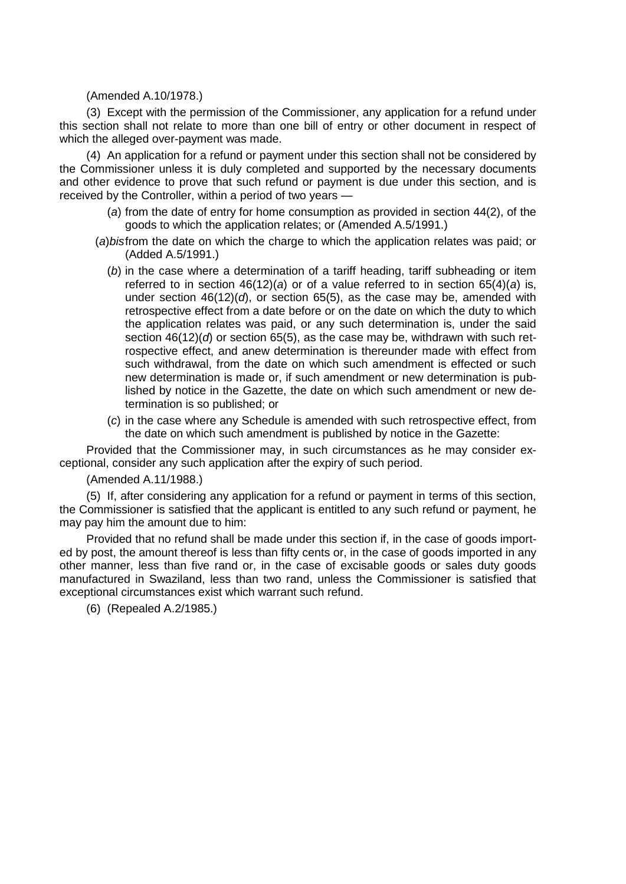### (Amended A.10/1978.)

(3) Except with the permission of the Commissioner, any application for a refund under this section shall not relate to more than one bill of entry or other document in respect of which the alleged over-payment was made.

(4) An application for a refund or payment under this section shall not be considered by the Commissioner unless it is duly completed and supported by the necessary documents and other evidence to prove that such refund or payment is due under this section, and is received by the Controller, within a period of two years —

- (*a*) from the date of entry for home consumption as provided in section 44(2), of the goods to which the application relates; or (Amended A.5/1991.)
- (*a*)*bis*from the date on which the charge to which the application relates was paid; or (Added A.5/1991.)
	- (*b*) in the case where a determination of a tariff heading, tariff subheading or item referred to in section 46(12)(*a*) or of a value referred to in section 65(4)(*a*) is, under section 46(12)(*d*), or section 65(5), as the case may be, amended with retrospective effect from a date before or on the date on which the duty to which the application relates was paid, or any such determination is, under the said section 46(12)(*d*) or section 65(5), as the case may be, withdrawn with such retrospective effect, and anew determination is thereunder made with effect from such withdrawal, from the date on which such amendment is effected or such new determination is made or, if such amendment or new determination is published by notice in the Gazette, the date on which such amendment or new determination is so published; or
	- (*c*) in the case where any Schedule is amended with such retrospective effect, from the date on which such amendment is published by notice in the Gazette:

Provided that the Commissioner may, in such circumstances as he may consider exceptional, consider any such application after the expiry of such period.

(Amended A.11/1988.)

(5) If, after considering any application for a refund or payment in terms of this section, the Commissioner is satisfied that the applicant is entitled to any such refund or payment, he may pay him the amount due to him:

Provided that no refund shall be made under this section if, in the case of goods imported by post, the amount thereof is less than fifty cents or, in the case of goods imported in any other manner, less than five rand or, in the case of excisable goods or sales duty goods manufactured in Swaziland, less than two rand, unless the Commissioner is satisfied that exceptional circumstances exist which warrant such refund.

(6) (Repealed A.2/1985.)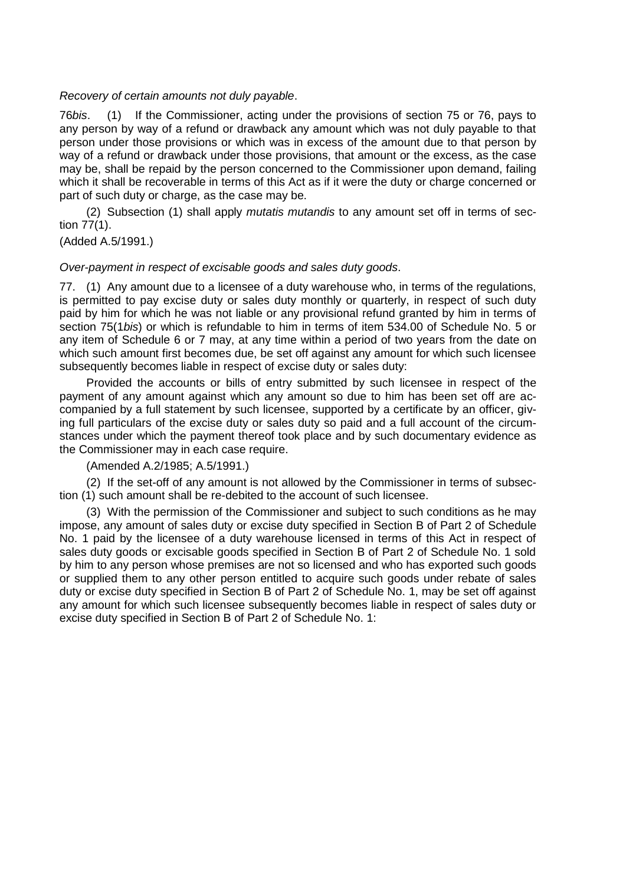# *Recovery of certain amounts not duly payable*.

76*bis*. (1) If the Commissioner, acting under the provisions of section 75 or 76, pays to any person by way of a refund or drawback any amount which was not duly payable to that person under those provisions or which was in excess of the amount due to that person by way of a refund or drawback under those provisions, that amount or the excess, as the case may be, shall be repaid by the person concerned to the Commissioner upon demand, failing which it shall be recoverable in terms of this Act as if it were the duty or charge concerned or part of such duty or charge, as the case may be.

(2) Subsection (1) shall apply *mutatis mutandis* to any amount set off in terms of section 77(1).

(Added A.5/1991.)

### *Over-payment in respect of excisable goods and sales duty goods*.

77. (1) Any amount due to a licensee of a duty warehouse who, in terms of the regulations, is permitted to pay excise duty or sales duty monthly or quarterly, in respect of such duty paid by him for which he was not liable or any provisional refund granted by him in terms of section 75(1*bis*) or which is refundable to him in terms of item 534.00 of Schedule No. 5 or any item of Schedule 6 or 7 may, at any time within a period of two years from the date on which such amount first becomes due, be set off against any amount for which such licensee subsequently becomes liable in respect of excise duty or sales duty:

Provided the accounts or bills of entry submitted by such licensee in respect of the payment of any amount against which any amount so due to him has been set off are accompanied by a full statement by such licensee, supported by a certificate by an officer, giving full particulars of the excise duty or sales duty so paid and a full account of the circumstances under which the payment thereof took place and by such documentary evidence as the Commissioner may in each case require.

(Amended A.2/1985; A.5/1991.)

(2) If the set-off of any amount is not allowed by the Commissioner in terms of subsection (1) such amount shall be re-debited to the account of such licensee.

(3) With the permission of the Commissioner and subject to such conditions as he may impose, any amount of sales duty or excise duty specified in Section B of Part 2 of Schedule No. 1 paid by the licensee of a duty warehouse licensed in terms of this Act in respect of sales duty goods or excisable goods specified in Section B of Part 2 of Schedule No. 1 sold by him to any person whose premises are not so licensed and who has exported such goods or supplied them to any other person entitled to acquire such goods under rebate of sales duty or excise duty specified in Section B of Part 2 of Schedule No. 1, may be set off against any amount for which such licensee subsequently becomes liable in respect of sales duty or excise duty specified in Section B of Part 2 of Schedule No. 1: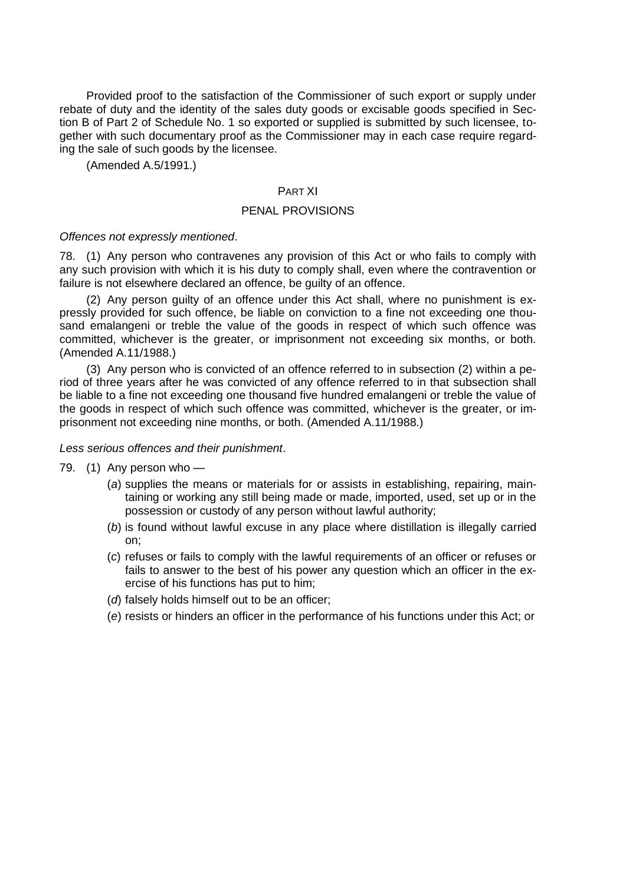Provided proof to the satisfaction of the Commissioner of such export or supply under rebate of duty and the identity of the sales duty goods or excisable goods specified in Section B of Part 2 of Schedule No. 1 so exported or supplied is submitted by such licensee, together with such documentary proof as the Commissioner may in each case require regarding the sale of such goods by the licensee.

(Amended A.5/1991.)

## PART XI

# PENAL PROVISIONS

#### *Offences not expressly mentioned*.

78. (1) Any person who contravenes any provision of this Act or who fails to comply with any such provision with which it is his duty to comply shall, even where the contravention or failure is not elsewhere declared an offence, be guilty of an offence.

(2) Any person guilty of an offence under this Act shall, where no punishment is expressly provided for such offence, be liable on conviction to a fine not exceeding one thousand emalangeni or treble the value of the goods in respect of which such offence was committed, whichever is the greater, or imprisonment not exceeding six months, or both. (Amended A.11/1988.)

(3) Any person who is convicted of an offence referred to in subsection (2) within a period of three years after he was convicted of any offence referred to in that subsection shall be liable to a fine not exceeding one thousand five hundred emalangeni or treble the value of the goods in respect of which such offence was committed, whichever is the greater, or imprisonment not exceeding nine months, or both. (Amended A.11/1988.)

*Less serious offences and their punishment*.

- 79. (1) Any person who
	- (*a*) supplies the means or materials for or assists in establishing, repairing, maintaining or working any still being made or made, imported, used, set up or in the possession or custody of any person without lawful authority;
	- (*b*) is found without lawful excuse in any place where distillation is illegally carried on;
	- (*c*) refuses or fails to comply with the lawful requirements of an officer or refuses or fails to answer to the best of his power any question which an officer in the exercise of his functions has put to him;
	- (*d*) falsely holds himself out to be an officer;
	- (*e*) resists or hinders an officer in the performance of his functions under this Act; or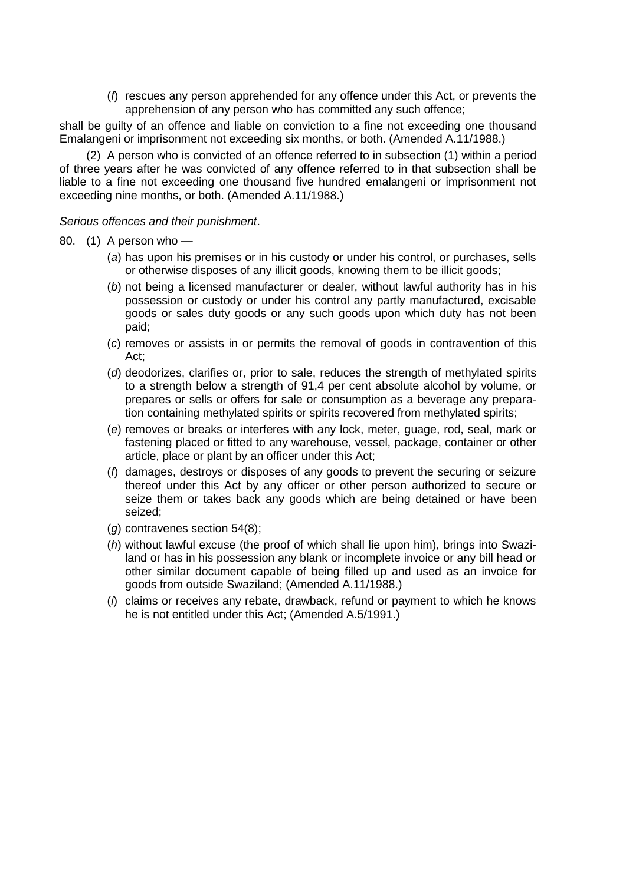(*f*) rescues any person apprehended for any offence under this Act, or prevents the apprehension of any person who has committed any such offence;

shall be guilty of an offence and liable on conviction to a fine not exceeding one thousand Emalangeni or imprisonment not exceeding six months, or both. (Amended A.11/1988.)

(2) A person who is convicted of an offence referred to in subsection (1) within a period of three years after he was convicted of any offence referred to in that subsection shall be liable to a fine not exceeding one thousand five hundred emalangeni or imprisonment not exceeding nine months, or both. (Amended A.11/1988.)

*Serious offences and their punishment*.

- 80. (1) A person who
	- (*a*) has upon his premises or in his custody or under his control, or purchases, sells or otherwise disposes of any illicit goods, knowing them to be illicit goods;
	- (*b*) not being a licensed manufacturer or dealer, without lawful authority has in his possession or custody or under his control any partly manufactured, excisable goods or sales duty goods or any such goods upon which duty has not been paid;
	- (*c*) removes or assists in or permits the removal of goods in contravention of this Act;
	- (*d*) deodorizes, clarifies or, prior to sale, reduces the strength of methylated spirits to a strength below a strength of 91,4 per cent absolute alcohol by volume, or prepares or sells or offers for sale or consumption as a beverage any preparation containing methylated spirits or spirits recovered from methylated spirits;
	- (*e*) removes or breaks or interferes with any lock, meter, guage, rod, seal, mark or fastening placed or fitted to any warehouse, vessel, package, container or other article, place or plant by an officer under this Act;
	- (*f*) damages, destroys or disposes of any goods to prevent the securing or seizure thereof under this Act by any officer or other person authorized to secure or seize them or takes back any goods which are being detained or have been seized;
	- (*g*) contravenes section 54(8);
	- (*h*) without lawful excuse (the proof of which shall lie upon him), brings into Swaziland or has in his possession any blank or incomplete invoice or any bill head or other similar document capable of being filled up and used as an invoice for goods from outside Swaziland; (Amended A.11/1988.)
	- (*i*) claims or receives any rebate, drawback, refund or payment to which he knows he is not entitled under this Act; (Amended A.5/1991.)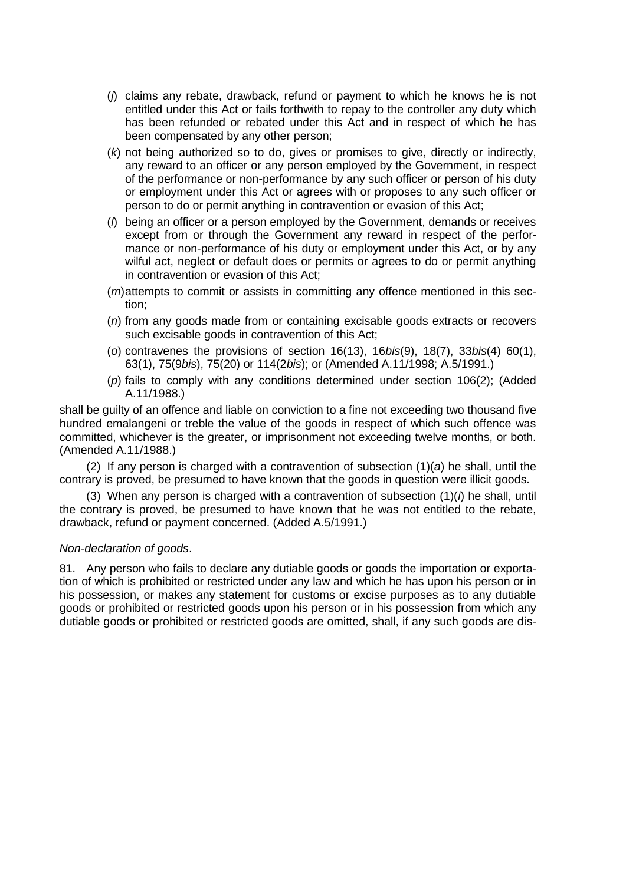- (*j*) claims any rebate, drawback, refund or payment to which he knows he is not entitled under this Act or fails forthwith to repay to the controller any duty which has been refunded or rebated under this Act and in respect of which he has been compensated by any other person;
- (*k*) not being authorized so to do, gives or promises to give, directly or indirectly, any reward to an officer or any person employed by the Government, in respect of the performance or non-performance by any such officer or person of his duty or employment under this Act or agrees with or proposes to any such officer or person to do or permit anything in contravention or evasion of this Act;
- (*l*) being an officer or a person employed by the Government, demands or receives except from or through the Government any reward in respect of the performance or non-performance of his duty or employment under this Act, or by any wilful act, neglect or default does or permits or agrees to do or permit anything in contravention or evasion of this Act;
- (*m*)attempts to commit or assists in committing any offence mentioned in this section;
- (*n*) from any goods made from or containing excisable goods extracts or recovers such excisable goods in contravention of this Act;
- (*o*) contravenes the provisions of section 16(13), 16*bis*(9), 18(7), 33*bis*(4) 60(1), 63(1), 75(9*bis*), 75(20) or 114(2*bis*); or (Amended A.11/1998; A.5/1991.)
- (*p*) fails to comply with any conditions determined under section 106(2); (Added A.11/1988.)

shall be guilty of an offence and liable on conviction to a fine not exceeding two thousand five hundred emalangeni or treble the value of the goods in respect of which such offence was committed, whichever is the greater, or imprisonment not exceeding twelve months, or both. (Amended A.11/1988.)

(2) If any person is charged with a contravention of subsection (1)(*a*) he shall, until the contrary is proved, be presumed to have known that the goods in question were illicit goods.

(3) When any person is charged with a contravention of subsection  $(1)(i)$  he shall, until the contrary is proved, be presumed to have known that he was not entitled to the rebate, drawback, refund or payment concerned. (Added A.5/1991.)

### *Non-declaration of goods*.

81. Any person who fails to declare any dutiable goods or goods the importation or exportation of which is prohibited or restricted under any law and which he has upon his person or in his possession, or makes any statement for customs or excise purposes as to any dutiable goods or prohibited or restricted goods upon his person or in his possession from which any dutiable goods or prohibited or restricted goods are omitted, shall, if any such goods are dis-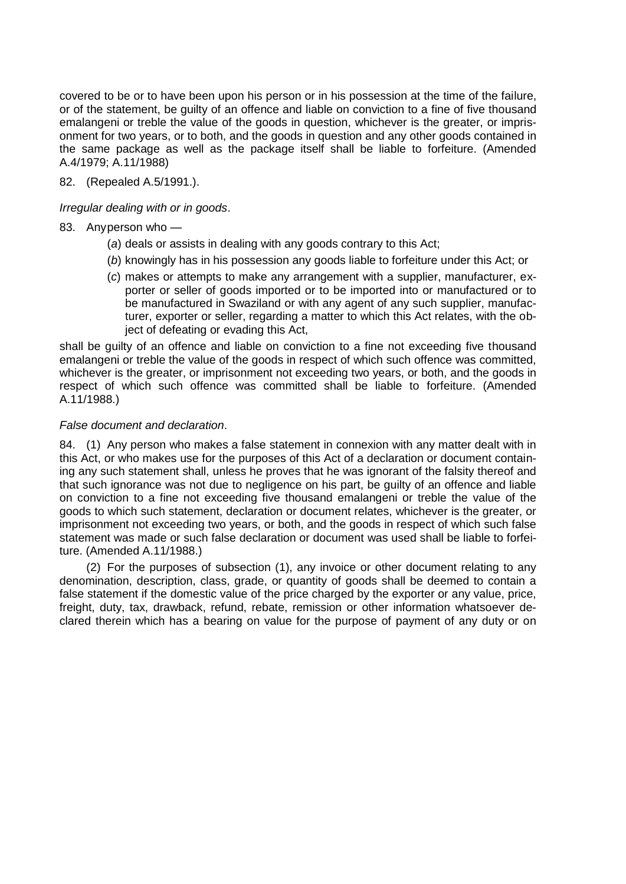covered to be or to have been upon his person or in his possession at the time of the failure, or of the statement, be guilty of an offence and liable on conviction to a fine of five thousand emalangeni or treble the value of the goods in question, whichever is the greater, or imprisonment for two years, or to both, and the goods in question and any other goods contained in the same package as well as the package itself shall be liable to forfeiture. (Amended A.4/1979; A.11/1988)

82. (Repealed A.5/1991.).

*Irregular dealing with or in goods*.

# 83. Anyperson who —

- (*a*) deals or assists in dealing with any goods contrary to this Act;
- (*b*) knowingly has in his possession any goods liable to forfeiture under this Act; or
- (*c*) makes or attempts to make any arrangement with a supplier, manufacturer, exporter or seller of goods imported or to be imported into or manufactured or to be manufactured in Swaziland or with any agent of any such supplier, manufacturer, exporter or seller, regarding a matter to which this Act relates, with the object of defeating or evading this Act,

shall be guilty of an offence and liable on conviction to a fine not exceeding five thousand emalangeni or treble the value of the goods in respect of which such offence was committed, whichever is the greater, or imprisonment not exceeding two years, or both, and the goods in respect of which such offence was committed shall be liable to forfeiture. (Amended A.11/1988.)

# *False document and declaration*.

84. (1) Any person who makes a false statement in connexion with any matter dealt with in this Act, or who makes use for the purposes of this Act of a declaration or document containing any such statement shall, unless he proves that he was ignorant of the falsity thereof and that such ignorance was not due to negligence on his part, be guilty of an offence and liable on conviction to a fine not exceeding five thousand emalangeni or treble the value of the goods to which such statement, declaration or document relates, whichever is the greater, or imprisonment not exceeding two years, or both, and the goods in respect of which such false statement was made or such false declaration or document was used shall be liable to forfeiture. (Amended A.11/1988.)

(2) For the purposes of subsection (1), any invoice or other document relating to any denomination, description, class, grade, or quantity of goods shall be deemed to contain a false statement if the domestic value of the price charged by the exporter or any value, price, freight, duty, tax, drawback, refund, rebate, remission or other information whatsoever declared therein which has a bearing on value for the purpose of payment of any duty or on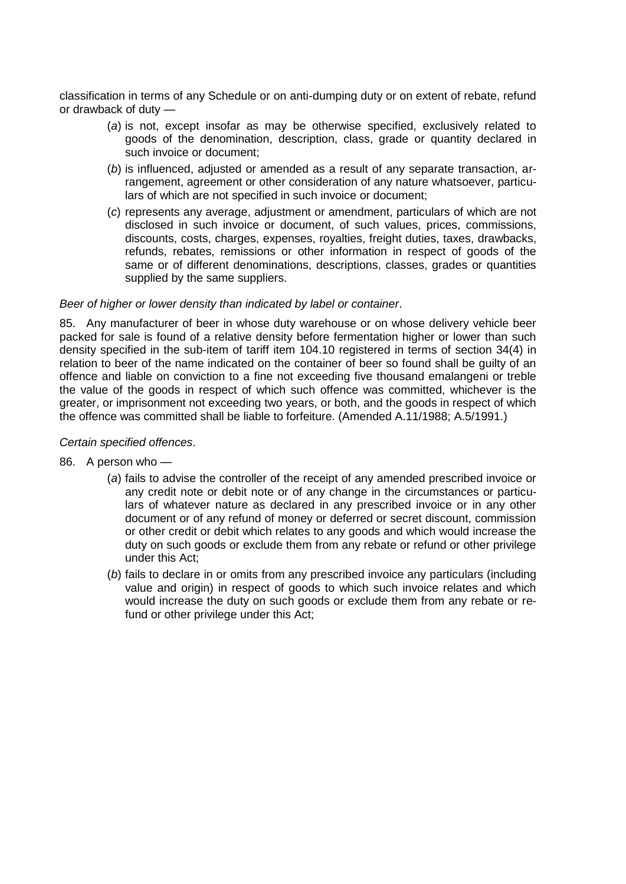classification in terms of any Schedule or on anti-dumping duty or on extent of rebate, refund or drawback of duty —

- (*a*) is not, except insofar as may be otherwise specified, exclusively related to goods of the denomination, description, class, grade or quantity declared in such invoice or document;
- (*b*) is influenced, adjusted or amended as a result of any separate transaction, arrangement, agreement or other consideration of any nature whatsoever, particulars of which are not specified in such invoice or document;
- (*c*) represents any average, adjustment or amendment, particulars of which are not disclosed in such invoice or document, of such values, prices, commissions, discounts, costs, charges, expenses, royalties, freight duties, taxes, drawbacks, refunds, rebates, remissions or other information in respect of goods of the same or of different denominations, descriptions, classes, grades or quantities supplied by the same suppliers.

# *Beer of higher or lower density than indicated by label or container*.

85. Any manufacturer of beer in whose duty warehouse or on whose delivery vehicle beer packed for sale is found of a relative density before fermentation higher or lower than such density specified in the sub-item of tariff item 104.10 registered in terms of section 34(4) in relation to beer of the name indicated on the container of beer so found shall be guilty of an offence and liable on conviction to a fine not exceeding five thousand emalangeni or treble the value of the goods in respect of which such offence was committed, whichever is the greater, or imprisonment not exceeding two years, or both, and the goods in respect of which the offence was committed shall be liable to forfeiture. (Amended A.11/1988; A.5/1991.)

### *Certain specified offences*.

- 86. A person who
	- (*a*) fails to advise the controller of the receipt of any amended prescribed invoice or any credit note or debit note or of any change in the circumstances or particulars of whatever nature as declared in any prescribed invoice or in any other document or of any refund of money or deferred or secret discount, commission or other credit or debit which relates to any goods and which would increase the duty on such goods or exclude them from any rebate or refund or other privilege under this Act;
	- (*b*) fails to declare in or omits from any prescribed invoice any particulars (including value and origin) in respect of goods to which such invoice relates and which would increase the duty on such goods or exclude them from any rebate or refund or other privilege under this Act;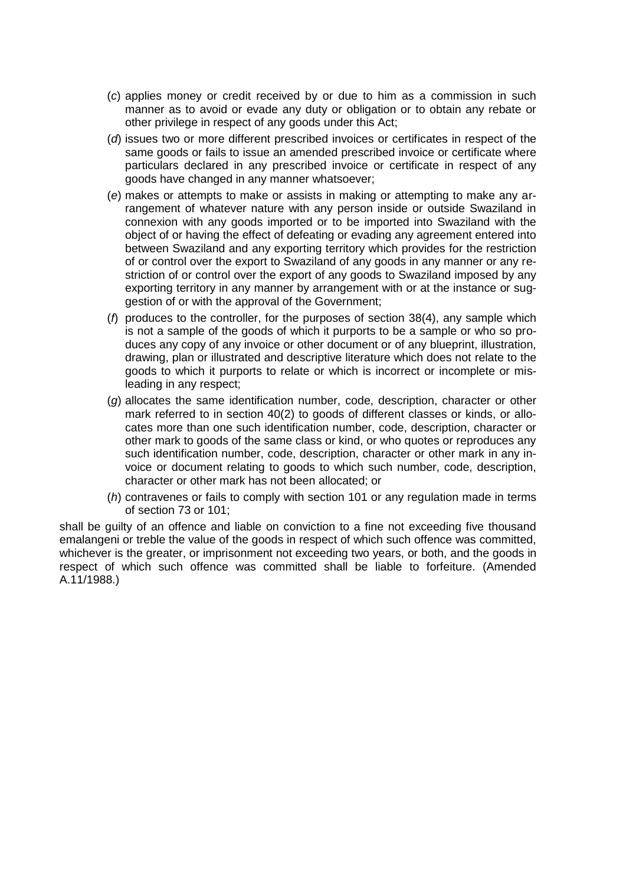- (*c*) applies money or credit received by or due to him as a commission in such manner as to avoid or evade any duty or obligation or to obtain any rebate or other privilege in respect of any goods under this Act;
- (*d*) issues two or more different prescribed invoices or certificates in respect of the same goods or fails to issue an amended prescribed invoice or certificate where particulars declared in any prescribed invoice or certificate in respect of any goods have changed in any manner whatsoever;
- (*e*) makes or attempts to make or assists in making or attempting to make any arrangement of whatever nature with any person inside or outside Swaziland in connexion with any goods imported or to be imported into Swaziland with the object of or having the effect of defeating or evading any agreement entered into between Swaziland and any exporting territory which provides for the restriction of or control over the export to Swaziland of any goods in any manner or any restriction of or control over the export of any goods to Swaziland imposed by any exporting territory in any manner by arrangement with or at the instance or suggestion of or with the approval of the Government;
- (*f*) produces to the controller, for the purposes of section 38(4), any sample which is not a sample of the goods of which it purports to be a sample or who so produces any copy of any invoice or other document or of any blueprint, illustration, drawing, plan or illustrated and descriptive literature which does not relate to the goods to which it purports to relate or which is incorrect or incomplete or misleading in any respect;
- (*g*) allocates the same identification number, code, description, character or other mark referred to in section 40(2) to goods of different classes or kinds, or allocates more than one such identification number, code, description, character or other mark to goods of the same class or kind, or who quotes or reproduces any such identification number, code, description, character or other mark in any invoice or document relating to goods to which such number, code, description, character or other mark has not been allocated; or
- (*h*) contravenes or fails to comply with section 101 or any regulation made in terms of section 73 or 101;

shall be guilty of an offence and liable on conviction to a fine not exceeding five thousand emalangeni or treble the value of the goods in respect of which such offence was committed, whichever is the greater, or imprisonment not exceeding two years, or both, and the goods in respect of which such offence was committed shall be liable to forfeiture. (Amended A.11/1988.)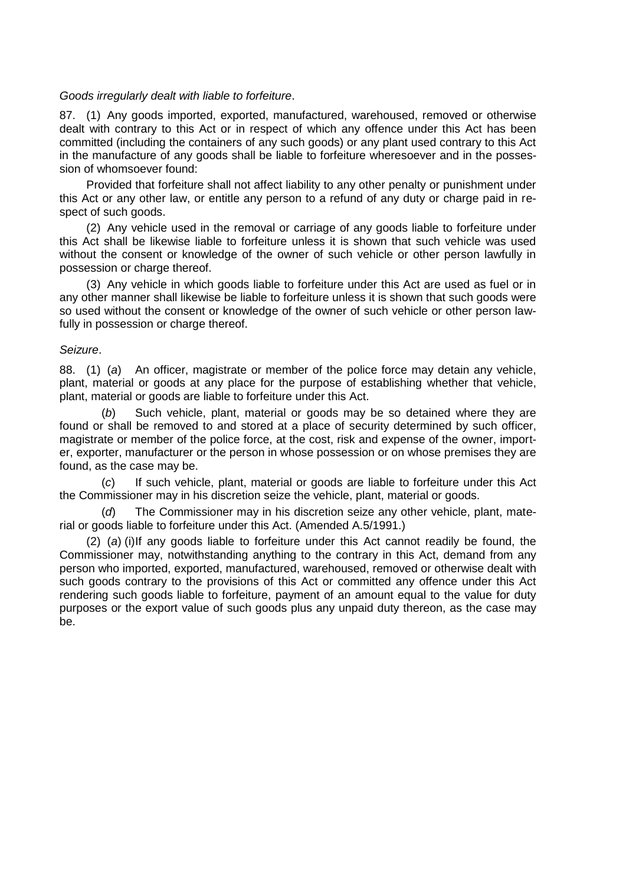### *Goods irregularly dealt with liable to forfeiture*.

87. (1) Any goods imported, exported, manufactured, warehoused, removed or otherwise dealt with contrary to this Act or in respect of which any offence under this Act has been committed (including the containers of any such goods) or any plant used contrary to this Act in the manufacture of any goods shall be liable to forfeiture wheresoever and in the possession of whomsoever found:

Provided that forfeiture shall not affect liability to any other penalty or punishment under this Act or any other law, or entitle any person to a refund of any duty or charge paid in respect of such goods.

(2) Any vehicle used in the removal or carriage of any goods liable to forfeiture under this Act shall be likewise liable to forfeiture unless it is shown that such vehicle was used without the consent or knowledge of the owner of such vehicle or other person lawfully in possession or charge thereof.

(3) Any vehicle in which goods liable to forfeiture under this Act are used as fuel or in any other manner shall likewise be liable to forfeiture unless it is shown that such goods were so used without the consent or knowledge of the owner of such vehicle or other person lawfully in possession or charge thereof.

#### *Seizure*.

88. (1) (*a*) An officer, magistrate or member of the police force may detain any vehicle, plant, material or goods at any place for the purpose of establishing whether that vehicle, plant, material or goods are liable to forfeiture under this Act.

(*b*) Such vehicle, plant, material or goods may be so detained where they are found or shall be removed to and stored at a place of security determined by such officer, magistrate or member of the police force, at the cost, risk and expense of the owner, importer, exporter, manufacturer or the person in whose possession or on whose premises they are found, as the case may be.

(*c*) If such vehicle, plant, material or goods are liable to forfeiture under this Act the Commissioner may in his discretion seize the vehicle, plant, material or goods.

The Commissioner may in his discretion seize any other vehicle, plant, material or goods liable to forfeiture under this Act. (Amended A.5/1991.)

(2) (*a*) (i)If any goods liable to forfeiture under this Act cannot readily be found, the Commissioner may, notwithstanding anything to the contrary in this Act, demand from any person who imported, exported, manufactured, warehoused, removed or otherwise dealt with such goods contrary to the provisions of this Act or committed any offence under this Act rendering such goods liable to forfeiture, payment of an amount equal to the value for duty purposes or the export value of such goods plus any unpaid duty thereon, as the case may be.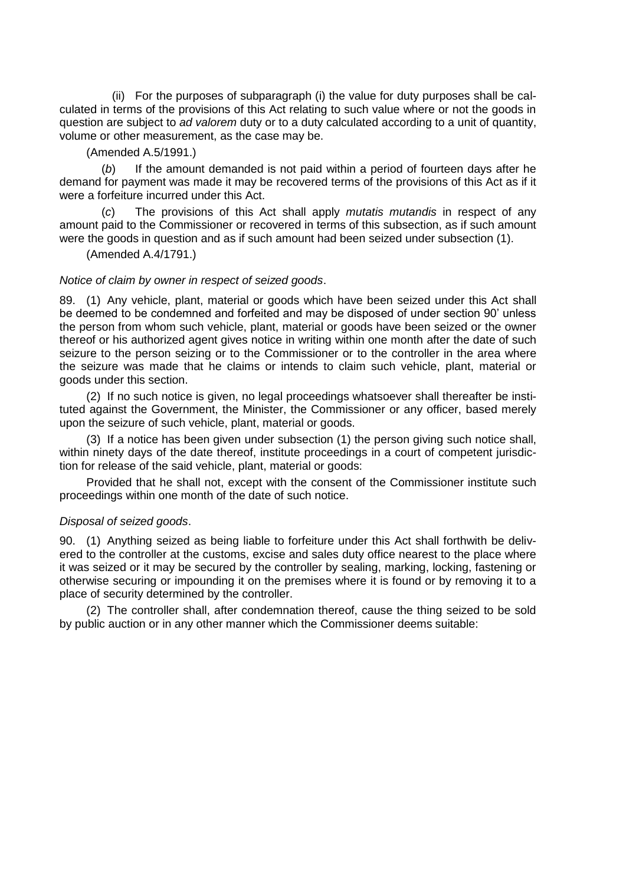(ii) For the purposes of subparagraph (i) the value for duty purposes shall be calculated in terms of the provisions of this Act relating to such value where or not the goods in question are subject to *ad valorem* duty or to a duty calculated according to a unit of quantity, volume or other measurement, as the case may be.

(Amended A.5/1991.)

(*b*) If the amount demanded is not paid within a period of fourteen days after he demand for payment was made it may be recovered terms of the provisions of this Act as if it were a forfeiture incurred under this Act.

(*c*) The provisions of this Act shall apply *mutatis mutandis* in respect of any amount paid to the Commissioner or recovered in terms of this subsection, as if such amount were the goods in question and as if such amount had been seized under subsection (1).

(Amended A.4/1791.)

#### *Notice of claim by owner in respect of seized goods*.

89. (1) Any vehicle, plant, material or goods which have been seized under this Act shall be deemed to be condemned and forfeited and may be disposed of under section 90" unless the person from whom such vehicle, plant, material or goods have been seized or the owner thereof or his authorized agent gives notice in writing within one month after the date of such seizure to the person seizing or to the Commissioner or to the controller in the area where the seizure was made that he claims or intends to claim such vehicle, plant, material or goods under this section.

(2) If no such notice is given, no legal proceedings whatsoever shall thereafter be instituted against the Government, the Minister, the Commissioner or any officer, based merely upon the seizure of such vehicle, plant, material or goods.

(3) If a notice has been given under subsection (1) the person giving such notice shall, within ninety days of the date thereof, institute proceedings in a court of competent jurisdiction for release of the said vehicle, plant, material or goods:

Provided that he shall not, except with the consent of the Commissioner institute such proceedings within one month of the date of such notice.

#### *Disposal of seized goods*.

90. (1) Anything seized as being liable to forfeiture under this Act shall forthwith be delivered to the controller at the customs, excise and sales duty office nearest to the place where it was seized or it may be secured by the controller by sealing, marking, locking, fastening or otherwise securing or impounding it on the premises where it is found or by removing it to a place of security determined by the controller.

(2) The controller shall, after condemnation thereof, cause the thing seized to be sold by public auction or in any other manner which the Commissioner deems suitable: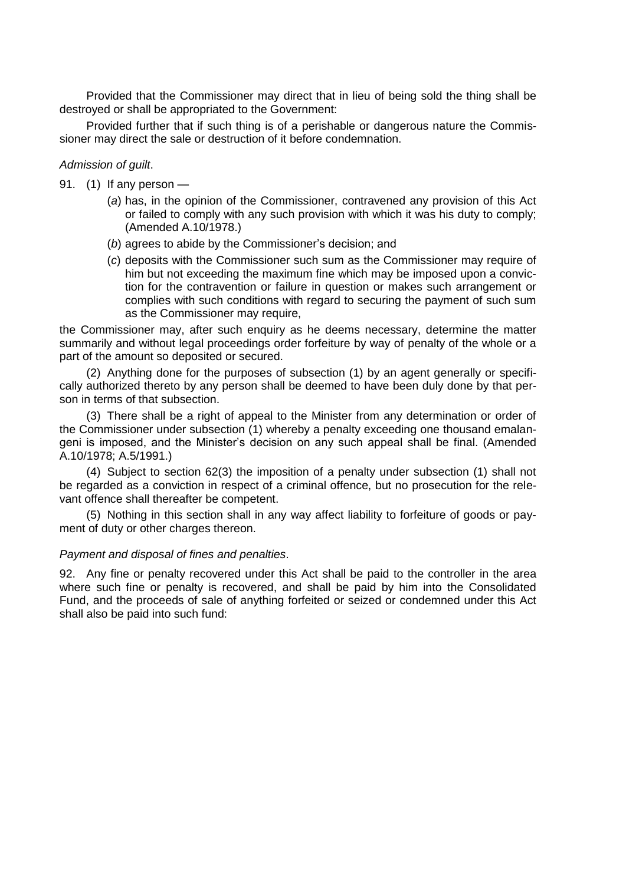Provided that the Commissioner may direct that in lieu of being sold the thing shall be destroyed or shall be appropriated to the Government:

Provided further that if such thing is of a perishable or dangerous nature the Commissioner may direct the sale or destruction of it before condemnation.

### *Admission of guilt*.

- 91. (1) If any person
	- (*a*) has, in the opinion of the Commissioner, contravened any provision of this Act or failed to comply with any such provision with which it was his duty to comply; (Amended A.10/1978.)
	- (b) agrees to abide by the Commissioner's decision; and
	- (*c*) deposits with the Commissioner such sum as the Commissioner may require of him but not exceeding the maximum fine which may be imposed upon a conviction for the contravention or failure in question or makes such arrangement or complies with such conditions with regard to securing the payment of such sum as the Commissioner may require,

the Commissioner may, after such enquiry as he deems necessary, determine the matter summarily and without legal proceedings order forfeiture by way of penalty of the whole or a part of the amount so deposited or secured.

(2) Anything done for the purposes of subsection (1) by an agent generally or specifically authorized thereto by any person shall be deemed to have been duly done by that person in terms of that subsection.

(3) There shall be a right of appeal to the Minister from any determination or order of the Commissioner under subsection (1) whereby a penalty exceeding one thousand emalangeni is imposed, and the Minister"s decision on any such appeal shall be final. (Amended A.10/1978; A.5/1991.)

(4) Subject to section 62(3) the imposition of a penalty under subsection (1) shall not be regarded as a conviction in respect of a criminal offence, but no prosecution for the relevant offence shall thereafter be competent.

(5) Nothing in this section shall in any way affect liability to forfeiture of goods or payment of duty or other charges thereon.

### *Payment and disposal of fines and penalties*.

92. Any fine or penalty recovered under this Act shall be paid to the controller in the area where such fine or penalty is recovered, and shall be paid by him into the Consolidated Fund, and the proceeds of sale of anything forfeited or seized or condemned under this Act shall also be paid into such fund: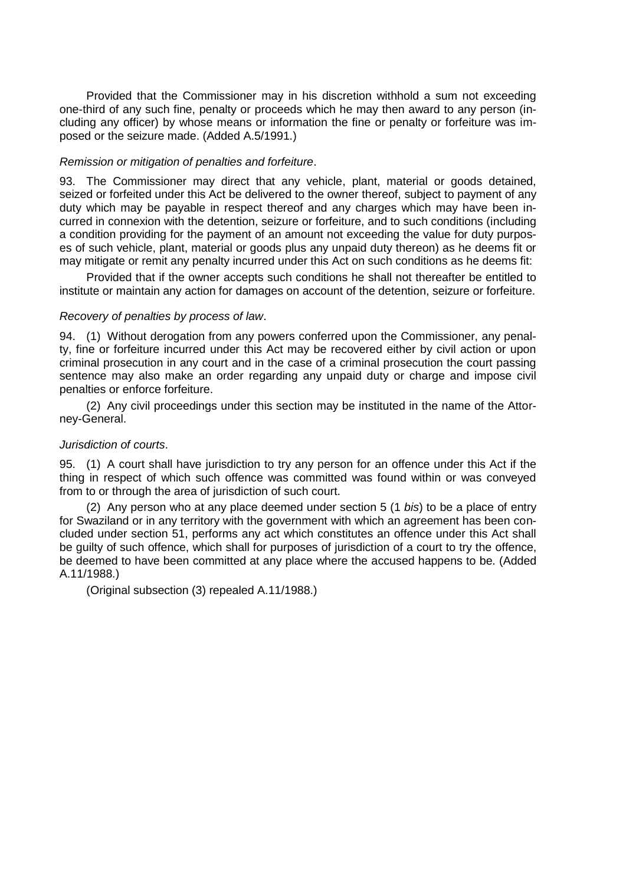Provided that the Commissioner may in his discretion withhold a sum not exceeding one-third of any such fine, penalty or proceeds which he may then award to any person (including any officer) by whose means or information the fine or penalty or forfeiture was imposed or the seizure made. (Added A.5/1991.)

### *Remission or mitigation of penalties and forfeiture*.

93. The Commissioner may direct that any vehicle, plant, material or goods detained, seized or forfeited under this Act be delivered to the owner thereof, subject to payment of any duty which may be payable in respect thereof and any charges which may have been incurred in connexion with the detention, seizure or forfeiture, and to such conditions (including a condition providing for the payment of an amount not exceeding the value for duty purposes of such vehicle, plant, material or goods plus any unpaid duty thereon) as he deems fit or may mitigate or remit any penalty incurred under this Act on such conditions as he deems fit:

Provided that if the owner accepts such conditions he shall not thereafter be entitled to institute or maintain any action for damages on account of the detention, seizure or forfeiture.

# *Recovery of penalties by process of law*.

94. (1) Without derogation from any powers conferred upon the Commissioner, any penalty, fine or forfeiture incurred under this Act may be recovered either by civil action or upon criminal prosecution in any court and in the case of a criminal prosecution the court passing sentence may also make an order regarding any unpaid duty or charge and impose civil penalties or enforce forfeiture.

(2) Any civil proceedings under this section may be instituted in the name of the Attorney-General.

### *Jurisdiction of courts*.

95. (1) A court shall have jurisdiction to try any person for an offence under this Act if the thing in respect of which such offence was committed was found within or was conveyed from to or through the area of jurisdiction of such court.

(2) Any person who at any place deemed under section 5 (1 *bis*) to be a place of entry for Swaziland or in any territory with the government with which an agreement has been concluded under section 51, performs any act which constitutes an offence under this Act shall be guilty of such offence, which shall for purposes of jurisdiction of a court to try the offence, be deemed to have been committed at any place where the accused happens to be. (Added A.11/1988.)

(Original subsection (3) repealed A.11/1988.)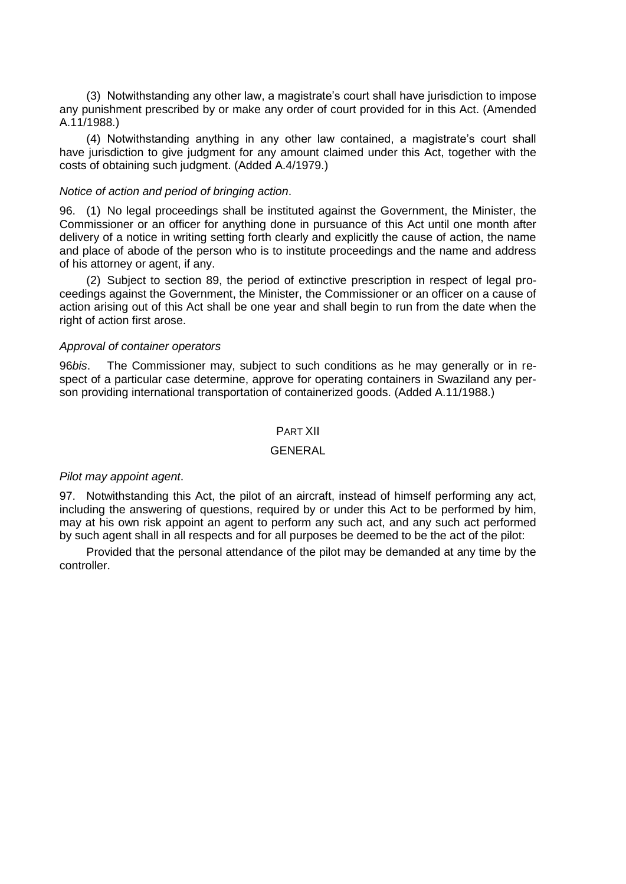(3) Notwithstanding any other law, a magistrate"s court shall have jurisdiction to impose any punishment prescribed by or make any order of court provided for in this Act. (Amended A.11/1988.)

(4) Notwithstanding anything in any other law contained, a magistrate"s court shall have jurisdiction to give judgment for any amount claimed under this Act, together with the costs of obtaining such judgment. (Added A.4/1979.)

#### *Notice of action and period of bringing action*.

96. (1) No legal proceedings shall be instituted against the Government, the Minister, the Commissioner or an officer for anything done in pursuance of this Act until one month after delivery of a notice in writing setting forth clearly and explicitly the cause of action, the name and place of abode of the person who is to institute proceedings and the name and address of his attorney or agent, if any.

(2) Subject to section 89, the period of extinctive prescription in respect of legal proceedings against the Government, the Minister, the Commissioner or an officer on a cause of action arising out of this Act shall be one year and shall begin to run from the date when the right of action first arose.

#### *Approval of container operators*

96*bis*. The Commissioner may, subject to such conditions as he may generally or in respect of a particular case determine, approve for operating containers in Swaziland any person providing international transportation of containerized goods. (Added A.11/1988.)

# PART XII

#### **GENERAL**

#### *Pilot may appoint agent*.

97. Notwithstanding this Act, the pilot of an aircraft, instead of himself performing any act, including the answering of questions, required by or under this Act to be performed by him, may at his own risk appoint an agent to perform any such act, and any such act performed by such agent shall in all respects and for all purposes be deemed to be the act of the pilot:

Provided that the personal attendance of the pilot may be demanded at any time by the controller.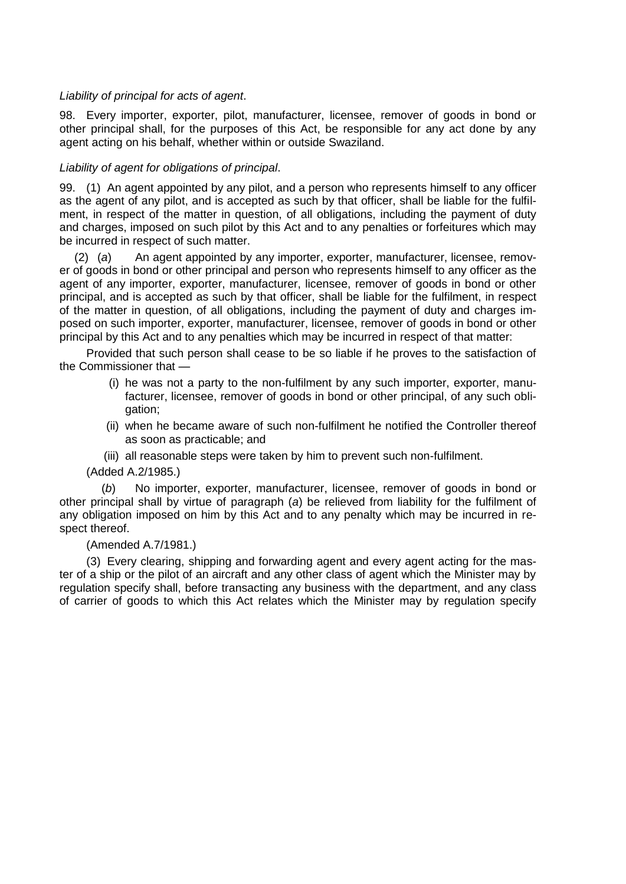# *Liability of principal for acts of agent*.

98. Every importer, exporter, pilot, manufacturer, licensee, remover of goods in bond or other principal shall, for the purposes of this Act, be responsible for any act done by any agent acting on his behalf, whether within or outside Swaziland.

# *Liability of agent for obligations of principal*.

99. (1) An agent appointed by any pilot, and a person who represents himself to any officer as the agent of any pilot, and is accepted as such by that officer, shall be liable for the fulfilment, in respect of the matter in question, of all obligations, including the payment of duty and charges, imposed on such pilot by this Act and to any penalties or forfeitures which may be incurred in respect of such matter.

(2) (*a*) An agent appointed by any importer, exporter, manufacturer, licensee, remover of goods in bond or other principal and person who represents himself to any officer as the agent of any importer, exporter, manufacturer, licensee, remover of goods in bond or other principal, and is accepted as such by that officer, shall be liable for the fulfilment, in respect of the matter in question, of all obligations, including the payment of duty and charges imposed on such importer, exporter, manufacturer, licensee, remover of goods in bond or other principal by this Act and to any penalties which may be incurred in respect of that matter:

Provided that such person shall cease to be so liable if he proves to the satisfaction of the Commissioner that —

- (i) he was not a party to the non-fulfilment by any such importer, exporter, manufacturer, licensee, remover of goods in bond or other principal, of any such obligation;
- (ii) when he became aware of such non-fulfilment he notified the Controller thereof as soon as practicable; and
- (iii) all reasonable steps were taken by him to prevent such non-fulfilment.

(Added A.2/1985.)

No importer, exporter, manufacturer, licensee, remover of goods in bond or other principal shall by virtue of paragraph (*a*) be relieved from liability for the fulfilment of any obligation imposed on him by this Act and to any penalty which may be incurred in respect thereof.

(Amended A.7/1981.)

(3) Every clearing, shipping and forwarding agent and every agent acting for the master of a ship or the pilot of an aircraft and any other class of agent which the Minister may by regulation specify shall, before transacting any business with the department, and any class of carrier of goods to which this Act relates which the Minister may by regulation specify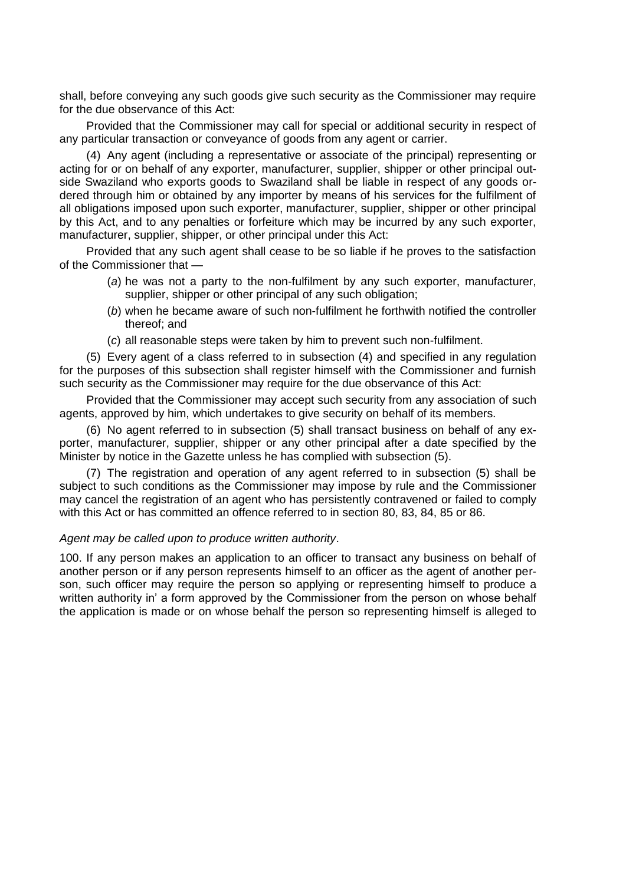shall, before conveying any such goods give such security as the Commissioner may require for the due observance of this Act:

Provided that the Commissioner may call for special or additional security in respect of any particular transaction or conveyance of goods from any agent or carrier.

(4) Any agent (including a representative or associate of the principal) representing or acting for or on behalf of any exporter, manufacturer, supplier, shipper or other principal outside Swaziland who exports goods to Swaziland shall be liable in respect of any goods ordered through him or obtained by any importer by means of his services for the fulfilment of all obligations imposed upon such exporter, manufacturer, supplier, shipper or other principal by this Act, and to any penalties or forfeiture which may be incurred by any such exporter, manufacturer, supplier, shipper, or other principal under this Act:

Provided that any such agent shall cease to be so liable if he proves to the satisfaction of the Commissioner that —

- (*a*) he was not a party to the non-fulfilment by any such exporter, manufacturer, supplier, shipper or other principal of any such obligation;
- (*b*) when he became aware of such non-fulfilment he forthwith notified the controller thereof; and
- (*c*) all reasonable steps were taken by him to prevent such non-fulfilment.

(5) Every agent of a class referred to in subsection (4) and specified in any regulation for the purposes of this subsection shall register himself with the Commissioner and furnish such security as the Commissioner may require for the due observance of this Act:

Provided that the Commissioner may accept such security from any association of such agents, approved by him, which undertakes to give security on behalf of its members.

(6) No agent referred to in subsection (5) shall transact business on behalf of any exporter, manufacturer, supplier, shipper or any other principal after a date specified by the Minister by notice in the Gazette unless he has complied with subsection (5).

(7) The registration and operation of any agent referred to in subsection (5) shall be subject to such conditions as the Commissioner may impose by rule and the Commissioner may cancel the registration of an agent who has persistently contravened or failed to comply with this Act or has committed an offence referred to in section 80, 83, 84, 85 or 86.

#### *Agent may be called upon to produce written authority*.

100. If any person makes an application to an officer to transact any business on behalf of another person or if any person represents himself to an officer as the agent of another person, such officer may require the person so applying or representing himself to produce a written authority in" a form approved by the Commissioner from the person on whose behalf the application is made or on whose behalf the person so representing himself is alleged to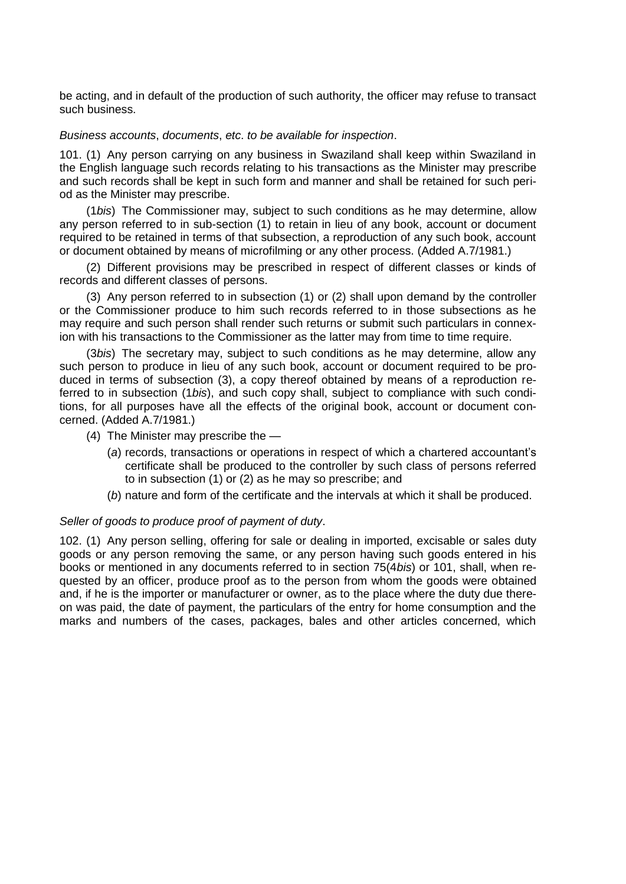be acting, and in default of the production of such authority, the officer may refuse to transact such business.

#### *Business accounts*, *documents*, *etc*. *to be available for inspection*.

101. (1) Any person carrying on any business in Swaziland shall keep within Swaziland in the English language such records relating to his transactions as the Minister may prescribe and such records shall be kept in such form and manner and shall be retained for such period as the Minister may prescribe.

(1*bis*) The Commissioner may, subject to such conditions as he may determine, allow any person referred to in sub-section (1) to retain in lieu of any book, account or document required to be retained in terms of that subsection, a reproduction of any such book, account or document obtained by means of microfilming or any other process. (Added A.7/1981.)

(2) Different provisions may be prescribed in respect of different classes or kinds of records and different classes of persons.

(3) Any person referred to in subsection (1) or (2) shall upon demand by the controller or the Commissioner produce to him such records referred to in those subsections as he may require and such person shall render such returns or submit such particulars in connexion with his transactions to the Commissioner as the latter may from time to time require.

(3*bis*) The secretary may, subject to such conditions as he may determine, allow any such person to produce in lieu of any such book, account or document required to be produced in terms of subsection (3), a copy thereof obtained by means of a reproduction referred to in subsection (1*bis*), and such copy shall, subject to compliance with such conditions, for all purposes have all the effects of the original book, account or document concerned. (Added A.7/1981.)

- (4) The Minister may prescribe the
	- (*a*) records, transactions or operations in respect of which a chartered accountant"s certificate shall be produced to the controller by such class of persons referred to in subsection (1) or (2) as he may so prescribe; and
	- (*b*) nature and form of the certificate and the intervals at which it shall be produced.

## *Seller of goods to produce proof of payment of duty*.

102. (1) Any person selling, offering for sale or dealing in imported, excisable or sales duty goods or any person removing the same, or any person having such goods entered in his books or mentioned in any documents referred to in section 75(4*bis*) or 101, shall, when requested by an officer, produce proof as to the person from whom the goods were obtained and, if he is the importer or manufacturer or owner, as to the place where the duty due thereon was paid, the date of payment, the particulars of the entry for home consumption and the marks and numbers of the cases, packages, bales and other articles concerned, which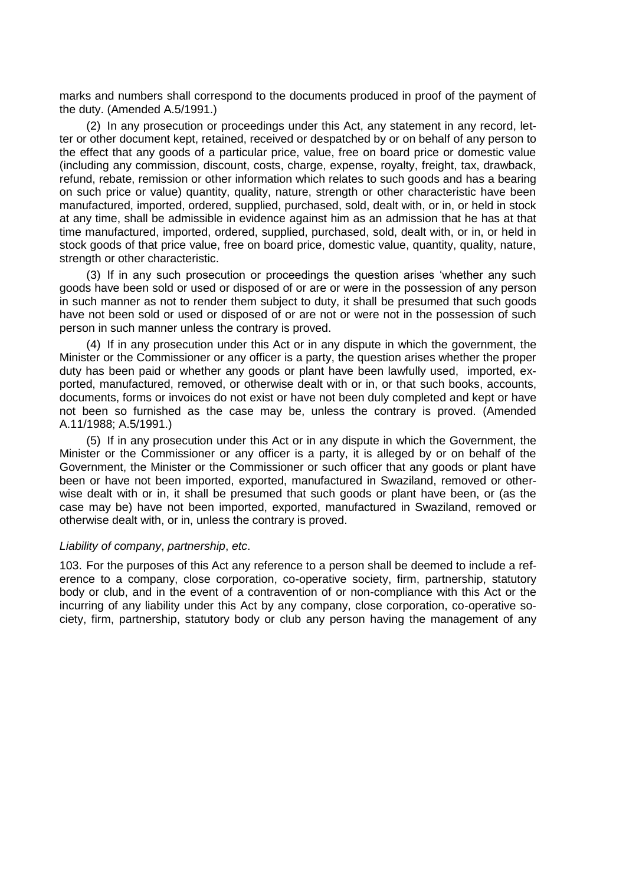marks and numbers shall correspond to the documents produced in proof of the payment of the duty. (Amended A.5/1991.)

(2) In any prosecution or proceedings under this Act, any statement in any record, letter or other document kept, retained, received or despatched by or on behalf of any person to the effect that any goods of a particular price, value, free on board price or domestic value (including any commission, discount, costs, charge, expense, royalty, freight, tax, drawback, refund, rebate, remission or other information which relates to such goods and has a bearing on such price or value) quantity, quality, nature, strength or other characteristic have been manufactured, imported, ordered, supplied, purchased, sold, dealt with, or in, or held in stock at any time, shall be admissible in evidence against him as an admission that he has at that time manufactured, imported, ordered, supplied, purchased, sold, dealt with, or in, or held in stock goods of that price value, free on board price, domestic value, quantity, quality, nature, strength or other characteristic.

(3) If in any such prosecution or proceedings the question arises "whether any such goods have been sold or used or disposed of or are or were in the possession of any person in such manner as not to render them subject to duty, it shall be presumed that such goods have not been sold or used or disposed of or are not or were not in the possession of such person in such manner unless the contrary is proved.

(4) If in any prosecution under this Act or in any dispute in which the government, the Minister or the Commissioner or any officer is a party, the question arises whether the proper duty has been paid or whether any goods or plant have been lawfully used, imported, exported, manufactured, removed, or otherwise dealt with or in, or that such books, accounts, documents, forms or invoices do not exist or have not been duly completed and kept or have not been so furnished as the case may be, unless the contrary is proved. (Amended A.11/1988; A.5/1991.)

(5) If in any prosecution under this Act or in any dispute in which the Government, the Minister or the Commissioner or any officer is a party, it is alleged by or on behalf of the Government, the Minister or the Commissioner or such officer that any goods or plant have been or have not been imported, exported, manufactured in Swaziland, removed or otherwise dealt with or in, it shall be presumed that such goods or plant have been, or (as the case may be) have not been imported, exported, manufactured in Swaziland, removed or otherwise dealt with, or in, unless the contrary is proved.

#### *Liability of company*, *partnership*, *etc*.

103. For the purposes of this Act any reference to a person shall be deemed to include a reference to a company, close corporation, co-operative society, firm, partnership, statutory body or club, and in the event of a contravention of or non-compliance with this Act or the incurring of any liability under this Act by any company, close corporation, co-operative society, firm, partnership, statutory body or club any person having the management of any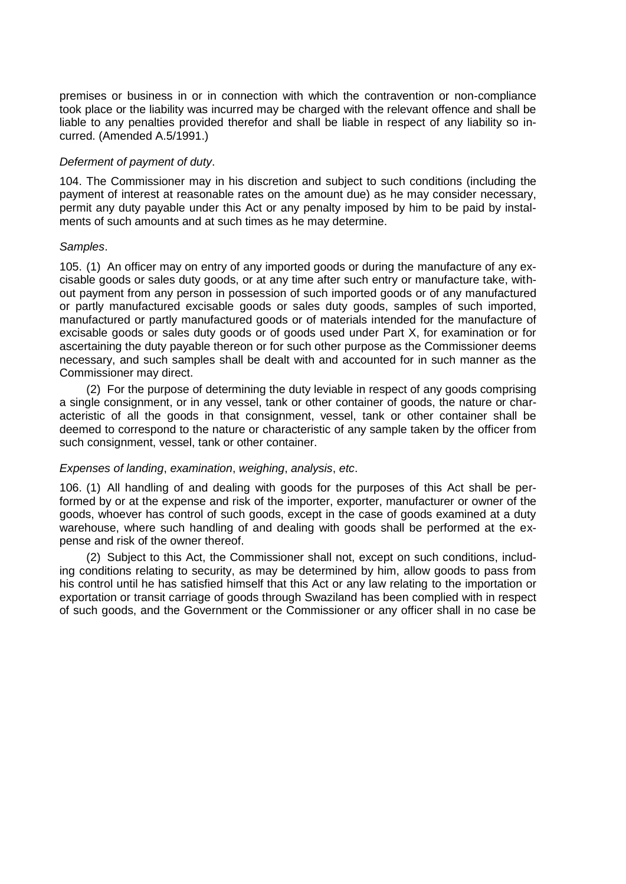premises or business in or in connection with which the contravention or non-compliance took place or the liability was incurred may be charged with the relevant offence and shall be liable to any penalties provided therefor and shall be liable in respect of any liability so incurred. (Amended A.5/1991.)

## *Deferment of payment of duty*.

104. The Commissioner may in his discretion and subject to such conditions (including the payment of interest at reasonable rates on the amount due) as he may consider necessary, permit any duty payable under this Act or any penalty imposed by him to be paid by instalments of such amounts and at such times as he may determine.

## *Samples*.

105. (1) An officer may on entry of any imported goods or during the manufacture of any excisable goods or sales duty goods, or at any time after such entry or manufacture take, without payment from any person in possession of such imported goods or of any manufactured or partly manufactured excisable goods or sales duty goods, samples of such imported, manufactured or partly manufactured goods or of materials intended for the manufacture of excisable goods or sales duty goods or of goods used under Part X, for examination or for ascertaining the duty payable thereon or for such other purpose as the Commissioner deems necessary, and such samples shall be dealt with and accounted for in such manner as the Commissioner may direct.

(2) For the purpose of determining the duty leviable in respect of any goods comprising a single consignment, or in any vessel, tank or other container of goods, the nature or characteristic of all the goods in that consignment, vessel, tank or other container shall be deemed to correspond to the nature or characteristic of any sample taken by the officer from such consignment, vessel, tank or other container.

# *Expenses of landing*, *examination*, *weighing*, *analysis*, *etc*.

106. (1) All handling of and dealing with goods for the purposes of this Act shall be performed by or at the expense and risk of the importer, exporter, manufacturer or owner of the goods, whoever has control of such goods, except in the case of goods examined at a duty warehouse, where such handling of and dealing with goods shall be performed at the expense and risk of the owner thereof.

(2) Subject to this Act, the Commissioner shall not, except on such conditions, including conditions relating to security, as may be determined by him, allow goods to pass from his control until he has satisfied himself that this Act or any law relating to the importation or exportation or transit carriage of goods through Swaziland has been complied with in respect of such goods, and the Government or the Commissioner or any officer shall in no case be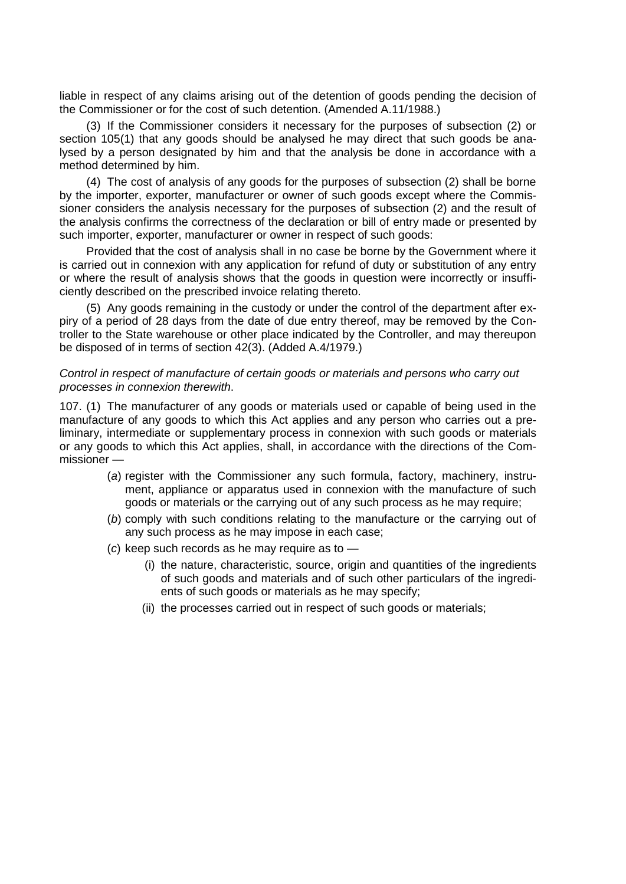liable in respect of any claims arising out of the detention of goods pending the decision of the Commissioner or for the cost of such detention. (Amended A.11/1988.)

(3) If the Commissioner considers it necessary for the purposes of subsection (2) or section 105(1) that any goods should be analysed he may direct that such goods be analysed by a person designated by him and that the analysis be done in accordance with a method determined by him.

(4) The cost of analysis of any goods for the purposes of subsection (2) shall be borne by the importer, exporter, manufacturer or owner of such goods except where the Commissioner considers the analysis necessary for the purposes of subsection (2) and the result of the analysis confirms the correctness of the declaration or bill of entry made or presented by such importer, exporter, manufacturer or owner in respect of such goods:

Provided that the cost of analysis shall in no case be borne by the Government where it is carried out in connexion with any application for refund of duty or substitution of any entry or where the result of analysis shows that the goods in question were incorrectly or insufficiently described on the prescribed invoice relating thereto.

(5) Any goods remaining in the custody or under the control of the department after expiry of a period of 28 days from the date of due entry thereof, may be removed by the Controller to the State warehouse or other place indicated by the Controller, and may thereupon be disposed of in terms of section 42(3). (Added A.4/1979.)

## *Control in respect of manufacture of certain goods or materials and persons who carry out processes in connexion therewith*.

107. (1) The manufacturer of any goods or materials used or capable of being used in the manufacture of any goods to which this Act applies and any person who carries out a preliminary, intermediate or supplementary process in connexion with such goods or materials or any goods to which this Act applies, shall, in accordance with the directions of the Commissioner —

- (*a*) register with the Commissioner any such formula, factory, machinery, instrument, appliance or apparatus used in connexion with the manufacture of such goods or materials or the carrying out of any such process as he may require;
- (*b*) comply with such conditions relating to the manufacture or the carrying out of any such process as he may impose in each case;
- (*c*) keep such records as he may require as to
	- (i) the nature, characteristic, source, origin and quantities of the ingredients of such goods and materials and of such other particulars of the ingredients of such goods or materials as he may specify;
	- (ii) the processes carried out in respect of such goods or materials;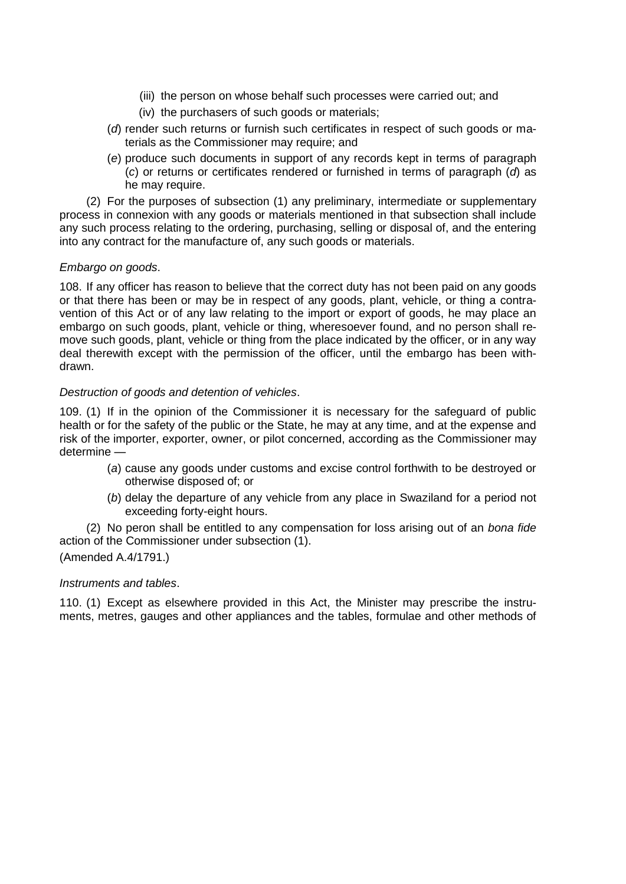- (iii) the person on whose behalf such processes were carried out; and
- (iv) the purchasers of such goods or materials;
- (*d*) render such returns or furnish such certificates in respect of such goods or materials as the Commissioner may require; and
- (*e*) produce such documents in support of any records kept in terms of paragraph (*c*) or returns or certificates rendered or furnished in terms of paragraph (*d*) as he may require.

(2) For the purposes of subsection (1) any preliminary, intermediate or supplementary process in connexion with any goods or materials mentioned in that subsection shall include any such process relating to the ordering, purchasing, selling or disposal of, and the entering into any contract for the manufacture of, any such goods or materials.

# *Embargo on goods*.

108. If any officer has reason to believe that the correct duty has not been paid on any goods or that there has been or may be in respect of any goods, plant, vehicle, or thing a contravention of this Act or of any law relating to the import or export of goods, he may place an embargo on such goods, plant, vehicle or thing, wheresoever found, and no person shall remove such goods, plant, vehicle or thing from the place indicated by the officer, or in any way deal therewith except with the permission of the officer, until the embargo has been withdrawn.

# *Destruction of goods and detention of vehicles*.

109. (1) If in the opinion of the Commissioner it is necessary for the safeguard of public health or for the safety of the public or the State, he may at any time, and at the expense and risk of the importer, exporter, owner, or pilot concerned, according as the Commissioner may determine —

- (*a*) cause any goods under customs and excise control forthwith to be destroyed or otherwise disposed of; or
- (*b*) delay the departure of any vehicle from any place in Swaziland for a period not exceeding forty-eight hours.

(2) No peron shall be entitled to any compensation for loss arising out of an *bona fide*  action of the Commissioner under subsection (1).

# (Amended A.4/1791.)

# *Instruments and tables*.

110. (1) Except as elsewhere provided in this Act, the Minister may prescribe the instruments, metres, gauges and other appliances and the tables, formulae and other methods of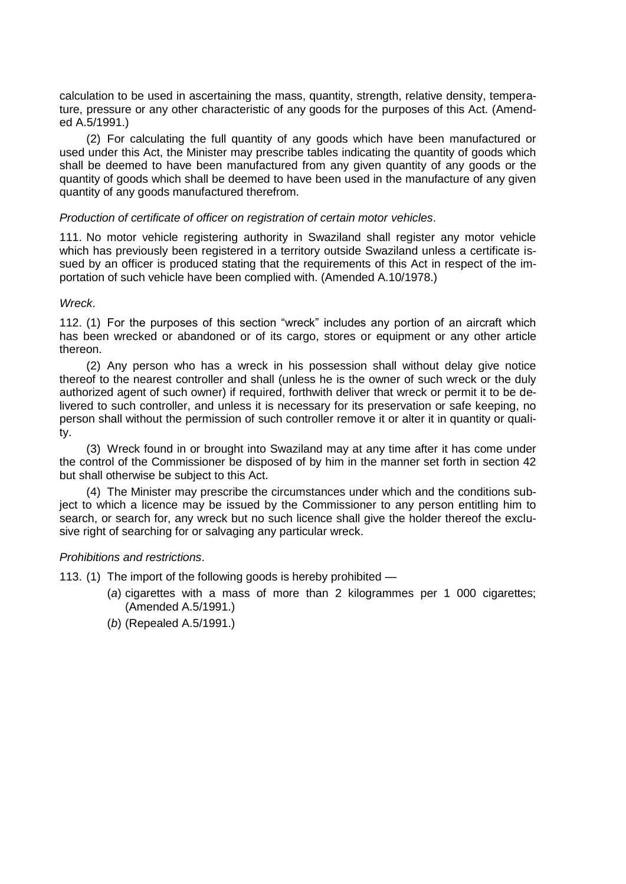calculation to be used in ascertaining the mass, quantity, strength, relative density, temperature, pressure or any other characteristic of any goods for the purposes of this Act. (Amended A.5/1991.)

(2) For calculating the full quantity of any goods which have been manufactured or used under this Act, the Minister may prescribe tables indicating the quantity of goods which shall be deemed to have been manufactured from any given quantity of any goods or the quantity of goods which shall be deemed to have been used in the manufacture of any given quantity of any goods manufactured therefrom.

## *Production of certificate of officer on registration of certain motor vehicles*.

111. No motor vehicle registering authority in Swaziland shall register any motor vehicle which has previously been registered in a territory outside Swaziland unless a certificate issued by an officer is produced stating that the requirements of this Act in respect of the importation of such vehicle have been complied with. (Amended A.10/1978.)

## *Wreck*.

112. (1) For the purposes of this section "wreck" includes any portion of an aircraft which has been wrecked or abandoned or of its cargo, stores or equipment or any other article thereon.

(2) Any person who has a wreck in his possession shall without delay give notice thereof to the nearest controller and shall (unless he is the owner of such wreck or the duly authorized agent of such owner) if required, forthwith deliver that wreck or permit it to be delivered to such controller, and unless it is necessary for its preservation or safe keeping, no person shall without the permission of such controller remove it or alter it in quantity or quality.

(3) Wreck found in or brought into Swaziland may at any time after it has come under the control of the Commissioner be disposed of by him in the manner set forth in section 42 but shall otherwise be subject to this Act.

(4) The Minister may prescribe the circumstances under which and the conditions subject to which a licence may be issued by the Commissioner to any person entitling him to search, or search for, any wreck but no such licence shall give the holder thereof the exclusive right of searching for or salvaging any particular wreck.

# *Prohibitions and restrictions*.

113. (1) The import of the following goods is hereby prohibited —

- (*a*) cigarettes with a mass of more than 2 kilogrammes per 1 000 cigarettes; (Amended A.5/1991.)
- (*b*) (Repealed A.5/1991.)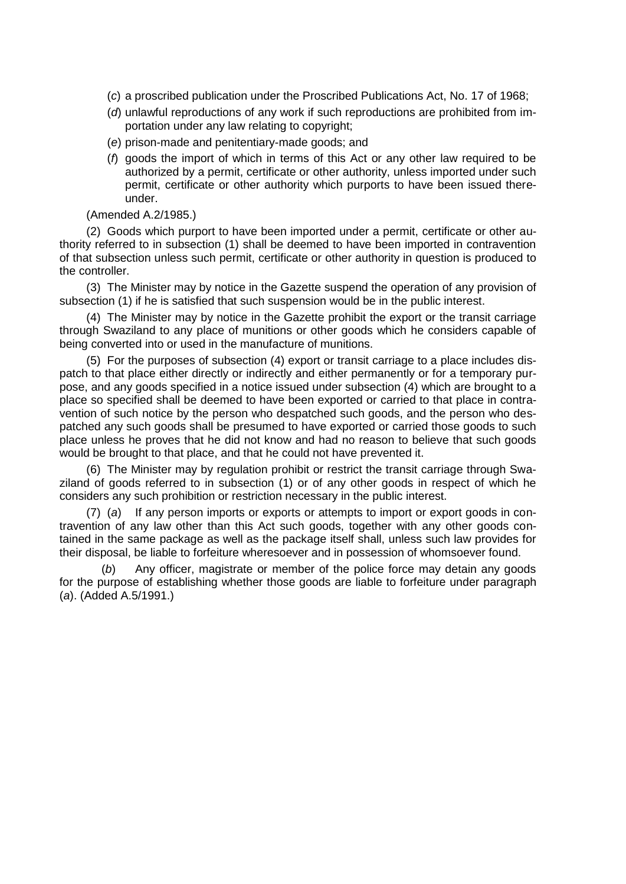- (*c*) a proscribed publication under the Proscribed Publications Act, No. 17 of 1968;
- (*d*) unlawful reproductions of any work if such reproductions are prohibited from importation under any law relating to copyright;
- (*e*) prison-made and penitentiary-made goods; and
- (*f*) goods the import of which in terms of this Act or any other law required to be authorized by a permit, certificate or other authority, unless imported under such permit, certificate or other authority which purports to have been issued thereunder.

## (Amended A.2/1985.)

(2) Goods which purport to have been imported under a permit, certificate or other authority referred to in subsection (1) shall be deemed to have been imported in contravention of that subsection unless such permit, certificate or other authority in question is produced to the controller.

(3) The Minister may by notice in the Gazette suspend the operation of any provision of subsection (1) if he is satisfied that such suspension would be in the public interest.

(4) The Minister may by notice in the Gazette prohibit the export or the transit carriage through Swaziland to any place of munitions or other goods which he considers capable of being converted into or used in the manufacture of munitions.

(5) For the purposes of subsection (4) export or transit carriage to a place includes dispatch to that place either directly or indirectly and either permanently or for a temporary purpose, and any goods specified in a notice issued under subsection (4) which are brought to a place so specified shall be deemed to have been exported or carried to that place in contravention of such notice by the person who despatched such goods, and the person who despatched any such goods shall be presumed to have exported or carried those goods to such place unless he proves that he did not know and had no reason to believe that such goods would be brought to that place, and that he could not have prevented it.

(6) The Minister may by regulation prohibit or restrict the transit carriage through Swaziland of goods referred to in subsection (1) or of any other goods in respect of which he considers any such prohibition or restriction necessary in the public interest.

(7) (*a*) If any person imports or exports or attempts to import or export goods in contravention of any law other than this Act such goods, together with any other goods contained in the same package as well as the package itself shall, unless such law provides for their disposal, be liable to forfeiture wheresoever and in possession of whomsoever found.

(*b*) Any officer, magistrate or member of the police force may detain any goods for the purpose of establishing whether those goods are liable to forfeiture under paragraph (*a*). (Added A.5/1991.)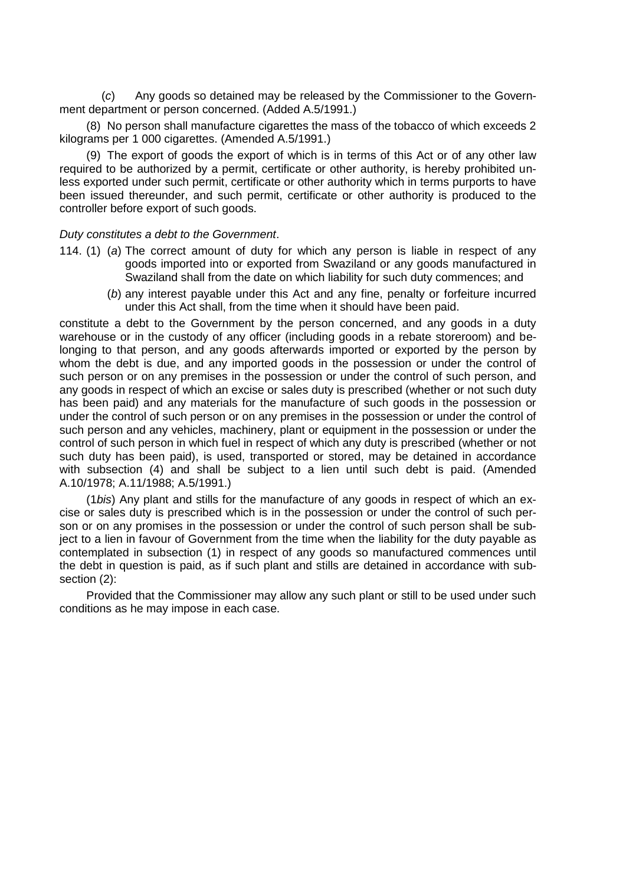(*c*) Any goods so detained may be released by the Commissioner to the Government department or person concerned. (Added A.5/1991.)

(8) No person shall manufacture cigarettes the mass of the tobacco of which exceeds 2 kilograms per 1 000 cigarettes. (Amended A.5/1991.)

(9) The export of goods the export of which is in terms of this Act or of any other law required to be authorized by a permit, certificate or other authority, is hereby prohibited unless exported under such permit, certificate or other authority which in terms purports to have been issued thereunder, and such permit, certificate or other authority is produced to the controller before export of such goods.

## *Duty constitutes a debt to the Government*.

- 114. (1) (*a*) The correct amount of duty for which any person is liable in respect of any goods imported into or exported from Swaziland or any goods manufactured in Swaziland shall from the date on which liability for such duty commences; and
	- (*b*) any interest payable under this Act and any fine, penalty or forfeiture incurred under this Act shall, from the time when it should have been paid.

constitute a debt to the Government by the person concerned, and any goods in a duty warehouse or in the custody of any officer (including goods in a rebate storeroom) and belonging to that person, and any goods afterwards imported or exported by the person by whom the debt is due, and any imported goods in the possession or under the control of such person or on any premises in the possession or under the control of such person, and any goods in respect of which an excise or sales duty is prescribed (whether or not such duty has been paid) and any materials for the manufacture of such goods in the possession or under the control of such person or on any premises in the possession or under the control of such person and any vehicles, machinery, plant or equipment in the possession or under the control of such person in which fuel in respect of which any duty is prescribed (whether or not such duty has been paid), is used, transported or stored, may be detained in accordance with subsection (4) and shall be subject to a lien until such debt is paid. (Amended A.10/1978; A.11/1988; A.5/1991.)

(1*bis*) Any plant and stills for the manufacture of any goods in respect of which an excise or sales duty is prescribed which is in the possession or under the control of such person or on any promises in the possession or under the control of such person shall be subject to a lien in favour of Government from the time when the liability for the duty payable as contemplated in subsection (1) in respect of any goods so manufactured commences until the debt in question is paid, as if such plant and stills are detained in accordance with subsection (2):

Provided that the Commissioner may allow any such plant or still to be used under such conditions as he may impose in each case.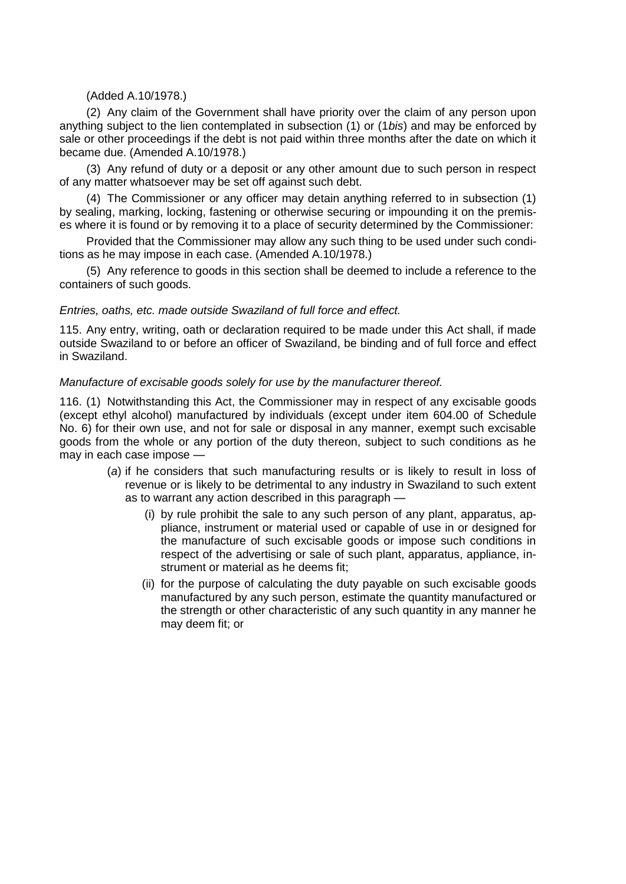# (Added A.10/1978.)

(2) Any claim of the Government shall have priority over the claim of any person upon anything subject to the lien contemplated in subsection (1) or (1*bis*) and may be enforced by sale or other proceedings if the debt is not paid within three months after the date on which it became due. (Amended A.10/1978.)

(3) Any refund of duty or a deposit or any other amount due to such person in respect of any matter whatsoever may be set off against such debt.

(4) The Commissioner or any officer may detain anything referred to in subsection (1) by sealing, marking, locking, fastening or otherwise securing or impounding it on the premises where it is found or by removing it to a place of security determined by the Commissioner:

Provided that the Commissioner may allow any such thing to be used under such conditions as he may impose in each case. (Amended A.10/1978.)

(5) Any reference to goods in this section shall be deemed to include a reference to the containers of such goods.

## *Entries, oaths, etc. made outside Swaziland of full force and effect.*

115. Any entry, writing, oath or declaration required to be made under this Act shall, if made outside Swaziland to or before an officer of Swaziland, be binding and of full force and effect in Swaziland.

#### *Manufacture of excisable goods solely for use by the manufacturer thereof.*

116. (1) Notwithstanding this Act, the Commissioner may in respect of any excisable goods (except ethyl alcohol) manufactured by individuals (except under item 604.00 of Schedule No. 6) for their own use, and not for sale or disposal in any manner, exempt such excisable goods from the whole or any portion of the duty thereon, subject to such conditions as he may in each case impose —

- (*a*) if he considers that such manufacturing results or is likely to result in loss of revenue or is likely to be detrimental to any industry in Swaziland to such extent as to warrant any action described in this paragraph —
	- (i) by rule prohibit the sale to any such person of any plant, apparatus, appliance, instrument or material used or capable of use in or designed for the manufacture of such excisable goods or impose such conditions in respect of the advertising or sale of such plant, apparatus, appliance, instrument or material as he deems fit;
	- (ii) for the purpose of calculating the duty payable on such excisable goods manufactured by any such person, estimate the quantity manufactured or the strength or other characteristic of any such quantity in any manner he may deem fit; or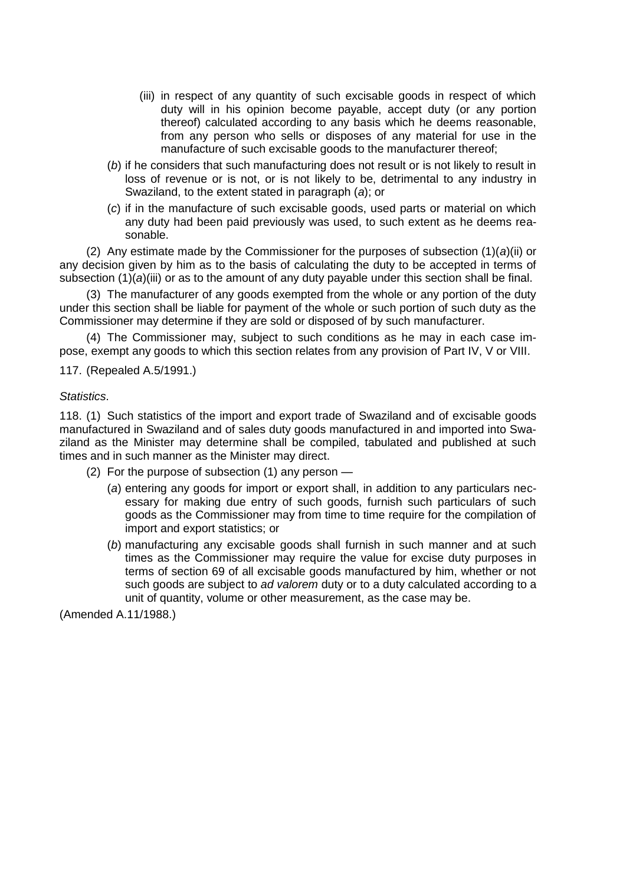- (iii) in respect of any quantity of such excisable goods in respect of which duty will in his opinion become payable, accept duty (or any portion thereof) calculated according to any basis which he deems reasonable, from any person who sells or disposes of any material for use in the manufacture of such excisable goods to the manufacturer thereof;
- (*b*) if he considers that such manufacturing does not result or is not likely to result in loss of revenue or is not, or is not likely to be, detrimental to any industry in Swaziland, to the extent stated in paragraph (*a*); or
- (*c*) if in the manufacture of such excisable goods, used parts or material on which any duty had been paid previously was used, to such extent as he deems reasonable.

(2) Any estimate made by the Commissioner for the purposes of subsection (1)(*a*)(ii) or any decision given by him as to the basis of calculating the duty to be accepted in terms of subsection (1)(*a*)(iii) or as to the amount of any duty payable under this section shall be final.

(3) The manufacturer of any goods exempted from the whole or any portion of the duty under this section shall be liable for payment of the whole or such portion of such duty as the Commissioner may determine if they are sold or disposed of by such manufacturer.

(4) The Commissioner may, subject to such conditions as he may in each case impose, exempt any goods to which this section relates from any provision of Part IV, V or VIII.

117. (Repealed A.5/1991.)

## *Statistics*.

118. (1) Such statistics of the import and export trade of Swaziland and of excisable goods manufactured in Swaziland and of sales duty goods manufactured in and imported into Swaziland as the Minister may determine shall be compiled, tabulated and published at such times and in such manner as the Minister may direct.

- (2) For the purpose of subsection (1) any person
	- (*a*) entering any goods for import or export shall, in addition to any particulars necessary for making due entry of such goods, furnish such particulars of such goods as the Commissioner may from time to time require for the compilation of import and export statistics; or
	- (*b*) manufacturing any excisable goods shall furnish in such manner and at such times as the Commissioner may require the value for excise duty purposes in terms of section 69 of all excisable goods manufactured by him, whether or not such goods are subject to *ad valorem* duty or to a duty calculated according to a unit of quantity, volume or other measurement, as the case may be.

(Amended A.11/1988.)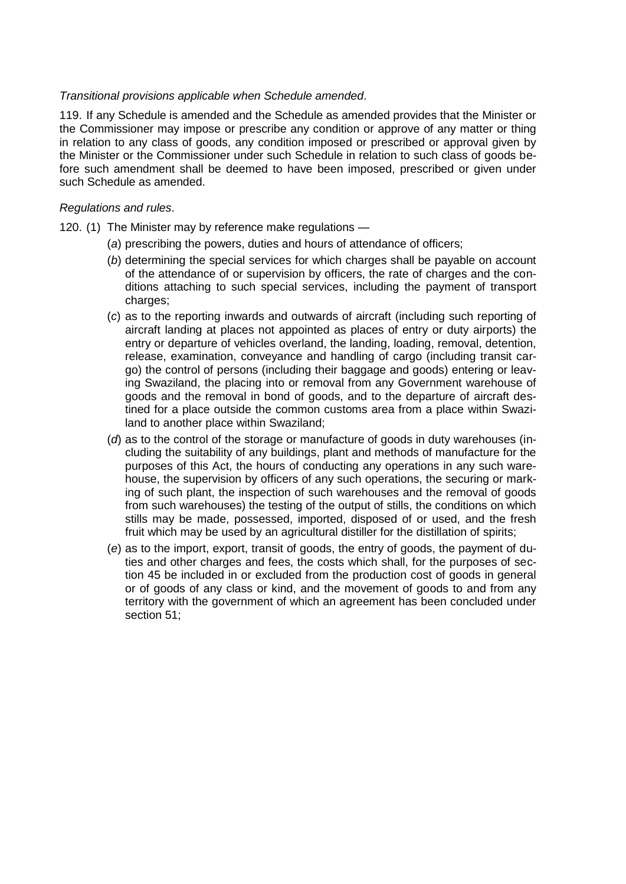# *Transitional provisions applicable when Schedule amended*.

119. If any Schedule is amended and the Schedule as amended provides that the Minister or the Commissioner may impose or prescribe any condition or approve of any matter or thing in relation to any class of goods, any condition imposed or prescribed or approval given by the Minister or the Commissioner under such Schedule in relation to such class of goods before such amendment shall be deemed to have been imposed, prescribed or given under such Schedule as amended.

## *Regulations and rules*.

- 120. (1) The Minister may by reference make regulations
	- (*a*) prescribing the powers, duties and hours of attendance of officers;
	- (*b*) determining the special services for which charges shall be payable on account of the attendance of or supervision by officers, the rate of charges and the conditions attaching to such special services, including the payment of transport charges;
	- (*c*) as to the reporting inwards and outwards of aircraft (including such reporting of aircraft landing at places not appointed as places of entry or duty airports) the entry or departure of vehicles overland, the landing, loading, removal, detention, release, examination, conveyance and handling of cargo (including transit cargo) the control of persons (including their baggage and goods) entering or leaving Swaziland, the placing into or removal from any Government warehouse of goods and the removal in bond of goods, and to the departure of aircraft destined for a place outside the common customs area from a place within Swaziland to another place within Swaziland;
	- (*d*) as to the control of the storage or manufacture of goods in duty warehouses (including the suitability of any buildings, plant and methods of manufacture for the purposes of this Act, the hours of conducting any operations in any such warehouse, the supervision by officers of any such operations, the securing or marking of such plant, the inspection of such warehouses and the removal of goods from such warehouses) the testing of the output of stills, the conditions on which stills may be made, possessed, imported, disposed of or used, and the fresh fruit which may be used by an agricultural distiller for the distillation of spirits;
	- (*e*) as to the import, export, transit of goods, the entry of goods, the payment of duties and other charges and fees, the costs which shall, for the purposes of section 45 be included in or excluded from the production cost of goods in general or of goods of any class or kind, and the movement of goods to and from any territory with the government of which an agreement has been concluded under section 51;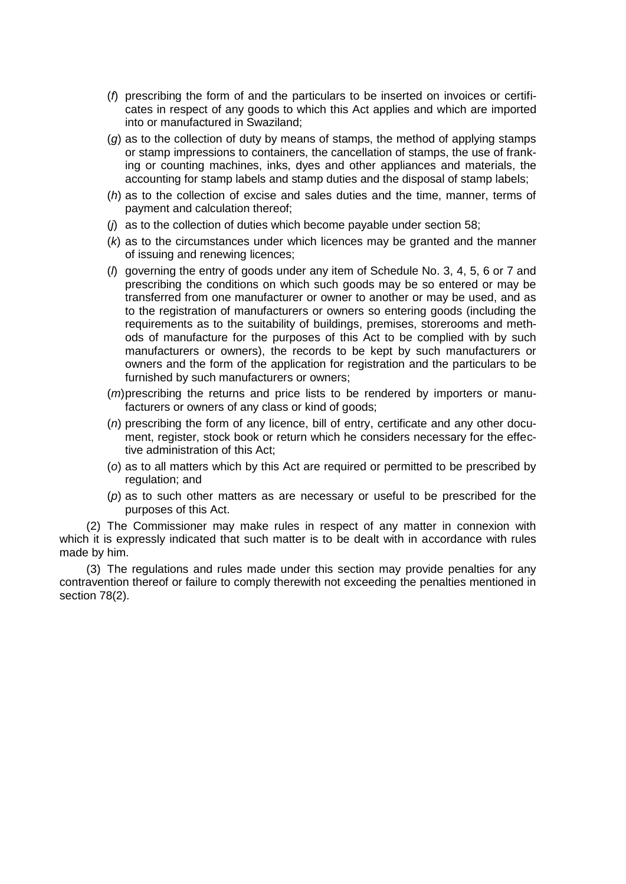- (*f*) prescribing the form of and the particulars to be inserted on invoices or certificates in respect of any goods to which this Act applies and which are imported into or manufactured in Swaziland;
- (*g*) as to the collection of duty by means of stamps, the method of applying stamps or stamp impressions to containers, the cancellation of stamps, the use of franking or counting machines, inks, dyes and other appliances and materials, the accounting for stamp labels and stamp duties and the disposal of stamp labels;
- (*h*) as to the collection of excise and sales duties and the time, manner, terms of payment and calculation thereof;
- (*j*) as to the collection of duties which become payable under section 58;
- (*k*) as to the circumstances under which licences may be granted and the manner of issuing and renewing licences;
- (*l*) governing the entry of goods under any item of Schedule No. 3, 4, 5, 6 or 7 and prescribing the conditions on which such goods may be so entered or may be transferred from one manufacturer or owner to another or may be used, and as to the registration of manufacturers or owners so entering goods (including the requirements as to the suitability of buildings, premises, storerooms and methods of manufacture for the purposes of this Act to be complied with by such manufacturers or owners), the records to be kept by such manufacturers or owners and the form of the application for registration and the particulars to be furnished by such manufacturers or owners;
- (*m*)prescribing the returns and price lists to be rendered by importers or manufacturers or owners of any class or kind of goods;
- (*n*) prescribing the form of any licence, bill of entry, certificate and any other document, register, stock book or return which he considers necessary for the effective administration of this Act;
- (*o*) as to all matters which by this Act are required or permitted to be prescribed by regulation; and
- (*p*) as to such other matters as are necessary or useful to be prescribed for the purposes of this Act.

(2) The Commissioner may make rules in respect of any matter in connexion with which it is expressly indicated that such matter is to be dealt with in accordance with rules made by him.

(3) The regulations and rules made under this section may provide penalties for any contravention thereof or failure to comply therewith not exceeding the penalties mentioned in section 78(2).